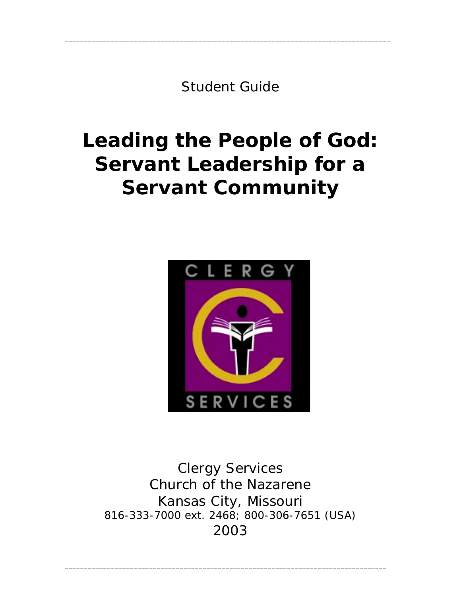Student Guide

 $\_$  ,  $\_$  ,  $\_$  ,  $\_$  ,  $\_$  ,  $\_$  ,  $\_$  ,  $\_$  ,  $\_$  ,  $\_$  ,  $\_$  ,  $\_$  ,  $\_$  ,  $\_$  ,  $\_$  ,  $\_$  ,  $\_$  ,  $\_$  ,  $\_$  ,  $\_$ 

# **Leading the People of God: Servant Leadership for a Servant Community**



Clergy Services Church of the Nazarene Kansas City, Missouri 816-333-7000 ext. 2468; 800-306-7651 (USA) 2003

 $\_$  ,  $\_$  ,  $\_$  ,  $\_$  ,  $\_$  ,  $\_$  ,  $\_$  ,  $\_$  ,  $\_$  ,  $\_$  ,  $\_$  ,  $\_$  ,  $\_$  ,  $\_$  ,  $\_$  ,  $\_$  ,  $\_$  ,  $\_$  ,  $\_$  ,  $\_$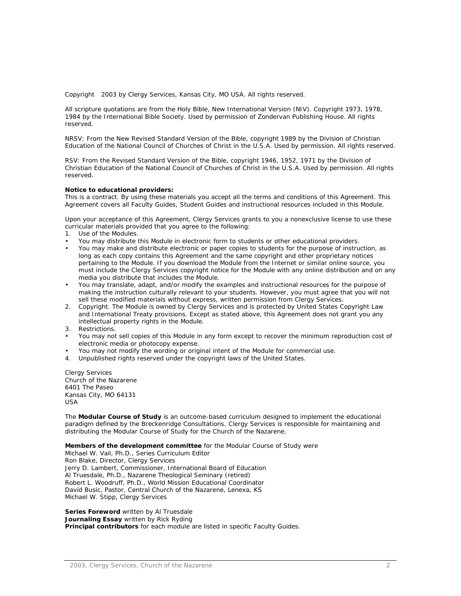#### *Copyright 2003 by Clergy Services, Kansas City, MO USA. All rights reserved.*

All scripture quotations are from the *Holy Bible, New International Version* (NIV). Copyright 1973, 1978, 1984 by the International Bible Society. Used by permission of Zondervan Publishing House. All rights reserved.

NRSV: From the *New Revised Standard Version* of the *Bible,* copyright 1989 by the Division of Christian Education of the National Council of Churches of Christ in the U.S.A. Used by permission. All rights reserved.

RSV: From the *Revised Standard Version* of the *Bible,* copyright 1946, 1952, 1971 by the Division of Christian Education of the National Council of Churches of Christ in the U.S.A. Used by permission. All rights reserved.

#### **Notice to educational providers:**

This is a contract. By using these materials you accept all the terms and conditions of this Agreement. This Agreement covers all Faculty Guides, Student Guides and instructional resources included in this Module.

Upon your acceptance of this Agreement, Clergy Services grants to you a nonexclusive license to use these curricular materials provided that you agree to the following:

- 1. Use of the Modules.
- You may distribute this Module in electronic form to students or other educational providers.
- You may make and distribute electronic or paper copies to students for the purpose of instruction, as long as each copy contains this Agreement and the same copyright and other proprietary notices pertaining to the Module. If you download the Module from the Internet or similar online source, you must include the Clergy Services copyright notice for the Module with any online distribution and on any media you distribute that includes the Module.
- You may translate, adapt, and/or modify the examples and instructional resources for the purpose of making the instruction culturally relevant to your students. However, you must agree that you will not sell these modified materials without express, written permission from Clergy Services.
- 2. Copyright. The Module is owned by Clergy Services and is protected by United States Copyright Law and International Treaty provisions. Except as stated above, this Agreement does not grant you any intellectual property rights in the Module.
- 3. Restrictions.
- You may not sell copies of this Module in any form except to recover the minimum reproduction cost of electronic media or photocopy expense.
- You may not modify the wording or original intent of the Module for commercial use.
- 4. Unpublished rights reserved under the copyright laws of the United States.

Clergy Services Church of the Nazarene 6401 The Paseo Kansas City, MO 64131 USA

The **Modular Course of Study** is an outcome-based curriculum designed to implement the educational paradigm defined by the Breckenridge Consultations. Clergy Services is responsible for maintaining and distributing the Modular Course of Study for the Church of the Nazarene.

**Members of the development committee** for the Modular Course of Study were

Michael W. Vail, Ph.D., Series Curriculum Editor Ron Blake, Director, Clergy Services Jerry D. Lambert, Commissioner, International Board of Education Al Truesdale, Ph.D., Nazarene Theological Seminary (retired) Robert L. Woodruff, Ph.D., World Mission Educational Coordinator David Busic, Pastor, Central Church of the Nazarene, Lenexa, KS Michael W. Stipp, Clergy Services

**Series Foreword** written by Al Truesdale **Journaling Essay** written by Rick Ryding **Principal contributors** for each module are listed in specific Faculty Guides.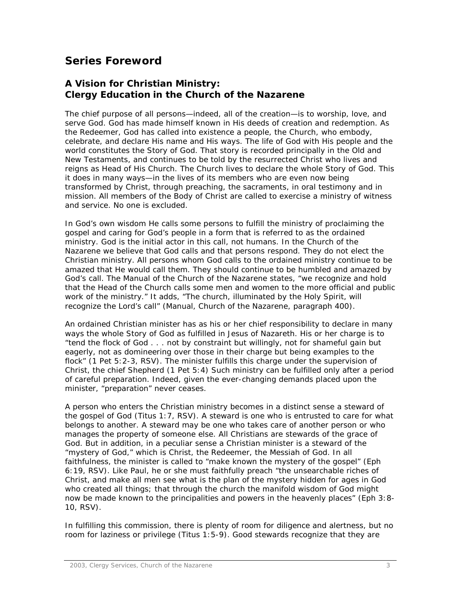### **Series Foreword**

### **A Vision for Christian Ministry: Clergy Education in the Church of the Nazarene**

The chief purpose of all persons—indeed, all of the creation—is to worship, love, and serve God. God has made himself known in His deeds of creation and redemption. As the Redeemer, God has called into existence a people, the Church, who embody, celebrate, and declare His name and His ways. The life of God with His people and the world constitutes the Story of God. That story is recorded principally in the Old and New Testaments, and continues to be told by the resurrected Christ who lives and reigns as Head of His Church. The Church lives to declare the whole Story of God. This it does in many ways—in the lives of its members who are even now being transformed by Christ, through preaching, the sacraments, in oral testimony and in mission. All members of the Body of Christ are called to exercise a ministry of witness and service. No one is excluded.

In God's own wisdom He calls some persons to fulfill the ministry of proclaiming the gospel and caring for God's people in a form that is referred to as the ordained ministry. God is the initial actor in this call, not humans. In the Church of the Nazarene we believe that God calls and that persons respond. They do not elect the Christian ministry. All persons whom God calls to the ordained ministry continue to be amazed that He would call them. They should continue to be humbled and amazed by God's call. The *Manual* of the Church of the Nazarene states, "we recognize and hold that the Head of the Church calls some men and women to the more official and public work of the ministry." It adds, "The church, illuminated by the Holy Spirit, will recognize the Lord's call" (*Manual,* Church of the Nazarene, paragraph 400).

An ordained Christian minister has as his or her chief responsibility to declare in many ways the whole Story of God as fulfilled in Jesus of Nazareth. His or her charge is to "tend the flock of God . . . not by constraint but willingly, not for shameful gain but eagerly, not as domineering over those in their charge but being examples to the flock" (1 Pet 5:2-3, RSV). The minister fulfills this charge under the supervision of Christ, the chief Shepherd (1 Pet 5:4) Such ministry can be fulfilled only after a period of careful preparation. Indeed, given the ever-changing demands placed upon the minister, "preparation" never ceases.

A person who enters the Christian ministry becomes in a distinct sense a steward of the gospel of God (Titus 1:7, RSV). A steward is one who is entrusted to care for what belongs to another. A steward may be one who takes care of another person or who manages the property of someone else. All Christians are stewards of the grace of God. But in addition, in a peculiar sense a Christian minister is a steward of the "mystery of God," which is Christ, the Redeemer, the Messiah of God. In all faithfulness, the minister is called to "make known the mystery of the gospel" (Eph 6:19, RSV). Like Paul, he or she must faithfully preach "the unsearchable riches of Christ, and make all men see what is the plan of the mystery hidden for ages in God who created all things; that through the church the manifold wisdom of God might now be made known to the principalities and powers in the heavenly places" (Eph 3:8- 10, RSV).

In fulfilling this commission, there is plenty of room for diligence and alertness, but no room for laziness or privilege (Titus 1:5-9). Good stewards recognize that they are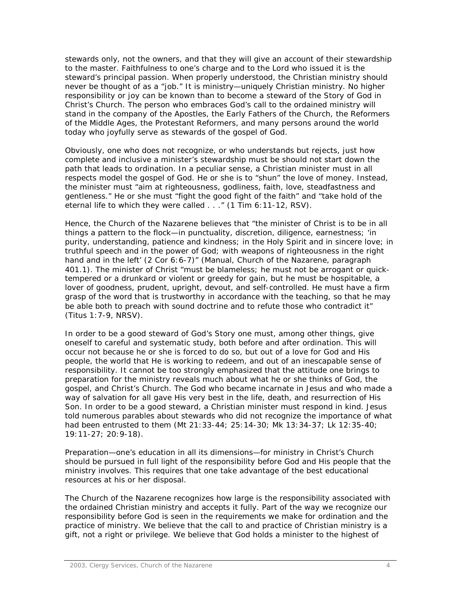stewards only, not the owners, and that they will give an account of their stewardship to the master. Faithfulness to one's charge and to the Lord who issued it is the steward's principal passion. When properly understood, the Christian ministry should never be thought of as a "job." It is ministry—uniquely Christian ministry. No higher responsibility or joy can be known than to become a steward of the Story of God in Christ's Church. The person who embraces God's call to the ordained ministry will stand in the company of the Apostles, the Early Fathers of the Church, the Reformers of the Middle Ages, the Protestant Reformers, and many persons around the world today who joyfully serve as stewards of the gospel of God.

Obviously, one who does not recognize, or who understands but rejects, just how complete and inclusive a minister's stewardship must be should not start down the path that leads to ordination. In a peculiar sense, a Christian minister must in all respects model the gospel of God. He or she is to "shun" the love of money. Instead, the minister must "aim at righteousness, godliness, faith, love, steadfastness and gentleness." He or she must "fight the good fight of the faith" and "take hold of the eternal life to which they were called . . . " (1 Tim 6:11-12, RSV).

Hence, the Church of the Nazarene believes that "the minister of Christ is to be in all things a pattern to the flock—in punctuality, discretion, diligence, earnestness; 'in purity, understanding, patience and kindness; in the Holy Spirit and in sincere love; in truthful speech and in the power of God; with weapons of righteousness in the right hand and in the left' (2 Cor 6:6-7)" (*Manual*, Church of the Nazarene, paragraph 401.1). The minister of Christ "must be blameless; he must not be arrogant or quicktempered or a drunkard or violent or greedy for gain, but he must be hospitable, a lover of goodness, prudent, upright, devout, and self-controlled. He must have a firm grasp of the word that is trustworthy in accordance with the teaching, so that he may be able both to preach with sound doctrine and to refute those who contradict it" (Titus 1:7-9, NRSV).

In order to be a good steward of God's Story one must, among other things, give oneself to careful and systematic study, both before and after ordination. This will occur not because he or she is forced to do so, but out of a love for God and His people, the world that He is working to redeem, and out of an inescapable sense of responsibility. It cannot be too strongly emphasized that the attitude one brings to preparation for the ministry reveals much about what he or she thinks of God, the gospel, and Christ's Church. The God who became incarnate in Jesus and who made a way of salvation for all gave His very best in the life, death, and resurrection of His Son. In order to be a good steward, a Christian minister must respond in kind. Jesus told numerous parables about stewards who did not recognize the importance of what had been entrusted to them (Mt 21:33-44; 25:14-30; Mk 13:34-37; Lk 12:35-40; 19:11-27; 20:9-18).

Preparation—one's education in all its dimensions—for ministry in Christ's Church should be pursued in full light of the responsibility before God and His people that the ministry involves. This requires that one take advantage of the best educational resources at his or her disposal.

The Church of the Nazarene recognizes how large is the responsibility associated with the ordained Christian ministry and accepts it fully. Part of the way we recognize our responsibility before God is seen in the requirements we make for ordination and the practice of ministry. We believe that the call to and practice of Christian ministry is a gift, not a right or privilege. We believe that God holds a minister to the highest of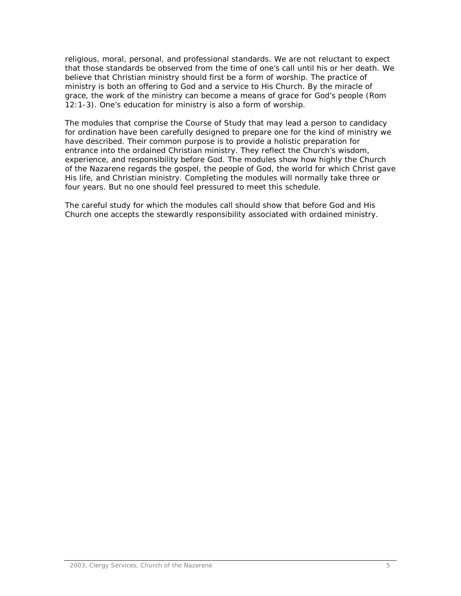religious, moral, personal, and professional standards. We are not reluctant to expect that those standards be observed from the time of one's call until his or her death. We believe that Christian ministry should first be a form of worship. The practice of ministry is both an offering to God and a service to His Church. By the miracle of grace, the work of the ministry can become a means of grace for God's people (Rom 12:1-3). One's education for ministry is also a form of worship.

The modules that comprise the Course of Study that may lead a person to candidacy for ordination have been carefully designed to prepare one for the kind of ministry we have described. Their common purpose is to provide a holistic preparation for entrance into the ordained Christian ministry. They reflect the Church's wisdom, experience, and responsibility before God. The modules show how highly the Church of the Nazarene regards the gospel, the people of God, the world for which Christ gave His life, and Christian ministry. Completing the modules will normally take three or four years. But no one should feel pressured to meet this schedule.

The careful study for which the modules call should show that before God and His Church one accepts the stewardly responsibility associated with ordained ministry.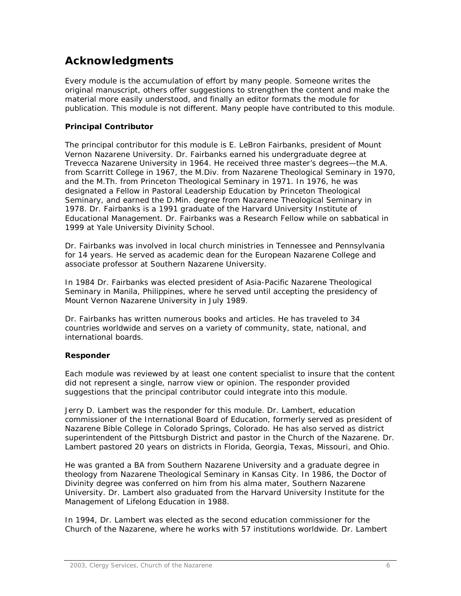### **Acknowledgments**

Every module is the accumulation of effort by many people. Someone writes the original manuscript, others offer suggestions to strengthen the content and make the material more easily understood, and finally an editor formats the module for publication. This module is not different. Many people have contributed to this module.

#### **Principal Contributor**

The principal contributor for this module is E. LeBron Fairbanks, president of Mount Vernon Nazarene University. Dr. Fairbanks earned his undergraduate degree at Trevecca Nazarene University in 1964. He received three master's degrees—the M.A. from Scarritt College in 1967, the M.Div. from Nazarene Theological Seminary in 1970, and the M.Th. from Princeton Theological Seminary in 1971. In 1976, he was designated a Fellow in Pastoral Leadership Education by Princeton Theological Seminary, and earned the D.Min. degree from Nazarene Theological Seminary in 1978. Dr. Fairbanks is a 1991 graduate of the Harvard University Institute of Educational Management. Dr. Fairbanks was a Research Fellow while on sabbatical in 1999 at Yale University Divinity School.

Dr. Fairbanks was involved in local church ministries in Tennessee and Pennsylvania for 14 years. He served as academic dean for the European Nazarene College and associate professor at Southern Nazarene University.

In 1984 Dr. Fairbanks was elected president of Asia-Pacific Nazarene Theological Seminary in Manila, Philippines, where he served until accepting the presidency of Mount Vernon Nazarene University in July 1989.

Dr. Fairbanks has written numerous books and articles. He has traveled to 34 countries worldwide and serves on a variety of community, state, national, and international boards.

#### **Responder**

Each module was reviewed by at least one content specialist to insure that the content did not represent a single, narrow view or opinion. The responder provided suggestions that the principal contributor could integrate into this module.

Jerry D. Lambert was the responder for this module. Dr. Lambert, education commissioner of the International Board of Education, formerly served as president of Nazarene Bible College in Colorado Springs, Colorado. He has also served as district superintendent of the Pittsburgh District and pastor in the Church of the Nazarene. Dr. Lambert pastored 20 years on districts in Florida, Georgia, Texas, Missouri, and Ohio.

He was granted a BA from Southern Nazarene University and a graduate degree in theology from Nazarene Theological Seminary in Kansas City. In 1986, the Doctor of Divinity degree was conferred on him from his alma mater, Southern Nazarene University. Dr. Lambert also graduated from the Harvard University Institute for the Management of Lifelong Education in 1988.

In 1994, Dr. Lambert was elected as the second education commissioner for the Church of the Nazarene, where he works with 57 institutions worldwide. Dr. Lambert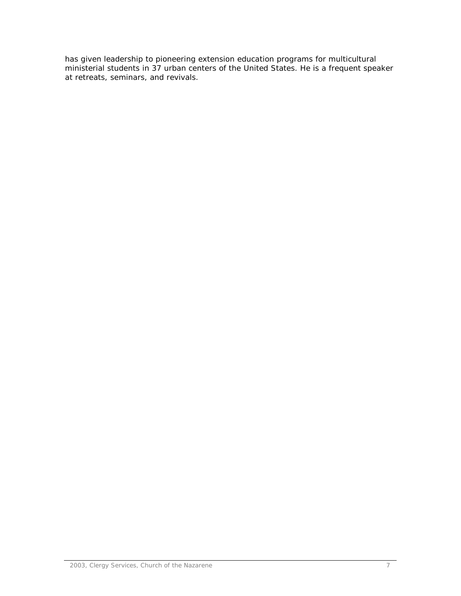has given leadership to pioneering extension education programs for multicultural ministerial students in 37 urban centers of the United States. He is a frequent speaker at retreats, seminars, and revivals.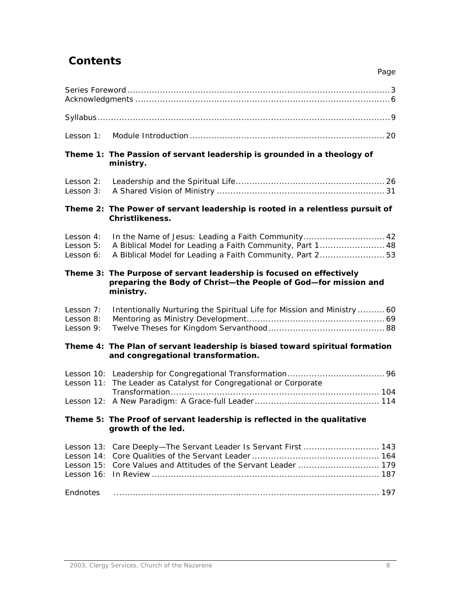# **Contents**

| Lesson 1:                           |                                                                                                                                                                             |  |
|-------------------------------------|-----------------------------------------------------------------------------------------------------------------------------------------------------------------------------|--|
|                                     | Theme 1: The Passion of servant leadership is grounded in a theology of<br>ministry.                                                                                        |  |
| Lesson 2:<br>Lesson 3:              |                                                                                                                                                                             |  |
|                                     | Theme 2: The Power of servant leadership is rooted in a relentless pursuit of<br>Christlikeness.                                                                            |  |
| Lesson 4:<br>Lesson 5:<br>Lesson 6: | In the Name of Jesus: Leading a Faith Community 42<br>A Biblical Model for Leading a Faith Community, Part 1 48<br>A Biblical Model for Leading a Faith Community, Part 253 |  |
|                                     | Theme 3: The Purpose of servant leadership is focused on effectively<br>preparing the Body of Christ-the People of God-for mission and<br>ministry.                         |  |
| Lesson 7:<br>Lesson 8:<br>Lesson 9: | Intentionally Nurturing the Spiritual Life for Mission and Ministry  60                                                                                                     |  |
|                                     | Theme 4: The Plan of servant leadership is biased toward spiritual formation<br>and congregational transformation.                                                          |  |
| Lesson 11:                          | The Leader as Catalyst for Congregational or Corporate                                                                                                                      |  |
|                                     |                                                                                                                                                                             |  |
|                                     | Theme 5: The Proof of servant leadership is reflected in the qualitative<br>growth of the led.                                                                              |  |
| Lesson 13:<br>Lesson 14:            | Care Deeply-The Servant Leader Is Servant First  143                                                                                                                        |  |
| Endnotes                            |                                                                                                                                                                             |  |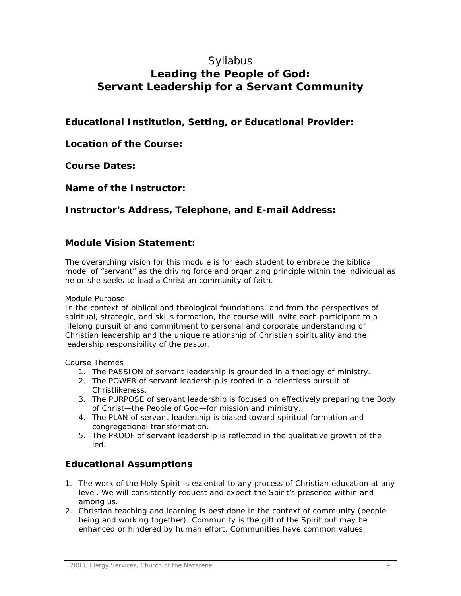### **Syllabus Leading the People of God: Servant Leadership for a Servant Community**

**Educational Institution, Setting, or Educational Provider:**

**Location of the Course:**

**Course Dates:**

**Name of the Instructor:**

**Instructor's Address, Telephone, and E-mail Address:**

### **Module Vision Statement:**

The overarching vision for this module is for each student to embrace the biblical model of "servant" as the driving force and organizing principle within the individual as he or she seeks to lead a Christian community of faith.

Module Purpose

In the context of biblical and theological foundations, and from the perspectives of spiritual, strategic, and skills formation, the course will invite each participant to a lifelong pursuit of and commitment to personal and corporate understanding of Christian leadership and the unique relationship of Christian spirituality and the leadership responsibility of the pastor.

Course Themes

- 1. The *PASSION* of servant leadership is grounded in a theology of ministry.
- 2. The *POWER* of servant leadership is rooted in a relentless pursuit of Christlikeness.
- 3. The *PURPOSE* of servant leadership is focused on effectively preparing the Body of Christ—the People of God—for mission and ministry.
- 4. The *PLAN* of servant leadership is biased toward spiritual formation and congregational transformation.
- 5. The *PROOF* of servant leadership is reflected in the qualitative growth of the led.

### **Educational Assumptions**

- 1. The work of the Holy Spirit is essential to any process of Christian education at any level. We will consistently request and expect the Spirit's presence within and among us.
- 2. Christian teaching and learning is best done in the context of community (people being and working together). Community is the gift of the Spirit but may be enhanced or hindered by human effort. Communities have common values,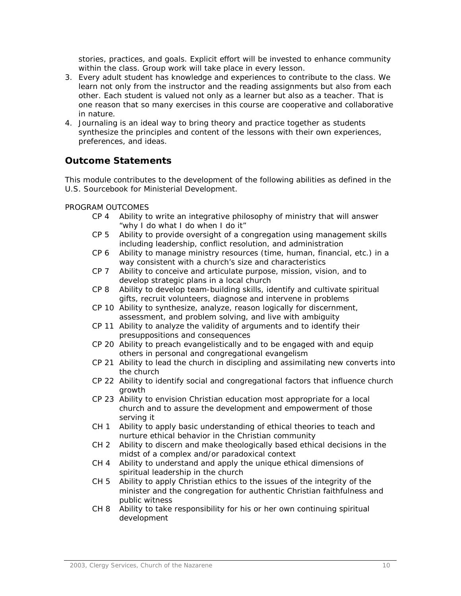stories, practices, and goals. Explicit effort will be invested to enhance community within the class. Group work will take place in every lesson.

- 3. Every adult student has knowledge and experiences to contribute to the class. We learn not only from the instructor and the reading assignments but also from each other. Each student is valued not only as a learner but also as a teacher. That is one reason that so many exercises in this course are cooperative and collaborative in nature.
- 4. Journaling is an ideal way to bring theory and practice together as students synthesize the principles and content of the lessons with their own experiences, preferences, and ideas.

### **Outcome Statements**

This module contributes to the development of the following abilities as defined in the *U.S. Sourcebook for Ministerial Development*.

#### PROGRAM OUTCOMES

- CP 4 Ability to write an integrative philosophy of ministry that will answer "why I do what I do when I do it"
- CP 5 Ability to provide oversight of a congregation using management skills including leadership, conflict resolution, and administration
- CP 6 Ability to manage ministry resources (time, human, financial, etc.) in a way consistent with a church's size and characteristics
- CP 7 Ability to conceive and articulate purpose, mission, vision, and to develop strategic plans in a local church
- CP 8 Ability to develop team-building skills, identify and cultivate spiritual gifts, recruit volunteers, diagnose and intervene in problems
- CP 10 Ability to synthesize, analyze, reason logically for discernment, assessment, and problem solving, and live with ambiguity
- CP 11 Ability to analyze the validity of arguments and to identify their presuppositions and consequences
- CP 20 Ability to preach evangelistically and to be engaged with and equip others in personal and congregational evangelism
- CP 21 Ability to lead the church in discipling and assimilating new converts into the church
- CP 22 Ability to identify social and congregational factors that influence church growth
- CP 23 Ability to envision Christian education most appropriate for a local church and to assure the development and empowerment of those serving it
- CH 1 Ability to apply basic understanding of ethical theories to teach and nurture ethical behavior in the Christian community
- CH 2 Ability to discern and make theologically based ethical decisions in the midst of a complex and/or paradoxical context
- CH 4 Ability to understand and apply the unique ethical dimensions of spiritual leadership in the church
- CH 5 Ability to apply Christian ethics to the issues of the integrity of the minister and the congregation for authentic Christian faithfulness and public witness
- CH 8 Ability to take responsibility for his or her own continuing spiritual development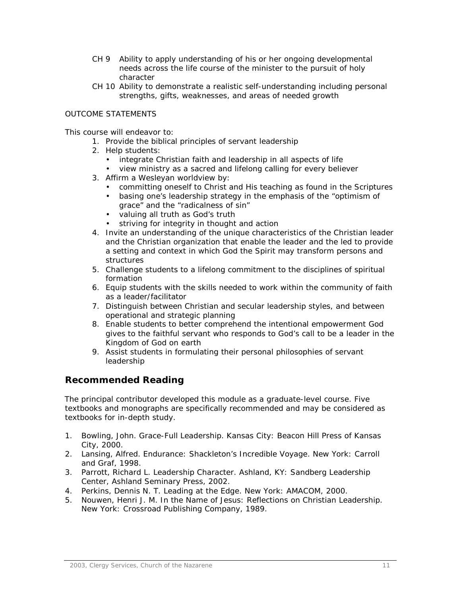- CH 9 Ability to apply understanding of his or her ongoing developmental needs across the life course of the minister to the pursuit of holy character
- CH 10 Ability to demonstrate a realistic self-understanding including personal strengths, gifts, weaknesses, and areas of needed growth

#### OUTCOME STATEMENTS

This course will endeavor to:

- 1. Provide the biblical principles of servant leadership
- 2. Help students:
	- integrate Christian faith and leadership in all aspects of life
	- view ministry as a sacred and lifelong calling for every believer
- 3. Affirm a Wesleyan worldview by:
	- committing oneself to Christ and His teaching as found in the Scriptures
	- basing one's leadership strategy in the emphasis of the "optimism of grace" and the "radicalness of sin"
	- valuing all truth as God's truth
	- striving for integrity in thought and action
- 4. Invite an understanding of the unique characteristics of the Christian leader and the Christian organization that enable the leader and the led to provide a setting and context in which God the Spirit may transform persons and structures
- 5. Challenge students to a lifelong commitment to the disciplines of spiritual formation
- 6. Equip students with the skills needed to work within the community of faith as a leader/facilitator
- 7. Distinguish between Christian and secular leadership styles, and between operational and strategic planning
- 8. Enable students to better comprehend the intentional empowerment God gives to the faithful servant who responds to God's call to be a leader in the Kingdom of God on earth
- 9. Assist students in formulating their personal philosophies of servant leadership

#### **Recommended Reading**

The principal contributor developed this module as a graduate-level course. Five textbooks and monographs are specifically recommended and may be considered as textbooks for in-depth study.

- 1. Bowling, John. *Grace-Full Leadership.* Kansas City: Beacon Hill Press of Kansas City, 2000.
- 2. Lansing, Alfred. *Endurance: Shackleton's Incredible Voyage.* New York: Carroll and Graf, 1998.
- 3. Parrott, Richard L. *Leadership Character.* Ashland, KY: Sandberg Leadership Center, Ashland Seminary Press, 2002.
- 4. Perkins, Dennis N. T. *Leading at the Edge.* New York: AMACOM, 2000.
- 5. Nouwen, Henri J. M. *In the Name of Jesus: Reflections on Christian Leadership.* New York: Crossroad Publishing Company, 1989.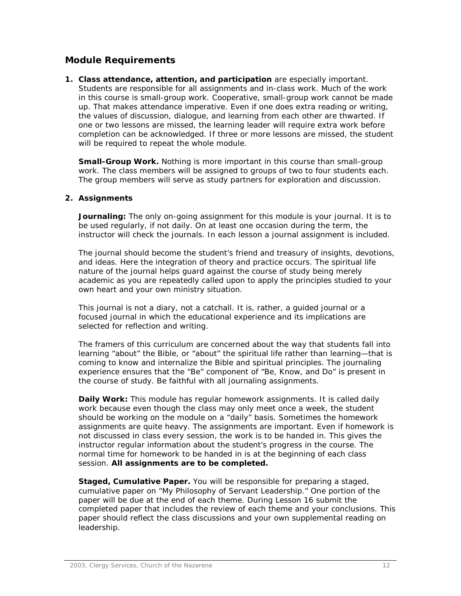### **Module Requirements**

**1. Class attendance, attention, and participation** are especially important. Students are responsible for all assignments and in-class work. Much of the work in this course is small-group work. Cooperative, small-group work cannot be made up. That makes attendance imperative. Even if one does extra reading or writing, the values of discussion, dialogue, and learning from each other are thwarted. If one or two lessons are missed, the learning leader will require extra work before completion can be acknowledged. If three or more lessons are missed, the student will be required to repeat the whole module.

**Small-Group Work.** Nothing is more important in this course than small-group work. The class members will be assigned to groups of two to four students each. The group members will serve as study partners for exploration and discussion.

#### **2. Assignments**

**Journaling:** The only on-going assignment for this module is your journal. It is to be used regularly, if not daily. On at least one occasion during the term, the instructor will check the journals. In each lesson a journal assignment is included.

The journal should become the student's friend and treasury of insights, devotions, and ideas. Here the integration of theory and practice occurs. The spiritual life nature of the journal helps guard against the course of study being merely academic as you are repeatedly called upon to apply the principles studied to your own heart and your own ministry situation.

This journal is not a diary, not a catchall. It is, rather, a guided journal or a focused journal in which the educational experience and its implications are selected for reflection and writing.

The framers of this curriculum are concerned about the way that students fall into learning "about" the Bible, or "about" the spiritual life rather than learning—that is coming to know and internalize the Bible and spiritual principles. The journaling experience ensures that the "Be" component of "Be, Know, and Do" is present in the course of study. Be faithful with all journaling assignments.

**Daily Work:** This module has regular homework assignments. It is called daily work because even though the class may only meet once a week, the student should be working on the module on a "daily" basis. Sometimes the homework assignments are quite heavy. The assignments are important. Even if homework is not discussed in class every session, the work is to be handed in. This gives the instructor regular information about the student's progress in the course. The normal time for homework to be handed in is at the beginning of each class session. **All assignments are to be completed.**

**Staged, Cumulative Paper.** You will be responsible for preparing a staged, cumulative paper on "My Philosophy of Servant Leadership." One portion of the paper will be due at the end of each theme. During Lesson 16 submit the completed paper that includes the review of each theme and your conclusions. This paper should reflect the class discussions and your own supplemental reading on leadership.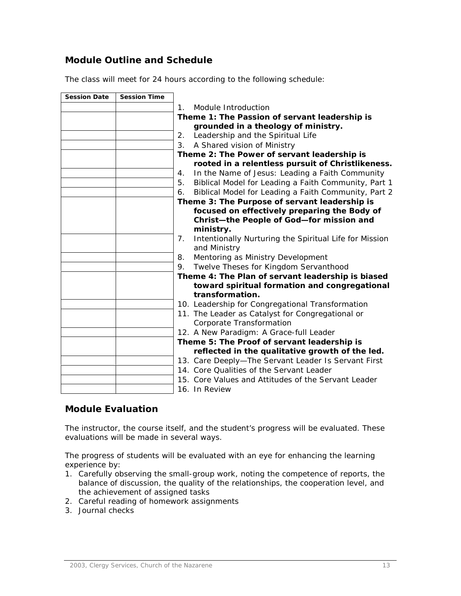### **Module Outline and Schedule**

The class will meet for 24 hours according to the following schedule:

| <b>Session Date</b> | <b>Session Time</b> |                                                              |
|---------------------|---------------------|--------------------------------------------------------------|
|                     |                     | Module Introduction<br>1.                                    |
|                     |                     | Theme 1: The Passion of servant leadership is                |
|                     |                     | grounded in a theology of ministry.                          |
|                     |                     | Leadership and the Spiritual Life<br>2.                      |
|                     |                     | A Shared vision of Ministry<br>3.                            |
|                     |                     | Theme 2: The Power of servant leadership is                  |
|                     |                     | rooted in a relentless pursuit of Christlikeness.            |
|                     |                     | In the Name of Jesus: Leading a Faith Community<br>4.        |
|                     |                     | Biblical Model for Leading a Faith Community, Part 1<br>5.   |
|                     |                     | Biblical Model for Leading a Faith Community, Part 2<br>6.   |
|                     |                     | Theme 3: The Purpose of servant leadership is                |
|                     |                     | focused on effectively preparing the Body of                 |
|                     |                     | Christ-the People of God-for mission and                     |
|                     |                     | ministry.                                                    |
|                     |                     | Intentionally Nurturing the Spiritual Life for Mission<br>7. |
|                     |                     | and Ministry                                                 |
|                     |                     | Mentoring as Ministry Development<br>8.                      |
|                     |                     | Twelve Theses for Kingdom Servanthood<br>9.                  |
|                     |                     | Theme 4: The Plan of servant leadership is biased            |
|                     |                     | toward spiritual formation and congregational                |
|                     |                     | transformation.                                              |
|                     |                     | 10. Leadership for Congregational Transformation             |
|                     |                     | 11. The Leader as Catalyst for Congregational or             |
|                     |                     | Corporate Transformation                                     |
|                     |                     | 12. A New Paradigm: A Grace-full Leader                      |
|                     |                     | Theme 5: The Proof of servant leadership is                  |
|                     |                     | reflected in the qualitative growth of the led.              |
|                     |                     | 13. Care Deeply-The Servant Leader Is Servant First          |
|                     |                     | 14. Core Qualities of the Servant Leader                     |
|                     |                     | 15. Core Values and Attitudes of the Servant Leader          |
|                     |                     | 16. In Review                                                |

### **Module Evaluation**

The instructor, the course itself, and the student's progress will be evaluated. These evaluations will be made in several ways.

The progress of students will be evaluated with an eye for enhancing the learning experience by:

- 1. Carefully observing the small-group work, noting the competence of reports, the balance of discussion, the quality of the relationships, the cooperation level, and the achievement of assigned tasks
- 2. Careful reading of homework assignments
- 3. Journal checks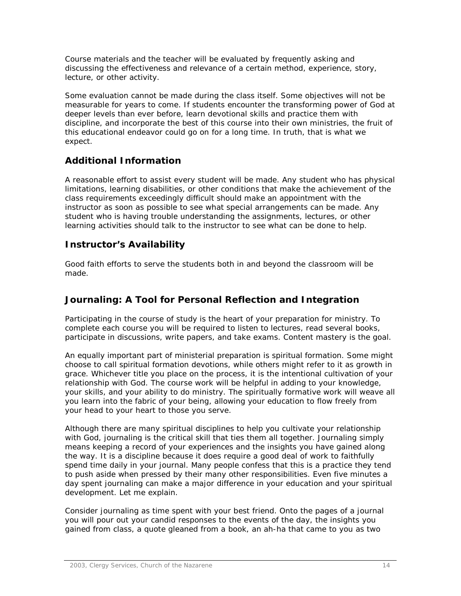Course materials and the teacher will be evaluated by frequently asking and discussing the effectiveness and relevance of a certain method, experience, story, lecture, or other activity.

Some evaluation cannot be made during the class itself. Some objectives will not be measurable for years to come. If students encounter the transforming power of God at deeper levels than ever before, learn devotional skills and practice them with discipline, and incorporate the best of this course into their own ministries, the fruit of this educational endeavor could go on for a long time. In truth, that is what we expect.

### **Additional Information**

A reasonable effort to assist every student will be made. Any student who has physical limitations, learning disabilities, or other conditions that make the achievement of the class requirements exceedingly difficult should make an appointment with the instructor as soon as possible to see what special arrangements can be made. Any student who is having trouble understanding the assignments, lectures, or other learning activities should talk to the instructor to see what can be done to help.

### **Instructor's Availability**

Good faith efforts to serve the students both in and beyond the classroom will be made.

### **Journaling: A Tool for Personal Reflection and Integration**

Participating in the course of study is the heart of your preparation for ministry. To complete each course you will be required to listen to lectures, read several books, participate in discussions, write papers, and take exams. Content mastery is the goal.

An equally important part of ministerial preparation is spiritual formation. Some might choose to call spiritual formation devotions, while others might refer to it as growth in grace. Whichever title you place on the process, it is the intentional cultivation of your relationship with God. The course work will be helpful in adding to your knowledge, your skills, and your ability to do ministry. The spiritually formative work will weave all you learn into the fabric of your being, allowing your education to flow freely from your head to your heart to those you serve.

Although there are many spiritual disciplines to help you cultivate your relationship with God, journaling is the critical skill that ties them all together. Journaling simply means keeping a record of your experiences and the insights you have gained along the way. It is a discipline because it does require a good deal of work to faithfully spend time daily in your journal. Many people confess that this is a practice they tend to push aside when pressed by their many other responsibilities. Even five minutes a day spent journaling can make a major difference in your education and your spiritual development. Let me explain.

Consider journaling as time spent with your best friend. Onto the pages of a journal you will pour out your candid responses to the events of the day, the insights you gained from class, a quote gleaned from a book, an ah-ha that came to you as two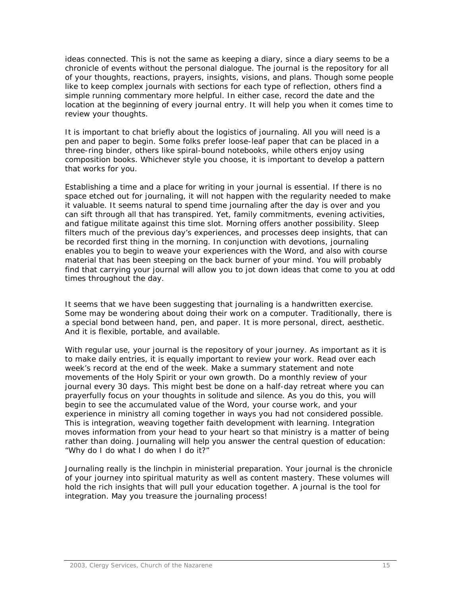ideas connected. This is not the same as keeping a diary, since a diary seems to be a chronicle of events without the personal dialogue. The journal is the repository for all of your thoughts, reactions, prayers, insights, visions, and plans. Though some people like to keep complex journals with sections for each type of reflection, others find a simple running commentary more helpful. In either case, record the date and the location at the beginning of every journal entry. It will help you when it comes time to review your thoughts.

It is important to chat briefly about the logistics of journaling. All you will need is a pen and paper to begin. Some folks prefer loose-leaf paper that can be placed in a three-ring binder, others like spiral-bound notebooks, while others enjoy using composition books. Whichever style you choose, it is important to develop a pattern that works for you.

Establishing a time and a place for writing in your journal is essential. If there is no space etched out for journaling, it will not happen with the regularity needed to make it valuable. It seems natural to spend time journaling after the day is over and you can sift through all that has transpired. Yet, family commitments, evening activities, and fatigue militate against this time slot. Morning offers another possibility. Sleep filters much of the previous day's experiences, and processes deep insights, that can be recorded first thing in the morning. In conjunction with devotions, journaling enables you to begin to weave your experiences with the Word, and also with course material that has been steeping on the back burner of your mind. You will probably find that carrying your journal will allow you to jot down ideas that come to you at odd times throughout the day.

It seems that we have been suggesting that journaling is a handwritten exercise. Some may be wondering about doing their work on a computer. Traditionally, there is a special bond between hand, pen, and paper. It is more personal, direct, aesthetic. And it is flexible, portable, and available.

With regular use, your journal is the repository of your journey. As important as it is to make daily entries, it is equally important to review your work. Read over each week's record at the end of the week. Make a summary statement and note movements of the Holy Spirit or your own growth. Do a monthly review of your journal every 30 days. This might best be done on a half-day retreat where you can prayerfully focus on your thoughts in solitude and silence. As you do this, you will begin to see the accumulated value of the Word, your course work, and your experience in ministry all coming together in ways you had not considered possible. This is integration, weaving together faith development with learning. Integration moves information from your head to your heart so that ministry is a matter of being rather than doing. Journaling will help you answer the central question of education: "Why do I do what I do when I do it?"

Journaling really is the linchpin in ministerial preparation. Your journal is the chronicle of your journey into spiritual maturity as well as content mastery. These volumes will hold the rich insights that will pull your education together. A journal is the tool for integration. May you treasure the journaling process!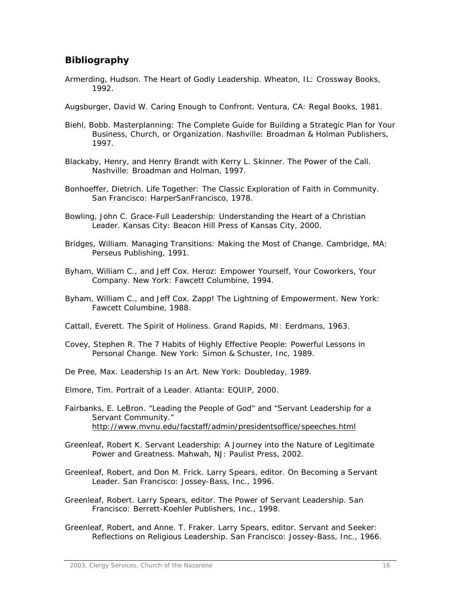### **Bibliography**

- Armerding, Hudson. *The Heart of Godly Leadership*. Wheaton, IL: Crossway Books, 1992.
- Augsburger, David W. *Caring Enough to Confront*. Ventura, CA: Regal Books, 1981.
- Biehl, Bobb. *Masterplanning: The Complete Guide for Building a Strategic Plan for Your Business, Church, or Organization.* Nashville: Broadman & Holman Publishers, 1997.
- Blackaby, Henry, and Henry Brandt with Kerry L. Skinner. *The Power of the Call.* Nashville: Broadman and Holman, 1997.
- Bonhoeffer, Dietrich. *Life Together: The Classic Exploration of Faith in Community*. San Francisco: HarperSanFrancisco, 1978.
- Bowling, John C. *Grace-Full Leadership: Understanding the Heart of a Christian Leader.* Kansas City: Beacon Hill Press of Kansas City, 2000.
- Bridges, William. *Managing Transitions: Making the Most of Change*. Cambridge, MA: Perseus Publishing, 1991.
- Byham, William C., and Jeff Cox. *Heroz: Empower Yourself, Your Coworkers, Your Company.* New York: Fawcett Columbine, 1994.
- Byham, William C., and Jeff Cox. *Zapp! The Lightning of Empowerment.* New York: Fawcett Columbine, 1988.
- Cattall, Everett. *The Spirit of Holiness.* Grand Rapids, MI: Eerdmans, 1963.
- Covey, Stephen R. *The 7 Habits of Highly Effective People: Powerful Lessons in Personal Change.* New York: Simon & Schuster, Inc, 1989.
- De Pree, Max. *Leadership Is an Art.* New York: Doubleday, 1989.
- Elmore, Tim. *Portrait of a Leader.* Atlanta: EQUIP, 2000.
- Fairbanks, E. LeBron. *"Leading the People of God" and "Servant Leadership for a Servant Community."* http://www.mvnu.edu/facstaff/admin/presidentsoffice/speeches.html
- Greenleaf, Robert K. *Servant Leadership: A Journey into the Nature of Legitimate Power and Greatness.* Mahwah, NJ: Paulist Press, 2002.
- Greenleaf, Robert, and Don M. Frick. Larry Spears, editor. *On Becoming a Servant Leader*. San Francisco: Jossey-Bass, Inc., 1996.
- Greenleaf, Robert. Larry Spears, editor. *The Power of Servant Leadership*. San Francisco: Berrett-Koehler Publishers, Inc., 1998.
- Greenleaf, Robert, and Anne. T. Fraker. Larry Spears, editor. *Servant and Seeker: Reflections on Religious Leadership*. San Francisco: Jossey-Bass, Inc., 1966.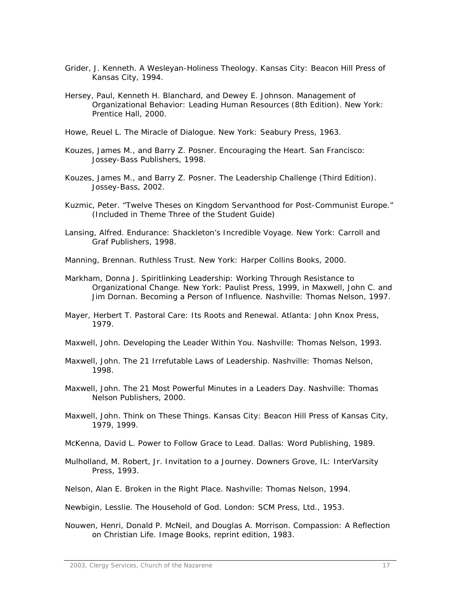- Grider, J. Kenneth. *A Wesleyan-Holiness Theology*. Kansas City: Beacon Hill Press of Kansas City, 1994.
- Hersey, Paul, Kenneth H. Blanchard, and Dewey E. Johnson. *Management of Organizational Behavior: Leading Human Resources* (8th Edition). New York: Prentice Hall, 2000.
- Howe, Reuel L. *The Miracle of Dialogue.* New York: Seabury Press, 1963.
- Kouzes, James M., and Barry Z. Posner. *Encouraging the Heart*. San Francisco: Jossey-Bass Publishers, 1998.
- Kouzes, James M., and Barry Z. Posner. *The Leadership Challenge* (Third Edition). Jossey-Bass, 2002.
- Kuzmic, Peter. *"Twelve Theses on Kingdom Servanthood for Post-Communist Europe." (Included in Theme Three of the Student Guide)*
- Lansing, Alfred. *Endurance: Shackleton's Incredible Voyage.* New York: Carroll and Graf Publishers, 1998.
- Manning, Brennan. *Ruthless Trust.* New York: Harper Collins Books, 2000.
- Markham, Donna J. *Spiritlinking Leadership: Working Through Resistance to Organizational Change.* New York: Paulist Press, 1999, in Maxwell, John C. and Jim Dornan. *Becoming a Person of Influence*. Nashville: Thomas Nelson, 1997.
- Mayer, Herbert T. *Pastoral Care: Its Roots and Renewal.* Atlanta: John Knox Press, 1979.
- Maxwell, John. *Developing the Leader Within You.* Nashville: Thomas Nelson, 1993.
- Maxwell, John. *The 21 Irrefutable Laws of Leadership.* Nashville: Thomas Nelson, 1998.
- Maxwell, John. *The 21 Most Powerful Minutes in a Leaders Day.* Nashville: Thomas Nelson Publishers, 2000.
- Maxwell, John. *Think on These Things.* Kansas City: Beacon Hill Press of Kansas City, 1979, 1999.
- McKenna, David L. *Power to Follow Grace to Lead.* Dallas: Word Publishing, 1989.
- Mulholland, M. Robert, Jr. *Invitation to a Journey.* Downers Grove, IL: InterVarsity Press, 1993.
- Nelson, Alan E. *Broken in the Right Place.* Nashville: Thomas Nelson, 1994.
- Newbigin, Lesslie. *The Household of God.* London: SCM Press, Ltd., 1953.
- Nouwen, Henri, Donald P. McNeil, and Douglas A. Morrison. *Compassion: A Reflection on Christian Life.* Image Books, reprint edition, 1983.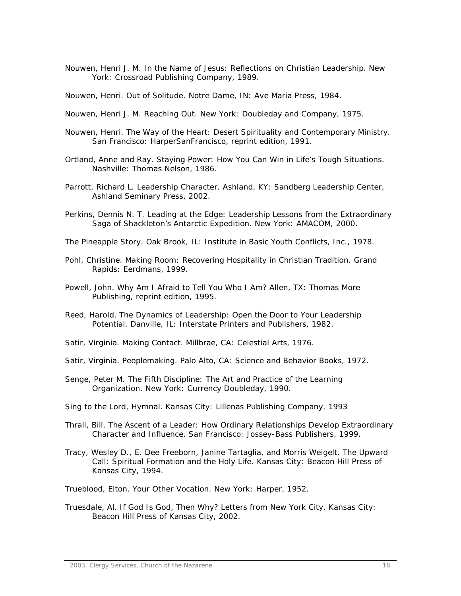Nouwen, Henri J. M. *In the Name of Jesus: Reflections on Christian Leadership.* New York: Crossroad Publishing Company, 1989.

Nouwen, Henri. *Out of Solitude*. Notre Dame, IN: Ave Maria Press, 1984.

- Nouwen, Henri J. M. *Reaching Out.* New York: Doubleday and Company, 1975.
- Nouwen, Henri. *The Way of the Heart: Desert Spirituality and Contemporary Ministry*. San Francisco: HarperSanFrancisco, reprint edition, 1991.
- Ortland, Anne and Ray. *Staying Power: How You Can Win in Life's Tough Situations.* Nashville: Thomas Nelson, 1986*.*
- Parrott, Richard L. *Leadership Character.* Ashland, KY: Sandberg Leadership Center, Ashland Seminary Press, 2002.
- Perkins, Dennis N. T. *Leading at the Edge: Leadership Lessons from the Extraordinary Saga of Shackleton's Antarctic Expedition.* New York: AMACOM, 2000.
- *The Pineapple Story.* Oak Brook, IL: Institute in Basic Youth Conflicts, Inc., 1978.
- Pohl, Christine. *Making Room: Recovering Hospitality in Christian Tradition.* Grand Rapids: Eerdmans, 1999.
- Powell, John. *Why Am I Afraid to Tell You Who I Am?* Allen, TX: Thomas More Publishing, reprint edition, 1995.
- Reed, Harold. *The Dynamics of Leadership: Open the Door to Your Leadership Potential.* Danville, IL: Interstate Printers and Publishers, 1982.
- Satir, Virginia. *Making Contact.* Millbrae, CA: Celestial Arts, 1976.
- Satir, Virginia. *Peoplemaking.* Palo Alto, CA: Science and Behavior Books, 1972.
- Senge, Peter M. *The Fifth Discipline: The Art and Practice of the Learning Organization.* New York: Currency Doubleday, 1990.
- *Sing to the Lord, Hymnal.* Kansas City: Lillenas Publishing Company. 1993
- Thrall, Bill. *The Ascent of a Leader: How Ordinary Relationships Develop Extraordinary Character and Influence.* San Francisco: Jossey-Bass Publishers, 1999.
- Tracy, Wesley D., E. Dee Freeborn, Janine Tartaglia, and Morris Weigelt*. The Upward Call: Spiritual Formation and the Holy Life*. Kansas City: Beacon Hill Press of Kansas City, 1994.

Trueblood, Elton. *Your Other Vocation.* New York: Harper, 1952.

Truesdale, Al. *If God Is God, Then Why? Letters from New York City.* Kansas City: Beacon Hill Press of Kansas City, 2002.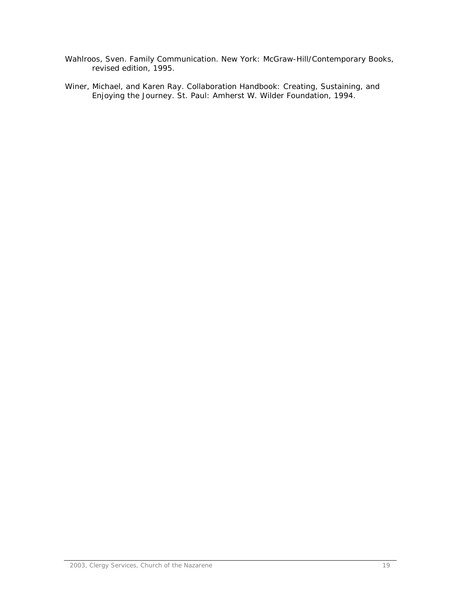- Wahlroos, Sven. *Family Communication*. New York: McGraw-Hill/Contemporary Books, revised edition, 1995.
- Winer, Michael, and Karen Ray. *Collaboration Handbook: Creating, Sustaining, and Enjoying the Journey.* St. Paul: Amherst W. Wilder Foundation, 1994.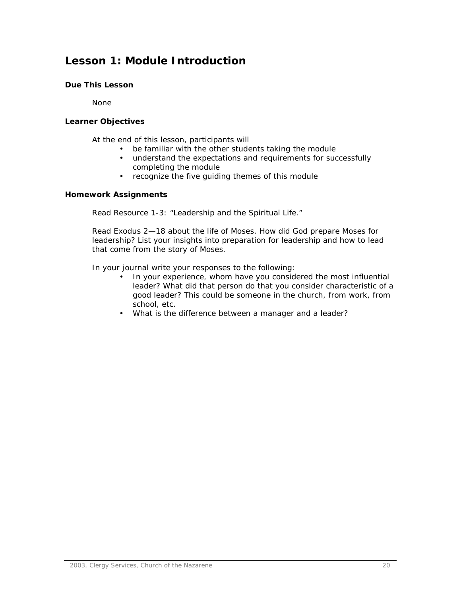### **Lesson 1: Module Introduction**

#### **Due This Lesson**

None

#### **Learner Objectives**

At the end of this lesson, participants will

- be familiar with the other students taking the module
- understand the expectations and requirements for successfully completing the module
- recognize the five guiding themes of this module

#### **Homework Assignments**

Read Resource 1-3: "Leadership and the Spiritual Life."

Read Exodus 2—18 about the life of Moses. How did God prepare Moses for leadership? List your insights into preparation for leadership and how to lead that come from the story of Moses.

In your journal write your responses to the following:

- In your experience, whom have you considered the most influential leader? What did that person do that you consider characteristic of a good leader? This could be someone in the church, from work, from school, etc.
- What is the difference between a manager and a leader?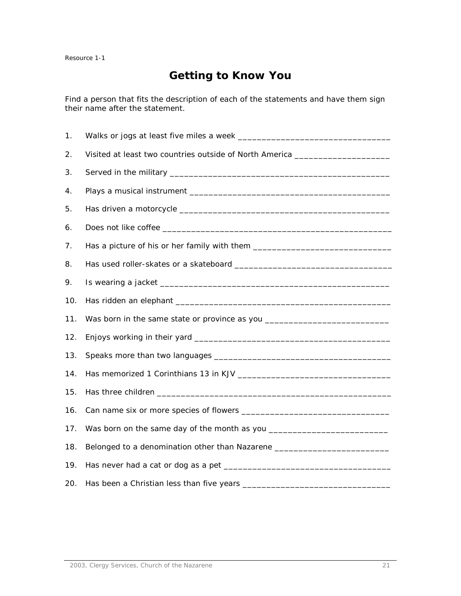# **Getting to Know You**

Find a person that fits the description of each of the statements and have them sign their name after the statement.

| 1.  |                                                                                  |
|-----|----------------------------------------------------------------------------------|
| 2.  | Visited at least two countries outside of North America ________________________ |
| 3.  |                                                                                  |
| 4.  |                                                                                  |
| 5.  |                                                                                  |
| 6.  |                                                                                  |
| 7.  | Has a picture of his or her family with them ___________________________________ |
| 8.  |                                                                                  |
| 9.  |                                                                                  |
| 10. |                                                                                  |
| 11. | Was born in the same state or province as you __________________________________ |
| 12. |                                                                                  |
| 13. |                                                                                  |
| 14. |                                                                                  |
| 15. |                                                                                  |
| 16. |                                                                                  |
| 17. |                                                                                  |
| 18. | Belonged to a denomination other than Nazarene _________________________________ |
| 19. |                                                                                  |
| 20. |                                                                                  |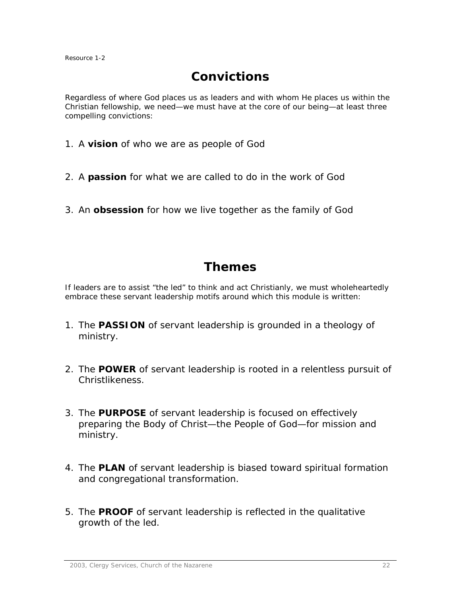Resource 1-2

# **Convictions**

Regardless of where God places us as leaders and with whom He places us within the Christian fellowship, we need—we must have at the core of our being—at least three compelling convictions:

- 1. A **vision** of who we are as people of God
- 2. A **passion** for what we are called to do in the work of God
- 3. An **obsession** for how we live together as the family of God

### **Themes**

If leaders are to assist "the led" to think and act Christianly, we must wholeheartedly embrace these servant leadership motifs around which this module is written:

- 1. The **PASSION** of servant leadership is grounded in a theology of ministry.
- 2. The **POWER** of servant leadership is rooted in a relentless pursuit of Christlikeness.
- 3. The **PURPOSE** of servant leadership is focused on effectively preparing the Body of Christ—the People of God—for mission and ministry.
- 4. The **PLAN** of servant leadership is biased toward spiritual formation and congregational transformation.
- 5. The **PROOF** of servant leadership is reflected in the qualitative growth of the led.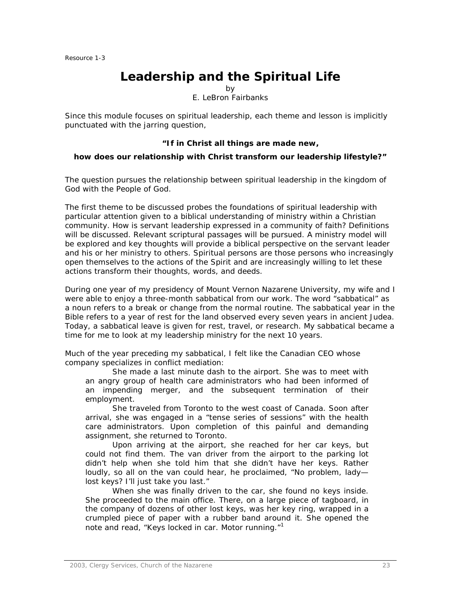# **Leadership and the Spiritual Life**

by

#### E. LeBron Fairbanks

Since this module focuses on spiritual leadership, each theme and lesson is implicitly punctuated with the jarring question,

#### **"If in Christ all things are made new,**

#### **how does our relationship with Christ transform our leadership lifestyle?"**

The question pursues the relationship between spiritual leadership in the kingdom of God with the People of God.

The first theme to be discussed probes the foundations of spiritual leadership with particular attention given to a biblical understanding of ministry within a Christian community. How is servant leadership expressed in a community of faith? Definitions will be discussed. Relevant scriptural passages will be pursued. A ministry model will be explored and key thoughts will provide a biblical perspective on the servant leader and his or her ministry to others. Spiritual persons are those persons who increasingly open themselves to the actions of the Spirit and are increasingly willing to let these actions transform their thoughts, words, and deeds.

During one year of my presidency of Mount Vernon Nazarene University, my wife and I were able to enjoy a three-month sabbatical from our work. The word "sabbatical" as a noun refers to a break or change from the normal routine. The sabbatical year in the Bible refers to a year of rest for the land observed every seven years in ancient Judea. Today, a sabbatical leave is given for rest, travel, or research. My sabbatical became a time for me to look at my leadership ministry for the next 10 years.

Much of the year preceding my sabbatical, I felt like the Canadian CEO whose company specializes in conflict mediation:

*She made a last minute dash to the airport. She was to meet with an angry group of health care administrators who had been informed of an impending merger, and the subsequent termination of their employment.*

*She traveled from Toronto to the west coast of Canada. Soon after arrival, she was engaged in a "tense series of sessions" with the health care administrators. Upon completion of this painful and demanding assignment, she returned to Toronto.*

*Upon arriving at the airport, she reached for her car keys, but could not find them. The van driver from the airport to the parking lot didn't help when she told him that she didn't have her keys. Rather loudly, so all on the van could hear, he proclaimed, "No problem, lady lost keys? I'll just take you last."*

*When she was finally driven to the car, she found no keys inside. She proceeded to the main office. There, on a large piece of tagboard, in the company of dozens of other lost keys, was her key ring, wrapped in a crumpled piece of paper with a rubber band around it. She opened the note and read, "Keys locked in car. Motor running."1*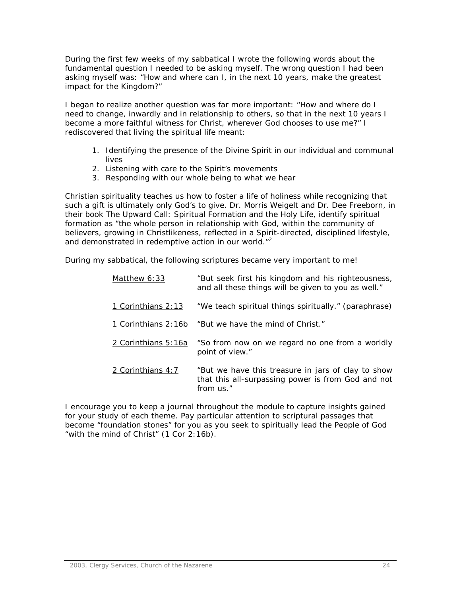During the first few weeks of my sabbatical I wrote the following words about the fundamental question I needed to be asking myself. The wrong question I had been asking myself was: "How and where can I, in the next 10 years, make the greatest impact for the Kingdom?"

I began to realize another question was far more important: "How and where do I need to change, inwardly and in relationship to others, so that in the next 10 years I become a more faithful witness for Christ, wherever God chooses to use me?" I rediscovered that living the spiritual life meant:

- 1. *Identifying* the presence of the Divine Spirit in our individual and communal lives
- 2. *Listening* with care to the Spirit's movements
- 3. *Responding* with our *whole* being to what we hear

Christian spirituality teaches us how to foster a life of holiness while recognizing that such a gift is ultimately only God's to give. Dr. Morris Weigelt and Dr. Dee Freeborn, in their book *The Upward Call: Spiritual Formation and the Holy Life,* identify spiritual formation as "the whole person in relationship with God, within the community of believers, growing in Christlikeness, reflected in a Spirit-directed, disciplined lifestyle, and demonstrated in redemptive action in our world."<sup>2</sup>

During my sabbatical, the following scriptures became very important to me!

| Matthew $6:33$      | "But seek first his kingdom and his righteousness,<br>and all these things will be given to you as well."             |
|---------------------|-----------------------------------------------------------------------------------------------------------------------|
| 1 Corinthians 2:13  | "We teach spiritual things spiritually." (paraphrase)                                                                 |
| 1 Corinthians 2:16b | "But we have the mind of Christ."                                                                                     |
| 2 Corinthians 5:16a | "So from now on we regard no one from a worldly<br>point of view."                                                    |
| 2 Corinthians 4:7   | "But we have this treasure in jars of clay to show<br>that this all-surpassing power is from God and not<br>from us." |

I encourage you to keep a journal throughout the module to capture insights gained for your study of each theme. Pay particular attention to scriptural passages that become "foundation stones" for you as you seek to spiritually lead the People of God "with the mind of Christ" (1 Cor 2:16b).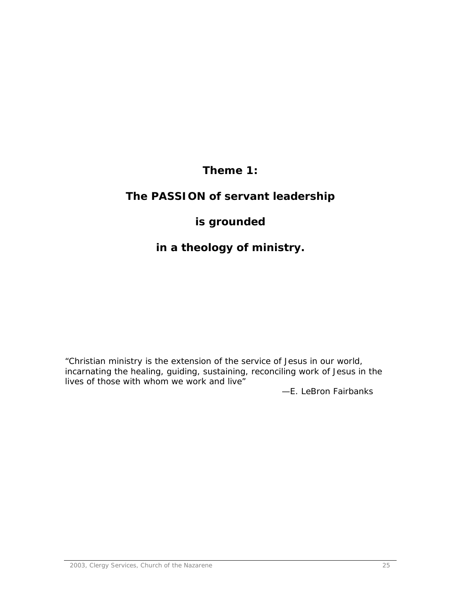## *Theme 1:*

### *The PASSION of servant leadership*

### *is grounded*

### *in a theology of ministry.*

"Christian ministry is the extension of the service of Jesus in our world, incarnating the healing, guiding, sustaining, reconciling work of Jesus in the lives of those with whom we work and live"

—E. LeBron Fairbanks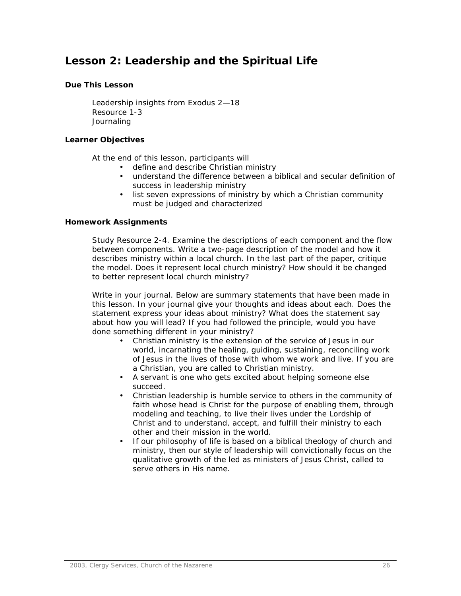### **Lesson 2: Leadership and the Spiritual Life**

#### **Due This Lesson**

Leadership insights from Exodus 2—18 Resource 1-3 Journaling

#### **Learner Objectives**

At the end of this lesson, participants will

- define and describe Christian ministry
- understand the difference between a biblical and secular definition of success in leadership ministry
- list seven expressions of ministry by which a Christian community must be judged and characterized

#### **Homework Assignments**

Study Resource 2-4. Examine the descriptions of each component and the flow between components. Write a two-page description of the model and how it describes ministry within a local church. In the last part of the paper, critique the model. Does it represent local church ministry? How should it be changed to better represent local church ministry?

Write in your journal. Below are summary statements that have been made in this lesson. In your journal give your thoughts and ideas about each. Does the statement express your ideas about ministry? What does the statement say about how you will lead? If you had followed the principle, would you have done something different in your ministry?

- Christian ministry is the extension of the service of Jesus in our world, incarnating the healing, guiding, sustaining, reconciling work of Jesus in the lives of those with whom we work and live. If you are a Christian, you are called to Christian ministry.
- A servant is one who gets excited about helping someone else succeed.
- Christian leadership is humble service to others in the community of faith whose head is Christ for the purpose of enabling them, through modeling and teaching, to live their lives under the Lordship of Christ and to understand, accept, and fulfill their ministry to each other and their mission in the world.
- If our philosophy of life is based on a biblical theology of church and ministry, then our style of leadership will convictionally focus on the qualitative growth of the led as ministers of Jesus Christ, called to serve others in His name.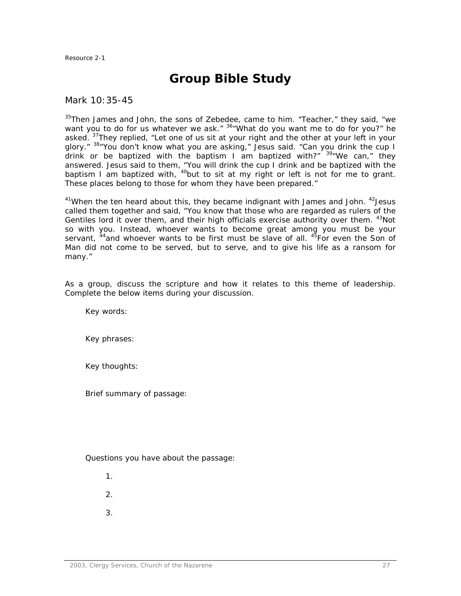Resource 2-1

# **Group Bible Study**

Mark 10:35-45

 $35$ Then James and John, the sons of Zebedee, came to him. "Teacher," they said, "we want you to do for us whatever we ask." <sup>36</sup> What do you want me to do for you?" he asked. <sup>37</sup>They replied, "Let one of us sit at your right and the other at your left in your glory." 38"You don't know what you are asking," Jesus said. "Can you drink the cup I drink or be baptized with the baptism I am baptized with?"  $39<sup>n</sup>$ We can," they answered. Jesus said to them, "You will drink the cup I drink and be baptized with the baptism I am baptized with, 40but to sit at my right or left is not for me to grant. These places belong to those for whom they have been prepared."

 $41$ When the ten heard about this, they became indignant with James and John.  $42$ Jesus called them together and said, "You know that those who are regarded as rulers of the Gentiles lord it over them, and their high officials exercise authority over them. <sup>43</sup>Not so with you. Instead, whoever wants to become great among you must be your servant,  $44$  and whoever wants to be first must be slave of all.  $45$  For even the Son of Man did not come to be served, but to serve, and to give his life as a ransom for many."

As a group, discuss the scripture and how it relates to this theme of leadership. Complete the below items during your discussion.

Key words:

Key phrases:

Key thoughts:

Brief summary of passage:

Questions you have about the passage:

- 1.
- 2.
- 3.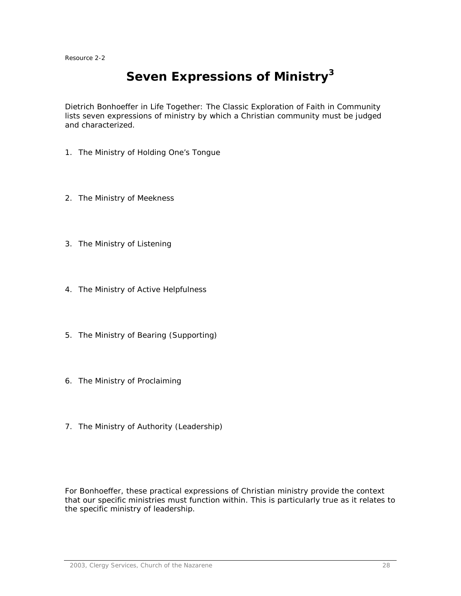# **Seven Expressions of Ministry<sup>3</sup>**

Dietrich Bonhoeffer in *Life Together: The Classic Exploration of Faith in Community* lists seven expressions of ministry by which a Christian community must be judged and characterized.

- 1. The Ministry of Holding One's Tongue
- 2. The Ministry of Meekness
- 3. The Ministry of Listening
- 4. The Ministry of Active Helpfulness
- 5. The Ministry of Bearing (Supporting)
- 6. The Ministry of Proclaiming
- 7. The Ministry of Authority (Leadership)

For Bonhoeffer, these practical expressions of Christian ministry provide the *context* that our specific ministries must function within. This is particularly true as it relates to the specific ministry of leadership.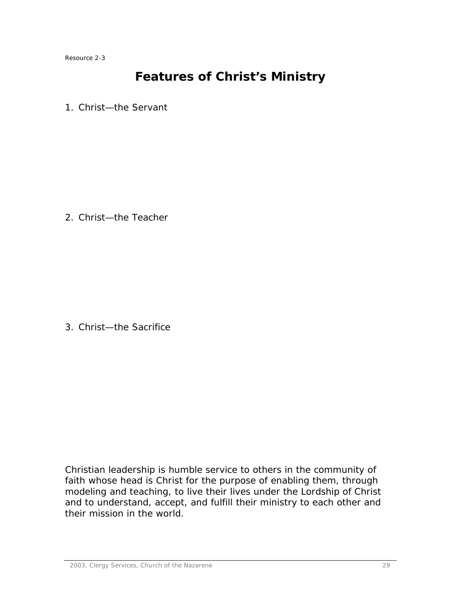Resource 2-3

# **Features of Christ's Ministry**

1. Christ—the Servant

2. Christ—the Teacher

3. Christ—the Sacrifice

Christian leadership is humble service to others in the community of faith whose head is Christ for the purpose of enabling them, through modeling and teaching, to live their lives under the Lordship of Christ and to understand, accept, and fulfill their ministry to each other and their mission in the world.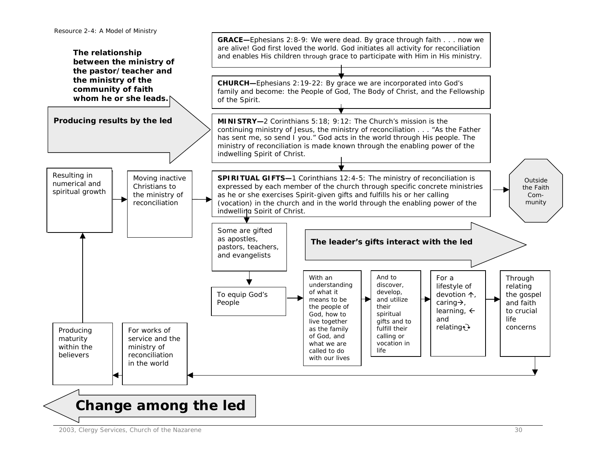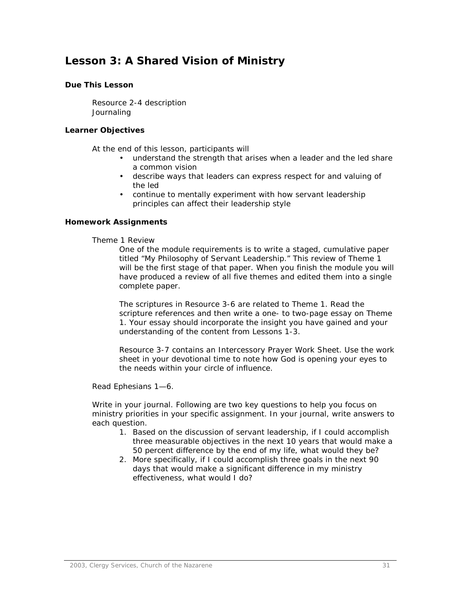### **Lesson 3: A Shared Vision of Ministry**

#### **Due This Lesson**

Resource 2-4 description Journaling

#### **Learner Objectives**

At the end of this lesson, participants will

- understand the strength that arises when a leader and the led share a common vision
- describe ways that leaders can express respect for and valuing of the led
- continue to mentally experiment with how servant leadership principles can affect their leadership style

#### **Homework Assignments**

Theme 1 Review

One of the module requirements is to write a staged, cumulative paper titled "My Philosophy of Servant Leadership." This review of Theme 1 will be the first stage of that paper. When you finish the module you will have produced a review of all five themes and edited them into a single complete paper.

The scriptures in Resource 3-6 are related to Theme 1. Read the scripture references and then write a one- to two-page essay on Theme 1. Your essay should incorporate the insight you have gained and your understanding of the content from Lessons 1-3.

Resource 3-7 contains an Intercessory Prayer Work Sheet. Use the work sheet in your devotional time to note how God is opening your eyes to the needs within your circle of influence.

Read Ephesians 1—6.

Write in your journal. Following are two key questions to help you focus on ministry priorities in your specific assignment. In your journal, write answers to each question.

- 1. Based on the discussion of servant leadership, if I could accomplish three measurable objectives in the next 10 years that would make a 50 percent difference by the end of my life, what would they be?
- 2. More specifically, if I could accomplish three goals in the next 90 days that would make a significant difference in my ministry effectiveness, what would I do?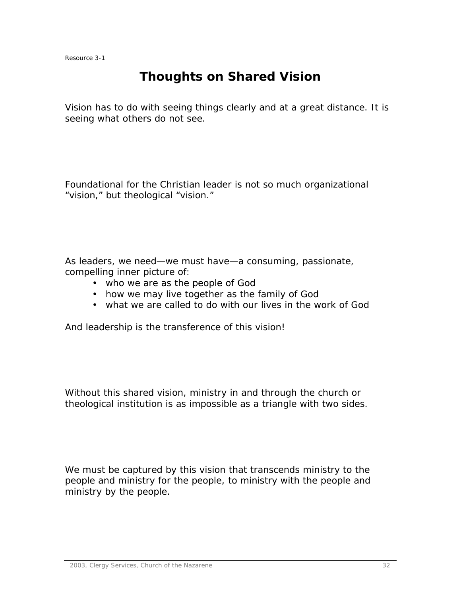Resource 3-1

# **Thoughts on Shared Vision**

Vision has to do with seeing things clearly and at a great distance. It is seeing what others do not see.

Foundational for the Christian leader is not so much organizational "vision," but theological "vision."

As leaders, we need—we must have—a consuming, passionate, compelling inner picture of:

- *who* we are as the people of God
- *how* we may live together as the family of God
- *what* we are called to do with our lives in the work of God

And leadership is the *transference* of this vision!

Without this shared vision, ministry in and through the church or theological institution is as impossible as a triangle with two sides.

We must be captured by this vision that transcends ministry *to* the people and ministry *for* the people, to ministry *with* the people and ministry *by* the people.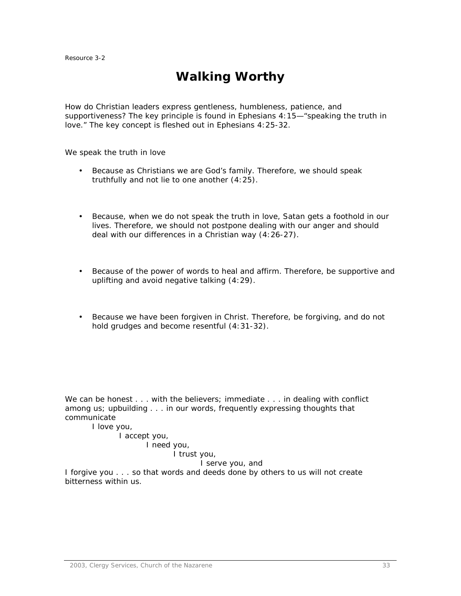# **Walking Worthy**

How do Christian leaders express gentleness, humbleness, patience, and supportiveness? The key principle is found in Ephesians 4:15—"speaking the truth in love." The key concept is fleshed out in Ephesians 4:25-32.

We speak the truth in love

- Because as Christians *we are God's family.* Therefore, we should speak truthfully and not lie to one another (4:25).
- Because, when we do not speak the truth in love, *Satan gets a foothold in our lives.* Therefore, we should not postpone dealing with our anger and should deal with our differences in a Christian way (4:26-27).
- Because of the *power of words to heal and affirm.* Therefore, be supportive and uplifting and avoid negative talking (4:29).
- Because *we have been forgiven in Christ.* Therefore, be forgiving, and do not hold grudges and become resentful (4:31-32).

We can be *honest* . . . with the believers; *immediate* . . . in dealing with conflict among us; *upbuilding* . . . in our words, frequently expressing thoughts that communicate

I love you,

I accept you,

I need you,

I trust you,

I serve you, and

I forgive you . . . so that words and deeds done by others to us will not create bitterness within us.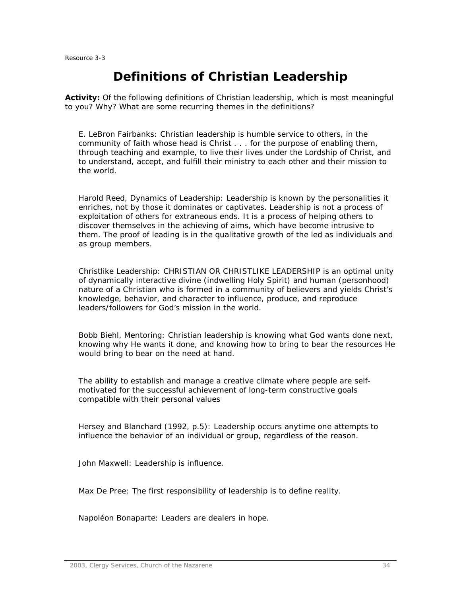# **Definitions of Christian Leadership**

**Activity:** Of the following definitions of Christian leadership, which is most meaningful to you? Why? What are some recurring themes in the definitions?

E. LeBron Fairbanks: Christian leadership is humble service to others, in the community of faith whose head is Christ . . . for the purpose of enabling them, through teaching and example, to live their lives under the Lordship of Christ, and to understand, accept, and fulfill their ministry to each other and their mission to the world.

Harold Reed, *Dynamics of Leadership:* Leadership is known by the personalities it enriches, not by those it dominates or captivates. Leadership is not a process of exploitation of others for extraneous ends. It is a process of helping others to discover themselves in the achieving of aims, which have become intrusive to them. The proof of leading is in the qualitative growth of the led as individuals and as group members.

*Christlike Leadership*: CHRISTIAN OR CHRISTLIKE LEADERSHIP is an optimal unity of dynamically interactive divine (indwelling Holy Spirit) and human (personhood) nature of a Christian who is formed in a community of believers and yields Christ's knowledge, behavior, and character to influence, produce, and reproduce leaders/followers for God's mission in the world.

Bobb Biehl, *Mentoring:* Christian leadership is knowing what God wants done next, knowing why He wants it done, and knowing how to bring to bear the resources He would bring to bear on the need at hand.

The ability to establish and manage a creative climate where people are selfmotivated for the successful achievement of long-term constructive goals compatible with their personal values

Hersey and Blanchard (1992, p.5): Leadership occurs anytime one attempts to influence the behavior of an individual or group, regardless of the reason.

John Maxwell: Leadership is influence.

Max De Pree: The first responsibility of leadership is to define reality.

Napoléon Bonaparte: Leaders are dealers in hope.

2003, Clergy Services, Church of the Nazarene 34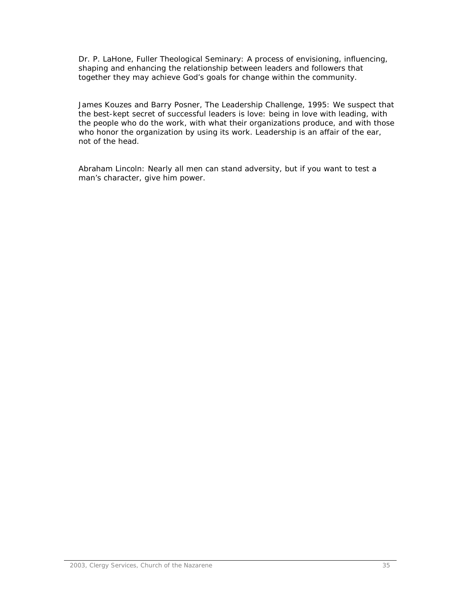Dr. P. LaHone, Fuller Theological Seminary: A process of envisioning, influencing, shaping and enhancing the relationship between leaders and followers that together they may achieve God's goals for change within the community.

James Kouzes and Barry Posner, *The Leadership Challenge,* 1995: We suspect that the best-kept secret of successful leaders is love: being in love with leading, with the people who do the work, with what their organizations produce, and with those who honor the organization by using its work. Leadership is an affair of the ear, not of the head.

Abraham Lincoln: Nearly all men can stand adversity, but if you want to test a man's character, give him power.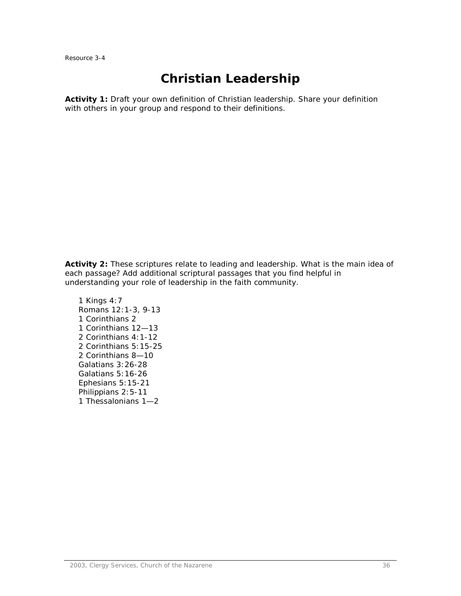Resource 3-4

# **Christian Leadership**

**Activity 1:** Draft your own definition of Christian leadership. Share your definition with others in your group and respond to their definitions.

**Activity 2:** These scriptures relate to leading and leadership. What is the main idea of each passage? Add additional scriptural passages that you find helpful in understanding your role of leadership in the faith community.

1 Kings 4:7 Romans 12:1-3, 9-13 1 Corinthians 2 1 Corinthians 12—13 2 Corinthians 4:1-12 2 Corinthians 5:15-25 2 Corinthians 8—10 Galatians 3:26-28 Galatians 5:16-26 Ephesians 5:15-21 Philippians 2:5-11 1 Thessalonians 1—2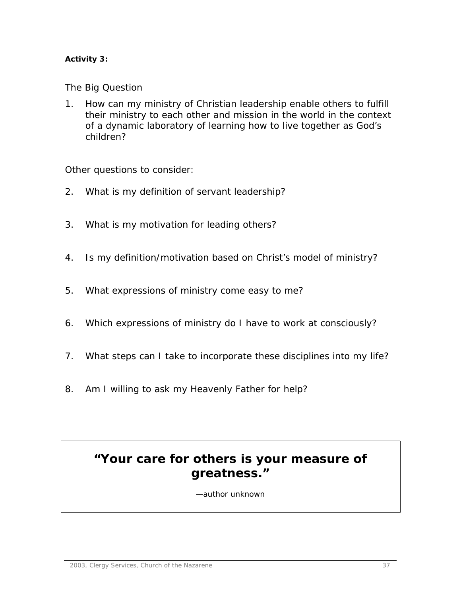#### **Activity 3:**

The Big Question

1. How can my ministry of Christian leadership enable others to fulfill their ministry to each other and mission in the world in the context of a dynamic laboratory of learning how to live together as God's children?

Other questions to consider:

- 2. What is my definition of servant leadership?
- 3. What is my motivation for leading others?
- 4. Is my definition/motivation based on Christ's model of ministry?
- 5. What expressions of ministry come easy to me?
- 6. Which expressions of ministry do I have to work at consciously?
- 7. What steps can I take to incorporate these disciplines into my life?
- 8. Am I willing to ask my Heavenly Father for help?

### *"Your care for others is your measure of greatness."*

—author unknown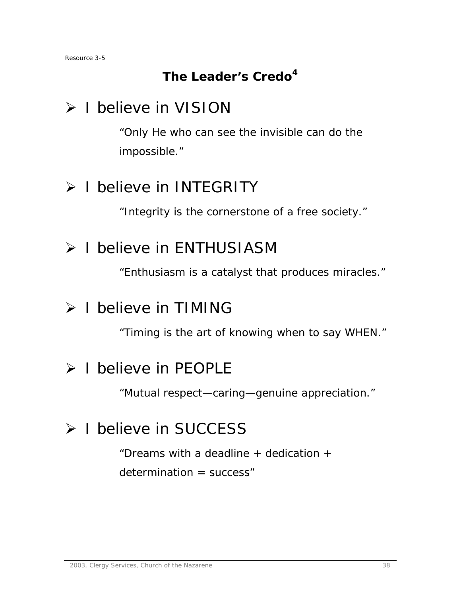### **The Leader's Credo<sup>4</sup>**

# $\triangleright$  I believe in VISION

"Only He who can see the invisible can do the impossible."

# > I believe in INTEGRITY

"Integrity is the cornerstone of a free society."

# > I believe in ENTHUSIASM

"Enthusiasm is a catalyst that produces miracles."

# > I believe in TIMING

"Timing is the art of knowing when to say WHEN."

# > I believe in PEOPLE

"Mutual respect—caring—genuine appreciation."

# > I believe in SUCCESS

"Dreams with a deadline  $+$  dedication  $+$  $determination = success''$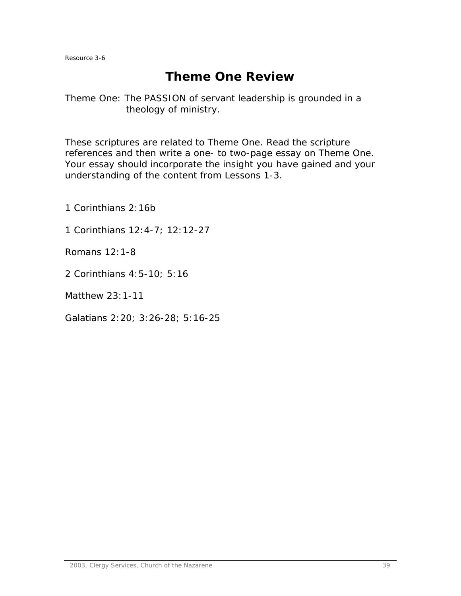Resource 3-6

### **Theme One Review**

Theme One: The PASSION of servant leadership is grounded in a theology of ministry.

These scriptures are related to Theme One. Read the scripture references and then write a one- to two-page essay on Theme One. Your essay should incorporate the insight you have gained and your understanding of the content from Lessons 1-3.

1 Corinthians 2:16b

1 Corinthians 12:4-7; 12:12-27

Romans 12:1-8

2 Corinthians 4:5-10; 5:16

Matthew 23:1-11

Galatians 2:20; 3:26-28; 5:16-25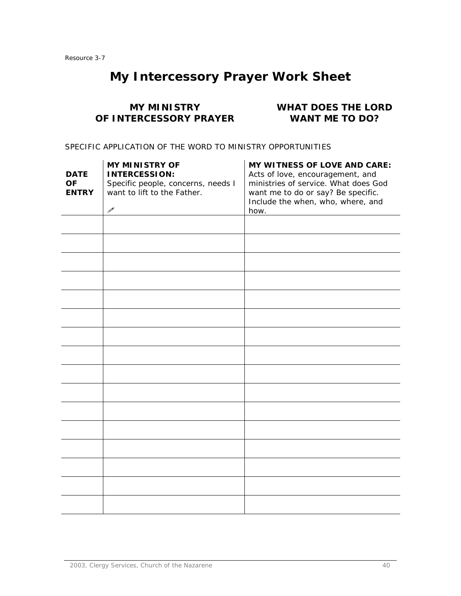## **My Intercessory Prayer Work Sheet**

#### **MY MINISTRY OF INTERCESSORY PRAYER**

#### **WHAT DOES THE LORD WANT ME TO DO?**

SPECIFIC APPLICATION OF THE WORD TO MINISTRY OPPORTUNITIES

| <b>DATE</b><br><b>OF</b><br><b>ENTRY</b> | <b>MY MINISTRY OF</b><br><b>INTERCESSION:</b><br>Specific people, concerns, needs I<br>want to lift to the Father.<br>$\mathcal{P}$ | MY WITNESS OF LOVE AND CARE:<br>Acts of love, encouragement, and<br>ministries of service. What does God<br>want me to do or say? Be specific.<br>Include the when, who, where, and<br>how. |
|------------------------------------------|-------------------------------------------------------------------------------------------------------------------------------------|---------------------------------------------------------------------------------------------------------------------------------------------------------------------------------------------|
|                                          |                                                                                                                                     |                                                                                                                                                                                             |
|                                          |                                                                                                                                     |                                                                                                                                                                                             |
|                                          |                                                                                                                                     |                                                                                                                                                                                             |
|                                          |                                                                                                                                     |                                                                                                                                                                                             |
|                                          |                                                                                                                                     |                                                                                                                                                                                             |
|                                          |                                                                                                                                     |                                                                                                                                                                                             |
|                                          |                                                                                                                                     |                                                                                                                                                                                             |
|                                          |                                                                                                                                     |                                                                                                                                                                                             |
|                                          |                                                                                                                                     |                                                                                                                                                                                             |
|                                          |                                                                                                                                     |                                                                                                                                                                                             |
|                                          |                                                                                                                                     |                                                                                                                                                                                             |
|                                          |                                                                                                                                     |                                                                                                                                                                                             |
|                                          |                                                                                                                                     |                                                                                                                                                                                             |
|                                          |                                                                                                                                     |                                                                                                                                                                                             |
|                                          |                                                                                                                                     |                                                                                                                                                                                             |
|                                          |                                                                                                                                     |                                                                                                                                                                                             |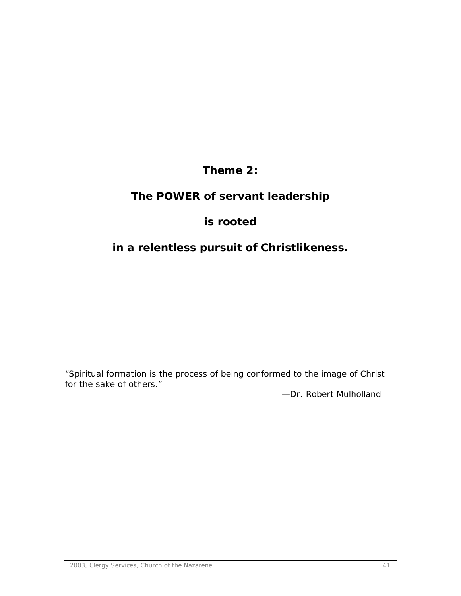### *Theme 2:*

### *The POWER of servant leadership*

### *is rooted*

### *in a relentless pursuit of Christlikeness.*

"Spiritual formation is the process of being conformed to the image of Christ for the sake of others."

—Dr. Robert Mulholland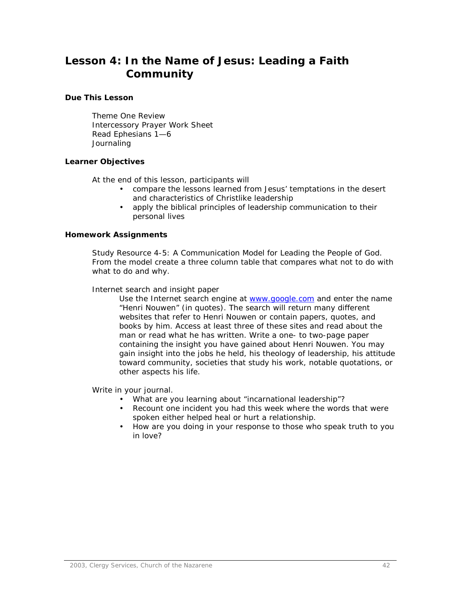### **Lesson 4: In the Name of Jesus: Leading a Faith Community**

#### **Due This Lesson**

Theme One Review Intercessory Prayer Work Sheet Read Ephesians 1—6 Journaling

#### **Learner Objectives**

At the end of this lesson, participants will

- compare the lessons learned from Jesus' temptations in the desert and characteristics of Christlike leadership
- apply the biblical principles of leadership communication to their personal lives

#### **Homework Assignments**

Study Resource 4-5: A Communication Model for Leading the People of God. From the model create a three column table that compares what not to do with what to do and why.

Internet search and insight paper

Use the Internet search engine at www.google.com and enter the name "Henri Nouwen" (in quotes). The search will return many different websites that refer to Henri Nouwen or contain papers, quotes, and books by him. Access at least three of these sites and read about the man or read what he has written. Write a one- to two-page paper containing the insight you have gained about Henri Nouwen. You may gain insight into the jobs he held, his theology of leadership, his attitude toward community, societies that study his work, notable quotations, or other aspects his life.

Write in your journal.

- What are you learning about "incarnational leadership"?
- Recount one incident you had this week where the words that were spoken either helped heal or hurt a relationship.
- How are you doing in your response to those who speak truth to you in love?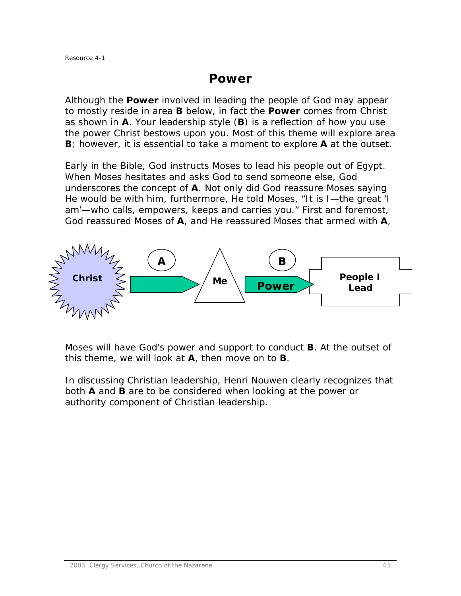#### **Power**

Although the **Power** involved in leading the people of God may appear to mostly reside in area **B** below, in fact the **Power** comes from Christ as shown in **A**. Your leadership style (**B**) is a reflection of how you use the power Christ bestows upon you. Most of this theme will explore area **B**; however, it is essential to take a moment to explore **A** at the outset.

Early in the Bible, God instructs Moses to lead his people out of Egypt. When Moses hesitates and asks God to send someone else, God underscores the concept of **A**. Not only did God reassure Moses saying He would be with him, furthermore, He told Moses, "It is I—the great 'I am'—who calls, empowers, keeps and carries you." First and foremost, God reassured Moses of **A**, and He reassured Moses that armed with **A**,



Moses will have God's power and support to conduct **B**. At the outset of this theme, we will look at **A**, then move on to **B**.

In discussing Christian leadership, Henri Nouwen clearly recognizes that both **A** and **B** are to be considered when looking at the power or authority component of Christian leadership.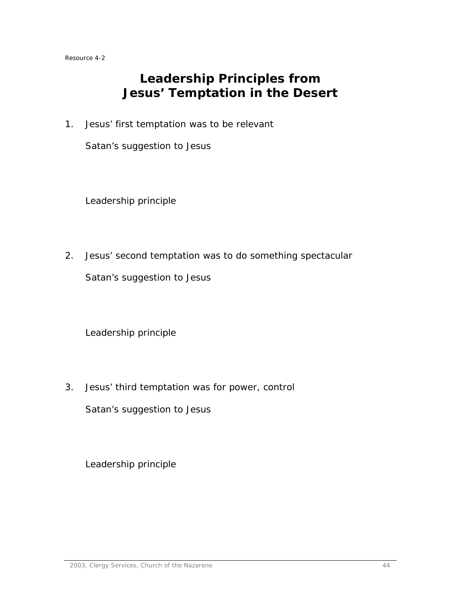### **Leadership Principles from Jesus' Temptation in the Desert**

1. Jesus' first temptation was to be relevant

Satan's suggestion to Jesus

Leadership principle

2. Jesus' second temptation was to do something spectacular Satan's suggestion to Jesus

Leadership principle

3. Jesus' third temptation was for power, control

Satan's suggestion to Jesus

Leadership principle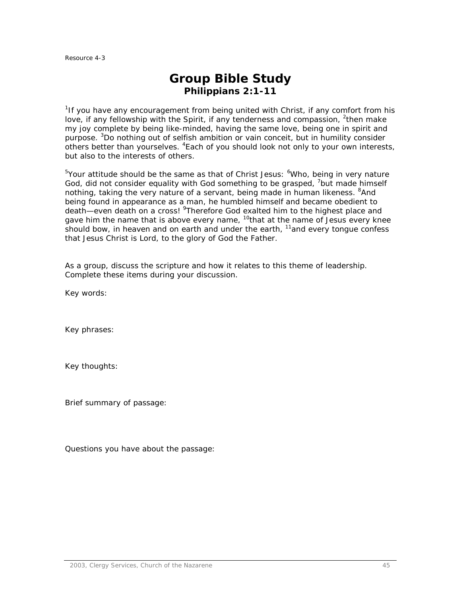### **Group Bible Study Philippians 2:1-11**

<sup>1</sup> If you have any encouragement from being united with Christ, if any comfort from his love, if any fellowship with the Spirit, if any tenderness and compassion,  $2$ then make my joy complete by being like-minded, having the same love, being one in spirit and purpose. <sup>3</sup>Do nothing out of selfish ambition or vain conceit, but in humility consider others better than yourselves. <sup>4</sup> Each of you should look not only to your own interests, but also to the interests of others.

<sup>5</sup>Your attitude should be the same as that of Christ Jesus: <sup>6</sup>Who, being in very nature God, did not consider equality with God something to be grasped, <sup>7</sup>but made himself nothing, taking the very nature of a servant, being made in human likeness. <sup>8</sup>And being found in appearance as a man, he humbled himself and became obedient to death—even death on a cross! <sup>9</sup>Therefore God exalted him to the highest place and gave him the name that is above every name,  $10$ that at the name of Jesus every knee should bow, in heaven and on earth and under the earth,  $11$  and every tongue confess that Jesus Christ is Lord, to the glory of God the Father.

As a group, discuss the scripture and how it relates to this theme of leadership. Complete these items during your discussion.

Key words:

Key phrases:

Key thoughts:

Brief summary of passage:

Questions you have about the passage: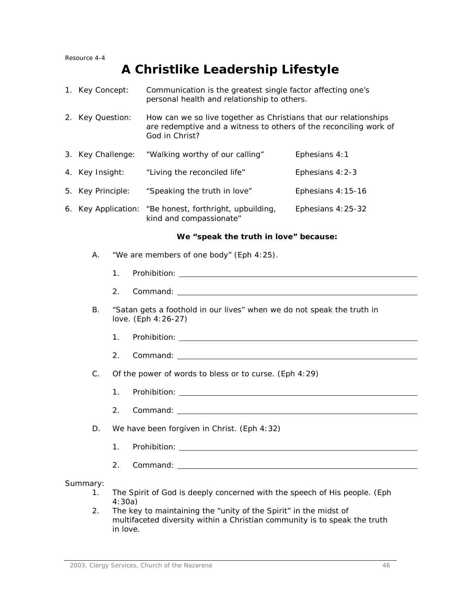### **A Christlike Leadership Lifestyle**

| 1. Key Concept:                                                                                       |                |  | Communication is the greatest single factor affecting one's<br>personal health and relationship to others.                                              |                   |  |
|-------------------------------------------------------------------------------------------------------|----------------|--|---------------------------------------------------------------------------------------------------------------------------------------------------------|-------------------|--|
| 2. Key Question:                                                                                      |                |  | How can we so live together as Christians that our relationships<br>are redemptive and a witness to others of the reconciling work of<br>God in Christ? |                   |  |
| 3. Key Challenge:                                                                                     |                |  | "Walking worthy of our calling"                                                                                                                         | Ephesians 4:1     |  |
| 4. Key Insight:                                                                                       |                |  | "Living the reconciled life"                                                                                                                            | Ephesians 4:2-3   |  |
| 5. Key Principle:                                                                                     |                |  | "Speaking the truth in love"                                                                                                                            | Ephesians 4:15-16 |  |
|                                                                                                       |                |  | 6. Key Application: "Be honest, forthright, upbuilding,<br>kind and compassionate"                                                                      | Ephesians 4:25-32 |  |
|                                                                                                       |                |  | We "speak the truth in love" because:                                                                                                                   |                   |  |
| А.                                                                                                    |                |  | "We are members of one body" (Eph 4:25).                                                                                                                |                   |  |
|                                                                                                       | 1.             |  |                                                                                                                                                         |                   |  |
|                                                                                                       | 2.             |  |                                                                                                                                                         |                   |  |
| "Satan gets a foothold in our lives" when we do not speak the truth in<br>Β.<br>love. (Eph 4:26-27)   |                |  |                                                                                                                                                         |                   |  |
|                                                                                                       | 1.             |  |                                                                                                                                                         |                   |  |
|                                                                                                       | 2.             |  |                                                                                                                                                         |                   |  |
| C.<br>Of the power of words to bless or to curse. (Eph 4:29)                                          |                |  |                                                                                                                                                         |                   |  |
|                                                                                                       | 1 <sub>1</sub> |  | Prohibition: New York Prohibition:                                                                                                                      |                   |  |
|                                                                                                       | 2.             |  |                                                                                                                                                         |                   |  |
| We have been forgiven in Christ. (Eph 4:32)<br>D.                                                     |                |  |                                                                                                                                                         |                   |  |
|                                                                                                       | 1.             |  |                                                                                                                                                         |                   |  |
|                                                                                                       | 2.             |  |                                                                                                                                                         |                   |  |
| Summary:<br>The Spirit of God is deeply concerned with the speech of His people. (Eph<br>1.<br>4:30a) |                |  |                                                                                                                                                         |                   |  |

2. The key to maintaining the "unity of the Spirit" in the midst of multifaceted diversity within a Christian community is to speak the truth in love.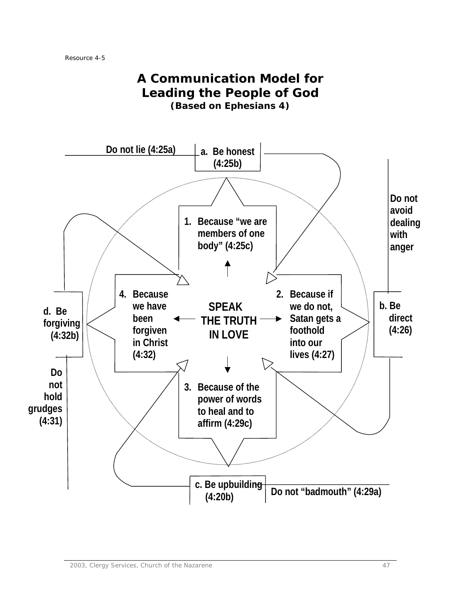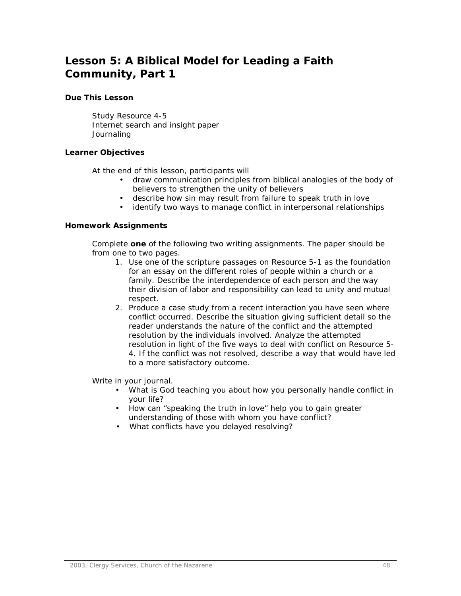### **Lesson 5: A Biblical Model for Leading a Faith Community, Part 1**

#### **Due This Lesson**

Study Resource 4-5 Internet search and insight paper **Journaling** 

#### **Learner Objectives**

At the end of this lesson, participants will

- draw communication principles from biblical analogies of the body of believers to strengthen the unity of believers
- describe how sin may result from failure to speak truth in love
- identify two ways to manage conflict in interpersonal relationships

#### **Homework Assignments**

Complete **one** of the following two writing assignments. The paper should be from one to two pages.

- 1. Use one of the scripture passages on Resource 5-1 as the foundation for an essay on the different roles of people within a church or a family. Describe the interdependence of each person and the way their division of labor and responsibility can lead to unity and mutual respect.
- 2. Produce a case study from a recent interaction you have seen where conflict occurred. Describe the situation giving sufficient detail so the reader understands the nature of the conflict and the attempted resolution by the individuals involved. Analyze the attempted resolution in light of the five ways to deal with conflict on Resource 5- 4. If the conflict was not resolved, describe a way that would have led to a more satisfactory outcome.

Write in your journal.

- What is God teaching you about how you personally handle conflict in your life?
- How can "speaking the truth in love" help you to gain greater understanding of those with whom you have conflict?
- What conflicts have you delayed resolving?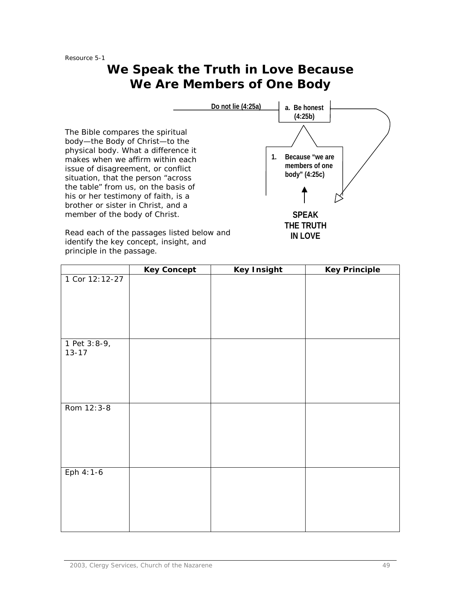Resource 5-1

### **We Speak the Truth in Love Because We Are Members of One Body**



identify the key concept, insight, and principle in the passage.

|                           | <b>Key Concept</b> | <b>Key Insight</b> | <b>Key Principle</b> |
|---------------------------|--------------------|--------------------|----------------------|
| 1 Cor 12:12-27            |                    |                    |                      |
|                           |                    |                    |                      |
|                           |                    |                    |                      |
| 1 Pet 3:8-9,<br>$13 - 17$ |                    |                    |                      |
|                           |                    |                    |                      |
|                           |                    |                    |                      |
| Rom 12:3-8                |                    |                    |                      |
|                           |                    |                    |                      |
|                           |                    |                    |                      |
| Eph 4:1-6                 |                    |                    |                      |
|                           |                    |                    |                      |
|                           |                    |                    |                      |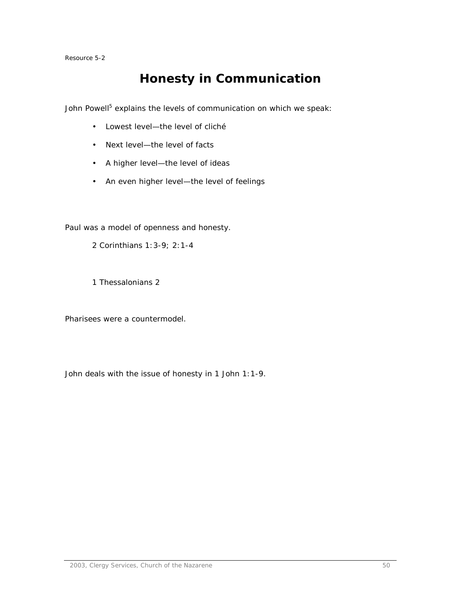Resource 5-2

### **Honesty in Communication**

John Powell<sup>5</sup> explains the levels of communication on which we speak:

- Lowest level—the level of cliché
- Next level—the level of facts
- A higher level—the level of ideas
- An even higher level—the level of feelings

Paul was a model of openness and honesty.

2 Corinthians 1:3-9; 2:1-4

1 Thessalonians 2

Pharisees were a countermodel.

John deals with the issue of honesty in 1 John 1:1-9.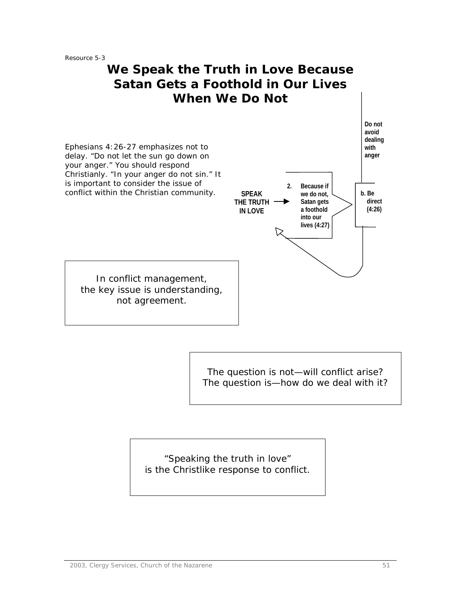Resource 5-3

### **We Speak the Truth in Love Because Satan Gets a Foothold in Our Lives When We Do Not**

Ephesians 4:26-27 emphasizes not to delay. "Do not let the sun go down on your anger." You should respond Christianly. "In your anger do not sin." It is important to consider the issue of conflict within the Christian community.



In conflict management, the key issue is understanding, not agreement.

> The question is not—will conflict arise? The question is—how do we deal with it?

"Speaking the truth in love" is the Christlike response to conflict.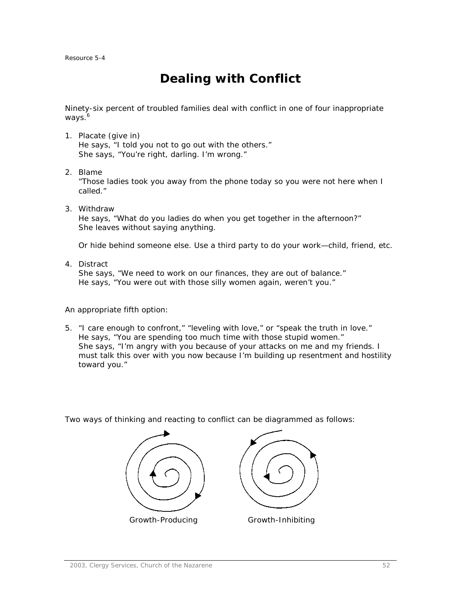### **Dealing with Conflict**

Ninety-six percent of troubled families deal with conflict in one of four inappropriate ways.<sup>6</sup>

- 1. Placate (give in) He says, "I told you not to go out with the others." She says, "You're right, darling. I'm wrong."
- 2. Blame

"Those ladies took you away from the phone today so you were not here when I called."

3. Withdraw

He says, "What do you ladies do when you get together in the afternoon?" She leaves without saying anything.

Or hide behind someone else. Use a third party to do your work—child, friend, etc.

4. Distract

She says, "We need to work on our finances, they are out of balance." He says, "You were out with those silly women again, weren't you."

An appropriate fifth option:

5. "I care enough to confront," "leveling with love," or "speak the truth in love." He says, "You are spending too much time with those stupid women." She says, "I'm angry with you because of your attacks on me and my friends. I must talk this over with you now because I'm building up resentment and hostility toward you."

Two ways of thinking and reacting to conflict can be diagrammed as follows:

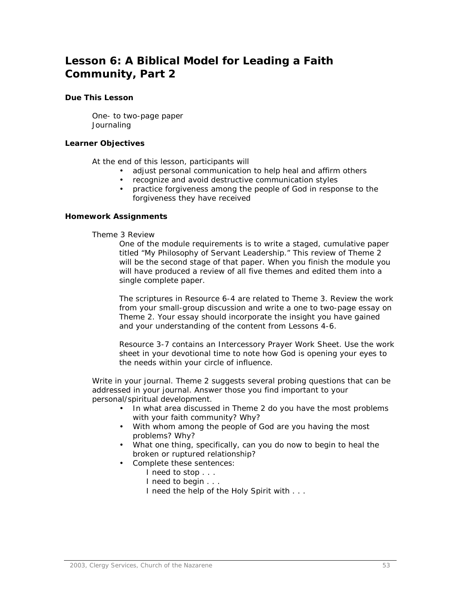### **Lesson 6: A Biblical Model for Leading a Faith Community, Part 2**

#### **Due This Lesson**

One- to two-page paper Journaling

#### **Learner Objectives**

At the end of this lesson, participants will

- adjust personal communication to help heal and affirm others
- recognize and avoid destructive communication styles
- practice forgiveness among the people of God in response to the forgiveness they have received

#### **Homework Assignments**

Theme 3 Review

One of the module requirements is to write a staged, cumulative paper titled "My Philosophy of Servant Leadership." This review of Theme 2 will be the second stage of that paper. When you finish the module you will have produced a review of all five themes and edited them into a single complete paper.

The scriptures in Resource 6-4 are related to Theme 3. Review the work from your small-group discussion and write a one to two-page essay on Theme 2. Your essay should incorporate the insight you have gained and your understanding of the content from Lessons 4-6.

Resource 3-7 contains an Intercessory Prayer Work Sheet. Use the work sheet in your devotional time to note how God is opening your eyes to the needs within your circle of influence.

Write in your journal. Theme 2 suggests several probing questions that can be addressed in your journal. Answer those you find important to your personal/spiritual development.

- In what area discussed in Theme 2 do you have the most problems with your faith community? Why?
- With whom among the people of God are you having the most problems? Why?
- What one thing, specifically, can you do now to begin to heal the broken or ruptured relationship?
- Complete these sentences:
	- I need to stop . . .
	- I need to begin . . .
	- I need the help of the Holy Spirit with . . .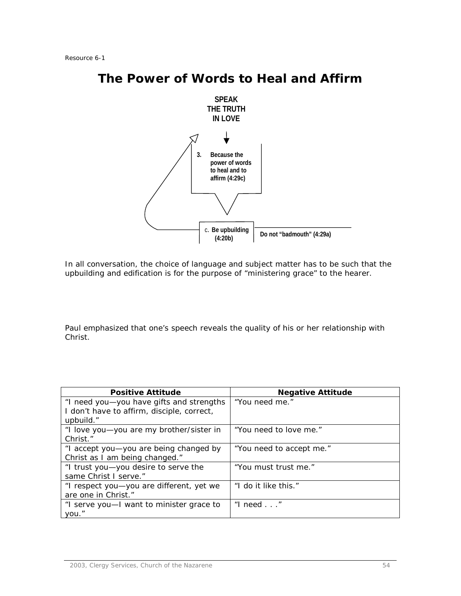### **The Power of Words to Heal and Affirm**



In all conversation, the choice of language and subject matter has to be such that the upbuilding and edification is for the purpose of "ministering grace" to the hearer.

Paul emphasized that one's speech reveals the quality of his or her relationship with Christ.

| <b>Positive Attitude</b>                   | <b>Negative Attitude</b> |
|--------------------------------------------|--------------------------|
| "I need you-you have gifts and strengths   | "You need me."           |
| I don't have to affirm, disciple, correct, |                          |
| upbuild."                                  |                          |
| "I love you-you are my brother/sister in   | "You need to love me."   |
| Christ."                                   |                          |
| "I accept you-you are being changed by     | "You need to accept me." |
| Christ as I am being changed."             |                          |
| "I trust you-you desire to serve the       | "You must trust me."     |
| same Christ I serve."                      |                          |
| "I respect you-you are different, yet we   | "I do it like this."     |
| are one in Christ."                        |                          |
| "I serve you—I want to minister grace to   | "I need $\ldots$ "       |
| you."                                      |                          |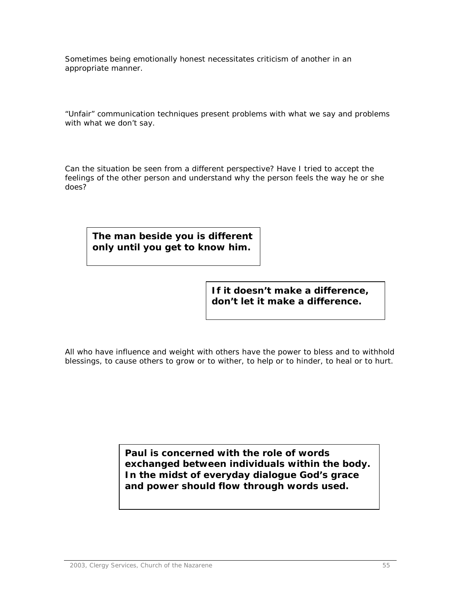Sometimes being emotionally honest necessitates criticism of another in an appropriate manner.

"Unfair" communication techniques present problems with what we say and problems with what we *don't* say.

Can the situation be seen from a different perspective? Have I tried to accept the feelings of the other person and understand why the person feels the way he or she does?

**The man beside you is different only until you get to know him.**

> **If it doesn't make a difference, don't let it make a difference.**

All who have influence and weight with others have the power to bless and to withhold blessings, to cause others to grow or to wither, to help or to hinder, to heal or to hurt.

> **Paul is concerned with the role of words exchanged between individuals within the body. In the midst of everyday dialogue God's grace and power should flow through words used.**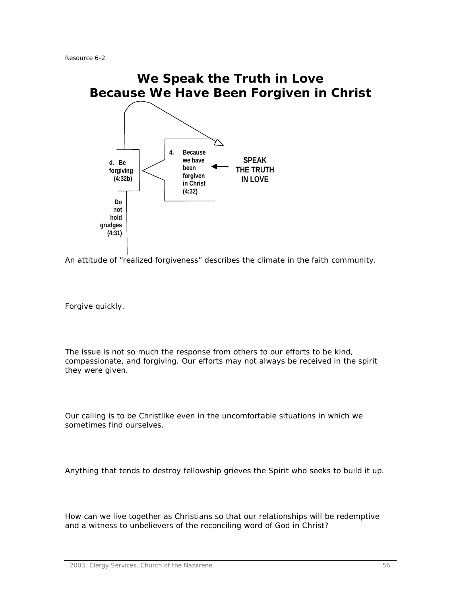Resource 6-2



An attitude of "realized forgiveness" describes the climate in the faith community.

Forgive quickly.

The issue is not so much the response from others to our efforts to be kind, compassionate, and forgiving. Our efforts may not always be received in the spirit they were given.

Our calling is to be Christlike even in the uncomfortable situations in which we sometimes find ourselves.

Anything that tends to destroy fellowship grieves the Spirit who seeks to build it up.

How can we live together as Christians so that our relationships will be redemptive and a witness to unbelievers of the reconciling word of God in Christ?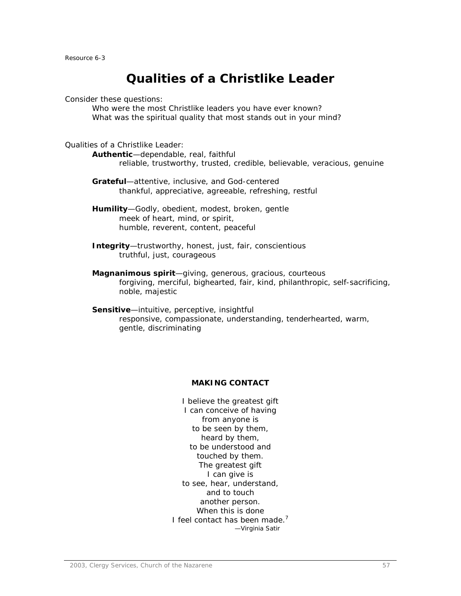Resource 6-3

### **Qualities of a Christlike Leader**

Consider these questions:

*Who were the most Christlike leaders you have ever known? What was the spiritual quality that most stands out in your mind?*

Qualities of a Christlike Leader:

**Authentic**—dependable, real, faithful reliable, trustworthy, trusted, credible, believable, veracious, genuine

**Grateful**—attentive, inclusive, and God-centered thankful, appreciative, agreeable, refreshing, restful

**Humility**—Godly, obedient, modest, broken, gentle meek of heart, mind, or spirit, humble, reverent, content, peaceful

**Integrity**—trustworthy, honest, just, fair, conscientious truthful, just, courageous

**Magnanimous spirit**—giving, generous, gracious, courteous forgiving, merciful, bighearted, fair, kind, philanthropic, self-sacrificing, noble, majestic

**Sensitive**—intuitive, perceptive, insightful responsive, compassionate, understanding, tenderhearted, warm, gentle, discriminating

#### **MAKING CONTACT**

I believe the greatest gift I can conceive of having from anyone is to be seen by them, heard by them, to be understood and touched by them. The greatest gift I can give is to see, hear, understand, and to touch another person. When this is done I feel contact has been made. $<sup>7</sup>$ </sup> —Virginia Satir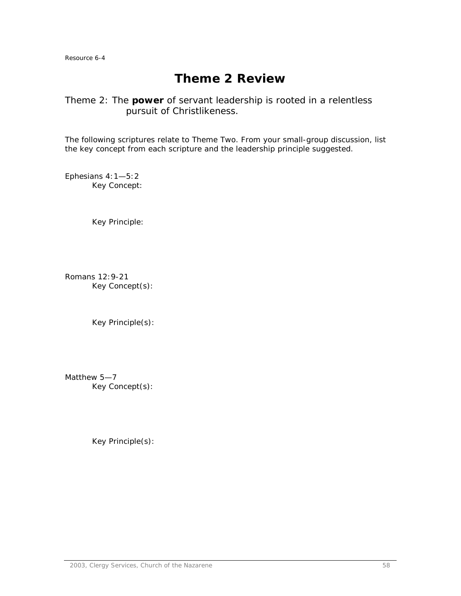Resource 6-4

### **Theme 2 Review**

#### Theme 2: The **power** of servant leadership is rooted in a relentless pursuit of Christlikeness.

The following scriptures relate to Theme Two. From your small-group discussion, list the key concept from each scripture and the leadership principle suggested.

Ephesians 4:1—5:2 Key Concept:

Key Principle:

Romans 12:9-21 Key Concept(s):

Key Principle(s):

Matthew 5—7 Key Concept(s):

Key Principle(s):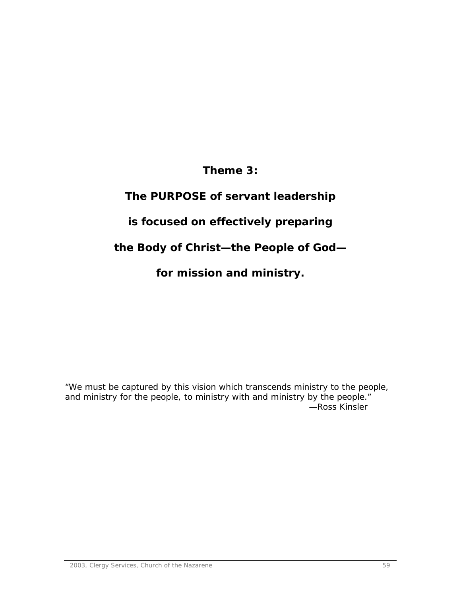#### *Theme 3:*

# *The PURPOSE of servant leadership is focused on effectively preparing the Body of Christ—the People of God—*

*for mission and ministry.*

"We must be captured by this vision which transcends ministry to the people, and ministry for the people, to ministry with and ministry by the people." —Ross Kinsler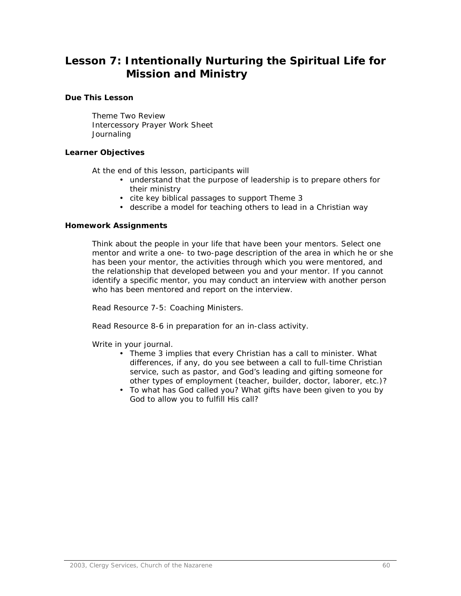### **Lesson 7: Intentionally Nurturing the Spiritual Life for Mission and Ministry**

#### **Due This Lesson**

Theme Two Review Intercessory Prayer Work Sheet **Journaling** 

#### **Learner Objectives**

At the end of this lesson, participants will

- understand that the purpose of leadership is to prepare others for their ministry
- cite key biblical passages to support Theme 3
- describe a model for teaching others to lead in a Christian way

#### **Homework Assignments**

Think about the people in your life that have been your mentors. Select one mentor and write a one- to two-page description of the area in which he or she has been your mentor, the activities through which you were mentored, and the relationship that developed between you and your mentor. If you cannot identify a specific mentor, you may conduct an interview with another person who has been mentored and report on the interview.

Read Resource 7-5: Coaching Ministers.

Read Resource 8-6 in preparation for an in-class activity.

Write in your journal.

- Theme 3 implies that every Christian has a call to minister. What differences, if any, do you see between a call to full-time Christian service, such as pastor, and God's leading and gifting someone for other types of employment (teacher, builder, doctor, laborer, etc.)?
- To what has God called you? What gifts have been given to you by God to allow you to fulfill His call?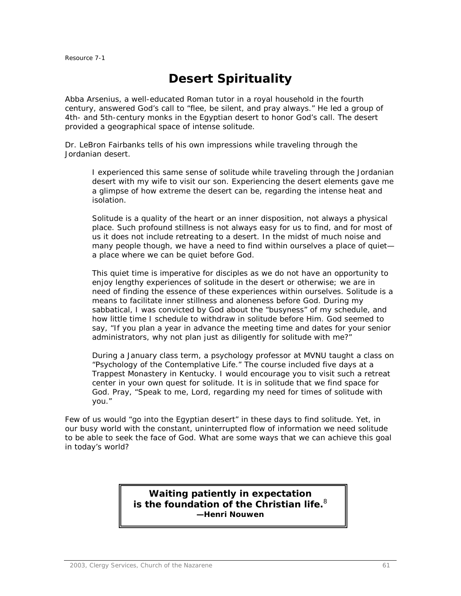### **Desert Spirituality**

Abba Arsenius, a well-educated Roman tutor in a royal household in the fourth century, answered God's call to "flee, be silent, and pray always." He led a group of 4th- and 5th-century monks in the Egyptian desert to honor God's call. The desert provided a geographical space of intense solitude.

Dr. LeBron Fairbanks tells of his own impressions while traveling through the Jordanian desert.

I experienced this same sense of solitude while traveling through the Jordanian desert with my wife to visit our son. Experiencing the desert elements gave me a glimpse of how extreme the desert can be, regarding the intense heat and isolation.

Solitude is a quality of the heart or an inner disposition, not always a physical place. Such profound stillness is not always easy for us to find, and for most of us it does not include retreating to a desert. In the midst of much noise and many people though, we have a need to find within ourselves a place of quiet a place where we can be quiet before God.

This quiet time is imperative for disciples as we do not have an opportunity to enjoy lengthy experiences of solitude in the desert or otherwise; we are in need of finding the essence of these experiences within ourselves. Solitude is a means to facilitate inner stillness and aloneness before God. During my sabbatical, I was convicted by God about the "busyness" of my schedule, and how little time I schedule to withdraw in solitude before Him. God seemed to say, "If you plan a year in advance the meeting time and dates for your senior administrators, why not plan just as diligently for solitude with me?"

During a January class term, a psychology professor at MVNU taught a class on "Psychology of the Contemplative Life." The course included five days at a Trappest Monastery in Kentucky. I would encourage you to visit such a retreat center in your own quest for solitude. It is in solitude that we find space for God. Pray, "Speak to me, Lord, regarding my need for times of solitude with you."

Few of us would "go into the Egyptian desert" in these days to find solitude. Yet, in our busy world with the constant, uninterrupted flow of information we need solitude to be able to seek the face of God. What are some ways that we can achieve this goal in today's world?

#### **Waiting patiently in expectation is the foundation of the Christian life.**<sup>8</sup> **—Henri Nouwen**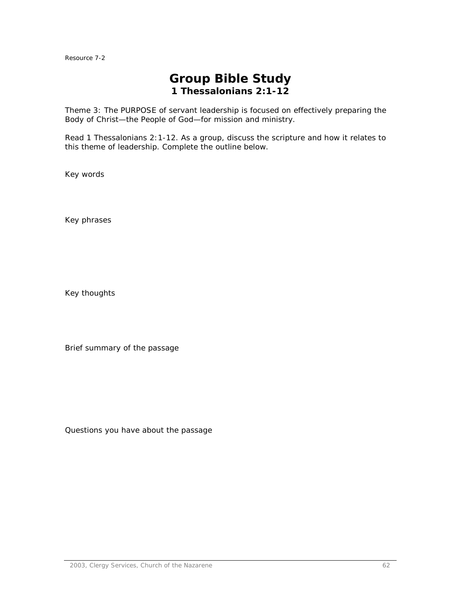Resource 7-2

### **Group Bible Study 1 Thessalonians 2:1-12**

Theme 3: The PURPOSE of servant leadership is focused on effectively preparing the Body of Christ—the People of God—for mission and ministry.

Read 1 Thessalonians 2:1-12. As a group, discuss the scripture and how it relates to this theme of leadership. Complete the outline below.

Key words

Key phrases

Key thoughts

Brief summary of the passage

Questions you have about the passage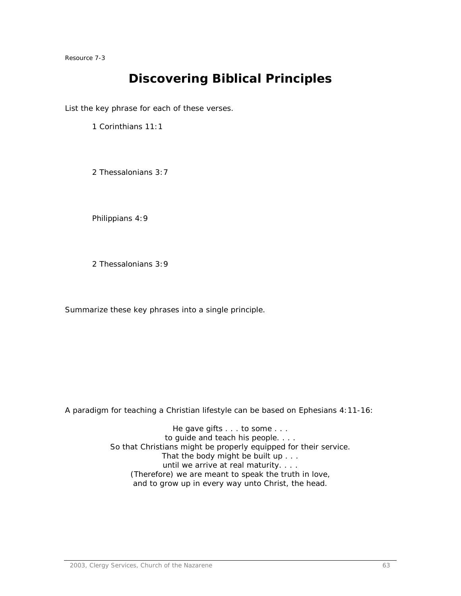Resource 7-3

### **Discovering Biblical Principles**

List the key phrase for each of these verses.

1 Corinthians 11:1

2 Thessalonians 3:7

Philippians 4:9

2 Thessalonians 3:9

Summarize these key phrases into a single principle.

A paradigm for teaching a Christian lifestyle can be based on Ephesians 4:11-16:

He gave gifts . . . to some . . . to guide and teach his people. . . . So that Christians might be properly equipped for their service. That the body might be built up . . . until we arrive at real maturity. . . . (Therefore) we are meant to speak the truth in love, and to grow up in every way unto Christ, the head.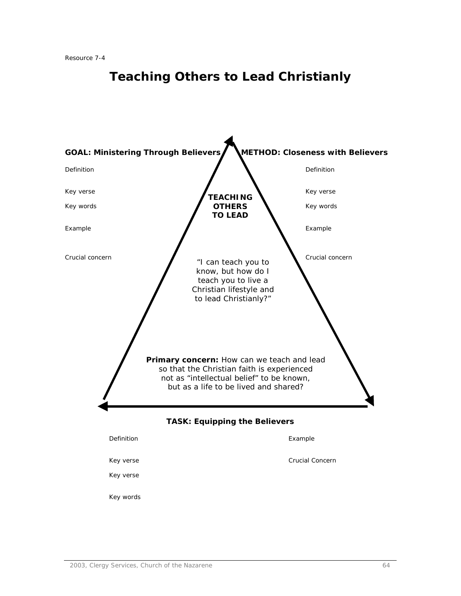

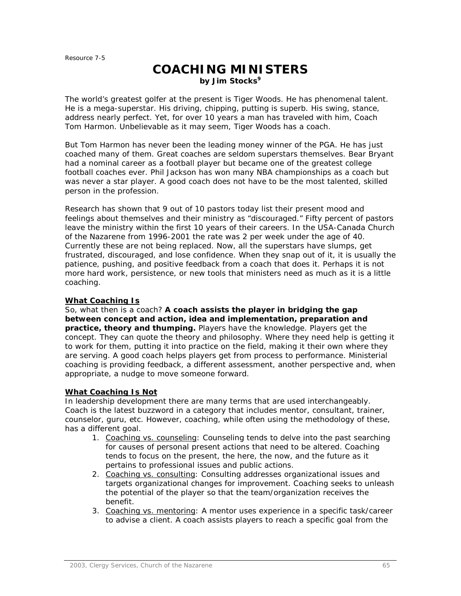#### **COACHING MINISTERS by Jim Stocks<sup>9</sup>**

The world's greatest golfer at the present is Tiger Woods. He has phenomenal talent. He is a mega-superstar. His driving, chipping, putting is superb. His swing, stance, address nearly perfect. Yet, for over 10 years a man has traveled with him, Coach Tom Harmon. Unbelievable as it may seem, Tiger Woods has a coach.

But Tom Harmon has never been the leading money winner of the PGA. He has just coached many of them. Great coaches are seldom superstars themselves. Bear Bryant had a nominal career as a football player but became one of the greatest college football coaches ever. Phil Jackson has won many NBA championships as a coach but was never a star player. A good coach does not have to be the most talented, skilled person in the profession.

Research has shown that 9 out of 10 pastors today list their present mood and feelings about themselves and their ministry as "discouraged." Fifty percent of pastors leave the ministry within the first 10 years of their careers. In the USA-Canada Church of the Nazarene from 1996-2001 the rate was 2 per week under the age of 40. Currently these are not being replaced. Now, all the superstars have slumps, get frustrated, discouraged, and lose confidence. When they snap out of it, it is usually the patience, pushing, and positive feedback from a coach that does it. Perhaps it is not more hard work, persistence, or new tools that ministers need as much as it is a little coaching.

#### **What Coaching Is**

So, what then is a coach? **A coach assists the** *player* **in bridging the gap between concept and action, idea and implementation, preparation and practice, theory and thumping.** Players have the knowledge. Players get the concept. They can quote the theory and philosophy. Where they need help is getting it to work for them, putting it into practice on the field, making it their own where they are serving. A good coach helps players get from process to performance. Ministerial coaching is providing feedback, a different assessment, another perspective and, when appropriate, a nudge to move someone forward.

#### **What Coaching Is Not**

In leadership development there are many terms that are used interchangeably. Coach is the latest buzzword in a category that includes mentor, consultant, trainer, counselor, guru, etc. However, coaching, while often using the methodology of these, has a different goal.

- 1. Coaching vs. counseling: Counseling tends to delve into the past searching for causes of personal present actions that need to be altered. Coaching tends to focus on the present, the here, the now, and the future as it pertains to professional issues and public actions.
- 2. Coaching vs. consulting: Consulting addresses organizational issues and targets organizational changes for improvement. Coaching seeks to unleash the potential of the player so that the team/organization receives the benefit.
- 3. Coaching vs. mentoring: A mentor uses experience in a specific task/career to advise a client. A coach assists players to reach a specific goal from the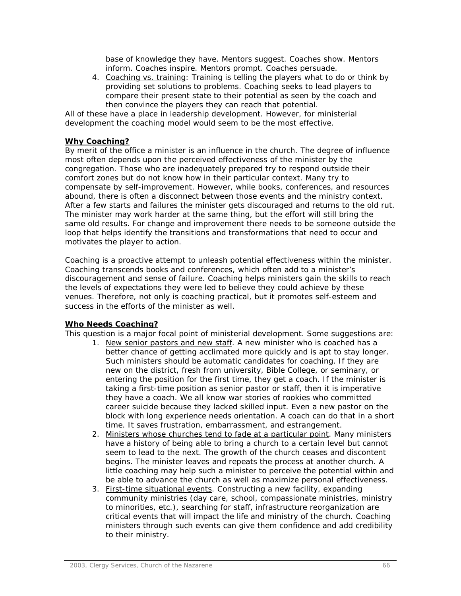base of knowledge they have. Mentors suggest. Coaches show. Mentors inform. Coaches inspire. Mentors prompt. Coaches persuade.

4. Coaching vs. training: Training is telling the players what to do or think by providing set solutions to problems. Coaching seeks to lead players to compare their present state to their potential as seen by the coach and then convince the players they can reach that potential.

All of these have a place in leadership development. However, for ministerial development the coaching model would seem to be the most effective.

#### **Why Coaching?**

By merit of the office a minister is an influence in the church. The degree of influence most often depends upon the perceived effectiveness of the minister by the congregation. Those who are inadequately prepared try to respond outside their comfort zones but do not know how in their particular context. Many try to compensate by self-improvement. However, while books, conferences, and resources abound, there is often a disconnect between those events and the ministry context. After a few starts and failures the minister gets discouraged and returns to the old rut. The minister may work harder at the same thing, but the effort will still bring the same old results. For change and improvement there needs to be someone outside the loop that helps identify the transitions and transformations that need to occur and motivates the player to action.

Coaching is a proactive attempt to unleash potential effectiveness within the minister. Coaching transcends books and conferences, which often add to a minister's discouragement and sense of failure. Coaching helps ministers gain the skills to reach the levels of expectations they were led to believe they could achieve by these venues. Therefore, not only is coaching practical, but it promotes self-esteem and success in the efforts of the minister as well.

#### **Who Needs Coaching?**

This question is a major focal point of ministerial development. Some suggestions are:

- 1. New senior pastors and new staff. A new minister who is coached has a better chance of getting acclimated more quickly and is apt to stay longer. Such ministers should be automatic candidates for coaching. If they are new on the district, fresh from university, Bible College, or seminary, or entering the position for the first time, they get a coach. If the minister is taking a first-time position as senior pastor or staff, then it is imperative they have a coach. We all know war stories of rookies who committed career suicide because they lacked skilled input. Even a new pastor on the block with long experience needs orientation. A coach can do that in a short time. It saves frustration, embarrassment, and estrangement.
- 2. Ministers whose churches tend to fade at a particular point. Many ministers have a history of being able to bring a church to a certain level but cannot seem to lead to the next. The growth of the church ceases and discontent begins. The minister leaves and repeats the process at another church. A little coaching may help such a minister to perceive the potential within and be able to advance the church as well as maximize personal effectiveness.
- 3. First-time situational events. Constructing a new facility, expanding community ministries (day care, school, compassionate ministries, ministry to minorities, etc.), searching for staff, infrastructure reorganization are critical events that will impact the life and ministry of the church. Coaching ministers through such events can give them confidence and add credibility to their ministry.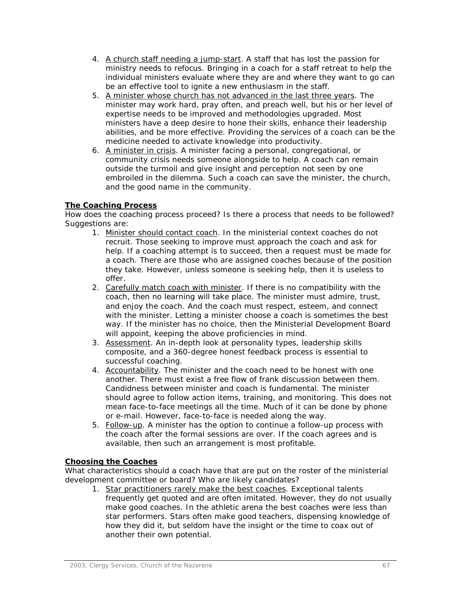- 4. A church staff needing a jump-start. A staff that has lost the passion for ministry needs to refocus. Bringing in a coach for a staff retreat to help the individual ministers evaluate where they are and where they want to go can be an effective tool to ignite a new enthusiasm in the staff.
- 5. A minister whose church has not advanced in the last three years. The minister may work hard, pray often, and preach well, but his or her level of expertise needs to be improved and methodologies upgraded. Most ministers have a deep desire to hone their skills, enhance their leadership abilities, and be more effective. Providing the services of a coach can be the medicine needed to activate knowledge into productivity.
- 6. A minister in crisis. A minister facing a personal, congregational, or community crisis needs someone alongside to help. A coach can remain outside the turmoil and give insight and perception not seen by one embroiled in the dilemma. Such a coach can save the minister, the church, and the good name in the community.

#### **The Coaching Process**

How does the coaching process proceed? Is there a process that needs to be followed? Suggestions are:

- 1. Minister should contact coach. In the ministerial context coaches do not recruit. Those seeking to improve must approach the coach and ask for help. If a coaching attempt is to succeed, then a request must be made for a coach. There are those who are assigned coaches because of the position they take. However, unless someone is seeking help, then it is useless to offer.
- 2. Carefully match coach with minister. If there is no compatibility with the coach, then no learning will take place. The minister must admire, trust, and enjoy the coach. And the coach must respect, esteem, and connect with the minister. Letting a minister choose a coach is sometimes the best way. If the minister has no choice, then the Ministerial Development Board will appoint, keeping the above proficiencies in mind.
- 3. Assessment. An in-depth look at personality types, leadership skills composite, and a 360-degree honest feedback process is essential to successful coaching.
- 4. Accountability. The minister and the coach need to be honest with one another. There must exist a free flow of frank discussion between them. Candidness between minister and coach is fundamental. The minister should agree to follow action items, training, and monitoring. This does not mean face-to-face meetings all the time. Much of it can be done by phone or e-mail. However, face-to-face is needed along the way.
- 5. Follow-up. A minister has the option to continue a follow-up process with the coach after the formal sessions are over. If the coach agrees and is available, then such an arrangement is most profitable.

#### **Choosing the Coaches**

What characteristics should a coach have that are put on the roster of the ministerial development committee or board? Who are likely candidates?

1. Star practitioners rarely make the best coaches. Exceptional talents frequently get quoted and are often imitated. However, they do not usually make good coaches. In the athletic arena the best coaches were less than star performers. Stars often make good teachers, dispensing knowledge of how they did it, but seldom have the insight or the time to coax out of another their own potential.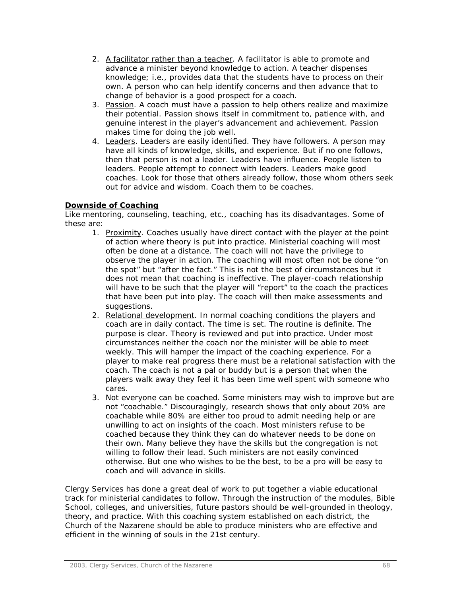- 2. A facilitator rather than a teacher. A facilitator is able to promote and advance a minister beyond knowledge to action. A teacher dispenses knowledge; i.e., provides data that the students have to process on their own. A person who can help identify concerns and then advance that to change of behavior is a good prospect for a coach.
- 3. Passion. A coach must have a passion to help others realize and maximize their potential. Passion shows itself in commitment to, patience with, and genuine interest in the player's advancement and achievement. Passion makes time for doing the job well.
- 4. Leaders. Leaders are easily identified. They have followers. A person may have all kinds of knowledge, skills, and experience. But if no one follows, then that person is not a leader. Leaders have influence. People listen to leaders. People attempt to connect with leaders. Leaders make good coaches. Look for those that others already follow, those whom others seek out for advice and wisdom. Coach them to be coaches.

#### **Downside of Coaching**

Like mentoring, counseling, teaching, etc., coaching has its disadvantages. Some of these are:

- 1. Proximity. Coaches usually have direct contact with the player at the point of action where theory is put into practice. Ministerial coaching will most often be done at a distance. The coach will not have the privilege to observe the player in action. The coaching will most often not be done "on the spot" but "after the fact." This is not the best of circumstances but it does not mean that coaching is ineffective. The player-coach relationship will have to be such that the player will "report" to the coach the practices that have been put into play. The coach will then make assessments and suggestions.
- 2. Relational development. In normal coaching conditions the players and coach are in daily contact. The time is set. The routine is definite. The purpose is clear. Theory is reviewed and put into practice. Under most circumstances neither the coach nor the minister will be able to meet weekly. This will hamper the impact of the coaching experience. For a player to make real progress there must be a relational satisfaction with the coach. The coach is not a pal or buddy but is a person that when the players walk away they feel it has been time well spent with someone who cares.
- 3. Not everyone can be coached. Some ministers may wish to improve but are not "coachable." Discouragingly, research shows that only about 20% are coachable while 80% are either too proud to admit needing help or are unwilling to act on insights of the coach. Most ministers refuse to be coached because they think they can do whatever needs to be done on their own. Many believe they have the skills but the congregation is not willing to follow their lead. Such ministers are not easily convinced otherwise. But one who wishes to be the best, to be a pro will be easy to coach and will advance in skills.

Clergy Services has done a great deal of work to put together a viable educational track for ministerial candidates to follow. Through the instruction of the modules, Bible School, colleges, and universities, future pastors should be well-grounded in theology, theory, and practice. With this coaching system established on each district, the Church of the Nazarene should be able to produce ministers who are effective and efficient in the winning of souls in the 21st century.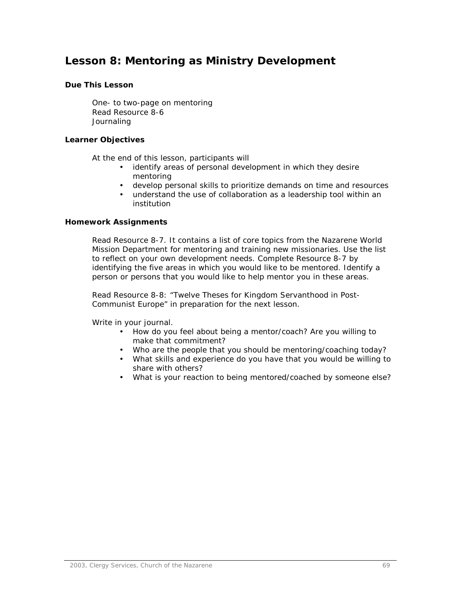### **Lesson 8: Mentoring as Ministry Development**

#### **Due This Lesson**

One- to two-page on mentoring Read Resource 8-6 Journaling

#### **Learner Objectives**

At the end of this lesson, participants will

- identify areas of personal development in which they desire mentoring
- develop personal skills to prioritize demands on time and resources
- understand the use of collaboration as a leadership tool within an institution

#### **Homework Assignments**

Read Resource 8-7. It contains a list of core topics from the Nazarene World Mission Department for mentoring and training new missionaries. Use the list to reflect on your own development needs. Complete Resource 8-7 by identifying the five areas in which you would like to be mentored. Identify a person or persons that you would like to help mentor you in these areas.

Read Resource 8-8: "Twelve Theses for Kingdom Servanthood in Post-Communist Europe" in preparation for the next lesson.

Write in your journal.

- How do you feel about being a mentor/coach? Are you willing to make that commitment?
- Who are the people that you should be mentoring/coaching today?
- What skills and experience do you have that you would be willing to share with others?
- What is your reaction to being mentored/coached by someone else?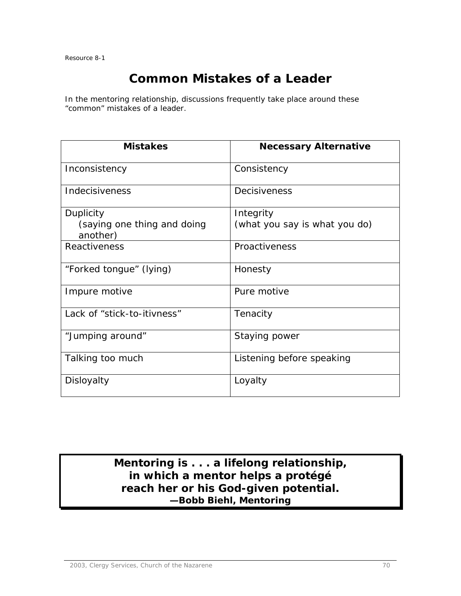### **Common Mistakes of a Leader**

In the mentoring relationship, discussions frequently take place around these "common" mistakes of a leader.

| <b>Mistakes</b>                                      | <b>Necessary Alternative</b>               |  |
|------------------------------------------------------|--------------------------------------------|--|
| Inconsistency                                        | Consistency                                |  |
| <b>Indecisiveness</b>                                | Decisiveness                               |  |
| Duplicity<br>(saying one thing and doing<br>another) | Integrity<br>(what you say is what you do) |  |
| Reactiveness                                         | <b>Proactiveness</b>                       |  |
| "Forked tongue" (lying)                              | Honesty                                    |  |
| Impure motive                                        | Pure motive                                |  |
| Lack of "stick-to-itivness"                          | Tenacity                                   |  |
| "Jumping around"                                     | Staying power                              |  |
| Talking too much                                     | Listening before speaking                  |  |
| Disloyalty                                           | Loyalty                                    |  |

#### **Mentoring is . . . a lifelong relationship, in which a mentor helps a protégé reach her or his God-given potential. —Bobb Biehl,** *Mentoring*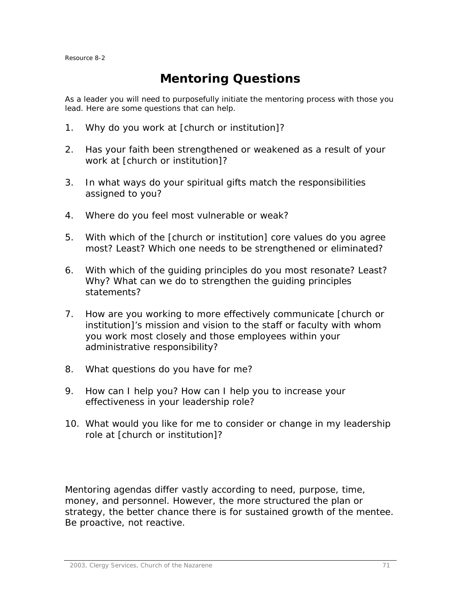### **Mentoring Questions**

As a leader you will need to purposefully initiate the mentoring process with those you lead. Here are some questions that can help.

- 1. Why do you work at [church or institution]?
- 2. Has your faith been strengthened or weakened as a result of your work at [church or institution]?
- 3. In what ways do your spiritual gifts match the responsibilities assigned to you?
- 4. Where do you feel most vulnerable or weak?
- 5. With which of the [church or institution] core values do you agree most? Least? Which one needs to be strengthened or eliminated?
- 6. With which of the guiding principles do you most resonate? Least? Why? What can we do to strengthen the guiding principles statements?
- 7. How are you working to more effectively communicate [church or institution]'s mission and vision to the staff or faculty with whom you work most closely and those employees within your administrative responsibility?
- 8. What questions do you have for me?
- 9. How can I help you? How can I help you to increase your effectiveness in your leadership role?
- 10. What would you like for me to consider or change in my leadership role at [church or institution]?

Mentoring agendas differ vastly according to need, purpose, time, money, and personnel. However, the more structured the plan or strategy, the better chance there is for sustained growth of the mentee. Be proactive, not reactive.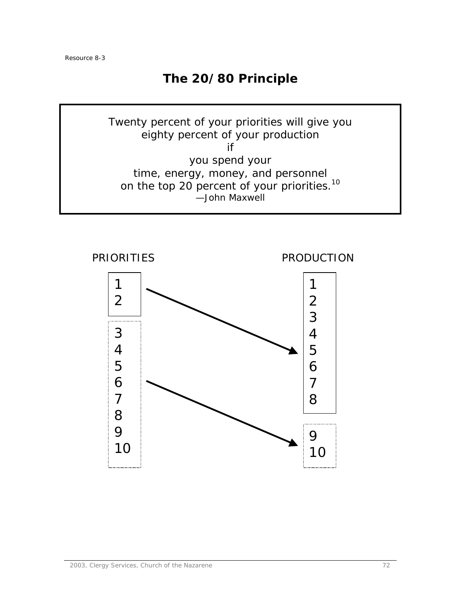### **The 20/80 Principle**

Twenty percent of your priorities will give you eighty percent of your production if you spend your time, energy, money, and personnel on the top 20 percent of your priorities.<sup>10</sup> —John Maxwell

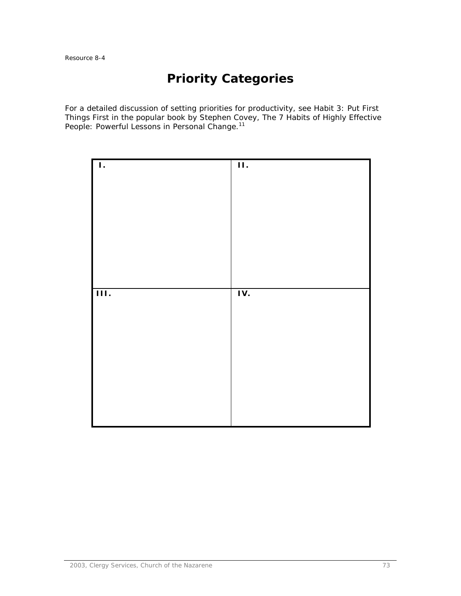# **Priority Categories**

For a detailed discussion of setting priorities for productivity, see Habit 3: Put First Things First in the popular book by Stephen Covey, *The 7 Habits of Highly Effective People: Powerful Lessons in Personal Change.<sup>11</sup>*

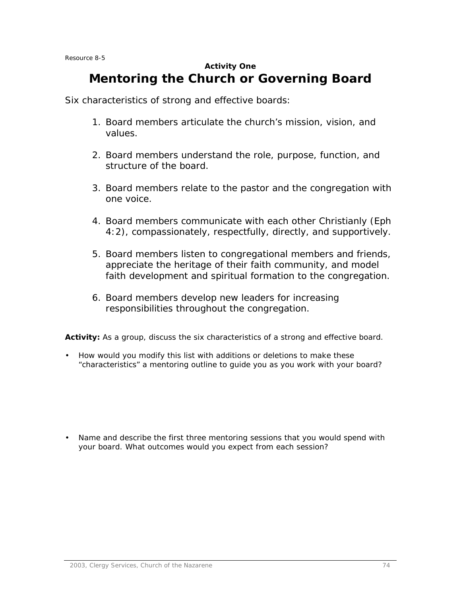### **Activity One Mentoring the Church or Governing Board**

Six characteristics of strong and effective boards:

- 1. Board members articulate the church's mission, vision, and values.
- 2. Board members understand the role, purpose, function, and structure of the board.
- 3. Board members relate to the pastor and the congregation with one voice.
- 4. Board members communicate with each other Christianly (Eph 4:2), compassionately, respectfully, directly, and supportively.
- 5. Board members listen to congregational members and friends, appreciate the heritage of their faith community, and model faith development and spiritual formation to the congregation.
- 6. Board members develop new leaders for increasing responsibilities throughout the congregation.

**Activity:** As a group, discuss the six characteristics of a strong and effective board.

• How would you modify this list with additions or deletions to make these "characteristics" a mentoring outline to guide you as you work with your board?

• Name and describe the first three mentoring sessions that you would spend with your board. What outcomes would you expect from each session?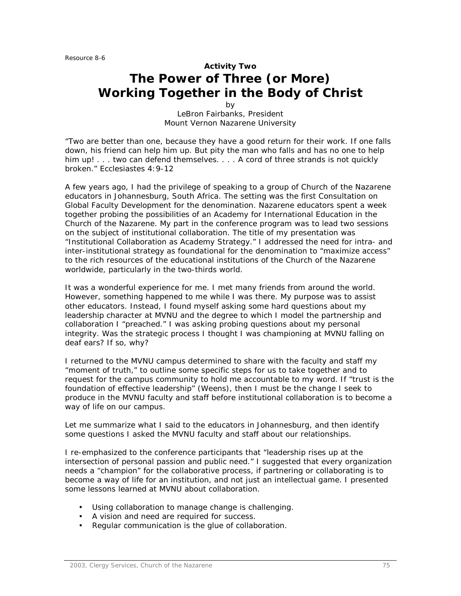Resource 8-6

**Activity Two**

# **The Power of Three (or More) Working Together in the Body of Christ**

by LeBron Fairbanks, President Mount Vernon Nazarene University

"Two are better than one, because they have a good return for their work. If one falls down, his friend can help him up. But pity the man who falls and has no one to help him up! . . . two can defend themselves. . . . A cord of three strands is not quickly broken." Ecclesiastes 4:9-12

A few years ago, I had the privilege of speaking to a group of Church of the Nazarene educators in Johannesburg, South Africa. The setting was the first Consultation on Global Faculty Development for the denomination. Nazarene educators spent a week together probing the possibilities of an Academy for International Education in the Church of the Nazarene. My part in the conference program was to lead two sessions on the subject of institutional collaboration. The title of my presentation was "Institutional Collaboration as Academy Strategy." I addressed the need for intra- and inter-institutional strategy as foundational for the denomination to "maximize access" to the rich resources of the educational institutions of the Church of the Nazarene worldwide, particularly in the two-thirds world.

It was a wonderful experience for me. I met many friends from around the world. However, something happened to me while I was there. My purpose was to assist other educators. Instead, I found myself asking some hard questions about my leadership character at MVNU and the degree to which I model the partnership and collaboration I "preached." I was asking probing questions about my personal integrity. Was the strategic process I thought I was championing at MVNU falling on deaf ears? If so, why?

I returned to the MVNU campus determined to share with the faculty and staff my "moment of truth," to outline some specific steps for us to take together and to request for the campus community to hold me accountable to my word. If "trust is the foundation of effective leadership" (Weens), then I must be the change I seek to produce in the MVNU faculty and staff before institutional collaboration is to become a way of life on our campus.

Let me summarize what I said to the educators in Johannesburg, and then identify some questions I asked the MVNU faculty and staff about our relationships.

I re-emphasized to the conference participants that "leadership rises up at the intersection of personal passion and public need." I suggested that every organization needs a "champion" for the collaborative process, if partnering or collaborating is to become a way of life for an institution, and not just an intellectual game. I presented some lessons learned at MVNU about collaboration.

- Using collaboration to manage change is challenging.
- A vision and need are required for success.
- Regular communication is the glue of collaboration.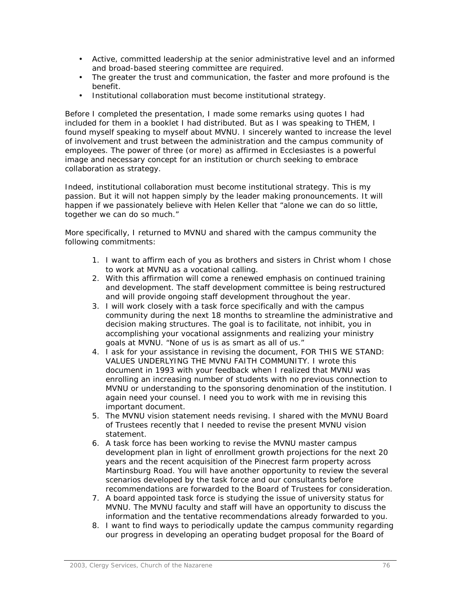- Active, committed leadership at the senior administrative level and an informed and broad-based steering committee are required.
- The greater the trust and communication, the faster and more profound is the benefit.
- Institutional collaboration must become institutional strategy.

Before I completed the presentation, I made some remarks using quotes I had included for them in a booklet I had distributed. But as I was speaking to THEM, I found myself speaking to myself about MVNU. I sincerely wanted to increase the level of involvement and trust between the administration and the campus community of employees. The power of three (or more) as affirmed in Ecclesiastes is a powerful image and necessary concept for an institution or church seeking to embrace collaboration as strategy.

Indeed, institutional collaboration must become institutional strategy. This is my passion. But it will not happen simply by the leader making pronouncements. It will happen if we passionately believe with Helen Keller that "alone we can do so little, together we can do so much."

More specifically, I returned to MVNU and shared with the campus community the following commitments:

- 1. I want to affirm each of you as brothers and sisters in Christ whom I chose to work at MVNU as a vocational calling.
- 2. With this affirmation will come a renewed emphasis on continued training and development. The staff development committee is being restructured and will provide ongoing staff development throughout the year.
- 3. I will work closely with a task force specifically and with the campus community during the next 18 months to streamline the administrative and decision making structures. The goal is to facilitate, not inhibit, you in accomplishing your vocational assignments and realizing your ministry goals at MVNU. "None of us is as smart as all of us."
- 4. I ask for your assistance in revising the document, FOR THIS WE STAND: VALUES UNDERLYING THE MVNU FAITH COMMUNITY. I wrote this document in 1993 with your feedback when I realized that MVNU was enrolling an increasing number of students with no previous connection to MVNU or understanding to the sponsoring denomination of the institution. I again need your counsel. I need you to work with me in revising this important document.
- 5. The MVNU vision statement needs revising. I shared with the MVNU Board of Trustees recently that I needed to revise the present MVNU vision statement.
- 6. A task force has been working to revise the MVNU master campus development plan in light of enrollment growth projections for the next 20 years and the recent acquisition of the Pinecrest farm property across Martinsburg Road. You will have another opportunity to review the several scenarios developed by the task force and our consultants before recommendations are forwarded to the Board of Trustees for consideration.
- 7. A board appointed task force is studying the issue of university status for MVNU. The MVNU faculty and staff will have an opportunity to discuss the information and the tentative recommendations already forwarded to you.
- 8. I want to find ways to periodically update the campus community regarding our progress in developing an operating budget proposal for the Board of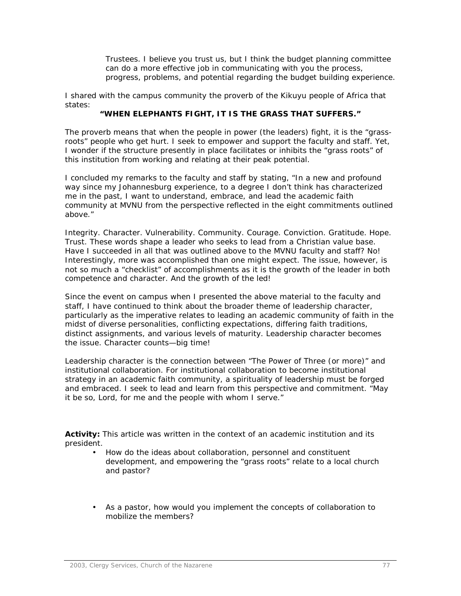Trustees. I believe you trust us, but I think the budget planning committee can do a more effective job in communicating with you the process, progress, problems, and potential regarding the budget building experience.

I shared with the campus community the proverb of the Kikuyu people of Africa that states:

### **"WHEN ELEPHANTS FIGHT, IT IS THE GRASS THAT SUFFERS."**

The proverb means that when the people in power (the leaders) fight, it is the "grassroots" people who get hurt. I seek to empower and support the faculty and staff. Yet, I wonder if the structure presently in place facilitates or inhibits the "grass roots" of this institution from working and relating at their peak potential.

I concluded my remarks to the faculty and staff by stating, "In a new and profound way since my Johannesburg experience, to a degree I don't think has characterized me in the past, I want to understand, embrace, and lead the academic faith community at MVNU from the perspective reflected in the eight commitments outlined above."

Integrity. Character. Vulnerability. Community. Courage. Conviction. Gratitude. Hope. Trust. These words shape a leader who seeks to lead from a Christian value base. Have I succeeded in all that was outlined above to the MVNU faculty and staff? No! Interestingly, more was accomplished than one might expect. The issue, however, is not so much a "checklist" of accomplishments as it is the growth of the leader in both competence and character. And the growth of the led!

Since the event on campus when I presented the above material to the faculty and staff, I have continued to think about the broader theme of leadership character, particularly as the imperative relates to leading an academic community of faith in the midst of diverse personalities, conflicting expectations, differing faith traditions, distinct assignments, and various levels of maturity. Leadership character becomes the issue. Character counts—big time!

Leadership character is the connection between "The Power of Three (or more)" and institutional collaboration. For institutional collaboration to become institutional strategy in an academic faith community, a spirituality of leadership must be forged and embraced. I seek to lead and learn from this perspective and commitment. "May it be so, Lord, for me and the people with whom I serve."

**Activity:** This article was written in the context of an academic institution and its president.

- How do the ideas about collaboration, personnel and constituent development, and empowering the "grass roots" relate to a local church and pastor?
- As a pastor, how would you implement the concepts of collaboration to mobilize the members?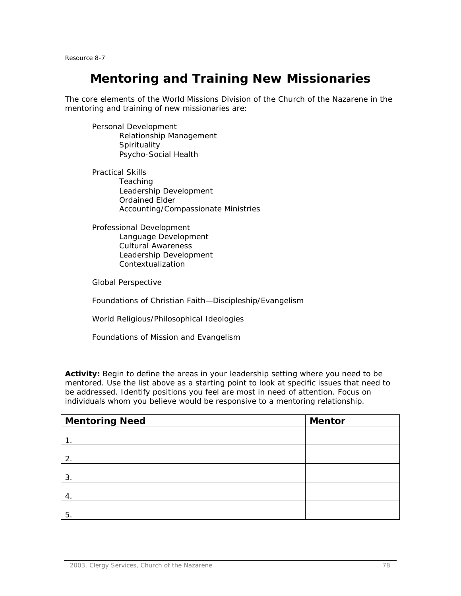Resource 8-7

## **Mentoring and Training New Missionaries**

The core elements of the World Missions Division of the Church of the Nazarene in the mentoring and training of new missionaries are:

Personal Development Relationship Management **Spirituality** Psycho-Social Health

Practical Skills Teaching Leadership Development Ordained Elder Accounting/Compassionate Ministries

Professional Development Language Development Cultural Awareness Leadership Development Contextualization

Global Perspective

Foundations of Christian Faith—Discipleship/Evangelism

World Religious/Philosophical Ideologies

Foundations of Mission and Evangelism

**Activity:** Begin to define the areas in your leadership setting where you need to be mentored. Use the list above as a starting point to look at specific issues that need to be addressed. Identify positions you feel are most in need of attention. Focus on individuals whom you believe would be responsive to a mentoring relationship.

| <b>Mentoring Need</b> | Mentor |
|-----------------------|--------|
|                       |        |
|                       |        |
| 2.                    |        |
| 3.                    |        |
| 4.                    |        |
| 5.                    |        |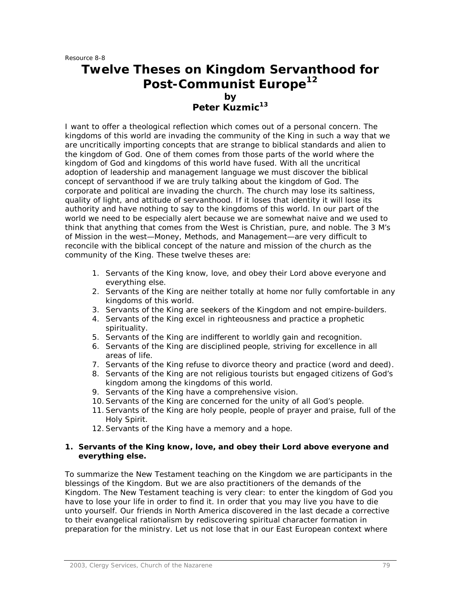### **Twelve Theses on Kingdom Servanthood for Post-Communist Europe<sup>12</sup> by Peter Kuzmic<sup>13</sup>**

I want to offer a theological reflection which comes out of a personal concern. The kingdoms of this world are invading the community of the King in such a way that we are uncritically importing concepts that are strange to biblical standards and alien to the kingdom of God. One of them comes from those parts of the world where the kingdom of God and kingdoms of this world have fused. With all the uncritical adoption of leadership and management language we must discover the biblical concept of servanthood if we are truly talking about the kingdom of God. The corporate and political are invading the church. The church may lose its saltiness, quality of light, and attitude of servanthood. If it loses that identity it will lose its authority and have nothing to say to the kingdoms of this world. In our part of the world we need to be especially alert because we are somewhat naive and we used to think that anything that comes from the West is Christian, pure, and noble. The 3 M's of Mission in the west—Money, Methods, and Management—are very difficult to reconcile with the biblical concept of the nature and mission of the church as the community of the King. These twelve theses are:

- 1. Servants of the King know, love, and obey their Lord above everyone and everything else.
- 2. Servants of the King are neither totally at home nor fully comfortable in any kingdoms of this world.
- 3. Servants of the King are seekers of the Kingdom and not empire-builders.
- 4. Servants of the King excel in righteousness and practice a prophetic spirituality.
- 5. Servants of the King are indifferent to worldly gain and recognition.
- 6. Servants of the King are disciplined people, striving for excellence in all areas of life.
- 7. Servants of the King refuse to divorce theory and practice (word and deed).
- 8. Servants of the King are not religious tourists but engaged citizens of God's kingdom among the kingdoms of this world.
- 9. Servants of the King have a comprehensive vision.
- 10.Servants of the King are concerned for the unity of all God's people.
- 11.Servants of the King are holy people, people of prayer and praise, full of the Holy Spirit.
- 12.Servants of the King have a memory and a hope.

### **1. Servants of the King know, love, and obey their Lord above everyone and everything else.**

To summarize the New Testament teaching on the Kingdom we are participants in the blessings of the Kingdom. But we are also practitioners of the demands of the Kingdom. The New Testament teaching is very clear: to enter the kingdom of God you have to lose your life in order to find it. In order that you may live you have to die unto yourself. Our friends in North America discovered in the last decade a corrective to their evangelical rationalism by rediscovering spiritual character formation in preparation for the ministry. Let us not lose that in our East European context where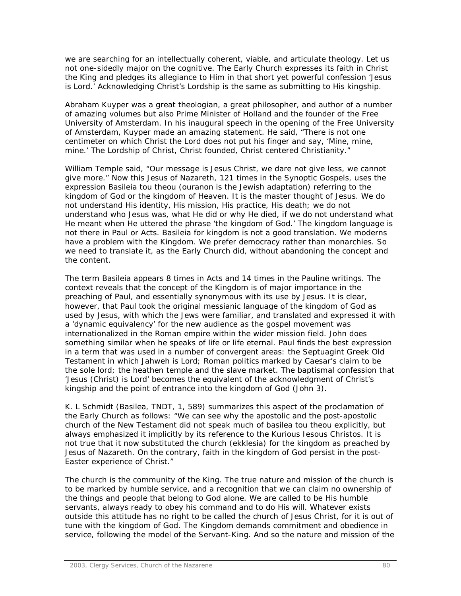we are searching for an intellectually coherent, viable, and articulate theology. Let us not one-sidedly major on the cognitive. The Early Church expresses its faith in Christ the King and pledges its allegiance to Him in that short yet powerful confession 'Jesus is Lord.' Acknowledging Christ's Lordship is the same as submitting to His kingship.

Abraham Kuyper was a great theologian, a great philosopher, and author of a number of amazing volumes but also Prime Minister of Holland and the founder of the Free University of Amsterdam. In his inaugural speech in the opening of the Free University of Amsterdam, Kuyper made an amazing statement. He said, "There is not one centimeter on which Christ the Lord does not put his finger and say, 'Mine, mine, mine.' The Lordship of Christ, Christ founded, Christ centered Christianity."

William Temple said, "Our message is Jesus Christ, we dare not give less, we cannot give more." Now this Jesus of Nazareth, 121 times in the Synoptic Gospels, uses the expression *Basileia tou theou* (*ouranon* is the Jewish adaptation) referring to the kingdom of God or the kingdom of Heaven. It is the master thought of Jesus. We do not understand His identity, His mission, His practice, His death; we do not understand who Jesus was, what He did or why He died, if we do not understand what He meant when He uttered the phrase 'the kingdom of God.' The kingdom language is not there in Paul or Acts. *Basileia* for kingdom is not a good translation. We moderns have a problem with the Kingdom. We prefer democracy rather than monarchies. So we need to translate it, as the Early Church did, without abandoning the concept and the content.

The term *Basileia* appears 8 times in Acts and 14 times in the Pauline writings. The context reveals that the concept of the Kingdom is of major importance in the preaching of Paul, and essentially synonymous with its use by Jesus. It is clear, however, that Paul took the original messianic language of the kingdom of God as used by Jesus, with which the Jews were familiar, and translated and expressed it with a 'dynamic equivalency' for the new audience as the gospel movement was internationalized in the Roman empire within the wider mission field. John does something similar when he speaks of life or life eternal. Paul finds the best expression in a term that was used in a number of convergent areas: the Septuagint Greek Old Testament in which Jahweh is Lord; Roman politics marked by Caesar's claim to be the sole lord; the heathen temple and the slave market. The baptismal confession that 'Jesus (Christ) is Lord' becomes the equivalent of the acknowledgment of Christ's kingship and the point of entrance into the kingdom of God (John 3).

K. L Schmidt (*Basilea*, TNDT, 1, 589) summarizes this aspect of the proclamation of the Early Church as follows: "We can see why the apostolic and the post-apostolic church of the New Testament did not speak much of *basilea tou theou* explicitly, but always emphasized it implicitly by its reference to the *Kurious Iesous Christos*. It is not true that it now substituted the church (*ekklesia*) for the kingdom as preached by Jesus of Nazareth. On the contrary, faith in the kingdom of God persist in the post-Easter experience of Christ."

The church is the community of the King. The true nature and mission of the church is to be marked by humble service, and a recognition that we can claim no ownership of the things and people that belong to God alone. We are called to be His humble servants, always ready to obey his command and to do His will. Whatever exists outside this attitude has no right to be called the church of Jesus Christ, for it is out of tune with the kingdom of God. The Kingdom demands commitment and obedience in service, following the model of the Servant-King. And so the nature and mission of the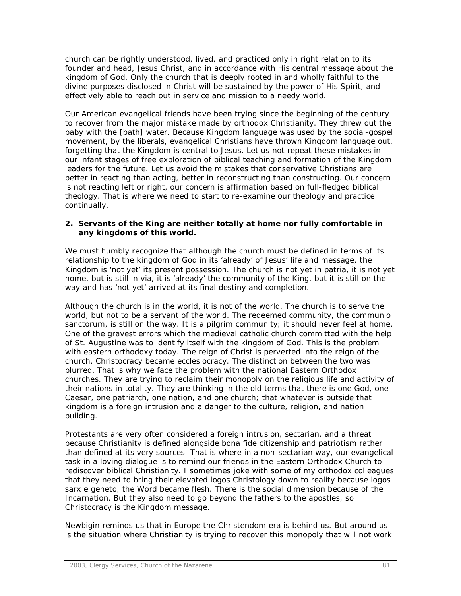church can be rightly understood, lived, and practiced only in right relation to its founder and head, Jesus Christ, and in accordance with His central message about the kingdom of God. Only the church that is deeply rooted in and wholly faithful to the divine purposes disclosed in Christ will be sustained by the power of His Spirit, and effectively able to reach out in service and mission to a needy world.

Our American evangelical friends have been trying since the beginning of the century to recover from the major mistake made by orthodox Christianity. They threw out the baby with the [bath] water. Because Kingdom language was used by the social-gospel movement, by the liberals, evangelical Christians have thrown Kingdom language out, forgetting that the Kingdom is central to Jesus. Let us not repeat these mistakes in our infant stages of free exploration of biblical teaching and formation of the Kingdom leaders for the future. Let us avoid the mistakes that conservative Christians are better in reacting than acting, better in reconstructing than constructing. Our concern is not reacting left or right, our concern is affirmation based on full-fledged biblical theology. That is where we need to start to re-examine our theology and practice continually.

### **2. Servants of the King are neither totally at home nor fully comfortable in any kingdoms of this world.**

We must humbly recognize that although the church must be defined in terms of its relationship to the kingdom of God in its 'already' of Jesus' life and message, the Kingdom is 'not yet' its present possession. The church is not yet in *patria*, it is not yet home, but is still in *via,* it is 'already' the community of the King, but it is still on the way and has 'not yet' arrived at its final destiny and completion.

Although the church is in the world, it is not of the world. The church is to serve the world, but not to be a servant of the world. The redeemed community, the *communio sanctorum,* is still on the way. It is a pilgrim community; it should never feel at home. One of the gravest errors which the medieval catholic church committed with the help of St. Augustine was to identify itself with the kingdom of God. This is the problem with eastern orthodoxy today. The reign of Christ is perverted into the reign of the church. Christocracy became ecclesiocracy. The distinction between the two was blurred. That is why we face the problem with the national Eastern Orthodox churches. They are trying to reclaim their monopoly on the religious life and activity of their nations in totality. They are thinking in the old terms that there is one God, one Caesar, one patriarch, one nation, and one church; that whatever is outside that kingdom is a foreign intrusion and a danger to the culture, religion, and nation building.

Protestants are very often considered a foreign intrusion, sectarian, and a threat because Christianity is defined alongside bona fide citizenship and patriotism rather than defined at its very sources. That is where in a non-sectarian way, our evangelical task in a loving dialogue is to remind our friends in the Eastern Orthodox Church to rediscover biblical Christianity. I sometimes joke with some of my orthodox colleagues that they need to bring their elevated *logos* Christology down to reality because *logos sarx e geneto,* the Word became flesh. There is the social dimension because of the Incarnation. But they also need to go beyond the fathers to the apostles, so Christocracy is the Kingdom message.

Newbigin reminds us that in Europe the Christendom era is behind us. But around us is the situation where Christianity is trying to recover this monopoly that will not work.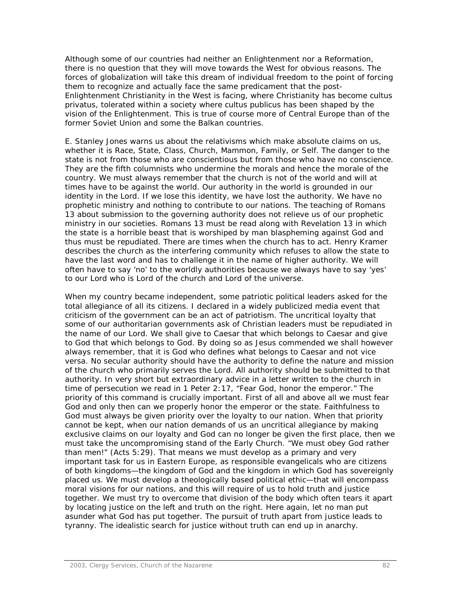Although some of our countries had neither an Enlightenment nor a Reformation, there is no question that they will move towards the West for obvious reasons. The forces of globalization will take this dream of individual freedom to the point of forcing them to recognize and actually face the same predicament that the post-Enlightenment Christianity in the West is facing, where Christianity has become *cultus privatus,* tolerated within a society where *cultus publicus* has been shaped by the vision of the Enlightenment. This is true of course more of Central Europe than of the former Soviet Union and some the Balkan countries.

E. Stanley Jones warns us about the relativisms which make absolute claims on us, whether it is Race, State, Class, Church, Mammon, Family, or Self. The danger to the state is not from those who are conscientious but from those who have no conscience. They are the fifth columnists who undermine the morals and hence the morale of the country. We must always remember that the church is not of the world and will at times have to be against the world. Our authority in the world is grounded in our identity in the Lord. If we lose this identity, we have lost the authority. We have no prophetic ministry and nothing to contribute to our nations. The teaching of Romans 13 about submission to the governing authority does not relieve us of our prophetic ministry in our societies. Romans 13 must be read along with Revelation 13 in which the state is a horrible beast that is worshiped by man blaspheming against God and thus must be repudiated. There are times when the church has to act. Henry Kramer describes the church as the interfering community which refuses to allow the state to have the last word and has to challenge it in the name of higher authority. We will often have to say 'no' to the worldly authorities because we always have to say 'yes' to our Lord who is Lord of the church and Lord of the universe.

When my country became independent, some patriotic political leaders asked for the total allegiance of all its citizens. I declared in a widely publicized media event that criticism of the government can be an act of patriotism. The uncritical loyalty that some of our authoritarian governments ask of Christian leaders must be repudiated in the name of our Lord. We shall give to Caesar that which belongs to Caesar and give to God that which belongs to God. By doing so as Jesus commended we shall however always remember, that it is God who defines what belongs to Caesar and not vice versa. No secular authority should have the authority to define the nature and mission of the church who primarily serves the Lord. All authority should be submitted to that authority. In very short but extraordinary advice in a letter written to the church in time of persecution we read in 1 Peter 2:17, "Fear God, honor the emperor." The priority of this command is crucially important. First of all and above all we must fear God and only then can we properly honor the emperor or the state. Faithfulness to God must always be given priority over the loyalty to our nation. When that priority cannot be kept, when our nation demands of us an uncritical allegiance by making exclusive claims on our loyalty and God can no longer be given the first place, then we must take the uncompromising stand of the Early Church. "We must obey God rather than men!" (Acts 5:29). That means we must develop as a primary and very important task for us in Eastern Europe, as responsible evangelicals who are citizens of both kingdoms—the kingdom of God and the kingdom in which God has sovereignly placed us. We must develop a theologically based political ethic—that will encompass moral visions for our nations, and this will require of us to hold truth and justice together. We must try to overcome that division of the body which often tears it apart by locating justice on the left and truth on the right. Here again, let no man put asunder what God has put together. The pursuit of truth apart from justice leads to tyranny. The idealistic search for justice without truth can end up in anarchy.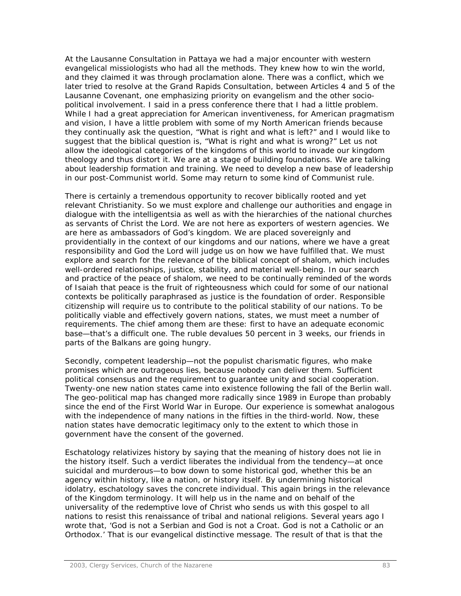At the Lausanne Consultation in Pattaya we had a major encounter with western evangelical missiologists who had all the methods. They knew how to win the world, and they claimed it was through proclamation alone. There was a conflict, which we later tried to resolve at the Grand Rapids Consultation, between Articles 4 and 5 of the Lausanne Covenant, one emphasizing priority on evangelism and the other sociopolitical involvement. I said in a press conference there that I had a little problem. While I had a great appreciation for American inventiveness, for American pragmatism and vision, I have a little problem with some of my North American friends because they continually ask the question, "What is right and what is left?" and I would like to suggest that the biblical question is, "What is right and what is wrong?" Let us not allow the ideological categories of the kingdoms of this world to invade our kingdom theology and thus distort it. We are at a stage of building foundations. We are talking about leadership formation and training. We need to develop a new base of leadership in our post-Communist world. Some may return to some kind of Communist rule.

There is certainly a tremendous opportunity to recover biblically rooted and yet relevant Christianity. So we must explore and challenge our authorities and engage in dialogue with the intelligentsia as well as with the hierarchies of the national churches as servants of Christ the Lord. We are not here as exporters of western agencies. We are here as ambassadors of God's kingdom. We are placed sovereignly and providentially in the context of our kingdoms and our nations, where we have a great responsibility and God the Lord will judge us on how we have fulfilled that. We must explore and search for the relevance of the biblical concept of *shalom,* which includes well-ordered relationships, justice, stability, and material well-being. In our search and practice of the peace of *shalom,* we need to be continually reminded of the words of Isaiah that peace is the fruit of righteousness which could for some of our national contexts be politically paraphrased as justice is the foundation of order. Responsible citizenship will require us to contribute to the political stability of our nations. To be politically viable and effectively govern nations, states, we must meet a number of requirements. The chief among them are these: first to have an adequate economic base—that's a difficult one. The ruble devalues 50 percent in 3 weeks, our friends in parts of the Balkans are going hungry.

Secondly, competent leadership—not the populist charismatic figures, who make promises which are outrageous lies, because nobody can deliver them. Sufficient political consensus and the requirement to guarantee unity and social cooperation. Twenty-one new nation states came into existence following the fall of the Berlin wall. The geo-political map has changed more radically since 1989 in Europe than probably since the end of the First World War in Europe. Our experience is somewhat analogous with the independence of many nations in the fifties in the third-world. Now, these nation states have democratic legitimacy only to the extent to which those in government have the consent of the governed.

Eschatology relativizes history by saying that the meaning of history does not lie in the history itself. Such a verdict liberates the individual from the tendency—at once suicidal and murderous—to bow down to some historical god, whether this be an agency within history, like a nation, or history itself. By undermining historical idolatry, eschatology saves the concrete individual. This again brings in the relevance of the Kingdom terminology. It will help us in the name and on behalf of the universality of the redemptive love of Christ who sends us with this gospel to all nations to resist this renaissance of tribal and national religions. Several years ago I wrote that, 'God is not a Serbian and God is not a Croat. God is not a Catholic or an Orthodox.' That is our evangelical distinctive message. The result of that is that the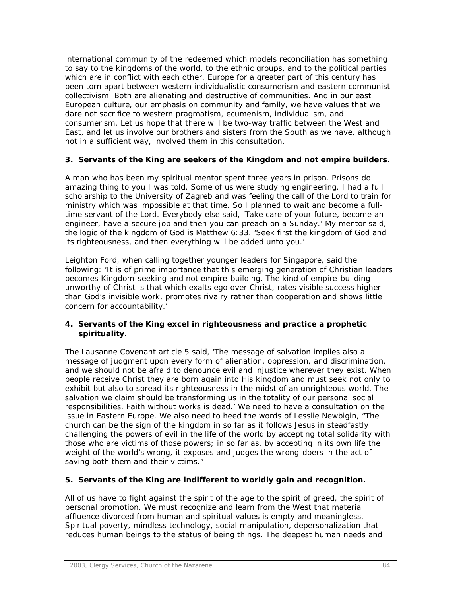international community of the redeemed which models reconciliation has something to say to the kingdoms of the world, to the ethnic groups, and to the political parties which are in conflict with each other. Europe for a greater part of this century has been torn apart between western individualistic consumerism and eastern communist collectivism. Both are alienating and destructive of communities. And in our east European culture, our emphasis on community and family, we have values that we dare not sacrifice to western pragmatism, ecumenism, individualism, and consumerism. Let us hope that there will be two-way traffic between the West and East, and let us involve our brothers and sisters from the South as we have, although not in a sufficient way, involved them in this consultation.

### **3. Servants of the King are seekers of the Kingdom and not empire builders.**

A man who has been my spiritual mentor spent three years in prison. Prisons do amazing thing to you I was told. Some of us were studying engineering. I had a full scholarship to the University of Zagreb and was feeling the call of the Lord to train for ministry which was impossible at that time. So I planned to wait and become a fulltime servant of the Lord. Everybody else said, 'Take care of your future, become an engineer, have a secure job and then you can preach on a Sunday.' My mentor said, the logic of the kingdom of God is Matthew 6:33. 'Seek first the kingdom of God and its righteousness, and then everything will be added unto you.'

Leighton Ford, when calling together younger leaders for Singapore, said the following: 'It is of prime importance that this emerging generation of Christian leaders becomes Kingdom-seeking and not empire-building. The kind of empire-building unworthy of Christ is that which exalts ego over Christ, rates visible success higher than God's invisible work, promotes rivalry rather than cooperation and shows little concern for accountability.'

### **4. Servants of the King excel in righteousness and practice a prophetic spirituality.**

The Lausanne Covenant article 5 said, 'The message of salvation implies also a message of judgment upon every form of alienation, oppression, and discrimination, and we should not be afraid to denounce evil and injustice wherever they exist. When people receive Christ they are born again into His kingdom and must seek not only to exhibit but also to spread its righteousness in the midst of an unrighteous world. The salvation we claim should be transforming us in the totality of our personal social responsibilities. Faith without works is dead.' We need to have a consultation on the issue in Eastern Europe. We also need to heed the words of Lesslie Newbigin, "The church can be the sign of the kingdom in so far as it follows Jesus in steadfastly challenging the powers of evil in the life of the world by accepting total solidarity with those who are victims of those powers; in so far as, by accepting in its own life the weight of the world's wrong, it exposes and judges the wrong-doers in the act of saving both them and their victims."

### **5. Servants of the King are indifferent to worldly gain and recognition.**

All of us have to fight against the spirit of the age to the spirit of greed, the spirit of personal promotion. We must recognize and learn from the West that material affluence divorced from human and spiritual values is empty and meaningless. Spiritual poverty, mindless technology, social manipulation, depersonalization that reduces human beings to the status of being things. The deepest human needs and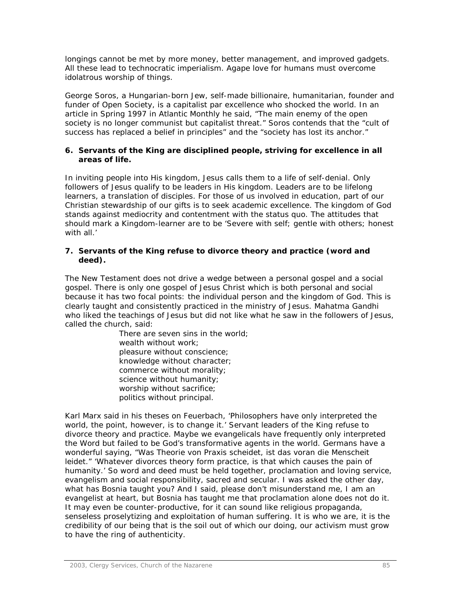longings cannot be met by more money, better management, and improved gadgets. All these lead to technocratic imperialism. Agape love for humans must overcome idolatrous worship of things.

George Soros, a Hungarian-born Jew, self-made billionaire, humanitarian, founder and funder of Open Society, is a capitalist par excellence who shocked the world. In an article in Spring 1997 in *Atlantic Monthly* he said, "The main enemy of the open society is no longer communist but capitalist threat." Soros contends that the "cult of success has replaced a belief in principles" and the "society has lost its anchor."

### **6. Servants of the King are disciplined people, striving for excellence in all areas of life.**

In inviting people into His kingdom, Jesus calls them to a life of self-denial. Only followers of Jesus qualify to be leaders in His kingdom. Leaders are to be lifelong learners, a translation of disciples. For those of us involved in education, part of our Christian stewardship of our gifts is to seek academic excellence. The kingdom of God stands against mediocrity and contentment with the status quo. The attitudes that should mark a Kingdom-learner are to be 'Severe with self; gentle with others; honest with all.'

### **7. Servants of the King refuse to divorce theory and practice (word and deed).**

The New Testament does not drive a wedge between a personal gospel and a social gospel. There is only one gospel of Jesus Christ which is both personal and social because it has two focal points: the individual person and the kingdom of God. This is clearly taught and consistently practiced in the ministry of Jesus. Mahatma Gandhi who liked the teachings of Jesus but did not like what he saw in the followers of Jesus, called the church, said:

> There are seven sins in the world; wealth without work; pleasure without conscience; knowledge without character; commerce without morality; science without humanity; worship without sacrifice; politics without principal.

Karl Marx said in his theses on Feuerbach, 'Philosophers have only interpreted the world, the point, however, is to change it.' Servant leaders of the King refuse to divorce theory and practice. Maybe we evangelicals have frequently only interpreted the Word but failed to be God's transformative agents in the world. Germans have a wonderful saying, "*Was Theorie von Praxis scheidet, ist das voran die Menscheit leidet."* 'Whatever divorces theory form practice, is that which causes the pain of humanity.' So word and deed must be held together, proclamation and loving service, evangelism and social responsibility, sacred and secular. I was asked the other day, what has Bosnia taught you? And I said, please don't misunderstand me, I am an evangelist at heart, but Bosnia has taught me that proclamation alone does not do it. It may even be counter-productive, for it can sound like religious propaganda, senseless proselytizing and exploitation of human suffering. It is who we are, it is the credibility of our being that is the soil out of which our doing, our activism must grow to have the ring of authenticity.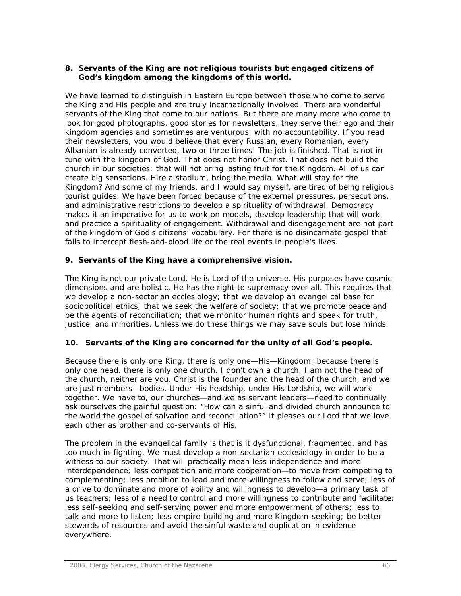### **8. Servants of the King are not religious tourists but engaged citizens of God's kingdom among the kingdoms of this world.**

We have learned to distinguish in Eastern Europe between those who come to serve the King and His people and are truly incarnationally involved. There are wonderful servants of the King that come to our nations. But there are many more who come to look for good photographs, good stories for newsletters, they serve their ego and their kingdom agencies and sometimes are venturous, with no accountability. If you read their newsletters, you would believe that every Russian, every Romanian, every Albanian is already converted, two or three times! The job is finished. That is not in tune with the kingdom of God. That does not honor Christ. That does not build the church in our societies; that will not bring lasting fruit for the Kingdom. All of us can create big sensations. Hire a stadium, bring the media. What will stay for the Kingdom? And some of my friends, and I would say myself, are tired of being religious tourist guides. We have been forced because of the external pressures, persecutions, and administrative restrictions to develop a spirituality of withdrawal. Democracy makes it an imperative for us to work on models, develop leadership that will work and practice a spirituality of engagement. Withdrawal and disengagement are not part of the kingdom of God's citizens' vocabulary. For there is no disincarnate gospel that fails to intercept flesh-and-blood life or the real events in people's lives.

### **9. Servants of the King have a comprehensive vision.**

The King is not our private Lord. He is Lord of the universe. His purposes have cosmic dimensions and are holistic. He has the right to supremacy over all. This requires that we develop a non-sectarian ecclesiology; that we develop an evangelical base for sociopolitical ethics; that we seek the welfare of society; that we promote peace and be the agents of reconciliation; that we monitor human rights and speak for truth, justice, and minorities. Unless we do these things we may save souls but lose minds.

### **10. Servants of the King are concerned for the unity of all God's people.**

Because there is only one King, there is only one—His—Kingdom; because there is only one head, there is only one church. I don't own a church, I am not the head of the church, neither are you. Christ is the founder and the head of the church, and we are just members—bodies. Under His headship, under His Lordship, we will work together. We have to, our churches—and we as servant leaders—need to continually ask ourselves the painful question: "How can a sinful and divided church announce to the world the gospel of salvation and reconciliation?" It pleases our Lord that we love each other as brother and co-servants of His.

The problem in the evangelical family is that is it dysfunctional, fragmented, and has too much in-fighting. We must develop a non-sectarian ecclesiology in order to be a witness to our society. That will practically mean less independence and more interdependence; less competition and more cooperation—to move from competing to complementing; less ambition to lead and more willingness to follow and serve; less of a drive to dominate and more of ability and willingness to develop—a primary task of us teachers; less of a need to control and more willingness to contribute and facilitate; less self-seeking and self-serving power and more empowerment of others; less to talk and more to listen; less empire-building and more Kingdom-seeking; be better stewards of resources and avoid the sinful waste and duplication in evidence everywhere.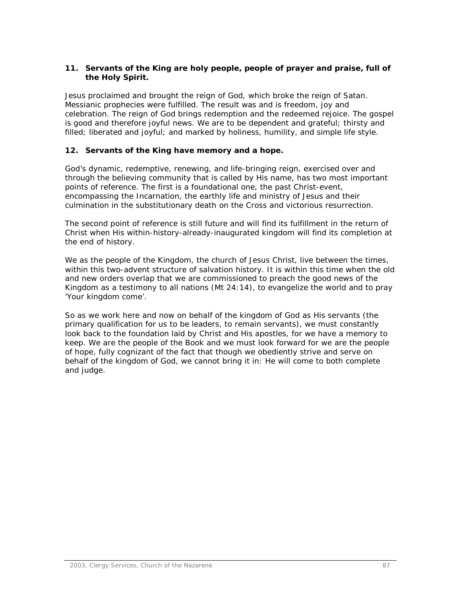### **11. Servants of the King are holy people, people of prayer and praise, full of the Holy Spirit.**

Jesus proclaimed and brought the reign of God, which broke the reign of Satan. Messianic prophecies were fulfilled. The result was and is freedom, joy and celebration. The reign of God brings redemption and the redeemed rejoice. The gospel is good and therefore joyful news. We are to be dependent and grateful; thirsty and filled; liberated and joyful; and marked by holiness, humility, and simple life style.

### **12. Servants of the King have memory and a hope.**

God's dynamic, redemptive, renewing, and life-bringing reign, exercised over and through the believing community that is called by His name, has two most important points of reference. The first is a foundational one, the past Christ-event, encompassing the Incarnation, the earthly life and ministry of Jesus and their culmination in the substitutionary death on the Cross and victorious resurrection.

The second point of reference is still future and will find its fulfillment in the return of Christ when His within-history-already-inaugurated kingdom will find its completion at the end of history.

We as the people of the Kingdom, the church of Jesus Christ, live between the times, within this two-advent structure of salvation history. It is within this time when the old and new orders overlap that we are commissioned to preach the good news of the Kingdom as a testimony to all nations (Mt 24:14), to evangelize the world and to pray 'Your kingdom come'.

So as we work here and now on behalf of the kingdom of God as His servants (the primary qualification for us to be leaders, to remain servants), we must constantly look back to the foundation laid by Christ and His apostles, for we have a memory to keep. We are the people of the Book and we must look forward for we are the people of hope, fully cognizant of the fact that though we obediently strive and serve on behalf of the kingdom of God, we cannot bring it in: He will come to both complete and judge.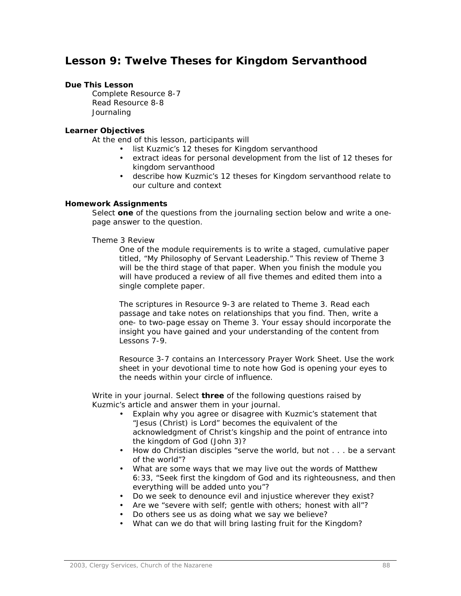### **Lesson 9: Twelve Theses for Kingdom Servanthood**

#### **Due This Lesson**

Complete Resource 8-7 Read Resource 8-8 Journaling

#### **Learner Objectives**

At the end of this lesson, participants will

- list Kuzmic's 12 theses for Kingdom servanthood
- extract ideas for personal development from the list of 12 theses for kingdom servanthood
- describe how Kuzmic's 12 theses for Kingdom servanthood relate to our culture and context

#### **Homework Assignments**

Select **one** of the questions from the journaling section below and write a onepage answer to the question.

#### Theme 3 Review

One of the module requirements is to write a staged, cumulative paper titled, "My Philosophy of Servant Leadership." This review of Theme 3 will be the third stage of that paper. When you finish the module you will have produced a review of all five themes and edited them into a single complete paper.

The scriptures in Resource 9-3 are related to Theme 3. Read each passage and take notes on relationships that you find. Then, write a one- to two-page essay on Theme 3. Your essay should incorporate the insight you have gained and your understanding of the content from Lessons 7-9.

Resource 3-7 contains an Intercessory Prayer Work Sheet. Use the work sheet in your devotional time to note how God is opening your eyes to the needs within your circle of influence.

Write in your journal. Select **three** of the following questions raised by Kuzmic's article and answer them in your journal.

- Explain why you agree or disagree with Kuzmic's statement that "Jesus (Christ) is Lord" becomes the equivalent of the acknowledgment of Christ's kingship and the point of entrance into the kingdom of God (John 3)?
- How do Christian disciples "serve the world, but not . . . be a servant of the world"?
- What are some ways that we may live out the words of Matthew 6:33, "Seek first the kingdom of God and its righteousness, and then everything will be added unto you"?
- Do we seek to denounce evil and injustice wherever they exist?
- Are we "severe with self; gentle with others; honest with all"?
- Do others see us as doing what we say we believe?
- What can we do that will bring lasting fruit for the Kingdom?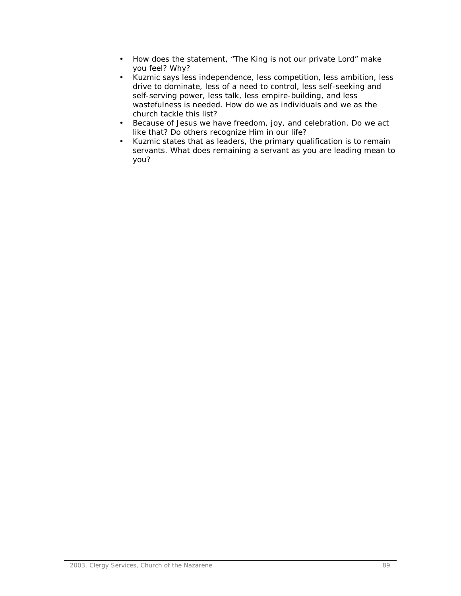- How does the statement, "The King is not our private Lord" make you feel? Why?
- Kuzmic says less independence, less competition, less ambition, less drive to dominate, less of a need to control, less self-seeking and self-serving power, less talk, less empire-building, and less wastefulness is needed. How do we as individuals and we as the church tackle this list?
- Because of Jesus we have freedom, joy, and celebration. Do we act like that? Do others recognize Him in our life?
- Kuzmic states that as leaders, the primary qualification is to remain servants. What does remaining a servant as you are leading mean to you?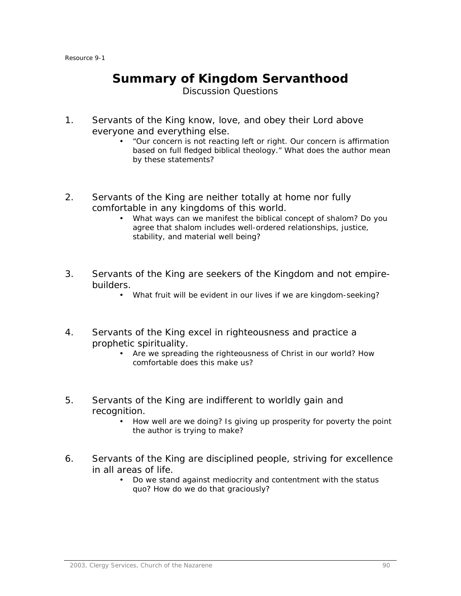# **Summary of Kingdom Servanthood**

Discussion Questions

- 1. Servants of the King know, love, and obey their Lord above everyone and everything else.
	- "Our concern is not reacting left or right. Our concern is affirmation based on full fledged biblical theology." What does the author mean by these statements?
- 2. Servants of the King are neither totally at home nor fully comfortable in any kingdoms of this world.
	- What ways can we manifest the biblical concept of shalom? Do you agree that shalom includes well-ordered relationships, justice, stability, and material well being?
- 3. Servants of the King are seekers of the Kingdom and not empirebuilders.
	- What fruit will be evident in our lives if we are kingdom-seeking?
- 4. Servants of the King excel in righteousness and practice a prophetic spirituality.
	- Are we spreading the righteousness of Christ in our world? How comfortable does this make us?
- 5. Servants of the King are indifferent to worldly gain and recognition.
	- How well are we doing? Is giving up prosperity for poverty the point the author is trying to make?
- 6. Servants of the King are disciplined people, striving for excellence in all areas of life.
	- Do we stand against mediocrity and contentment with the status quo? How do we do that graciously?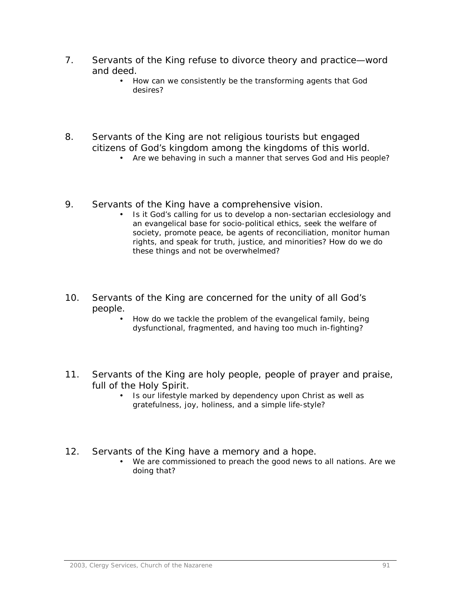- 7. Servants of the King refuse to divorce theory and practice—word and deed.
	- How can we consistently be the transforming agents that God desires?
- 8. Servants of the King are not religious tourists but engaged citizens of God's kingdom among the kingdoms of this world. • Are we behaving in such a manner that serves God and His people?
	-
- 9. Servants of the King have a comprehensive vision.
	- Is it God's calling for us to develop a non-sectarian ecclesiology and an evangelical base for socio-political ethics, seek the welfare of society, promote peace, be agents of reconciliation, monitor human rights, and speak for truth, justice, and minorities? How do we do these things and not be overwhelmed?
- 10. Servants of the King are concerned for the unity of all God's people.
	- How do we tackle the problem of the evangelical family, being dysfunctional, fragmented, and having too much in-fighting?
- 11. Servants of the King are holy people, people of prayer and praise, full of the Holy Spirit.
	- Is our lifestyle marked by dependency upon Christ as well as gratefulness, joy, holiness, and a simple life-style?
- 12. Servants of the King have a memory and a hope.
	- We are commissioned to preach the good news to all nations. Are we doing that?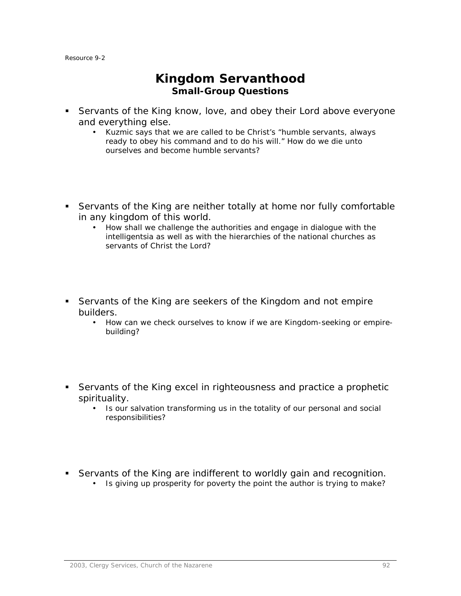Resource 9-2

### **Kingdom Servanthood Small-Group Questions**

- Servants of the King know, love, and obey their Lord above everyone and everything else.
	- Kuzmic says that we are called to be Christ's "humble servants, always ready to obey his command and to do his will." How do we die unto ourselves and become humble servants?
- & Servants of the King are neither totally at home nor fully comfortable in any kingdom of this world.
	- How shall we challenge the authorities and engage in dialogue with the intelligentsia as well as with the hierarchies of the national churches as servants of Christ the Lord?
- & Servants of the King are seekers of the Kingdom and not empire builders.
	- How can we check ourselves to know if we are Kingdom-seeking or empirebuilding?
- & Servants of the King excel in righteousness and practice a prophetic spirituality.
	- Is our salvation transforming us in the totality of our personal and social responsibilities?
- & Servants of the King are indifferent to worldly gain and recognition.
	- Is giving up prosperity for poverty the point the author is trying to make?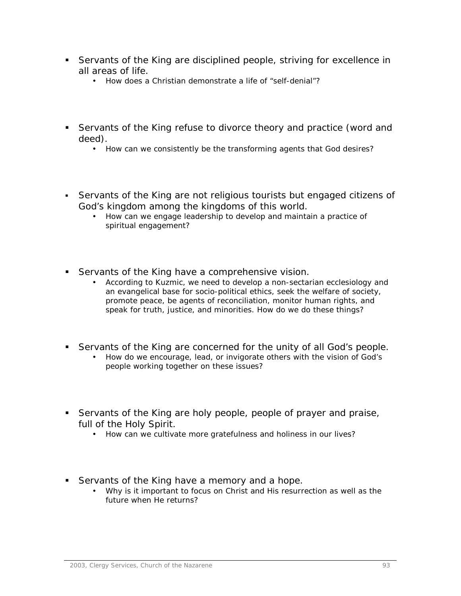- & Servants of the King are disciplined people, striving for excellence in all areas of life.
	- How does a Christian demonstrate a life of "self-denial"?
- & Servants of the King refuse to divorce theory and practice (word and deed).
	- How can we consistently be the transforming agents that God desires?
- & Servants of the King are not religious tourists but engaged citizens of God's kingdom among the kingdoms of this world.
	- How can we engage leadership to develop and maintain a practice of spiritual engagement?
- Servants of the King have a comprehensive vision.
	- According to Kuzmic, we need to develop a non-sectarian ecclesiology and an evangelical base for socio-political ethics, seek the welfare of society, promote peace, be agents of reconciliation, monitor human rights, and speak for truth, justice, and minorities. How do we do these things?
- Servants of the King are concerned for the unity of all God's people.
	- How do we encourage, lead, or invigorate others with the vision of God's people working together on these issues?
- & Servants of the King are holy people, people of prayer and praise, full of the Holy Spirit.
	- How can we cultivate more gratefulness and holiness in our lives?
- Servants of the King have a memory and a hope.
	- Why is it important to focus on Christ and His resurrection as well as the future when He returns?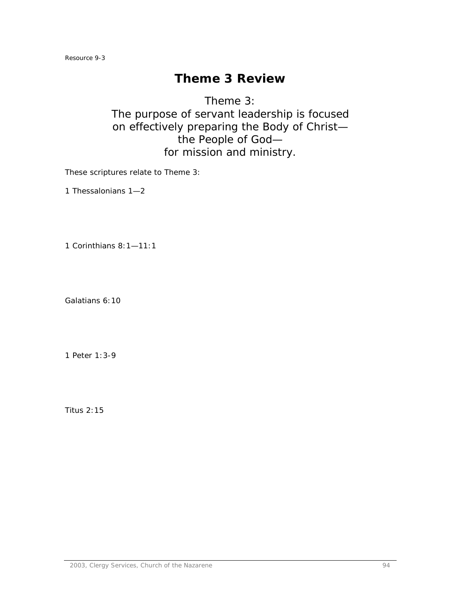### **Theme 3 Review**

Theme 3: The *purpose* of servant leadership is focused on effectively preparing the Body of Christ the People of God for mission and ministry.

These scriptures relate to Theme 3:

1 Thessalonians 1—2

1 Corinthians 8:1—11:1

Galatians 6:10

1 Peter 1:3-9

Titus 2:15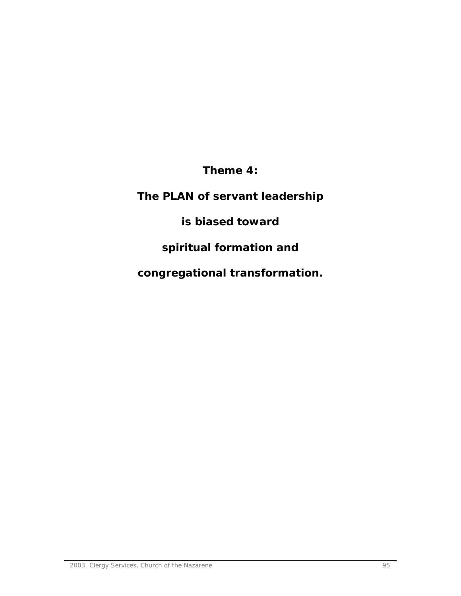*Theme 4:*

*The PLAN of servant leadership is biased toward spiritual formation and congregational transformation.*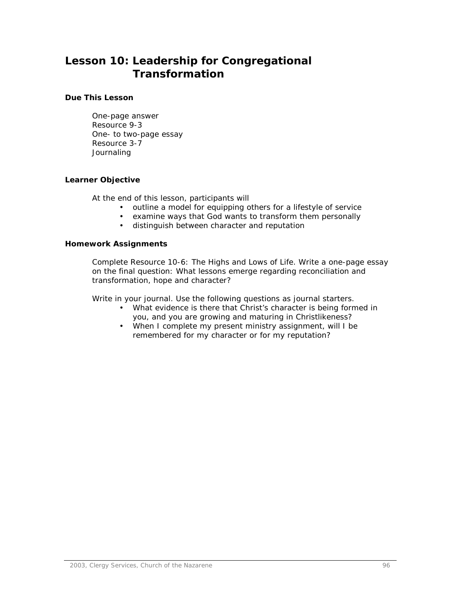### **Lesson 10: Leadership for Congregational Transformation**

### **Due This Lesson**

One-page answer Resource 9-3 One- to two-page essay Resource 3-7 Journaling

### **Learner Objective**

At the end of this lesson, participants will

- outline a model for equipping others for a lifestyle of service
- examine ways that God wants to transform them personally
	- distinguish between character and reputation

### **Homework Assignments**

Complete Resource 10-6: The Highs and Lows of Life. Write a one-page essay on the final question: What lessons emerge regarding reconciliation and transformation, hope and character?

Write in your journal. Use the following questions as journal starters.

- What evidence is there that Christ's character is being formed in you, and you are growing and maturing in Christlikeness?
- When I complete my present ministry assignment, will I be remembered for my character or for my reputation?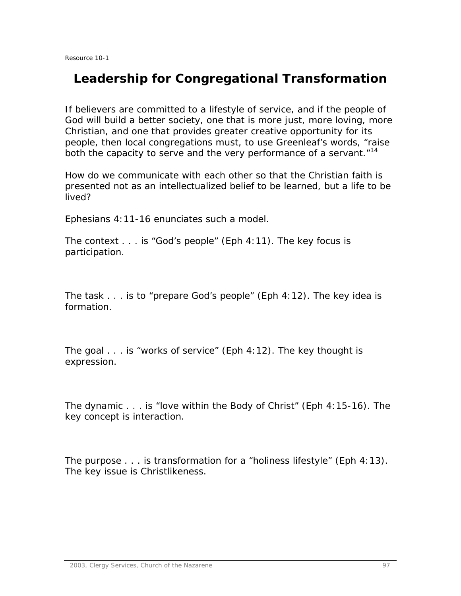# **Leadership for Congregational Transformation**

If believers are committed to a lifestyle of service, and if the people of God will build a better society, one that is more just, more loving, more Christian, and one that provides greater creative opportunity for its people, then local congregations must, to use Greenleaf's words, "raise both the capacity to serve and the very performance of a servant. $14^{\circ}$ 

How do we communicate with each other so that the Christian faith is presented not as an intellectualized belief to be learned, but a life to be lived?

Ephesians 4:11-16 enunciates such a model.

*The context . . .* is "God's people" (Eph 4:11). The key focus is participation.

*The task . . .* is to "prepare God's people" (Eph 4:12). The key idea is formation.

*The goal . . .* is "works of service" (Eph 4:12). The key thought is expression.

*The dynamic . . .* is "love within the Body of Christ" (Eph 4:15-16). The key concept is interaction.

*The purpose . . .* is transformation for a "holiness lifestyle" (Eph 4:13). The key issue is Christlikeness.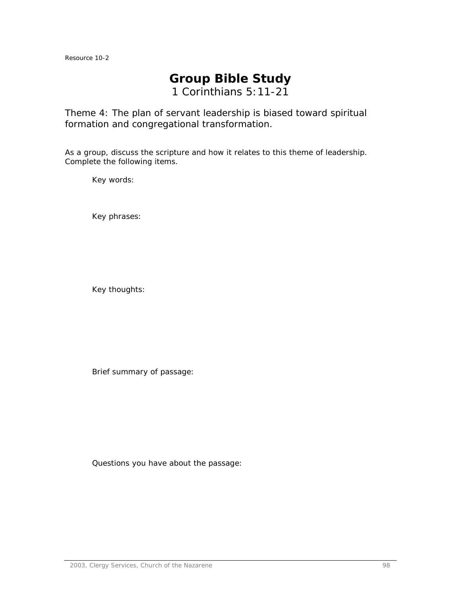# **Group Bible Study**

1 Corinthians 5:11-21

Theme 4: The *plan* of servant leadership is biased toward spiritual formation and congregational transformation.

As a group, discuss the scripture and how it relates to this theme of leadership. Complete the following items.

Key words:

Key phrases:

Key thoughts:

Brief summary of passage:

Questions you have about the passage: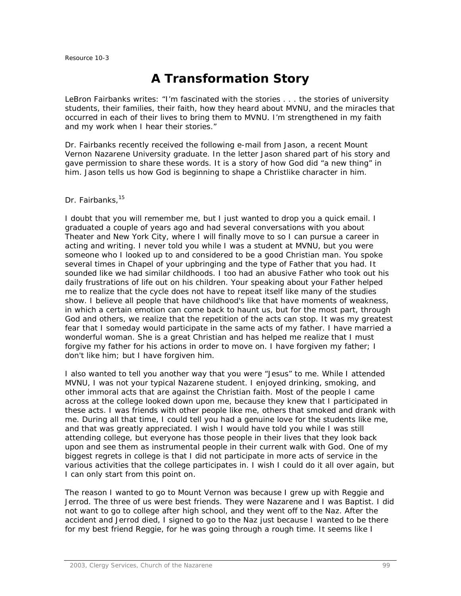# **A Transformation Story**

LeBron Fairbanks writes: "I'm fascinated with the stories . . . the stories of university students, their families, their faith, how they heard about MVNU, and the miracles that occurred in each of their lives to bring them to MVNU. I'm strengthened in my faith and my work when I hear their stories."

Dr. Fairbanks recently received the following e-mail from Jason, a recent Mount Vernon Nazarene University graduate. In the letter Jason shared part of his story and gave permission to share these words. It is a story of how God did "a new thing" in him. Jason tells us how God is beginning to shape a Christlike character in him.

### *Dr. Fairbanks,<sup>15</sup>*

*I doubt that you will remember me, but I just wanted to drop you a quick email. I graduated a couple of years ago and had several conversations with you about Theater and New York City, where I will finally move to so I can pursue a career in acting and writing. I never told you while I was a student at MVNU, but you were someone who I looked up to and considered to be a good Christian man. You spoke several times in Chapel of your upbringing and the type of Father that you had. It sounded like we had similar childhoods. I too had an abusive Father who took out his daily frustrations of life out on his children. Your speaking about your Father helped me to realize that the cycle does not have to repeat itself like many of the studies show. I believe all people that have childhood's like that have moments of weakness, in which a certain emotion can come back to haunt us, but for the most part, through God and others, we realize that the repetition of the acts can stop. It was my greatest fear that I someday would participate in the same acts of my father. I have married a wonderful woman. She is a great Christian and has helped me realize that I must forgive my father for his actions in order to move on. I have forgiven my father; I don't like him; but I have forgiven him.*

*I also wanted to tell you another way that you were "Jesus" to me. While I attended MVNU, I was not your typical Nazarene student. I enjoyed drinking, smoking, and other immoral acts that are against the Christian faith. Most of the people I came across at the college looked down upon me, because they knew that I participated in these acts. I was friends with other people like me, others that smoked and drank with me. During all that time, I could tell you had a genuine love for the students like me, and that was greatly appreciated. I wish I would have told you while I was still attending college, but everyone has those people in their lives that they look back upon and see them as instrumental people in their current walk with God. One of my biggest regrets in college is that I did not participate in more acts of service in the various activities that the college participates in. I wish I could do it all over again, but I can only start from this point on.*

*The reason I wanted to go to Mount Vernon was because I grew up with Reggie and Jerrod. The three of us were best friends. They were Nazarene and I was Baptist. I did not want to go to college after high school, and they went off to the Naz. After the accident and Jerrod died, I signed to go to the Naz just because I wanted to be there for my best friend Reggie, for he was going through a rough time. It seems like I*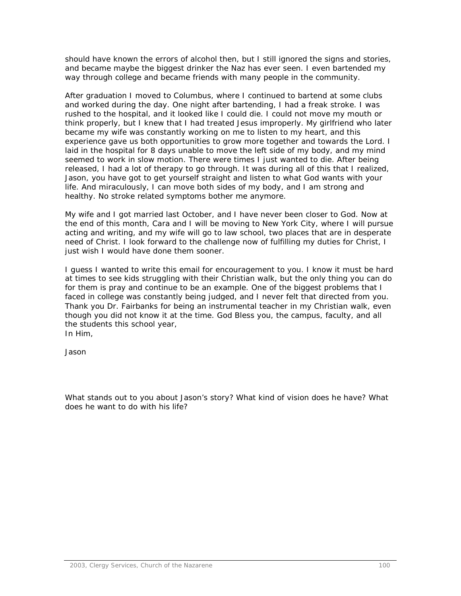*should have known the errors of alcohol then, but I still ignored the signs and stories, and became maybe the biggest drinker the Naz has ever seen. I even bartended my way through college and became friends with many people in the community.*

*After graduation I moved to Columbus, where I continued to bartend at some clubs and worked during the day. One night after bartending, I had a freak stroke. I was rushed to the hospital, and it looked like I could die. I could not move my mouth or think properly, but I knew that I had treated Jesus improperly. My girlfriend who later became my wife was constantly working on me to listen to my heart, and this experience gave us both opportunities to grow more together and towards the Lord. I laid in the hospital for 8 days unable to move the left side of my body, and my mind seemed to work in slow motion. There were times I just wanted to die. After being released, I had a lot of therapy to go through. It was during all of this that I realized, Jason, you have got to get yourself straight and listen to what God wants with your life. And miraculously, I can move both sides of my body, and I am strong and healthy. No stroke related symptoms bother me anymore.*

*My wife and I got married last October, and I have never been closer to God. Now at the end of this month, Cara and I will be moving to New York City, where I will pursue acting and writing, and my wife will go to law school, two places that are in desperate need of Christ. I look forward to the challenge now of fulfilling my duties for Christ, I just wish I would have done them sooner.*

*I guess I wanted to write this email for encouragement to you. I know it must be hard at times to see kids struggling with their Christian walk, but the only thing you can do for them is pray and continue to be an example. One of the biggest problems that I faced in college was constantly being judged, and I never felt that directed from you. Thank you Dr. Fairbanks for being an instrumental teacher in my Christian walk, even though you did not know it at the time. God Bless you, the campus, faculty, and all the students this school year, In Him,*

*Jason*

What stands out to you about Jason's story? What kind of vision does he have? What does he want to do with his life?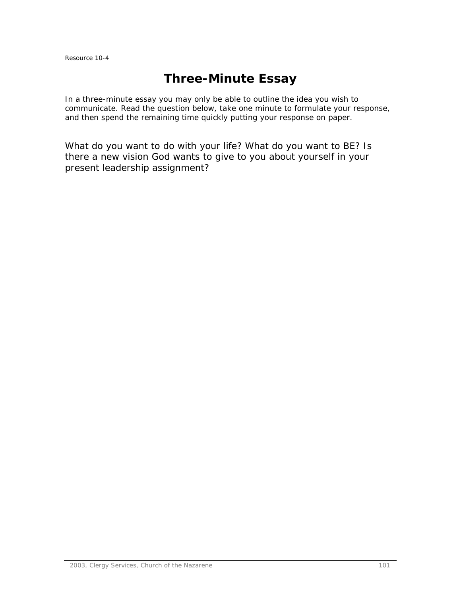## **Three-Minute Essay**

In a three-minute essay you may only be able to outline the idea you wish to communicate. Read the question below, take one minute to formulate your response, and then spend the remaining time quickly putting your response on paper.

What do you want to do with your life? What do you want to BE? Is there a new vision God wants to give to you about yourself in your present leadership assignment?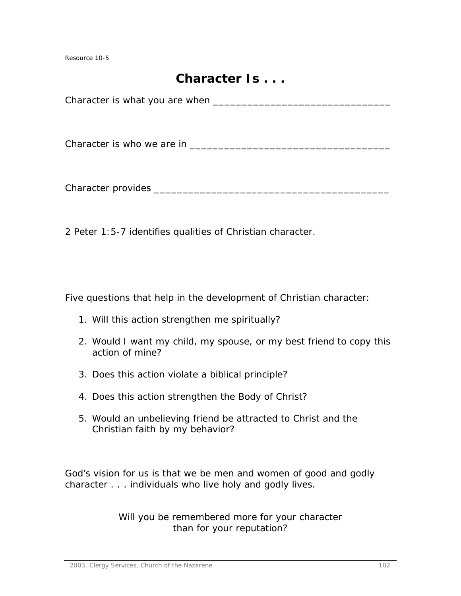Resource 10-5

## **Character Is . . .**

Character is what you are when \_\_\_\_\_\_\_\_\_\_\_\_\_\_\_\_\_\_\_\_\_\_\_\_\_\_\_\_\_\_\_

Character is who we are in \_\_\_\_\_\_\_\_\_\_\_\_\_\_\_\_\_\_\_\_\_\_\_\_\_\_\_\_\_\_\_\_\_\_\_

Character provides \_\_\_\_\_\_\_\_\_\_\_\_\_\_\_\_\_\_\_\_\_\_\_\_\_\_\_\_\_\_\_\_\_\_\_\_\_\_\_\_\_

2 Peter 1:5-7 identifies qualities of Christian character.

Five questions that help in the development of Christian character:

- 1. Will this action strengthen me spiritually?
- 2. Would I want my child, my spouse, or my best friend to copy this action of mine?
- 3. Does this action violate a biblical principle?
- 4. Does this action strengthen the Body of Christ?
- 5. Would an unbelieving friend be attracted to Christ and the Christian faith by my behavior?

God's vision for us is that we be men and women of good and godly character . . . individuals who live holy and godly lives.

> Will you be remembered more for your character than for your reputation?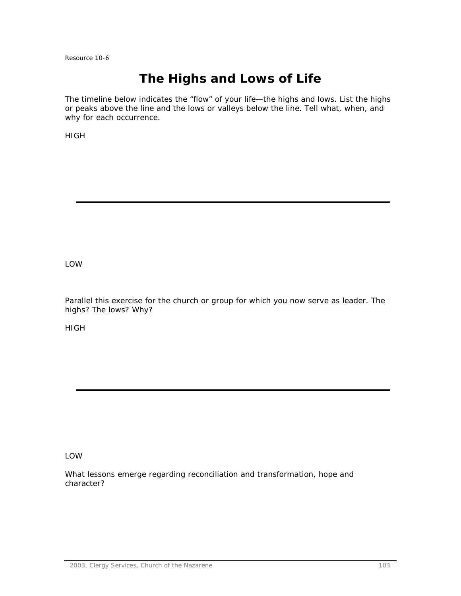Resource 10-6

# **The Highs and Lows of Life**

The timeline below indicates the "flow" of your life—the highs and lows. List the highs or peaks above the line and the lows or valleys below the line. Tell what, when, and why for each occurrence.

HIGH

LOW

Parallel this exercise for the church or group for which you now serve as leader. The highs? The lows? Why?

HIGH

LOW

What lessons emerge regarding reconciliation and transformation, hope and character?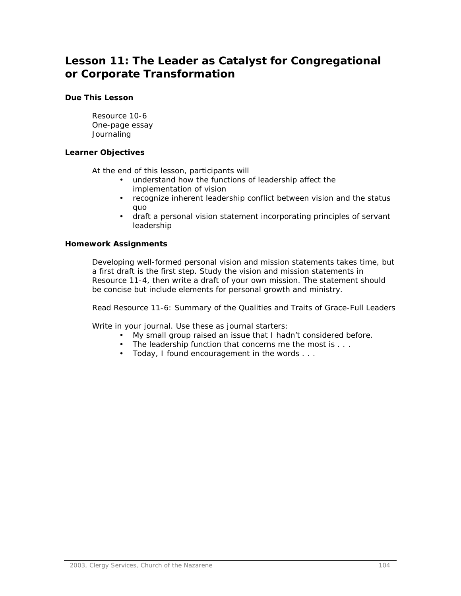### **Lesson 11: The Leader as Catalyst for Congregational or Corporate Transformation**

### **Due This Lesson**

Resource 10-6 One-page essay **Journaling** 

### **Learner Objectives**

At the end of this lesson, participants will

- understand how the functions of leadership affect the implementation of vision
- recognize inherent leadership conflict between vision and the status quo
- draft a personal vision statement incorporating principles of servant leadership

### **Homework Assignments**

Developing well-formed personal vision and mission statements takes time, but a first draft is the first step. Study the vision and mission statements in Resource 11-4, then write a draft of your own mission. The statement should be concise but include elements for personal growth and ministry.

Read Resource 11-6: Summary of the Qualities and Traits of Grace-Full Leaders

Write in your journal. Use these as journal starters:

- My small group raised an issue that I hadn't considered before.
- The leadership function that concerns me the most is . . .
- Today, I found encouragement in the words . . .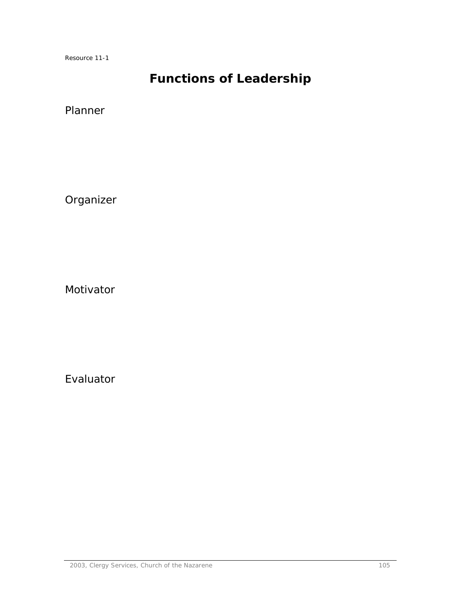Resource 11-1

# **Functions of Leadership**

### Planner

Organizer

Motivator

Evaluator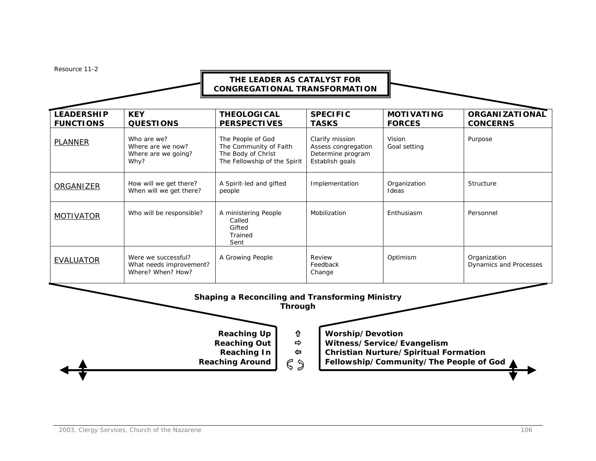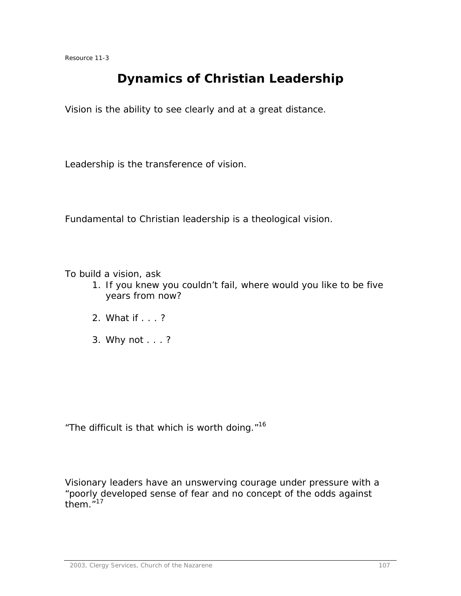# **Dynamics of Christian Leadership**

Vision is the ability to see clearly and at a great distance.

Leadership is the transference of vision.

Fundamental to Christian leadership is a theological vision.

To build a vision, ask

- 1. If you knew you couldn't fail, where would you like to be five years from now?
- 2. What if . . . ?
- 3. Why not . . . ?

"The difficult is that which is worth doing."<sup>16</sup>

Visionary leaders have an unswerving courage under pressure with a "poorly developed sense of fear and no concept of the odds against them."<sup>17</sup>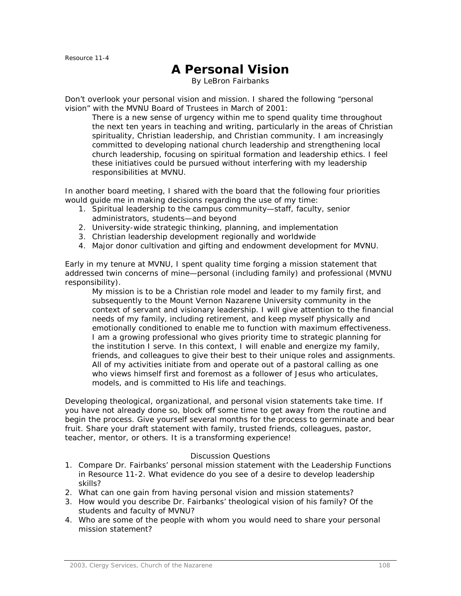# **A Personal Vision**

By LeBron Fairbanks

Don't overlook your personal vision and mission. I shared the following *"personal vision"* with the MVNU Board of Trustees in March of 2001:

There is a new sense of urgency within me to spend quality time throughout the next ten years in teaching and writing, particularly in the areas of Christian spirituality, Christian leadership, and Christian community. I am increasingly committed to developing national church leadership and strengthening local church leadership, focusing on spiritual formation and leadership ethics. I feel these initiatives could be pursued without interfering with my leadership responsibilities at MVNU.

In another board meeting, I shared with the board that the following four priorities would guide me in making decisions regarding the use of my time:

- 1. Spiritual leadership to the campus community—staff, faculty, senior administrators, students—and beyond
- 2. University-wide strategic thinking, planning, and implementation
- 3. Christian leadership development regionally and worldwide
- 4. Major donor cultivation and gifting and endowment development for MVNU.

Early in my tenure at MVNU, I spent quality time forging a *mission statement* that addressed twin concerns of mine—personal (including family) and professional (MVNU responsibility).

My mission is to be a Christian role model and leader to my family first, and subsequently to the Mount Vernon Nazarene University community in the context of servant and visionary leadership. I will give attention to the financial needs of my family, including retirement, and keep myself physically and emotionally conditioned to enable me to function with maximum effectiveness. I am a growing professional who gives priority time to strategic planning for the institution I serve. In this context, I will enable and energize my family, friends, and colleagues to give their best to their unique roles and assignments. All of my activities initiate from and operate out of a pastoral calling as one who views himself first and foremost as a follower of Jesus who articulates, models, and is committed to His life and teachings.

Developing theological, organizational, and personal vision statements take time. If you have not already done so, block off some time to get away from the routine and begin the process. Give yourself several months for the process to germinate and bear fruit. Share your draft statement with family, trusted friends, colleagues, pastor, teacher, mentor, or others. It is a *transforming* experience!

#### Discussion Questions

- 1. Compare Dr. Fairbanks' *personal mission statement* with the Leadership Functions in Resource 11-2. What evidence do you see of a desire to develop leadership skills?
- 2. What can one gain from having personal vision and mission statements?
- 3. How would you describe Dr. Fairbanks' theological vision of his family? Of the students and faculty of MVNU?
- 4. Who are some of the people with whom you would need to share your personal mission statement?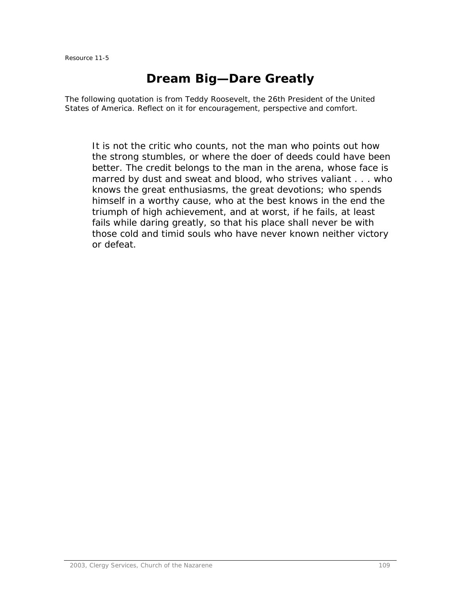Resource 11-5

### **Dream Big—Dare Greatly**

The following quotation is from Teddy Roosevelt, the 26th President of the United States of America. Reflect on it for encouragement, perspective and comfort.

It is not the critic who counts, not the man who points out how the strong stumbles, or where the doer of deeds could have been better. The credit belongs to the man in the arena, whose face is marred by dust and sweat and blood, who strives valiant . . . who knows the great enthusiasms, the great devotions; who spends himself in a worthy cause, who at the best knows in the end the triumph of high achievement, and at worst, if he fails, at least fails while daring greatly, so that his place shall never be with those cold and timid souls who have never known neither victory or defeat.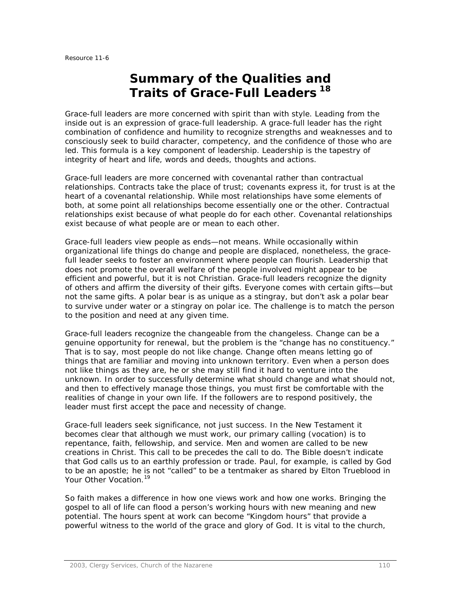### **Summary of the Qualities and Traits of Grace-Full Leaders***<sup>18</sup>*

Grace-full leaders are more concerned with spirit than with style. Leading from the inside out is an expression of grace-full leadership. A grace-full leader has the right combination of confidence and humility to recognize strengths and weaknesses and to consciously seek to build character, competency, and the confidence of those who are led. This formula is a key component of leadership. Leadership is the tapestry of integrity of heart and life, words and deeds, thoughts and actions.

Grace-full leaders are more concerned with covenantal rather than contractual relationships. Contracts take the place of trust; covenants express it, for trust is at the heart of a covenantal relationship. While most relationships have some elements of both, at some point all relationships become essentially one or the other. Contractual relationships exist because of what people *do* for each other. Covenantal relationships exist because of what people *are* or *mean* to each other.

Grace-full leaders view people as ends—not means. While occasionally within organizational life things do change and people are displaced, nonetheless, the gracefull leader seeks to foster an environment where people can flourish. Leadership that does not promote the overall welfare of the people involved might appear to be efficient and powerful, but it is not Christian. Grace-full leaders recognize the dignity of others and affirm the diversity of their gifts. Everyone comes with certain gifts—but not the same gifts. A polar bear is as unique as a stingray, but don't ask a polar bear to survive under water or a stingray on polar ice. The challenge is to match the person to the position and need at any given time.

Grace-full leaders recognize the changeable from the changeless. Change can be a genuine opportunity for renewal, but the problem is the "change has no constituency." That is to say, most people do not like change. Change often means letting go of things that are familiar and moving into unknown territory. Even when a person does not like things as they are, he or she may still find it hard to venture into the unknown. In order to successfully determine what should change and what should not, and then to effectively manage those things, you must first be comfortable with the realities of change in your own life. If the followers are to respond positively, the leader must first accept the pace and necessity of change.

Grace-full leaders seek significance, not just success. In the New Testament it becomes clear that although we must work, our primary calling (vocation) is to repentance, faith, fellowship, and service. Men and women are called to be new creations in Christ. This call *to be* precedes the call *to do.* The Bible doesn't indicate that God calls us to an earthly profession or trade. Paul, for example, is called by God to be an apostle; he is not "called" to be a tentmaker as shared by Elton Trueblood in *Your Other Vocation*. 19

So faith makes a difference in how one views work and how one works. Bringing the gospel to all of life can flood a person's working hours with new meaning and new potential. The hours spent at work can become "Kingdom hours" that provide a powerful witness to the world of the grace and glory of God. It is vital to the church,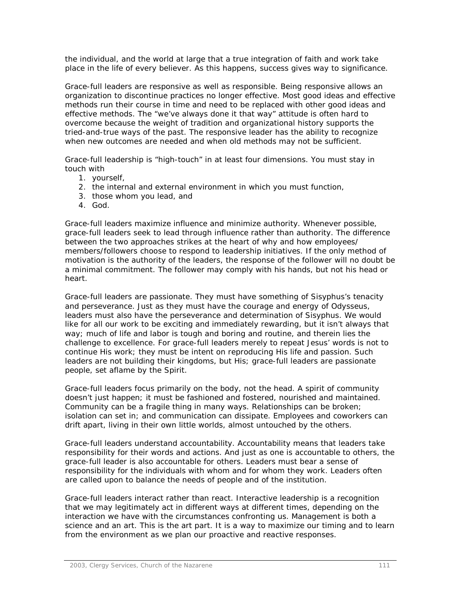the individual, and the world at large that a true integration of faith and work take place in the life of every believer. As this happens, success gives way to significance.

Grace-full leaders are responsive as well as responsible. Being responsive allows an organization to discontinue practices no longer effective. Most good ideas and effective methods run their course in time and need to be replaced with other good ideas and effective methods. The "we've always done it that way" attitude is often hard to overcome because the weight of tradition and organizational history supports the tried-and-true ways of the past. The responsive leader has the ability to recognize when new outcomes are needed and when old methods may not be sufficient.

Grace-full leadership is "high-touch" in at least four dimensions. You must stay in touch with

- 1. yourself,
- 2. the internal and external environment in which you must function,
- 3. those whom you lead, and
- 4. God.

Grace-full leaders maximize influence and minimize authority. Whenever possible, grace-full leaders seek to lead through influence rather than authority. The difference between the two approaches strikes at the heart of why and how employees/ members/followers choose to respond to leadership initiatives. If the only method of motivation is the authority of the leaders, the response of the follower will no doubt be a minimal commitment. The follower may comply with his hands, but not his head or heart.

Grace-full leaders are passionate. They must have something of Sisyphus's tenacity and perseverance. Just as they must have the courage and energy of Odysseus, leaders must also have the perseverance and determination of Sisyphus. We would like for all our work to be exciting and immediately rewarding, but it isn't always that way; much of life and labor is tough and boring and routine, and therein lies the challenge to excellence. For grace-full leaders merely to repeat Jesus' words is not to continue His work; they must be intent on reproducing His life and passion. Such leaders are not building their kingdoms, but His; grace-full leaders are passionate people, set aflame by the Spirit.

Grace-full leaders focus primarily on the body, not the head. A spirit of community doesn't just happen; it must be fashioned and fostered, nourished and maintained. Community can be a fragile thing in many ways. Relationships can be broken; isolation can set in; and communication can dissipate. Employees and coworkers can drift apart, living in their own little worlds, almost untouched by the others.

Grace-full leaders understand accountability. Accountability means that leaders take responsibility for their words and actions. And just as one is accountable *to* others, the grace-full leader is also accountable *for* others. Leaders must bear a sense of responsibility for the individuals with whom and for whom they work. Leaders often are called upon to balance the needs of people and of the institution.

Grace-full leaders interact rather than react. Interactive leadership is a recognition that we may legitimately act in different ways at different times, depending on the interaction we have with the circumstances confronting us. Management is both a science and an art. This is the art part. It is a way to maximize our timing and to learn from the environment as we plan our proactive and reactive responses.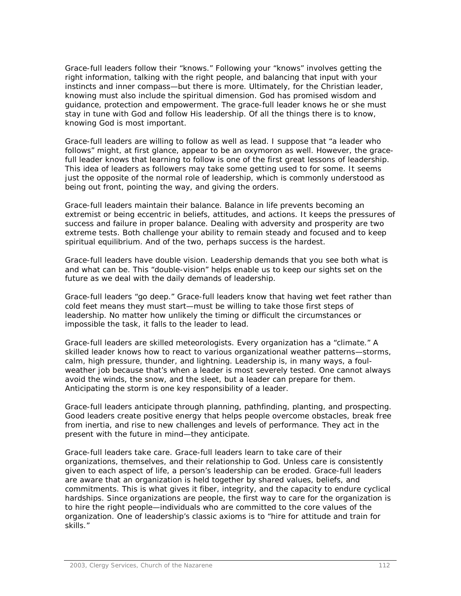Grace-full leaders follow their "knows." Following your "knows" involves getting the right information, talking with the right people, and balancing that input with your instincts and inner compass—but there is more. Ultimately, for the Christian leader, knowing must also include the spiritual dimension. God has promised wisdom and guidance, protection and empowerment. The grace-full leader knows he or she must stay in tune with God and follow His leadership. Of all the things there is to know, knowing God is most important.

Grace-full leaders are willing to follow as well as lead. I suppose that "a leader who follows" might, at first glance, appear to be an oxymoron as well. However, the gracefull leader knows that learning to follow is one of the first great lessons of leadership. This idea of leaders as followers may take some getting used to for some. It seems just the opposite of the normal role of leadership, which is commonly understood as being out front, pointing the way, and giving the orders.

Grace-full leaders maintain their balance. Balance in life prevents becoming an extremist or being eccentric in beliefs, attitudes, and actions. It keeps the pressures of success and failure in proper balance. Dealing with adversity and prosperity are two extreme tests. Both challenge your ability to remain steady and focused and to keep spiritual equilibrium. And of the two, perhaps success is the hardest.

Grace-full leaders have double vision. Leadership demands that you see both what is and what can be. This "double-vision" helps enable us to keep our sights set on the future as we deal with the daily demands of leadership.

Grace-full leaders "go deep." Grace-full leaders know that having wet feet rather than cold feet means they must start—must be willing to take those first steps of leadership. No matter how unlikely the timing or difficult the circumstances or impossible the task, it falls to the leader to lead.

Grace-full leaders are skilled meteorologists. Every organization has a "climate." A skilled leader knows how to react to various organizational weather patterns—storms, calm, high pressure, thunder, and lightning. Leadership is, in many ways, a foulweather job because that's when a leader is most severely tested. One cannot always avoid the winds, the snow, and the sleet, but a leader can prepare for them. Anticipating the storm is one key responsibility of a leader.

Grace-full leaders anticipate through planning, pathfinding, planting, and prospecting. Good leaders create positive energy that helps people overcome obstacles, break free from inertia, and rise to new challenges and levels of performance. They act in the present with the future in mind—they anticipate.

Grace-full leaders take care. Grace-full leaders learn to take care of their organizations, themselves, and their relationship to God. Unless care is consistently given to each aspect of life, a person's leadership can be eroded. Grace-full leaders are aware that an organization is held together by shared values, beliefs, and commitments. This is what gives it fiber, integrity, and the capacity to endure cyclical hardships. Since organizations are people, the first way to care for the organization is to hire the right people—individuals who are committed to the core values of the organization. One of leadership's classic axioms is to "hire for attitude and train for skills."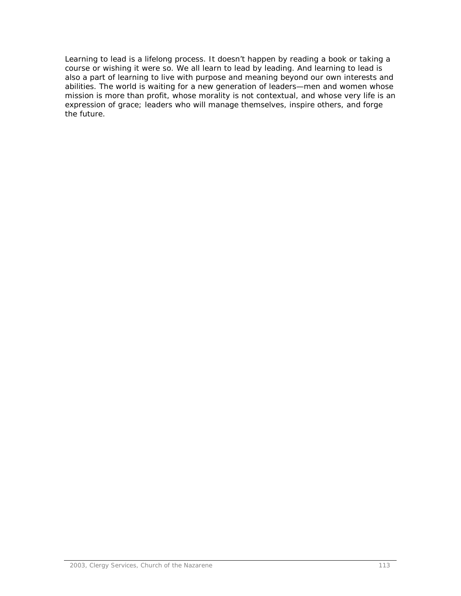Learning to lead is a lifelong process. It doesn't happen by reading a book or taking a course or wishing it were so. We all learn to lead by leading. And learning to lead is also a part of learning to live with purpose and meaning beyond our own interests and abilities. The world is waiting for a new generation of leaders—men and women whose mission is more than profit, whose morality is not contextual, and whose very life is an expression of grace; leaders who will manage themselves, inspire others, and forge the future.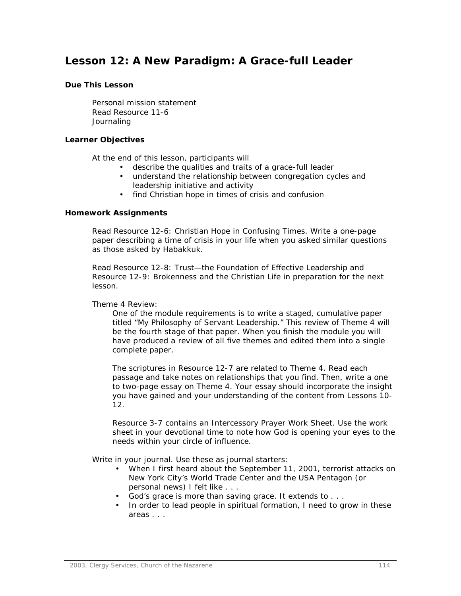### **Lesson 12: A New Paradigm: A Grace-full Leader**

#### **Due This Lesson**

Personal mission statement Read Resource 11-6 Journaling

#### **Learner Objectives**

At the end of this lesson, participants will

- describe the qualities and traits of a grace-full leader
- understand the relationship between congregation cycles and leadership initiative and activity
- find Christian hope in times of crisis and confusion

#### **Homework Assignments**

Read Resource 12-6: Christian Hope in Confusing Times. Write a one-page paper describing a time of crisis in your life when you asked similar questions as those asked by Habakkuk.

Read Resource 12-8: Trust—the Foundation of Effective Leadership and Resource 12-9: Brokenness and the Christian Life in preparation for the next lesson.

#### Theme 4 Review:

One of the module requirements is to write a staged, cumulative paper titled "My Philosophy of Servant Leadership." This review of Theme 4 will be the fourth stage of that paper. When you finish the module you will have produced a review of all five themes and edited them into a single complete paper.

The scriptures in Resource 12-7 are related to Theme 4. Read each passage and take notes on relationships that you find. Then, write a one to two-page essay on Theme 4. Your essay should incorporate the insight you have gained and your understanding of the content from Lessons 10- 12.

Resource 3-7 contains an Intercessory Prayer Work Sheet. Use the work sheet in your devotional time to note how God is opening your eyes to the needs within your circle of influence.

Write in your journal. Use these as journal starters:

- When I first heard about the September 11, 2001, terrorist attacks on New York City's World Trade Center and the USA Pentagon (or personal news) I felt like . . .
- God's grace is more than saving grace. It extends to . . .
- In order to lead people in spiritual formation, I need to grow in these areas . . .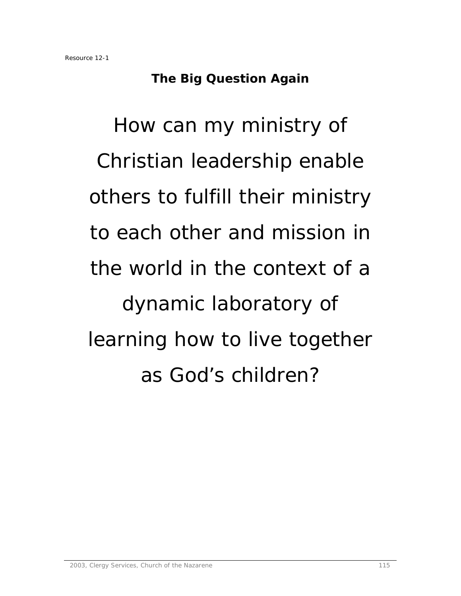### **The Big Question Again**

How can *my* ministry of Christian leadership enable *others* to fulfill *their* ministry to each other and mission in the world in the context of a dynamic laboratory of learning how to live together as God's children?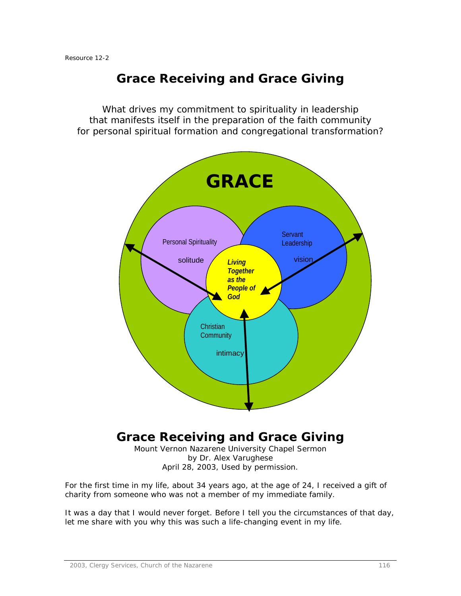## **Grace Receiving and Grace Giving**

What drives my commitment to spirituality in leadership that manifests itself in the preparation of the faith community for personal spiritual formation and congregational transformation?



## **Grace Receiving and Grace Giving**

Mount Vernon Nazarene University Chapel Sermon by Dr. Alex Varughese April 28, 2003, Used by permission.

For the first time in my life, about 34 years ago, at the age of 24, I received a gift of charity from someone who was not a member of my immediate family.

It was a day that I would never forget. Before I tell you the circumstances of that day, let me share with you why this was such a life-changing event in my life.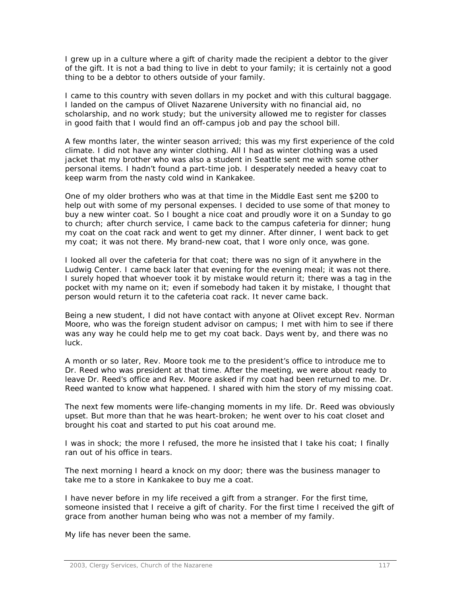I grew up in a culture where a gift of charity made the recipient a debtor to the giver of the gift. It is not a bad thing to live in debt to your family; it is certainly not a good thing to be a debtor to others outside of your family.

I came to this country with seven dollars in my pocket and with this cultural baggage. I landed on the campus of Olivet Nazarene University with no financial aid, no scholarship, and no work study; but the university allowed me to register for classes in good faith that I would find an off-campus job and pay the school bill.

A few months later, the winter season arrived; this was my first experience of the cold climate. I did not have any winter clothing. All I had as winter clothing was a used jacket that my brother who was also a student in Seattle sent me with some other personal items. I hadn't found a part-time job. I desperately needed a heavy coat to keep warm from the nasty cold wind in Kankakee.

One of my older brothers who was at that time in the Middle East sent me \$200 to help out with some of my personal expenses. I decided to use some of that money to buy a new winter coat. So I bought a nice coat and proudly wore it on a Sunday to go to church; after church service, I came back to the campus cafeteria for dinner; hung my coat on the coat rack and went to get my dinner. After dinner, I went back to get my coat; it was not there. My brand-new coat, that I wore only once, was gone.

I looked all over the cafeteria for that coat; there was no sign of it anywhere in the Ludwig Center. I came back later that evening for the evening meal; it was not there. I surely hoped that whoever took it by mistake would return it; there was a tag in the pocket with my name on it; even if somebody had taken it by mistake, I thought that person would return it to the cafeteria coat rack. It never came back.

Being a new student, I did not have contact with anyone at Olivet except Rev. Norman Moore, who was the foreign student advisor on campus; I met with him to see if there was any way he could help me to get my coat back. Days went by, and there was no luck.

A month or so later, Rev. Moore took me to the president's office to introduce me to Dr. Reed who was president at that time. After the meeting, we were about ready to leave Dr. Reed's office and Rev. Moore asked if my coat had been returned to me. Dr. Reed wanted to know what happened. I shared with him the story of my missing coat.

The next few moments were life-changing moments in my life. Dr. Reed was obviously upset. But more than that he was heart-broken; he went over to his coat closet and brought his coat and started to put his coat around me.

I was in shock; the more I refused, the more he insisted that I take his coat; I finally ran out of his office in tears.

The next morning I heard a knock on my door; there was the business manager to take me to a store in Kankakee to buy me a coat.

I have never before in my life received a gift from a stranger. For the first time, someone insisted that I receive a gift of charity. For the first time I received the gift of grace from another human being who was not a member of my family.

My life has never been the same.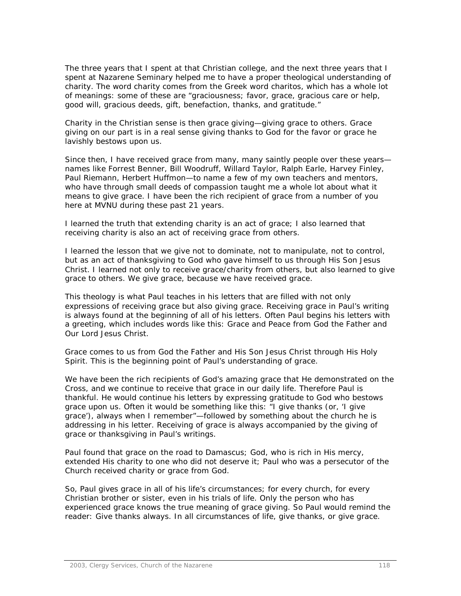The three years that I spent at that Christian college, and the next three years that I spent at Nazarene Seminary helped me to have a proper theological understanding of charity. The word charity comes from the Greek word *charitos,* which has a whole lot of meanings: some of these are "graciousness; favor, grace, gracious care or help, good will, gracious deeds, gift, benefaction, thanks, and gratitude."

Charity in the Christian sense is then grace giving—giving grace to others. Grace giving on our part is in a real sense giving thanks to God for the favor or grace he lavishly bestows upon us.

Since then, I have received grace from many, many saintly people over these years names like Forrest Benner, Bill Woodruff, Willard Taylor, Ralph Earle, Harvey Finley, Paul Riemann, Herbert Huffmon—to name a few of my own teachers and mentors, who have through small deeds of compassion taught me a whole lot about what it means to give grace. I have been the rich recipient of grace from a number of you here at MVNU during these past 21 years.

I learned the truth that extending charity is an act of grace; I also learned that receiving charity is also an act of receiving grace from others.

I learned the lesson that we give not to dominate, not to manipulate, not to control, but as an act of thanksgiving to God who gave himself to us through His Son Jesus Christ. I learned not only to receive grace/charity from others, but also learned to give grace to others. We give grace, because we have received grace.

This theology is what Paul teaches in his letters that are filled with not only expressions of receiving grace but also giving grace. Receiving grace in Paul's writing is always found at the beginning of all of his letters. Often Paul begins his letters with a greeting, which includes words like this: *Grace and Peace from God the Father and Our Lord Jesus Christ.*

Grace comes to us from God the Father and His Son Jesus Christ through His Holy Spirit. This is the beginning point of Paul's understanding of grace.

We have been the rich recipients of God's amazing grace that He demonstrated on the Cross, and we continue to receive that grace in our daily life. Therefore Paul is thankful. He would continue his letters by expressing gratitude to God who bestows grace upon us. Often it would be something like this: "I give thanks (or, 'I give grace'), always when I remember"—followed by something about the church he is addressing in his letter. Receiving of grace is always accompanied by the giving of grace or thanksgiving in Paul's writings.

Paul found that grace on the road to Damascus; God, who is rich in His mercy, extended His charity to one who did not deserve it; Paul who was a persecutor of the Church received charity or grace from God.

So, Paul gives grace in all of his life's circumstances; for every church, for every Christian brother or sister, even in his trials of life. Only the person who has experienced grace knows the true meaning of grace giving. So Paul would remind the reader: Give thanks always. In all circumstances of life, give thanks, or give grace.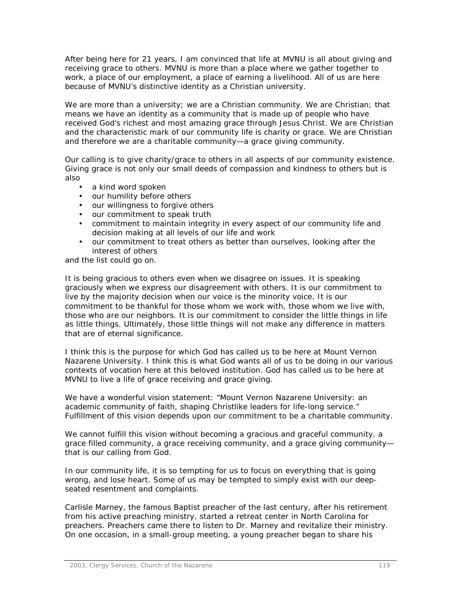After being here for 21 years, I am convinced that life at MVNU is all about giving and receiving grace to others. MVNU is more than a place where we gather together to work, a place of our employment, a place of earning a livelihood. All of us are here because of MVNU's distinctive identity as a Christian university.

We are more than a university; we are a Christian community. We are Christian; that means we have an identity as a community that is made up of people who have received God's richest and most amazing grace through Jesus Christ. We are Christian and the characteristic mark of our community life is charity or grace. We are Christian and therefore we are a charitable community—a grace giving community.

Our calling is to give charity/grace to others in all aspects of our community existence. Giving grace is not only our small deeds of compassion and kindness to others but is also

- a kind word spoken
- our humility before others
- our willingness to forgive others
- our commitment to speak truth
- commitment to maintain integrity in every aspect of our community life and decision making at all levels of our life and work
- our commitment to treat others as better than ourselves, looking after the interest of others

and the list could go on.

It is being gracious to others even when we disagree on issues. It is speaking graciously when we express our disagreement with others. It is our commitment to live by the majority decision when our voice is the minority voice. It is our commitment to be thankful for those whom we work with, those whom we live with, those who are our neighbors. It is our commitment to consider the little things in life as little things. Ultimately, those little things will not make any difference in matters that are of eternal significance.

I think this is the purpose for which God has called us to be here at Mount Vernon Nazarene University. I think this is what God wants all of us to be doing in our various contexts of vocation here at this beloved institution. God has called us to be here at MVNU to live a life of grace receiving and grace giving.

We have a wonderful vision statement: "Mount Vernon Nazarene University: an academic community of faith, shaping Christlike leaders for life-long service." Fulfillment of this vision depends upon our commitment to be a charitable community.

We cannot fulfill this vision without becoming a gracious and graceful community, a grace filled community, a grace receiving community, and a grace giving community that is our calling from God.

In our community life, it is so tempting for us to focus on everything that is going wrong, and lose heart. Some of us may be tempted to simply exist with our deepseated resentment and complaints.

Carlisle Marney, the famous Baptist preacher of the last century, after his retirement from his active preaching ministry, started a retreat center in North Carolina for preachers. Preachers came there to listen to Dr. Marney and revitalize their ministry. On one occasion, in a small-group meeting, a young preacher began to share his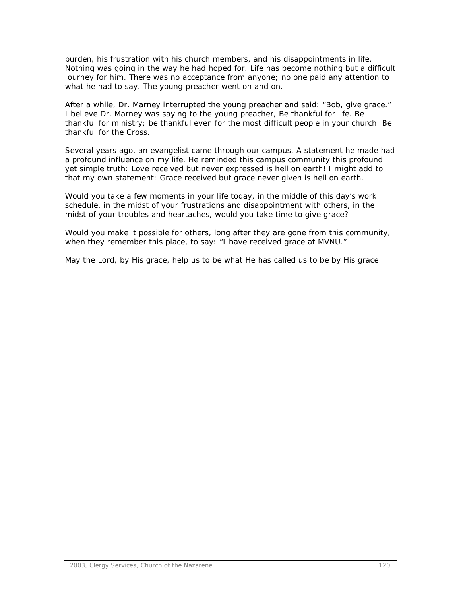burden, his frustration with his church members, and his disappointments in life. Nothing was going in the way he had hoped for. Life has become nothing but a difficult journey for him. There was no acceptance from anyone; no one paid any attention to what he had to say. The young preacher went on and on.

After a while, Dr. Marney interrupted the young preacher and said: "Bob, give grace." I believe Dr. Marney was saying to the young preacher, Be thankful for life. Be thankful for ministry; be thankful even for the most difficult people in your church. Be thankful for the Cross.

Several years ago, an evangelist came through our campus. A statement he made had a profound influence on my life. He reminded this campus community this profound yet simple truth: *Love received but never expressed is hell on earth!* I might add to that my own statement: *Grace received but grace never given is hell on earth*.

Would you take a few moments in your life today, in the middle of this day's work schedule, in the midst of your frustrations and disappointment with others, in the midst of your troubles and heartaches, would you take time to give grace?

Would you make it possible for others, long after they are gone from this community, when they remember this place, to say: "I have received grace at MVNU."

May the Lord, by His grace, help us to be what He has called us to be by His grace!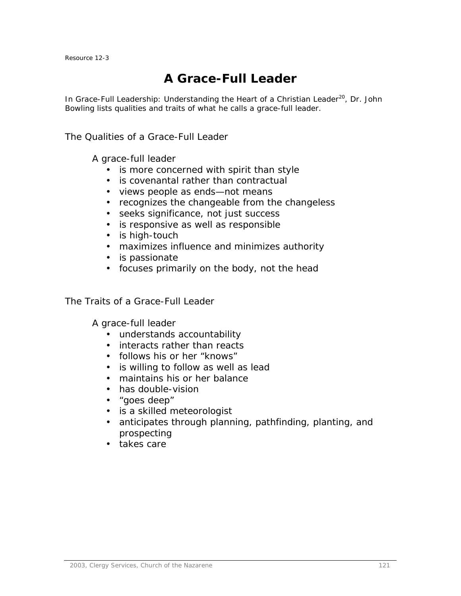## **A Grace-Full Leader**

In *Grace-Full Leadership: Understanding the Heart of a Christian Leader<sup>20</sup>, Dr. John* Bowling lists qualities and traits of what he calls a grace-full leader.

The Qualities of a Grace-Full Leader

A grace-full leader

- is more concerned with spirit than style
- is covenantal rather than contractual
- views people as ends—not means
- recognizes the changeable from the changeless
- seeks significance, not just success
- is responsive as well as responsible
- is high-touch
- maximizes influence and minimizes authority
- is passionate
- focuses primarily on the body, not the head

The Traits of a Grace-Full Leader

A grace-full leader

- understands accountability
- interacts rather than reacts
- follows his or her "knows"
- is willing to follow as well as lead
- maintains his or her balance
- has double-vision
- "goes deep"
- is a skilled meteorologist
- anticipates through planning, pathfinding, planting, and prospecting
- takes care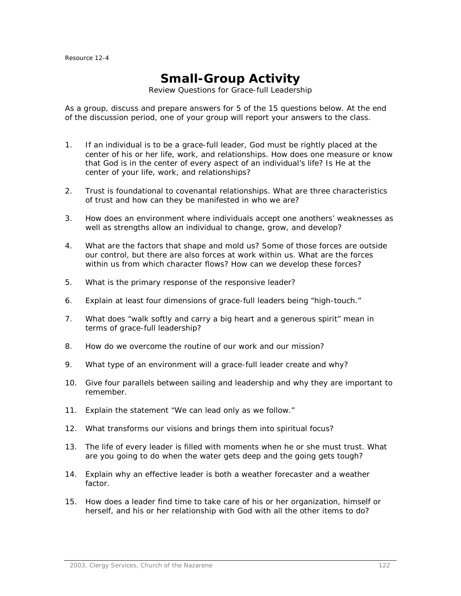### **Small-Group Activity**

Review Questions for *Grace-full Leadership*

As a group, discuss and prepare answers for 5 of the 15 questions below. At the end of the discussion period, one of your group will report your answers to the class.

- 1. If an individual is to be a grace-full leader, God must be rightly placed at the center of his or her life, work, and relationships. How does one measure or know that God is in the center of every aspect of an individual's life? Is He at the center of your life, work, and relationships?
- 2. Trust is foundational to covenantal relationships. What are three characteristics of trust and how can they be manifested in who we are?
- 3. How does an environment where individuals accept one anothers' weaknesses as well as strengths allow an individual to change, grow, and develop?
- 4. What are the factors that shape and mold us? Some of those forces are outside our control, but there are also forces at work within us. What are the forces within us from which character flows? How can we develop these forces?
- 5. What is the primary response of the responsive leader?
- 6. Explain at least four dimensions of grace-full leaders being "high-touch."
- 7. What does "walk softly and carry a big heart and a generous spirit" mean in terms of grace-full leadership?
- 8. How do we overcome the routine of our work and our mission?
- 9. What type of an environment will a grace-full leader create and why?
- 10. Give four parallels between sailing and leadership and why they are important to remember.
- 11. Explain the statement "We can lead only as we follow."
- 12. What transforms our visions and brings them into spiritual focus?
- 13. The life of every leader is filled with moments when he or she must trust. What are you going to do when the water gets deep and the going gets tough?
- 14. Explain why an effective leader is both a weather forecaster and a weather factor.
- 15. How does a leader find time to take care of his or her organization, himself or herself, and his or her relationship with God with all the other items to do?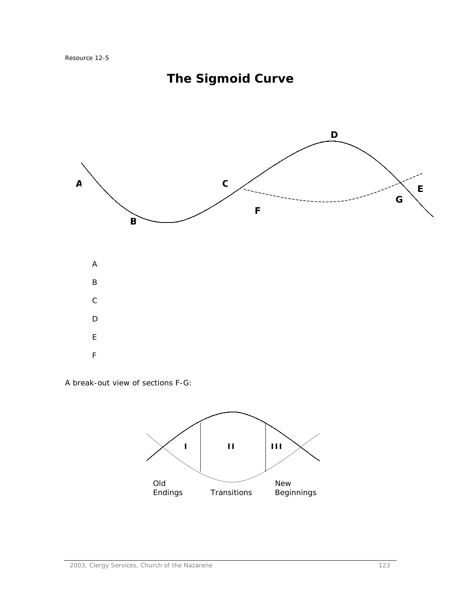



A break-out view of sections F-G:

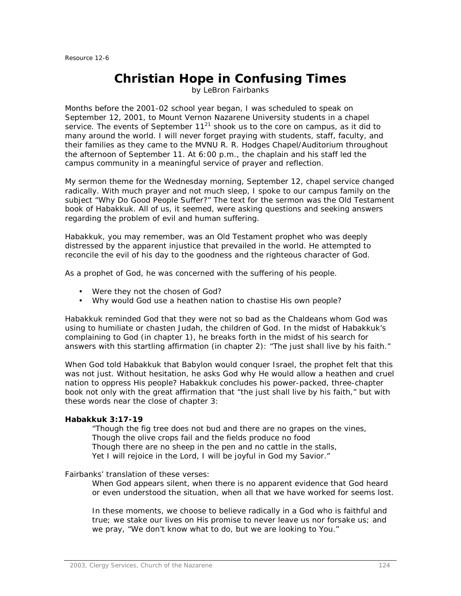### **Christian Hope in Confusing Times**

by LeBron Fairbanks

Months before the 2001-02 school year began, I was scheduled to speak on September 12, 2001, to Mount Vernon Nazarene University students in a chapel service. The events of September  $11^{21}$  shook us to the core on campus, as it did to many around the world. I will never forget praying with students, staff, faculty, and their families as they came to the MVNU R. R. Hodges Chapel/Auditorium throughout the afternoon of September 11. At 6:00 p.m., the chaplain and his staff led the campus community in a meaningful service of prayer and reflection.

My sermon theme for the Wednesday morning, September 12, chapel service changed radically. With much prayer and not much sleep, I spoke to our campus family on the subject "Why Do Good People Suffer?" The text for the sermon was the Old Testament book of Habakkuk. All of us, it seemed, were asking questions and seeking answers regarding the problem of evil and human suffering.

Habakkuk, you may remember, was an Old Testament prophet who was deeply distressed by the apparent injustice that prevailed in the world. He attempted to reconcile the evil of his day to the goodness and the righteous character of God.

As a prophet of God, he was concerned with the suffering of his people.

- Were they not the chosen of God?
- Why would God use a heathen nation to chastise His own people?

Habakkuk reminded God that they were not so bad as the Chaldeans whom God was using to humiliate or chasten Judah, the children of God. In the midst of Habakkuk's complaining to God (in chapter 1), he breaks forth in the midst of his search for answers with this startling affirmation (in chapter 2): "The *just* shall *live* by his *faith*."

When God told Habakkuk that Babylon would conquer Israel, the prophet felt that this was not just. Without hesitation, he asks God why He would allow a heathen and cruel nation to oppress *His* people? Habakkuk concludes his power-packed, three-chapter book not only with the great affirmation that "the just shall live by his faith," but with these words near the close of chapter 3:

#### **Habakkuk 3:17-19**

"Though the fig tree does not bud and there are no grapes on the vines, Though the olive crops fail and the fields produce no food Though there are no sheep in the pen and no cattle in the stalls, *Yet* I will rejoice in the Lord, I will be joyful in God my Savior."

#### *Fairbanks' translation of these verses:*

When God appears silent, when there is no apparent evidence that God heard or even understood the situation, when all that we have worked for seems lost.

In these moments, we choose to believe radically in a God who is faithful and true; we stake our lives on His promise to never leave us nor forsake us; and we pray, "We don't know what to do, but we are looking to You."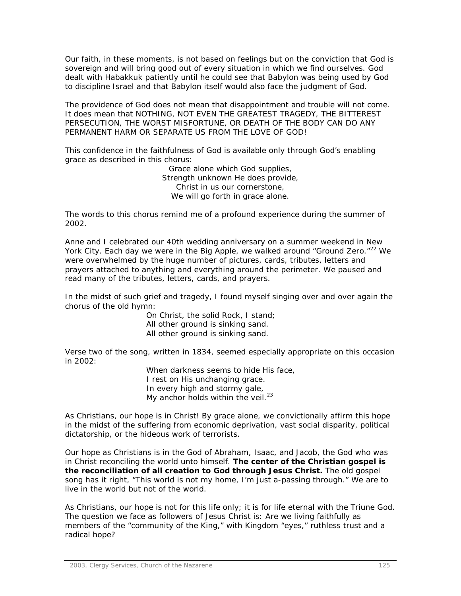Our faith, in these moments, is not based on *feelings* but on the *conviction* that God is sovereign and will bring good out of every situation in which we find ourselves. God dealt with Habakkuk patiently until he could see that Babylon was being used by God to discipline Israel and that Babylon itself would also face the judgment of God.

The providence of God does not mean that disappointment and trouble will not come. It does mean that NOTHING, NOT EVEN THE GREATEST TRAGEDY, THE BITTEREST PERSECUTION, THE WORST MISFORTUNE, OR DEATH OF THE BODY CAN DO ANY PERMANENT HARM OR SEPARATE US FROM THE LOVE OF GOD!

This confidence in the faithfulness of God is available only through God's enabling grace as described in this chorus:

> *Grace alone which God supplies, Strength unknown He does provide, Christ in us our cornerstone, We will go forth in grace alone.*

The words to this chorus remind me of a profound experience during the summer of 2002.

Anne and I celebrated our 40th wedding anniversary on a summer weekend in New York City. Each day we were in the Big Apple, we walked around "Ground Zero."<sup>22</sup> We were *overwhelmed* by the huge number of pictures, cards, tributes, letters and prayers attached to anything and everything around the perimeter. We paused and read many of the tributes, letters, cards, and prayers.

In the midst of such grief and tragedy, I found myself singing over and over again the chorus of the old hymn:

> *On Christ, the solid Rock, I stand; All other ground is sinking sand. All other ground is sinking sand.*

Verse two of the song, written in 1834, seemed especially appropriate on this occasion in 2002:

> *When darkness seems to hide* His *face, I rest on His unchanging grace. In every high and stormy gale, My anchor holds within the veil.<sup>23</sup>*

As Christians, our hope is in Christ! By grace alone, we *convictionally* affirm this hope in the midst of the suffering from economic deprivation, vast social disparity, political dictatorship, or the hideous work of terrorists.

Our hope as Christians is in the God of Abraham, Isaac, and Jacob, the God who was in Christ reconciling the world unto himself. **The center of the Christian gospel is the reconciliation of all creation to God through Jesus Christ.** The old gospel song has it right, "This world is not my home, I'm just a-passing through." We are to live in the world but not of the world.

As Christians, our hope is not for this life only; it is for life eternal with the Triune God. The question we face as followers of Jesus Christ is: Are we living faithfully as members of the "community of the King," with Kingdom "eyes," ruthless trust and a radical hope?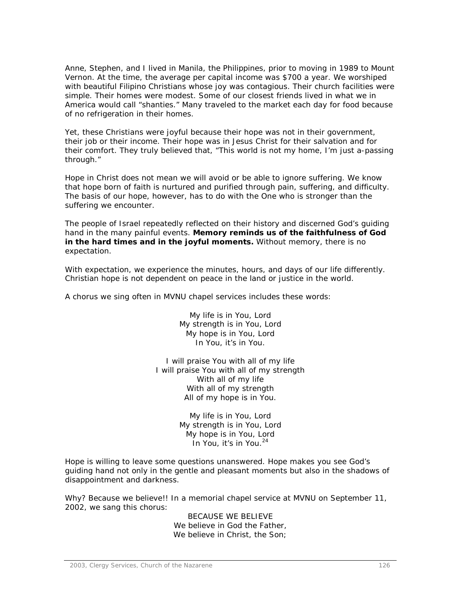Anne, Stephen, and I lived in Manila, the Philippines, prior to moving in 1989 to Mount Vernon. At the time, the average per capital income was \$700 a year. We worshiped with beautiful Filipino Christians whose joy was contagious. Their church facilities were simple. Their homes were modest. Some of our closest friends lived in what we in America would call "shanties." Many traveled to the market each day for food because of no refrigeration in their homes.

Yet, these Christians were joyful because their hope was not in their government, their job or their income. Their hope was in Jesus Christ for their *salvation* and for *their comfort.* They truly believed that, "This world is not my home, I'm just a-passing through."

Hope in Christ does not mean we will avoid or be able to ignore suffering. We know that hope born of faith is nurtured and purified through pain, suffering, and difficulty. The basis of our hope, however, has to do with the One who is stronger than the suffering we encounter.

The people of Israel repeatedly reflected on their history and discerned God's guiding hand in the many painful events. **Memory reminds us of the faithfulness of God in the hard times and in the joyful moments.** Without memory, there is no expectation.

With expectation, we experience the minutes, hours, and days of our life differently. Christian hope is not dependent on peace in the land or justice in the world.

A chorus we sing often in MVNU chapel services includes these words:

My life is in You, Lord My strength is in You, Lord My hope is in You, Lord In You, it's in You.

I will praise You with all of my life I will praise You with all of my strength With all of my life With all of my strength All of my hope is in You.

> My life is in You, Lord My strength is in You, Lord My hope is in You, Lord In You, it's in You.<sup>24</sup>

Hope is willing to leave some questions unanswered. Hope makes you see God's guiding hand not only in the gentle and pleasant moments but also in the shadows of disappointment and darkness.

Why? Because we believe!! In a memorial chapel service at MVNU on September 11, 2002, we sang this chorus:

> BECAUSE WE BELIEVE *We believe in God the Father, We believe in Christ, the Son;*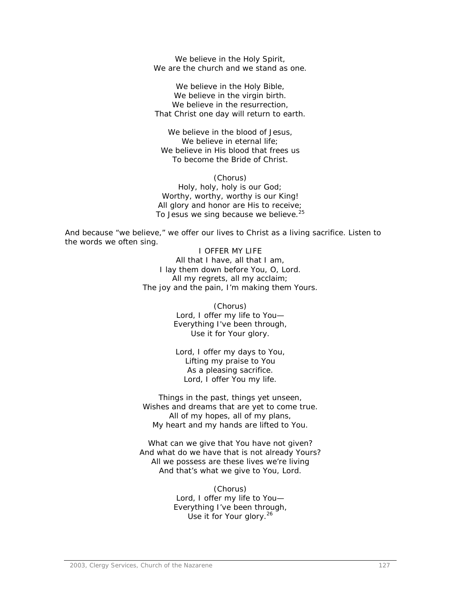*We believe in the Holy Spirit, We are the church and we stand as one.*

*We believe in the Holy Bible, We believe in the virgin birth. We believe in the resurrection, That Christ one day will return to earth.*

*We believe in the blood of Jesus, We believe in eternal life; We believe in His blood that frees us To become the Bride of Christ.*

*(Chorus) Holy, holy, holy is our God; Worthy, worthy, worthy is our King! All glory and honor are His to receive; To Jesus we sing because we believe.<sup>25</sup>*

And because "we believe," we offer our lives to Christ as a living sacrifice. Listen to the words we often sing.

> I OFFER MY LIFE *All that I have, all that I am, I lay them down before You, O, Lord. All my regrets, all my acclaim; The joy and the pain, I'm making them Yours.*

> > *(Chorus) Lord, I offer my life to You— Everything I've been through, Use it for Your glory.*

*Lord, I offer my days to You, Lifting my praise to You As a pleasing sacrifice. Lord, I offer You my life.*

*Things in the past, things yet unseen, Wishes and dreams that are yet to come true. All of my hopes, all of my plans, My heart and my hands are lifted to You.*

*What can we give that You have not given? And what do we have that is not already Yours? All we possess are these lives we're living And that's what we give to You, Lord.*

> *(Chorus) Lord, I offer my life to You— Everything I've been through, Use it for Your glory.<sup>26</sup>*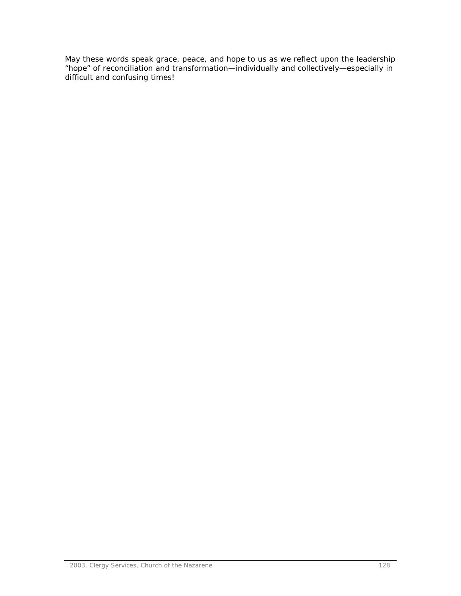May these words speak grace, peace, and hope to us as we reflect upon the leadership "hope" of reconciliation and transformation—individually and collectively—especially in difficult and confusing times!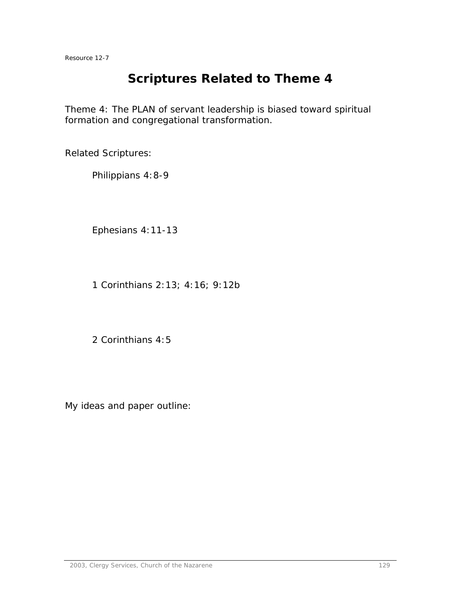Resource 12-7

### **Scriptures Related to Theme 4**

Theme 4: The PLAN of servant leadership is biased toward spiritual formation and congregational transformation.

Related Scriptures:

Philippians 4:8-9

Ephesians 4:11-13

1 Corinthians 2:13; 4:16; 9:12b

2 Corinthians 4:5

My ideas and paper outline: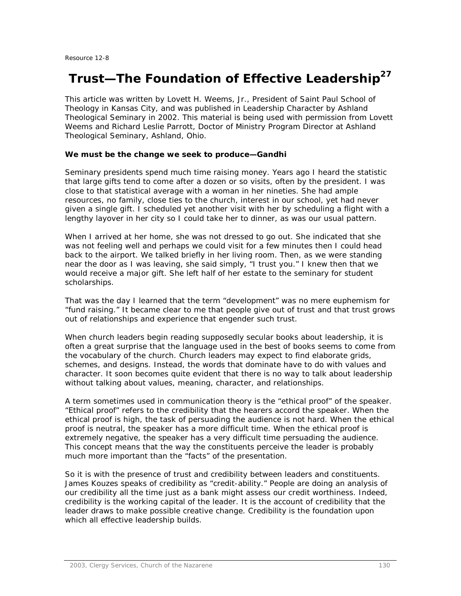# **Trust—The Foundation of Effective Leadership<sup>27</sup>**

*This article was written by Lovett H. Weems, Jr., President of Saint Paul School of Theology in Kansas City, and was published in* Leadership Character *by Ashland Theological Seminary in 2002. This material is being used with permission from Lovett Weems and Richard Leslie Parrott, Doctor of Ministry Program Director at Ashland Theological Seminary, Ashland, Ohio.*

#### *We must be the change we seek to produce—Gandhi*

Seminary presidents spend much time raising money. Years ago I heard the statistic that large gifts tend to come after a dozen or so visits, often by the president. I was close to that statistical average with a woman in her nineties. She had ample resources, no family, close ties to the church, interest in our school, yet had never given a single gift. I scheduled yet another visit with her by scheduling a flight with a lengthy layover in her city so I could take her to dinner, as was our usual pattern.

When I arrived at her home, she was not dressed to go out. She indicated that she was not feeling well and perhaps we could visit for a few minutes then I could head back to the airport. We talked briefly in her living room. Then, as we were standing near the door as I was leaving, she said simply, "I trust you." I knew then that we would receive a major gift. She left half of her estate to the seminary for student scholarships.

That was the day I learned that the term "development" was no mere euphemism for "fund raising." It became clear to me that people give out of trust and that trust grows out of relationships and experience that engender such trust.

When church leaders begin reading supposedly secular books about leadership, it is often a great surprise that the language used in the best of books seems to come from the vocabulary of the church. Church leaders may expect to find elaborate grids, schemes, and designs. Instead, the words that dominate have to do with values and character. It soon becomes quite evident that there is no way to talk about leadership without talking about values, meaning, character, and relationships.

A term sometimes used in communication theory is the "ethical proof" of the speaker. "Ethical proof" refers to the credibility that the hearers accord the speaker. When the ethical proof is high, the task of persuading the audience is not hard. When the ethical proof is neutral, the speaker has a more difficult time. When the ethical proof is extremely negative, the speaker has a very difficult time persuading the audience. This concept means that the way the constituents perceive the leader is probably much more important than the "facts" of the presentation.

So it is with the presence of trust and credibility between leaders and constituents. James Kouzes speaks of credibility as "credit-ability." People are doing an analysis of our credibility all the time just as a bank might assess our credit worthiness. Indeed, credibility is the working capital of the leader. It is the account of credibility that the leader draws to make possible creative change. Credibility is the foundation upon which all effective leadership builds.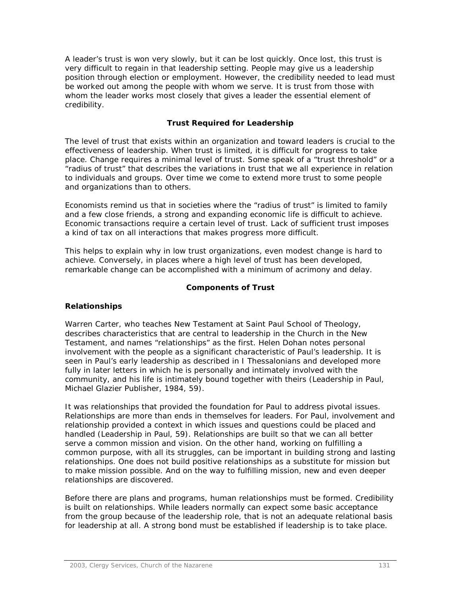A leader's trust is won very slowly, but it can be lost quickly. Once lost, this trust is very difficult to regain in that leadership setting. People may give us a leadership position through election or employment. However, the credibility needed to lead must be worked out among the people with whom we serve. It is trust from those with whom the leader works most closely that gives a leader the essential element of credibility.

#### **Trust Required for Leadership**

The level of trust that exists within an organization and toward leaders is crucial to the effectiveness of leadership. When trust is limited, it is difficult for progress to take place. Change requires a minimal level of trust. Some speak of a "trust threshold" or a "radius of trust" that describes the variations in trust that we all experience in relation to individuals and groups. Over time we come to extend more trust to some people and organizations than to others.

Economists remind us that in societies where the "radius of trust" is limited to family and a few close friends, a strong and expanding economic life is difficult to achieve. Economic transactions require a certain level of trust. Lack of sufficient trust imposes a kind of tax on all interactions that makes progress more difficult.

This helps to explain why in low trust organizations, even modest change is hard to achieve. Conversely, in places where a high level of trust has been developed, remarkable change can be accomplished with a minimum of acrimony and delay.

#### **Components of Trust**

#### *Relationships*

Warren Carter, who teaches New Testament at Saint Paul School of Theology, describes characteristics that are central to leadership in the Church in the New Testament, and names "relationships" as the first. Helen Dohan notes personal involvement with the people as a significant characteristic of Paul's leadership. It is seen in Paul's early leadership as described in I Thessalonians and developed more fully in later letters in which he is personally and intimately involved with the community, and his life is intimately bound together with theirs (*Leadership in Paul,* Michael Glazier Publisher, 1984, 59).

It was relationships that provided the foundation for Paul to address pivotal issues. Relationships are more than ends in themselves for leaders. For Paul, involvement and relationship provided a context in which issues and questions could be placed and handled (*Leadership in Paul,* 59). Relationships are built so that we can all better serve a common mission and vision. On the other hand, working on fulfilling a common purpose, with all its struggles, can be important in building strong and lasting relationships. One does not build positive relationships as a substitute for mission but to make mission possible. And on the way to fulfilling mission, new and even deeper relationships are discovered.

Before there are plans and programs, human relationships must be formed. Credibility is built on relationships. While leaders normally can expect some basic acceptance from the group because of the leadership role, that is not an adequate relational basis for leadership at all. A strong bond must be established if leadership is to take place.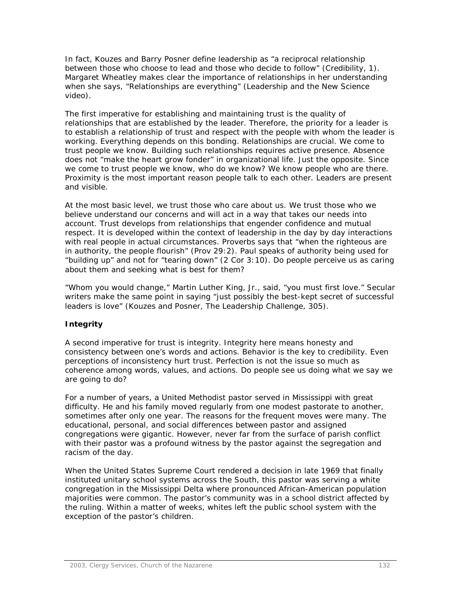In fact, Kouzes and Barry Posner define leadership as "a reciprocal relationship between those who choose to lead and those who decide to follow" (*Credibility*, 1). Margaret Wheatley makes clear the importance of relationships in her understanding when she says, "Relationships are everything" (*Leadership and the New Science* video).

The first imperative for establishing and maintaining trust is the quality of relationships that are established by the leader. Therefore, the priority for a leader is to establish a relationship of trust and respect with the people with whom the leader is working. Everything depends on this bonding. Relationships are crucial. We come to trust people we know. Building such relationships requires active presence. Absence does not "make the heart grow fonder" in organizational life. Just the opposite. Since we come to trust people we know, who do we know? We know people who are there. Proximity is the most important reason people talk to each other. Leaders are present and visible.

At the most basic level, we trust those who care about us. We trust those who we believe understand our concerns and will act in a way that takes our needs into account. Trust develops from relationships that engender confidence and mutual respect. It is developed within the context of leadership in the day by day interactions with real people in actual circumstances. Proverbs says that "when the righteous are in authority, the people flourish" (Prov 29:2). Paul speaks of authority being used for "building up" and not for "tearing down" (2 Cor 3:10). Do people perceive us as caring about them and seeking what is best for them?

"Whom you would change," Martin Luther King, Jr., said, "you must first love." Secular writers make the same point in saying "just possibly the best-kept secret of successful leaders is love" (Kouzes and Posner, *The Leadership Challenge,* 305).

#### *Integrity*

A second imperative for trust is integrity. Integrity here means honesty and consistency between one's words and actions. Behavior is the key to credibility. Even perceptions of inconsistency hurt trust. Perfection is not the issue so much as coherence among words, values, and actions. Do people see us doing what we say we are going to do?

For a number of years, a United Methodist pastor served in Mississippi with great difficulty. He and his family moved regularly from one modest pastorate to another, sometimes after only one year. The reasons for the frequent moves were many. The educational, personal, and social differences between pastor and assigned congregations were gigantic. However, never far from the surface of parish conflict with their pastor was a profound witness by the pastor against the segregation and racism of the day.

When the United States Supreme Court rendered a decision in late 1969 that finally instituted unitary school systems across the South, this pastor was serving a white congregation in the Mississippi Delta where pronounced African-American population majorities were common. The pastor's community was in a school district affected by the ruling. Within a matter of weeks, whites left the public school system with the exception of the pastor's children.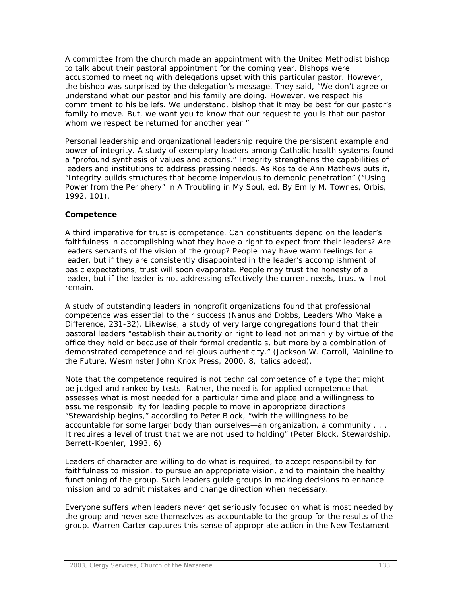A committee from the church made an appointment with the United Methodist bishop to talk about their pastoral appointment for the coming year. Bishops were accustomed to meeting with delegations upset with this particular pastor. However, the bishop was surprised by the delegation's message. They said, "We don't agree or understand what our pastor and his family are doing. However, we respect his commitment to his beliefs. We understand, bishop that it may be best for our pastor's family to move. But, we want you to know that our request to you is that our pastor whom we respect be returned for another year."

Personal leadership and organizational leadership require the persistent example and power of integrity. A study of exemplary leaders among Catholic health systems found a "profound synthesis of values and actions." Integrity strengthens the capabilities of leaders and institutions to address pressing needs. As Rosita de Ann Mathews puts it, "Integrity builds structures that become impervious to demonic penetration" ("Using Power from the Periphery" in *A Troubling in My Soul*, ed. By Emily M. Townes, Orbis, 1992, 101).

#### *Competence*

A third imperative for trust is competence. Can constituents depend on the leader's faithfulness in accomplishing what they have a right to expect from their leaders? Are leaders servants of the vision of the group? People may have warm feelings for a leader, but if they are consistently disappointed in the leader's accomplishment of basic expectations, trust will soon evaporate. People may trust the honesty of a leader, but if the leader is not addressing effectively the current needs, trust will not remain.

A study of outstanding leaders in nonprofit organizations found that professional competence was essential to their success (Nanus and Dobbs*, Leaders Who Make a Difference,* 231-32). Likewise, a study of very large congregations found that their pastoral leaders "establish their authority or right to lead not primarily by virtue of the office they hold or because of their formal credentials, but more by a combination of *demonstrated competence and religious authenticity*." (Jackson W. Carroll, *Mainline to the Future,* Wesminster John Knox Press, 2000, 8, italics added).

Note that the competence required is not technical competence of a type that might be judged and ranked by tests. Rather, the need is for applied competence that assesses what is most needed for a particular time and place and a willingness to assume responsibility for leading people to move in appropriate directions. "Stewardship begins," according to Peter Block, "with the willingness to be accountable for some larger body than ourselves—an organization, a community . . . It requires a level of trust that we are not used to holding" (Peter Block, *Stewardship,* Berrett-Koehler, 1993, 6).

Leaders of character are willing to do what is required, to accept responsibility for faithfulness to mission, to pursue an appropriate vision, and to maintain the healthy functioning of the group. Such leaders guide groups in making decisions to enhance mission and to admit mistakes and change direction when necessary.

Everyone suffers when leaders never get seriously focused on what is most needed by the group and never see themselves as accountable to the group for the results of the group. Warren Carter captures this sense of appropriate action in the New Testament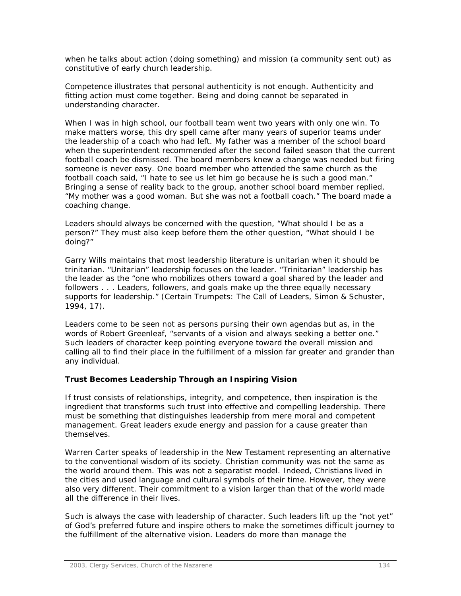when he talks about action (doing something) and mission (a community sent out) as constitutive of early church leadership.

Competence illustrates that personal authenticity is not enough. Authenticity and fitting action must come together. Being and doing cannot be separated in understanding character.

When I was in high school, our football team went two years with only one win. To make matters worse, this dry spell came after many years of superior teams under the leadership of a coach who had left. My father was a member of the school board when the superintendent recommended after the second failed season that the current football coach be dismissed. The board members knew a change was needed but firing someone is never easy. One board member who attended the same church as the football coach said, "I hate to see us let him go because he is such a good man." Bringing a sense of reality back to the group, another school board member replied, "My mother was a good woman. But she was not a football coach." The board made a coaching change.

Leaders should always be concerned with the question, "What should I be as a person?" They must also keep before them the other question, "What should I be doing?"

Garry Wills maintains that most leadership literature is unitarian when it should be trinitarian. "Unitarian" leadership focuses on the leader. "Trinitarian" leadership has the leader as the "one who mobilizes others toward a goal shared by the leader and followers . . . Leaders, followers, and goals make up the three equally necessary supports for leadership." (*Certain Trumpets: The Call of Leaders,* Simon & Schuster, 1994, 17).

Leaders come to be seen not as persons pursing their own agendas but as, in the words of Robert Greenleaf, "servants of a vision and always seeking a better one." Such leaders of character keep pointing everyone toward the overall mission and calling all to find their place in the fulfillment of a mission far greater and grander than any individual.

#### **Trust Becomes Leadership Through an Inspiring Vision**

If trust consists of relationships, integrity, and competence, then inspiration is the ingredient that transforms such trust into effective and compelling leadership. There must be something that distinguishes leadership from mere moral and competent management. Great leaders exude energy and passion for a cause greater than themselves.

Warren Carter speaks of leadership in the New Testament representing an alternative to the conventional wisdom of its society. Christian community was not the same as the world around them. This was not a separatist model. Indeed, Christians lived in the cities and used language and cultural symbols of their time. However, they were also very different. Their commitment to a vision larger than that of the world made all the difference in their lives.

Such is always the case with leadership of character. Such leaders lift up the "not yet" of God's preferred future and inspire others to make the sometimes difficult journey to the fulfillment of the alternative vision. Leaders do more than manage the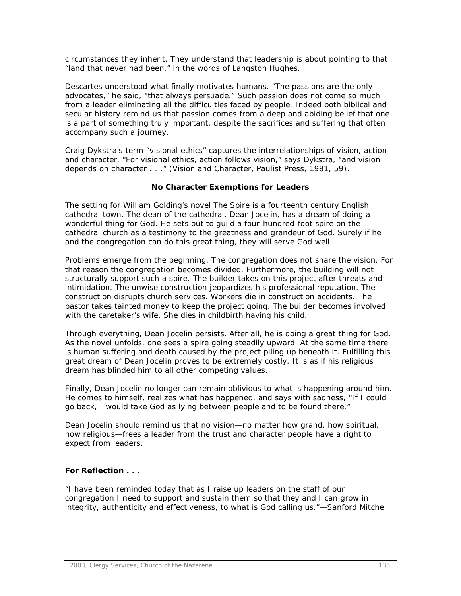circumstances they inherit. They understand that leadership is about pointing to that "land that never had been," in the words of Langston Hughes.

Descartes understood what finally motivates humans. "The passions are the only advocates," he said, "that always persuade." Such passion does not come so much from a leader eliminating all the difficulties faced by people. Indeed both biblical and secular history remind us that passion comes from a deep and abiding belief that one is a part of something truly important, despite the sacrifices and suffering that often accompany such a journey.

Craig Dykstra's term "visional ethics" captures the interrelationships of vision, action and character. "For visional ethics, action follows vision," says Dykstra, "and vision depends on character . . ." (*Vision and Character,* Paulist Press, 1981, 59).

#### **No Character Exemptions for Leaders**

The setting for William Golding's novel *The Spire* is a fourteenth century English cathedral town. The dean of the cathedral, Dean Jocelin, has a dream of doing a wonderful thing for God. He sets out to guild a four-hundred-foot spire on the cathedral church as a testimony to the greatness and grandeur of God. Surely if he and the congregation can do this great thing, they will serve God well.

Problems emerge from the beginning. The congregation does not share the vision. For that reason the congregation becomes divided. Furthermore, the building will not structurally support such a spire. The builder takes on this project after threats and intimidation. The unwise construction jeopardizes his professional reputation. The construction disrupts church services. Workers die in construction accidents. The pastor takes tainted money to keep the project going. The builder becomes involved with the caretaker's wife. She dies in childbirth having his child.

Through everything, Dean Jocelin persists. After all, he is doing a great thing for God. As the novel unfolds, one sees a spire going steadily upward. At the same time there is human suffering and death caused by the project piling up beneath it. Fulfilling this great dream of Dean Jocelin proves to be extremely costly. It is as if his religious dream has blinded him to all other competing values.

Finally, Dean Jocelin no longer can remain oblivious to what is happening around him. He comes to himself, realizes what has happened, and says with sadness, "If I could go back, I would take God as lying between people and to be found there."

Dean Jocelin should remind us that no vision—no matter how grand, how spiritual, how religious—frees a leader from the trust and character people have a right to expect from leaders.

#### *For Reflection . . .*

*"I have been reminded today that as I raise up leaders on the staff of our congregation I need to support and sustain them so that they and I can grow in integrity, authenticity and effectiveness, to what is God calling us."—Sanford Mitchell*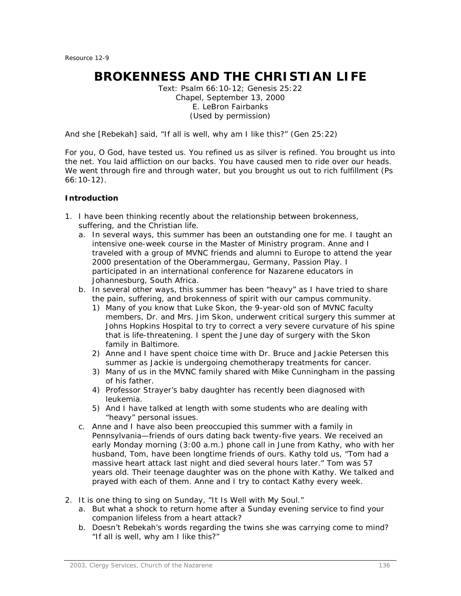### **BROKENNESS AND THE CHRISTIAN LIFE**

Text: Psalm 66:10-12; Genesis 25:22 Chapel, September 13, 2000 E. LeBron Fairbanks (Used by permission)

*And she* [Rebekah] *said, "If all is well, why am I like this?"* (Gen 25:22)

*For you, O God, have tested us. You refined us as silver is refined. You brought us into the net. You laid affliction on our backs. You have caused men to ride over our heads.* We went through fire and through water, but you brought us out to rich fulfillment (Ps 66:10-12).

#### **Introduction**

- 1. I have been thinking recently about the relationship between brokenness, suffering, and the Christian life.
	- a. In several ways, this summer has been an outstanding one for me. I taught an intensive one-week course in the Master of Ministry program. Anne and I traveled with a group of MVNC friends and alumni to Europe to attend the year 2000 presentation of the Oberammergau, Germany, Passion Play. I participated in an international conference for Nazarene educators in Johannesburg, South Africa.
	- b. In several other ways, this summer has been "heavy" as I have tried to share the pain, suffering, and brokenness of spirit with our campus community.
		- 1) Many of you know that Luke Skon, the 9-year-old son of MVNC faculty members, Dr. and Mrs. Jim Skon, underwent critical surgery this summer at Johns Hopkins Hospital to try to correct a very severe curvature of his spine that is life-threatening. I spent the June day of surgery with the Skon family in Baltimore.
		- 2) Anne and I have spent choice time with Dr. Bruce and Jackie Petersen this summer as Jackie is undergoing chemotherapy treatments for cancer.
		- 3) Many of us in the MVNC family shared with Mike Cunningham in the passing of his father.
		- 4) Professor Strayer's baby daughter has recently been diagnosed with leukemia.
		- 5) And I have talked at length with some students who are dealing with "heavy" personal issues.
	- c. Anne and I have also been preoccupied this summer with a family in Pennsylvania—friends of ours dating back twenty-five years. We received an early Monday morning (3:00 a.m.) phone call in June from Kathy, who with her husband, Tom, have been longtime friends of ours. Kathy told us, "Tom had a massive heart attack last night and died several hours later." Tom was 57 years old. Their teenage daughter was on the phone with Kathy. We talked and prayed with each of them. Anne and I try to contact Kathy every week.
- 2. It is one thing to sing on Sunday, "It Is Well with My Soul."
	- a. But what a shock to return home after a Sunday evening service to find your companion lifeless from a heart attack?
	- b. Doesn't Rebekah's words regarding the twins she was carrying come to mind? "If all is well, why am I like this?"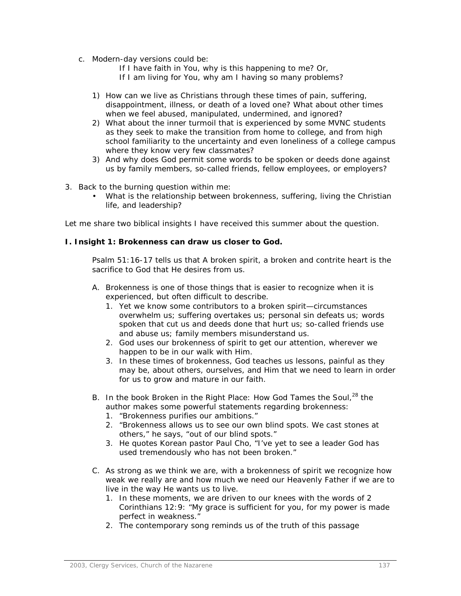- c. Modern-day versions could be:
	- If I have faith in You, why is this happening to me? Or,
	- If I am living for You, why am I having so many problems?
	- 1) How can we live as Christians through these times of pain, suffering, disappointment, illness, or death of a loved one? What about other times when we feel abused, manipulated, undermined, and ignored?
	- 2) What about the inner turmoil that is experienced by some MVNC students as they seek to make the transition from home to college, and from high school familiarity to the uncertainty and even loneliness of a college campus where they know very few classmates?
	- 3) And why does God permit some words to be spoken or deeds done against us by family members, so-called friends, fellow employees, or employers?
- 3. Back to the burning question within me:
	- What is the relationship between brokenness, suffering, living the Christian life, and leadership?

Let me share two biblical insights I have received this summer about the question.

#### **I. Insight 1: Brokenness can draw us closer to God.**

Psalm 51:16-17 tells us that *A broken spirit, a broken and contrite heart is the sacrifice to God that He desires from us.*

- A. Brokenness is one of those things that is easier to recognize when it is experienced, but often difficult to describe.
	- 1. Yet we know some contributors to a broken spirit—circumstances overwhelm us; suffering overtakes us; personal sin defeats us; words spoken that cut us and deeds done that hurt us; so-called friends use and abuse us; family members misunderstand us.
	- 2. God uses our brokenness of spirit to get our attention, wherever we happen to be in our walk with Him.
	- 3. In these times of brokenness, God teaches us lessons, painful as they may be, about others, ourselves, and Him that we need to learn in order for us to grow and mature in our faith.
- B. In the book *Broken in the Right Place: How God Tames the Soul,<sup>28</sup>* the author makes some powerful statements regarding brokenness:
	- 1. "Brokenness purifies our ambitions."
	- 2. "Brokenness allows us to see our own blind spots. We cast stones at others," he says, "out of our blind spots."
	- 3. He quotes Korean pastor Paul Cho, "I've yet to see a leader God has used tremendously who has not been broken."
- C. As strong as we think we are, with a brokenness of spirit we recognize how weak we really are and how much we need our Heavenly Father if we are to live in the way He wants us to live.
	- 1. In these moments, we are driven to our knees with the words of 2 Corinthians 12:9: *"My grace is sufficient for you, for my power is made perfect in weakness."*
	- 2. The contemporary song reminds us of the truth of this passage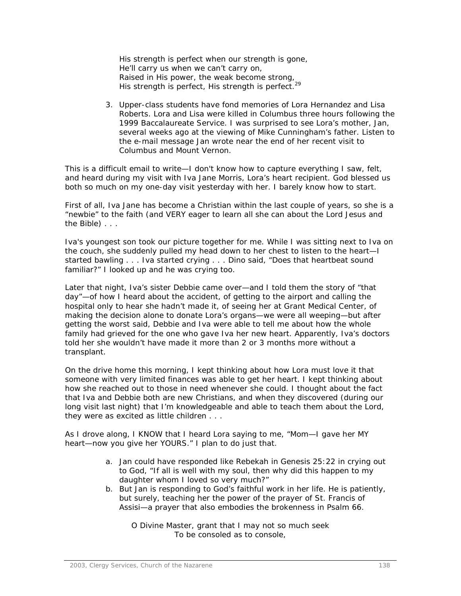*His strength is perfect when our strength is gone, He'll carry us when we can't carry on, Raised in His power, the weak become strong, His strength is perfect, His strength is perfect.29*

3. Upper-class students have fond memories of Lora Hernandez and Lisa Roberts. Lora and Lisa were killed in Columbus three hours following the 1999 Baccalaureate Service. I was surprised to see Lora's mother, Jan, several weeks ago at the viewing of Mike Cunningham's father. Listen to the e-mail message Jan wrote near the end of her recent visit to Columbus and Mount Vernon.

*This is a difficult email to write—I don't know how to capture everything I saw, felt, and heard during my visit with Iva Jane Morris, Lora's heart recipient. God blessed us both so much on my one-day visit yesterday with her. I barely know how to start.*

*First of all, Iva Jane has become a Christian within the last couple of years, so she is a "newbie" to the faith (and VERY eager to learn all* she *can about the Lord Jesus and the Bibl*e) . . .

*Iva's youngest son took our picture together for me. While I was sitting next to Iva on the couch, she suddenly pulled my head down to her chest to listen to the heart—I started bawling . . . Iva started crying . . . Dino said, "Does that heartbeat sound familiar?" I looked up and he was crying too.*

*Later that night, Iva's sister Debbie came over—and I told them the story of "that day"—of how I heard about the accident, of getting to the airport and calling the hospital only to hear she hadn't made it, of seeing her at Grant Medical Center, of making the decision alone to donate Lora's organs—we were all weeping—but after getting the worst said, Debbie and Iva were able to tell me about how the whole family had grieved for the one who gave Iva her new heart. Apparently, Iva's doctors told her she wouldn't have made it more than 2 or 3 months more without a transplant.*

*On the drive home this morning, I kept thinking about how Lora must love it that someone with very limited finances was able to get her heart. I kept thinking about how she reached out to those in need whenever she could. I thought about the fact that Iva and Debbie both are new Christians, and when they discovered (during our long visit last night) that I'm knowledgeable and able to teach them about the Lord, they were as excited as little children . . .*

*As I drove along, I KNOW that I heard Lora saying to me, "Mom—I gave her MY heart—now you give her YOURS." I plan to do just that.*

- a. Jan could have responded like Rebekah in Genesis 25:22 in crying out to God, "If all is well with my soul, then why did this happen to my daughter whom I loved so very much?"
- b. But Jan is responding to God's faithful work in her life. He is patiently, but surely, teaching her the power of the prayer of St. Francis of Assisi—a prayer that also embodies the brokenness in Psalm 66.

*O Divine Master, grant that I may not so much seek To be consoled as to console,*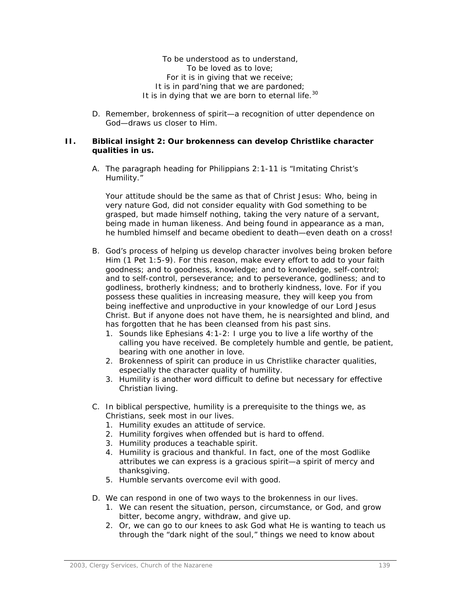*To be understood as to understand, To be loved as to love; For it is in giving that we receive; It is in pard'ning that we are pardoned; It is in dying that we are born to eternal life.<sup>30</sup>*

D. Remember, brokenness of spirit—a recognition of utter dependence on God—draws us closer to Him.

#### **II. Biblical insight 2: Our brokenness can develop Christlike character qualities in us.**

A. The paragraph heading for Philippians 2:1-11 is "Imitating Christ's Humility."

*Your attitude should be the same as that of Christ Jesus: Who, being in very nature God, did not consider equality with God something to be grasped, but made himself nothing, taking the very nature of a servant, being made in human likeness. And being found in appearance as a man, he humbled himself and became obedient to death—even death on a cross!*

- B. God's process of helping us develop character involves being broken before Him (1 Pet 1:5-9). *For this reason, make every effort to add to your faith goodness; and to goodness, knowledge; and to knowledge, self-control; and to self-control, perseverance; and to perseverance, godliness; and to godliness, brotherly kindness; and to brotherly kindness, love. For if you possess these qualities in increasing measure, they will keep you from being ineffective and unproductive in your knowledge of our Lord Jesus Christ. But if anyone does not have them, he is nearsighted and blind, and has forgotten that he has been cleansed from his past sins.*
	- 1. Sounds like Ephesians 4:1-2: *I urge you to live a life worthy of the calling you have received. Be completely humble and gentle, be patient, bearing with one another in love.*
	- 2. Brokenness of spirit can produce in us Christlike character qualities, especially the character quality of humility.
	- 3. Humility is another word difficult to define but necessary for effective Christian living.
- C. In biblical perspective, humility is a prerequisite to the things we, as Christians, seek most in our lives.
	- 1. Humility exudes an attitude of service.
	- 2. Humility forgives when offended but is hard to offend.
	- 3. Humility produces a teachable spirit.
	- 4. Humility is gracious and thankful. In fact, one of the most Godlike attributes we can express is a gracious spirit—a spirit of mercy and thanksgiving.
	- 5. Humble servants overcome evil with good.
- D. We can respond in one of two ways to the brokenness in our lives.
	- 1. We can resent the situation, person, circumstance, or God, and grow bitter, become angry, withdraw, and give up.
	- 2. Or, we can go to our knees to ask God what He is wanting to teach us through the "dark night of the soul," things we need to know about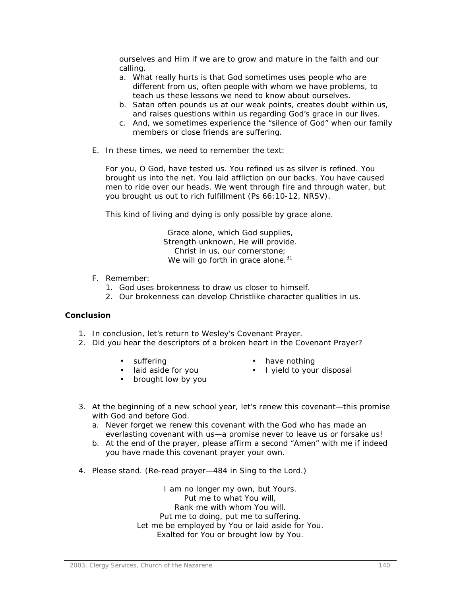ourselves and Him if we are to grow and mature in the faith and our calling.

- a. What really hurts is that God sometimes uses people who are different from us, often people with whom we have problems, to teach us these lessons we need to know about ourselves.
- b. Satan often pounds us at our weak points, creates doubt within us, and raises questions within us regarding God's grace in our lives.
- c. And, we sometimes experience the "silence of God" when our family members or close friends are suffering.
- E. In these times, we need to remember the text:

*For you, O God, have tested us. You refined us as silver is refined. You brought us into the net. You laid affliction on our backs. You have caused men to ride over our heads. We went through fire and through water, but you brought us out to rich fulfillment (Ps 66:10-12, NRSV).*

This kind of living and dying is only possible by grace alone.

*Grace alone, which God supplies, Strength unknown, He will provide. Christ in us, our cornerstone; We will go forth in grace alone.<sup>31</sup>*

- F. Remember:
	- 1. God uses brokenness to draw us closer to himself.
	- 2. Our brokenness can develop Christlike character qualities in us.

#### **Conclusion**

- 1. In conclusion, let's return to Wesley's Covenant Prayer.
- 2. Did you hear the descriptors of a broken heart in the Covenant Prayer?
	-
	- suffering have nothing
	- brought low by you
- 
- I yield to your disposal
- 3. At the beginning of a new school year, let's renew this covenant—this promise with God and before God.
	- a. Never forget we renew this covenant with the God who has made an everlasting covenant with us—a promise never to leave us or forsake us!
	- b. At the end of the prayer, please affirm a second "Amen" with me if indeed you have made this covenant prayer your own.
- 4. Please stand. (Re-read prayer—484 in *Sing to the Lord.*)

*I am no longer my own, but Yours. Put me to what You will, Rank me with whom You will. Put me to doing, put me to suffering. Let me be employed by You or laid aside for You. Exalted for You or brought low by You.*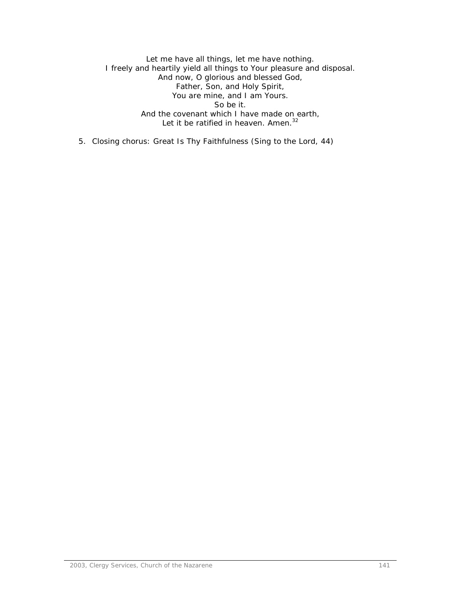*Let me have all things, let me have nothing. I freely and heartily yield all things to Your pleasure and disposal. And now, O glorious and blessed God, Father, Son, and Holy Spirit, You are mine, and I am Yours. So be it. And the covenant which I have made on earth, Let it be ratified in heaven. Amen.<sup>32</sup>*

5. Closing chorus: *Great Is Thy Faithfulness* (*Sing to the Lord,* 44)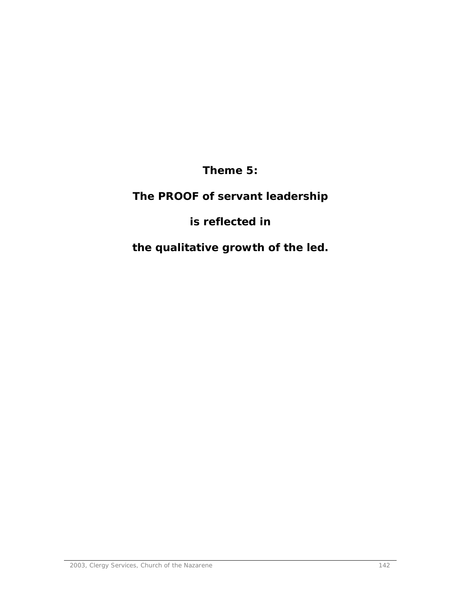*Theme 5:*

### *The PROOF of servant leadership*

*is reflected in*

*the qualitative growth of the led.*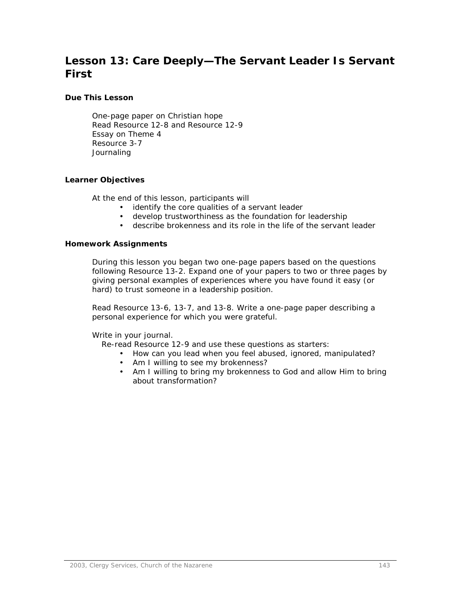### **Lesson 13: Care Deeply—The Servant Leader Is Servant First**

#### **Due This Lesson**

One-page paper on Christian hope Read Resource 12-8 and Resource 12-9 Essay on Theme 4 Resource 3-7 **Journaling** 

#### **Learner Objectives**

At the end of this lesson, participants will

- identify the core qualities of a servant leader
- develop trustworthiness as the foundation for leadership
- describe brokenness and its role in the life of the servant leader

#### **Homework Assignments**

During this lesson you began two one-page papers based on the questions following Resource 13-2. Expand one of your papers to two or three pages by giving personal examples of experiences where you have found it easy (or hard) to trust someone in a leadership position.

Read Resource 13-6, 13-7, and 13-8. Write a one-page paper describing a personal experience for which you were grateful.

Write in your journal.

- Re-read Resource 12-9 and use these questions as starters:
	- How can you lead when you feel abused, ignored, manipulated?
	- Am I willing to see my brokenness?
	- Am I willing to bring my brokenness to God and allow Him to bring about transformation?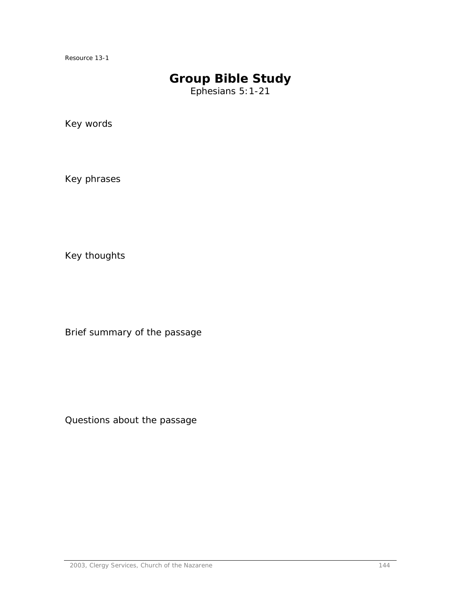Resource 13-1

# **Group Bible Study**

Ephesians 5:1-21

Key words

Key phrases

Key thoughts

Brief summary of the passage

Questions about the passage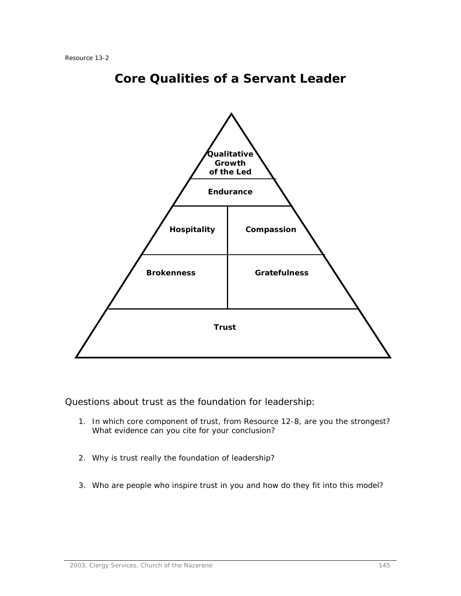

## **Core Qualities of a Servant Leader**

Questions about trust as the foundation for leadership:

- 1. In which core component of trust, from Resource 12-8, are you the strongest? What evidence can you cite for your conclusion?
- 2. Why is trust really the foundation of leadership?
- 3. Who are people who inspire trust in you and how do they fit into this model?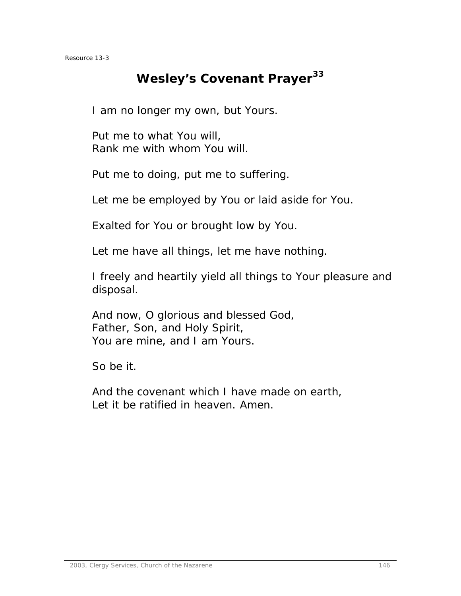# **Wesley's Covenant Prayer<sup>33</sup>**

I am no longer my own, but Yours.

Put me to what You will, Rank me with whom You will.

Put me to doing, put me to suffering.

Let me be employed by You or laid aside for You.

Exalted for You or brought low by You.

Let me have all things, let me have nothing.

I freely and heartily yield all things to Your pleasure and disposal.

And now, O glorious and blessed God, Father, Son, and Holy Spirit, You are mine, and I am Yours.

So be it.

And the covenant which I have made on earth, Let it be ratified in heaven. Amen.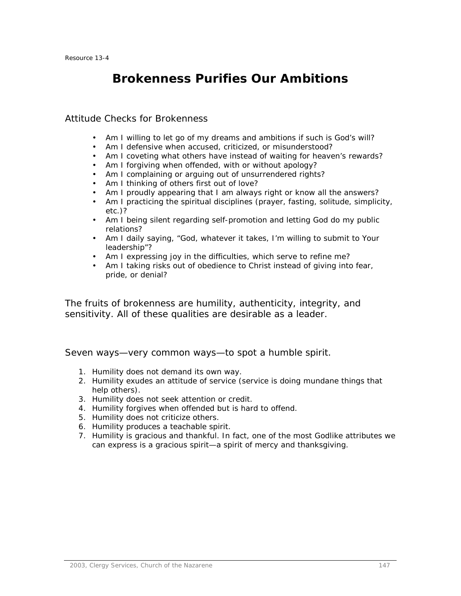## **Brokenness Purifies Our Ambitions**

### Attitude Checks for Brokenness

- Am I willing to let go of my dreams and ambitions if such is God's will?
- Am I defensive when accused, criticized, or misunderstood?
- Am I coveting what others have instead of waiting for heaven's rewards?
- Am I forgiving when offended, with or without apology?
- Am I complaining or arguing out of unsurrendered rights?
- Am I thinking of others first out of love?
- Am I proudly appearing that I am always right or know all the answers?
- Am I practicing the spiritual disciplines (prayer, fasting, solitude, simplicity, etc.)?
- Am I being silent regarding self-promotion and letting God do my public relations?
- Am I daily saying, "God, whatever it takes, I'm willing to submit to Your leadership"?
- Am I expressing joy in the difficulties, which serve to refine me?
- Am I taking risks out of obedience to Christ instead of giving into fear, pride, or denial?

The fruits of brokenness are humility, authenticity, integrity, and sensitivity. All of these qualities are desirable as a leader.

Seven ways—very common ways—to spot a humble spirit.

- 1. Humility does not demand its own way.
- 2. Humility exudes an attitude of service (service is doing mundane things that help others).
- 3. Humility does not seek attention or credit.
- 4. Humility forgives when offended but is hard to offend.
- 5. Humility does not criticize others.
- 6. Humility produces a teachable spirit.
- 7. Humility is gracious and thankful. In fact, one of the most Godlike attributes we can express is a gracious spirit—a spirit of mercy and thanksgiving.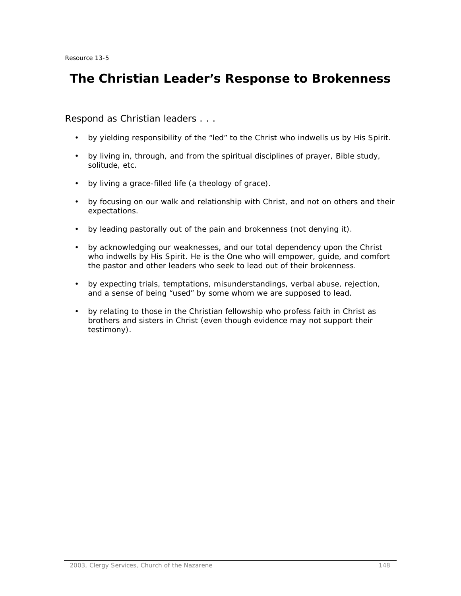## **The Christian Leader's Response to Brokenness**

Respond as Christian leaders . . .

- by yielding responsibility of the "led" to the Christ who indwells us by His Spirit.
- by living in, through, and from the spiritual disciplines of prayer, Bible study, solitude, etc.
- by living a grace-filled life (a theology of grace).
- by focusing on our walk and relationship with Christ, and not on others and their expectations.
- by leading pastorally out of the pain and brokenness (not denying it).
- by acknowledging our weaknesses, and our total dependency upon the Christ who indwells by His Spirit. He is the One who will empower, guide, and comfort the pastor and other leaders who seek to lead out of their brokenness.
- by expecting trials, temptations, misunderstandings, verbal abuse, rejection, and a sense of being "used" by some whom we are supposed to lead.
- by relating to those in the Christian fellowship who profess faith in Christ as brothers and sisters in Christ (even though evidence may not support their testimony).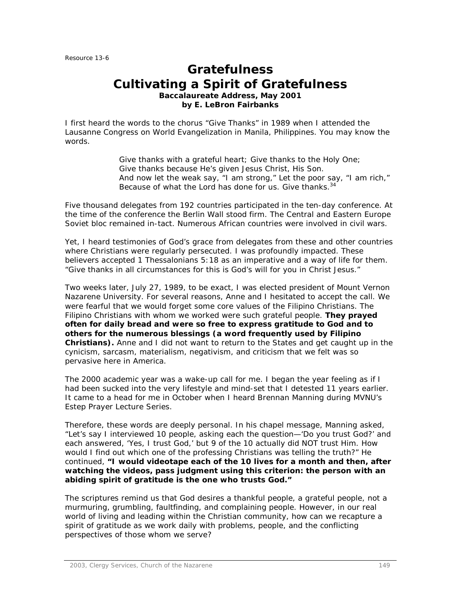### **Gratefulness Cultivating a Spirit of Gratefulness Baccalaureate Address, May 2001 by E. LeBron Fairbanks**

I first heard the words to the chorus "Give Thanks" in 1989 when I attended the Lausanne Congress on World Evangelization in Manila, Philippines. You may know the words.

> *Give thanks with a grateful heart; Give thanks to the Holy One; Give thanks because He's given Jesus Christ, His Son. And now let the weak say, "I am strong," Let the poor say, "I am rich," Because of what the Lord has done for us. Give thanks.34*

Five thousand delegates from 192 countries participated in the ten-day conference. At the time of the conference the Berlin Wall stood firm. The Central and Eastern Europe Soviet bloc remained in-tact. Numerous African countries were involved in civil wars.

Yet, I heard testimonies of God's grace from delegates from these and other countries where Christians were regularly persecuted. I was profoundly impacted. These believers accepted 1 Thessalonians 5:18 as an imperative and a way of life for them. "Give thanks in all circumstances for this is God's will for you in Christ Jesus."

Two weeks later, July 27, 1989, to be exact, I was elected president of Mount Vernon Nazarene University. For several reasons, Anne and I hesitated to accept the call. We were fearful that we would forget some core values of the Filipino Christians. The Filipino Christians with whom we worked were such grateful people. **They prayed often for daily bread and were so free to express gratitude to God and to others for the numerous blessings (a word frequently used by Filipino Christians).** Anne and I did not want to return to the States and get caught up in the cynicism, sarcasm, materialism, negativism, and criticism that we felt was so pervasive here in America.

The 2000 academic year was a wake-up call for me. I began the year feeling as if I had been sucked into the very lifestyle and mind-set that I detested 11 years earlier. It came to a head for me in October when I heard Brennan Manning during MVNU's Estep Prayer Lecture Series.

Therefore, these words are deeply personal. In his chapel message, Manning asked, "Let's say I interviewed 10 people, asking each the question—'Do you trust God?' and each answered, 'Yes, I trust God,' but 9 of the 10 actually did NOT trust Him. How would I find out which one of the professing Christians was telling the truth?" He continued, **"I would videotape each of the 10 lives for a month and then, after watching the videos, pass judgment using this criterion: the person with an abiding spirit of gratitude is the one who trusts God."**

The scriptures remind us that God desires a thankful people, a grateful people, not a murmuring, grumbling, faultfinding, and complaining people. However, in our real world of living and leading within the Christian community, how can we recapture a spirit of gratitude as we work daily with problems, people, and the conflicting perspectives of those whom we serve?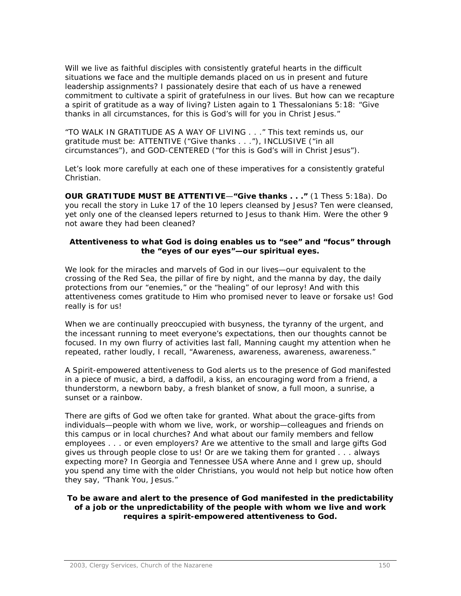Will we live as faithful disciples with consistently grateful hearts in the difficult situations we face and the multiple demands placed on us in present and future leadership assignments? I passionately desire that each of us have a renewed commitment to cultivate a spirit of gratefulness in our lives. But how can we recapture a spirit of gratitude as a way of living? Listen again to 1 Thessalonians 5:18: "Give thanks in all circumstances, for this is God's will for you in Christ Jesus."

"TO WALK IN GRATITUDE AS A WAY OF LIVING . . ." This text reminds us, our gratitude must be: ATTENTIVE ("Give thanks . . ."), INCLUSIVE ("in all circumstances"), and GOD-CENTERED ("for this is God's will in Christ Jesus").

Let's look more carefully at each one of these imperatives for a consistently grateful Christian.

**OUR GRATITUDE MUST BE ATTENTIVE**—**"Give thanks . . ."** (1 Thess 5:18a). Do you recall the story in Luke 17 of the 10 lepers cleansed by Jesus? Ten were cleansed, yet only one of the cleansed lepers returned to Jesus to thank Him. Were the other 9 not aware they had been cleaned?

### **Attentiveness to what God is doing enables us to "see" and "focus" through the "eyes of our eyes"—our spiritual eyes.**

We look for the miracles and marvels of God in our lives—our equivalent to the crossing of the Red Sea, the pillar of fire by night, and the manna by day, the daily protections from our "enemies," or the "healing" of our leprosy! And with this attentiveness comes gratitude to Him who promised never to leave or forsake us! God really is for us!

When we are continually preoccupied with busyness, the tyranny of the urgent, and the incessant running to meet everyone's expectations, then our thoughts cannot be focused. In my own flurry of activities last fall, Manning caught my attention when he repeated, rather loudly, I recall, "Awareness, awareness, awareness, awareness."

A Spirit-empowered attentiveness to God alerts us to the presence of God manifested in a piece of music, a bird, a daffodil, a kiss, an encouraging word from a friend, a thunderstorm, a newborn baby, a fresh blanket of snow, a full moon, a sunrise, a sunset or a rainbow.

There are gifts of God we often take for granted. What about the grace-gifts from individuals—people with whom we live, work, or worship—colleagues and friends on this campus or in local churches? And what about our family members and fellow employees . . . or even employers? Are we attentive to the small and large gifts God gives us through people close to us! Or are we taking them for granted . . . always expecting more? In Georgia and Tennessee USA where Anne and I grew up, should you spend any time with the older Christians, you would not help but notice how often they say, "Thank You, Jesus."

### **To be aware and alert to the presence of God manifested in the predictability of a job or the unpredictability of the people with whom we live and work requires a spirit-empowered attentiveness to God.**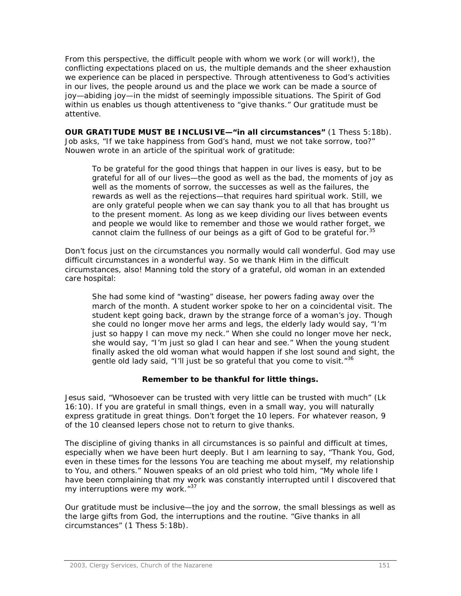From this perspective, the difficult people with whom we work (or will work!), the conflicting expectations placed on us, the multiple demands and the sheer exhaustion we experience can be placed in perspective. Through attentiveness to God's activities in our lives, the people around us and the place we work can be made a source of joy—abiding joy—in the midst of seemingly impossible situations. The Spirit of God within us enables us though attentiveness to "give thanks." Our gratitude must be attentive.

**OUR GRATITUDE MUST BE INCLUSIVE—"in all circumstances"** (1 Thess 5:18b). Job asks, "If we take happiness from God's hand, must we not take sorrow, too?" Nouwen wrote in an article of the spiritual work of gratitude:

*To be grateful for the good things that happen in our lives is easy, but to be grateful for all of our lives—the good as well as the bad, the moments of joy as well as the moments of sorrow, the successes as well as the failures, the rewards as well as the rejections—that requires hard spiritual work. Still, we are only grateful people when we can say thank you to all that has brought us to the present moment. As long as we keep dividing our lives between events and people we would like to remember and those we would rather forget, we cannot claim the fullness of our beings as a gift of God to be grateful for.<sup>35</sup>*

Don't focus just on the circumstances you normally would call wonderful. God may use difficult circumstances in a wonderful way. So we thank Him in the difficult circumstances, also! Manning told the story of a grateful, old woman in an extended care hospital:

*She had some kind of "wasting" disease, her powers fading away over the march of the month. A student worker spoke to her on a coincidental visit. The student kept going back, drawn by the strange force of a woman's joy. Though she could no longer move her arms and legs, the elderly lady would say, "I'm just so happy I can move my neck." When she could no longer move her neck, she would say, "I'm just so glad I can hear and see." When the young student finally asked the old woman what would happen if she lost sound and sight, the gentle old lady said, "I'll just be so grateful that you come to visit."<sup>36</sup>*

### **Remember to be thankful for little things.**

Jesus said, "Whosoever can be trusted with very little can be trusted with much" (Lk 16:10). If you are grateful in small things, even in a small way, you will naturally express gratitude in great things. Don't forget the 10 lepers. For whatever reason, 9 of the 10 cleansed lepers chose not to return to give thanks.

The discipline of giving thanks in all circumstances is so painful and difficult at times, especially when we have been hurt deeply. But I am learning to say, "Thank You, God, even in these times for the lessons You are teaching me about myself, my relationship to You, and others." Nouwen speaks of an old priest who told him, "My whole life I have been complaining that my work was constantly interrupted until I discovered that my interruptions were my work."<sup>37</sup>

Our gratitude must be inclusive—the joy and the sorrow, the small blessings as well as the large gifts from God, the interruptions and the routine. "Give thanks in all circumstances" (1 Thess 5:18b).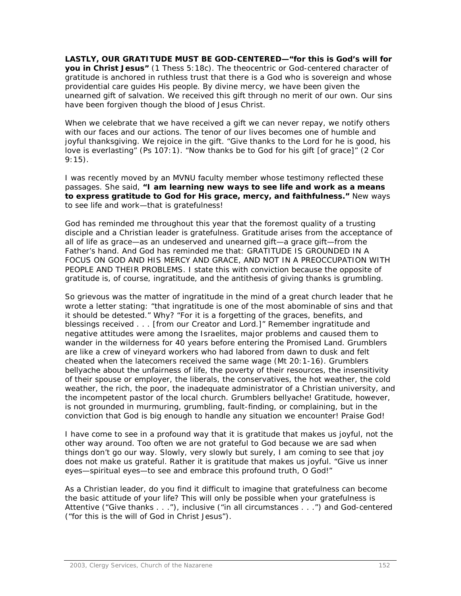**LASTLY, OUR GRATITUDE MUST BE GOD-CENTERED—"for this is God's will for you in Christ Jesus"** (1 Thess 5:18c). The theocentric or God-centered character of gratitude is anchored in ruthless trust that there is a God who is sovereign and whose providential care guides His people. By divine mercy, we have been given the unearned gift of salvation. We received this gift through no merit of our own. Our sins have been forgiven though the blood of Jesus Christ.

When we celebrate that we have received a gift we can never repay, we notify others with our faces and our actions. The tenor of our lives becomes one of humble and joyful thanksgiving. We rejoice in the gift. "Give thanks to the Lord for he is good, his love is everlasting" (Ps 107:1). "Now thanks be to God for his gift [of grace]" (2 Cor 9:15).

I was recently moved by an MVNU faculty member whose testimony reflected these passages. She said, **"I am learning new ways to see life and work as a means to express gratitude to God for His grace, mercy, and faithfulness."** New ways to see life and work—that is gratefulness!

God has reminded me throughout this year that the foremost quality of a trusting disciple and a Christian leader is gratefulness. Gratitude arises from the acceptance of all of life as grace—as an undeserved and unearned gift—a grace gift—from the Father's hand. And God has reminded me that: GRATITUDE IS GROUNDED IN A FOCUS ON GOD AND HIS MERCY AND GRACE, AND NOT IN A PREOCCUPATION WITH PEOPLE AND THEIR PROBLEMS. I state this with conviction because the opposite of gratitude is, of course, ingratitude, and the antithesis of giving thanks is grumbling.

So grievous was the matter of ingratitude in the mind of a great church leader that he wrote a letter stating: "that ingratitude is one of the most abominable of sins and that it should be detested." Why? "For it is a forgetting of the graces, benefits, and blessings received . . . [from our Creator and Lord.]" Remember ingratitude and negative attitudes were among the Israelites, major problems and caused them to wander in the wilderness for 40 years before entering the Promised Land. Grumblers are like a crew of vineyard workers who had labored from dawn to dusk and felt cheated when the latecomers received the same wage (Mt 20:1-16). Grumblers bellyache about the unfairness of life, the poverty of their resources, the insensitivity of their spouse or employer, the liberals, the conservatives, the hot weather, the cold weather, the rich, the poor, the inadequate administrator of a Christian university, and the incompetent pastor of the local church. Grumblers bellyache! Gratitude, however, is not grounded in murmuring, grumbling, fault-finding, or complaining, but in the conviction that God is big enough to handle any situation we encounter! Praise God!

I have come to see in a profound way that it is gratitude that makes us joyful, not the other way around. Too often we are not grateful to God because we are sad when things don't go our way. Slowly, very slowly but surely, I am coming to see that joy does not make us grateful. Rather it is gratitude that makes us joyful. "Give us inner eyes—spiritual eyes—to see and embrace this profound truth, O God!"

As a Christian leader, do you find it difficult to imagine that gratefulness can become the basic attitude of your life? This will only be possible when your gratefulness is Attentive ("Give thanks . . ."), inclusive ("in all circumstances . . .") and God-centered ("for this is the will of God in Christ Jesus").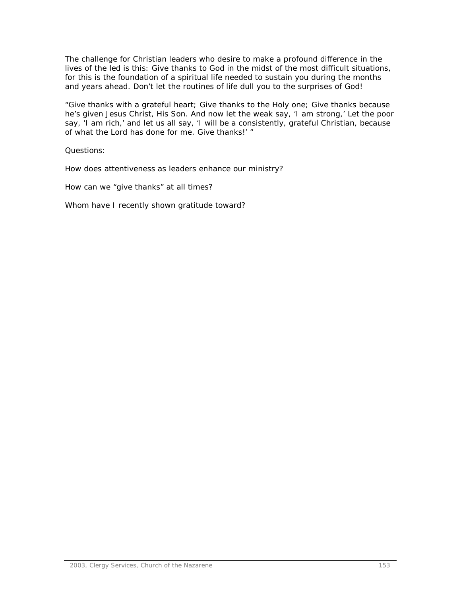The challenge for Christian leaders who desire to make a profound difference in the lives of the led is this: Give thanks to God in the midst of the most difficult situations, for this is the foundation of a spiritual life needed to sustain you during the months and years ahead. Don't let the routines of life dull you to the surprises of God!

"Give thanks with a grateful heart; Give thanks to the Holy one; Give thanks because he's given Jesus Christ, His Son. And now let the weak say, 'I am strong,' Let the poor say, 'I am rich,' and let us all say, 'I will be a consistently, grateful Christian, because of what the Lord has done for me. Give thanks!' "

Questions:

How does attentiveness as leaders enhance our ministry?

How can we "give thanks" at all times?

Whom have I recently shown gratitude toward?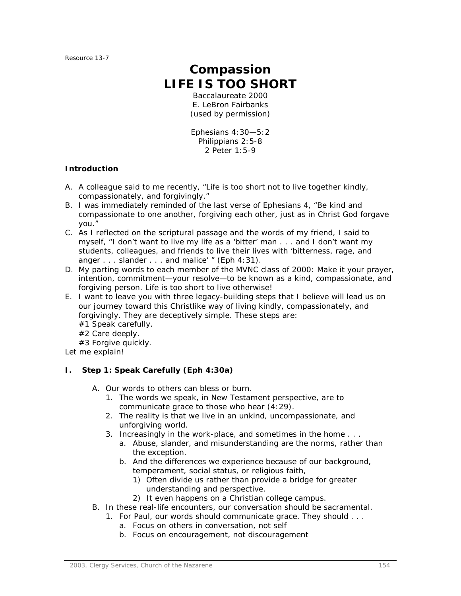# **Compassion LIFE IS TOO SHORT**

Baccalaureate 2000 E. LeBron Fairbanks (used by permission)

Ephesians 4:30—5:2 Philippians 2:5-8 2 Peter 1:5-9

### **Introduction**

- A. A colleague said to me recently, "Life is too short not to live together kindly, compassionately, and forgivingly."
- B. I was immediately reminded of the last verse of Ephesians 4, "Be kind and compassionate to one another, forgiving each other, just as in Christ God forgave you."
- C. As I reflected on the scriptural passage and the words of my friend, I said to myself, "I don't want to live my life as a 'bitter' man . . . and I don't want my students, colleagues, and friends to live their lives with 'bitterness, rage, and anger . . . slander . . . and malice' " (Eph 4:31).
- D. My parting words to each member of the MVNC class of 2000: Make it your prayer, intention, commitment—your resolve—to be known as a kind, compassionate, and forgiving person. Life is too short to live otherwise!
- E. I want to leave you with three legacy-building steps that I believe will lead us on our journey toward this Christlike way of living kindly, compassionately, and forgivingly. They are deceptively simple. These steps are:
	- #1 Speak carefully.
	- #2 Care deeply.
	- #3 Forgive quickly.
- Let me explain!

### **I. Step 1: Speak Carefully (Eph 4:30a)**

- A. Our words to others can bless or burn.
	- 1. The words we speak, in New Testament perspective, are to communicate grace to those who hear (4:29).
	- 2. The reality is that we live in an unkind, uncompassionate, and unforgiving world.
	- 3. Increasingly in the work-place, and sometimes in the home . . .
		- a. Abuse, slander, and misunderstanding are the norms, rather than the exception.
		- b. And the differences we experience because of our background, temperament, social status, or religious faith,
			- 1) Often divide us rather than provide a bridge for greater understanding and perspective.
			- 2) It even happens on a Christian college campus.
- B. In these real-life encounters, our conversation should be sacramental.
	- 1. For Paul, our words should communicate grace. They should . . .
		- a. Focus on others in conversation, not self
		- b. Focus on encouragement, not discouragement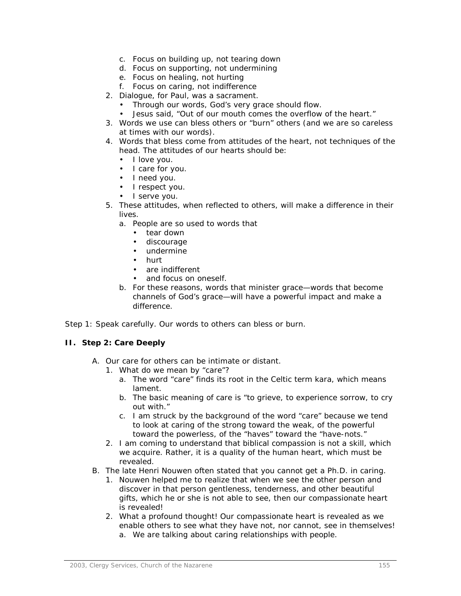- c. Focus on building up, not tearing down
- d. Focus on supporting, not undermining
- e. Focus on healing, not hurting
- f. Focus on caring, not indifference
- 2. Dialogue, for Paul, was a sacrament.
	- Through our words, God's very grace should flow.
	- Jesus said, "Out of our mouth comes the overflow of the heart."
- 3. Words we use can bless others or "burn" others (and we are so careless at times with our words).
- 4. Words that bless come from attitudes of the heart, not techniques of the head. The attitudes of our hearts should be:
	- I love you.
	- I care for you.
	- I need you.
	- I respect you.
	- I serve you.
- 5. These attitudes, when reflected to others, will make a difference in their lives.
	- a. People are so used to words that
		- tear down
		- discourage
		- undermine
		- hurt
		- are indifferent
		- and focus on oneself.
	- b. For these reasons, words that minister grace—words that become channels of God's grace—will have a powerful impact and make a difference.

Step 1: Speak carefully. Our words to others can bless or burn.

### **II. Step 2: Care Deeply**

- A. Our care for others can be intimate or distant.
	- 1. What do we mean by "care"?
		- a. The word "care" finds its root in the Celtic term *kara*, which means lament.
		- b. The basic meaning of care is "to grieve, to experience sorrow, to cry out with."
		- c. I am struck by the background of the word "care" because we tend to look at caring of the strong toward the weak, of the powerful toward the powerless, of the "haves" toward the "have-nots."
	- 2. I am coming to understand that biblical compassion is not a skill, which we acquire. Rather, it is a quality of the human heart, which must be revealed.
- B. The late Henri Nouwen often stated that you cannot get a Ph.D. in caring.
	- 1. Nouwen helped me to realize that when we see the other person and discover in that person gentleness, tenderness, and other beautiful gifts, which he or she is not able to see, then our compassionate heart is revealed!
	- 2. What a profound thought! Our compassionate heart is revealed as we enable others to see what they have not, nor cannot, see in themselves! a. We are talking about caring relationships with people.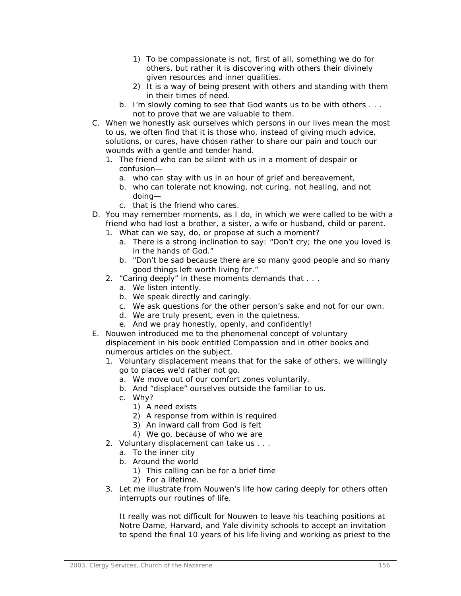- 1) To be compassionate is not, first of all, something we do for others, but rather it is discovering with others their divinely given resources and inner qualities.
- 2) It is a way of being present with others and standing with them in their times of need.
- b. I'm slowly coming to see that God wants us to be with others . . . not to prove that we are valuable to them.
- C. When we honestly ask ourselves which persons in our lives mean the most to us, we often find that it is those who, instead of giving much advice, solutions, or cures, have chosen rather to share our pain and touch our wounds with a gentle and tender hand.
	- 1. The friend who can be silent with us in a moment of despair or confusion
		- a. who can stay with us in an hour of grief and bereavement,
		- b. who can tolerate not knowing, not curing, not healing, and not doing—
		- c. that is the friend who cares.
- D. You may remember moments, as I do, in which we were called to be with a friend who had lost a brother, a sister, a wife or husband, child or parent.
	- 1. What can we say, do, or propose at such a moment?
		- a. There is a strong inclination to say: "Don't cry; the one you loved is in the hands of God."
		- b. "Don't be sad because there are so many good people and so many good things left worth living for."
	- 2. "Caring deeply" in these moments demands that . . .
		- a. We listen intently.
		- b. We speak directly and caringly.
		- c. We ask questions for the other person's sake and not for our own.
		- d. We are truly present, even in the quietness.
		- e. And we pray honestly, openly, and confidently!
- E. Nouwen introduced me to the phenomenal concept of voluntary displacement in his book entitled *Compassion* and in other books and numerous articles on the subject.
	- 1. Voluntary displacement means that for the sake of others, we willingly go to places we'd rather not go.
		- a. We move out of our comfort zones voluntarily.
		- b. And "displace" ourselves outside the familiar to us.
		- c. Why?
			- 1) A need exists
			- 2) A response from within is required
			- 3) An inward call from God is felt
			- 4) We go, because of who we are
	- 2. Voluntary displacement can take us . . .
		- a. To the inner city
		- b. Around the world
			- 1) This calling can be for a brief time
			- 2) For a lifetime.
	- 3. Let me illustrate from Nouwen's life how caring deeply for others often interrupts our routines of life.

It really was not difficult for Nouwen to leave his teaching positions at Notre Dame, Harvard, and Yale divinity schools to accept an invitation to spend the final 10 years of his life living and working as priest to the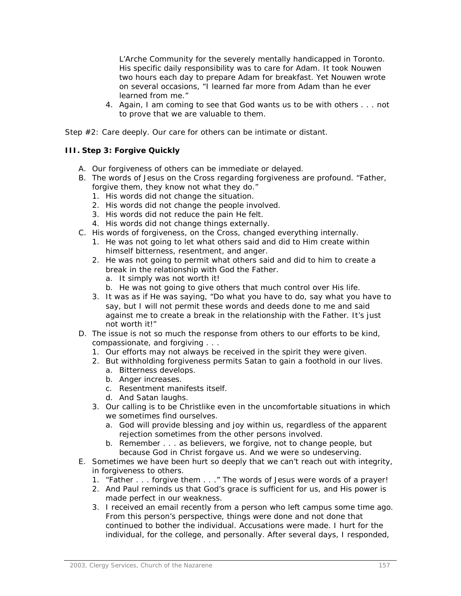L'Arche Community for the severely mentally handicapped in Toronto. His specific daily responsibility was to care for Adam. It took Nouwen two hours each day to prepare Adam for breakfast. Yet Nouwen wrote on several occasions, "I learned far more from Adam than he ever learned from me."

4. Again, I am coming to see that God wants us to be with others . . . not to prove that we are valuable to them.

Step #2: Care deeply. Our care for others can be intimate or distant.

### **III. Step 3: Forgive Quickly**

- A. Our forgiveness of others can be immediate or delayed.
- B. The words of Jesus on the Cross regarding forgiveness are profound. "Father, forgive them, they know not what they do."
	- 1. His words did not change the situation.
	- 2. His words did not change the people involved.
	- 3. His words did not reduce the pain He felt.
	- 4. His words did not change things externally.
- C. His words of forgiveness, on the Cross, changed everything internally.
	- 1. He was not going to let what others said and did to Him create within himself bitterness, resentment, and anger.
	- 2. He was not going to permit what others said and did to him to create a break in the relationship with God the Father.
		- a. It simply was not worth it!
		- b. He was not going to give others that much control over His life.
	- 3. It was as if He was saying, "Do what you have to do, say what you have to say, but I will not permit these words and deeds done to me and said against me to create a break in the relationship with the Father. It's just not worth it!"
- D. The issue is not so much the response from others to our efforts to be kind, compassionate, and forgiving . . .
	- 1. Our efforts may not always be received in the spirit they were given.
	- 2. But withholding forgiveness permits Satan to gain a foothold in our lives. a. Bitterness develops.
		- b. Anger increases.
		- c. Resentment manifests itself.
		- d. And Satan laughs.
	- 3. Our calling is to be Christlike even in the uncomfortable situations in which we sometimes find ourselves.
		- a. God will provide blessing and joy within us, regardless of the apparent rejection sometimes from the other persons involved.
		- b. Remember . . . as believers, we forgive, not to change people, but because God in Christ forgave us. And we were so undeserving.
- E. Sometimes we have been hurt so deeply that we can't reach out with integrity, in forgiveness to others.
	- 1. "Father . . . forgive them . . ." The words of Jesus were words of a prayer!
	- 2. And Paul reminds us that God's grace is sufficient for us, and His power is made perfect in our weakness.
	- 3. I received an email recently from a person who left campus some time ago. From this person's perspective, things were done and not done that continued to bother the individual. Accusations were made. I hurt for the individual, for the college, and personally. After several days, I responded,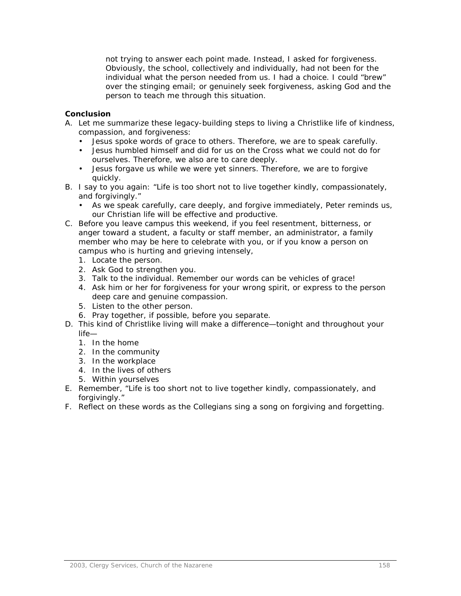not trying to answer each point made. Instead, I asked for forgiveness. Obviously, the school, collectively and individually, had not been for the individual what the person needed from us. I had a choice. I could "brew" over the stinging email; or genuinely seek forgiveness, asking God and the person to teach me through this situation.

### **Conclusion**

- A. Let me summarize these legacy-building steps to living a Christlike life of kindness, compassion, and forgiveness:
	- Jesus spoke words of grace to others. Therefore, we are to speak carefully.
	- Jesus humbled himself and did for us on the Cross what we could not do for ourselves. Therefore, we also are to care deeply.
	- Jesus forgave us while we were yet sinners. Therefore, we are to forgive quickly.
- B. I say to you again: "Life is too short not to live together kindly, compassionately, and forgivingly."
	- As we speak carefully, care deeply, and forgive immediately, Peter reminds us, our Christian life will be effective and productive.
- C. Before you leave campus this weekend, if you feel resentment, bitterness, or anger toward a student, a faculty or staff member, an administrator, a family member who may be here to celebrate with you, or if you know a person on campus who is hurting and grieving intensely,
	- 1. Locate the person.
	- 2. Ask God to strengthen you.
	- 3. Talk to the individual. Remember our words can be vehicles of grace!
	- 4. Ask him or her for forgiveness for your wrong spirit, or express to the person deep care and genuine compassion.
	- 5. Listen to the other person.
	- 6. Pray together, if possible, before you separate.
- D. This kind of Christlike living will make a difference—tonight and throughout your life—
	- 1. In the home
	- 2. In the community
	- 3. In the workplace
	- 4. In the lives of others
	- 5. Within yourselves
- E. Remember, "Life is too short not to live together kindly, compassionately, and forgivingly."
- F. Reflect on these words as the Collegians sing a song on forgiving and forgetting.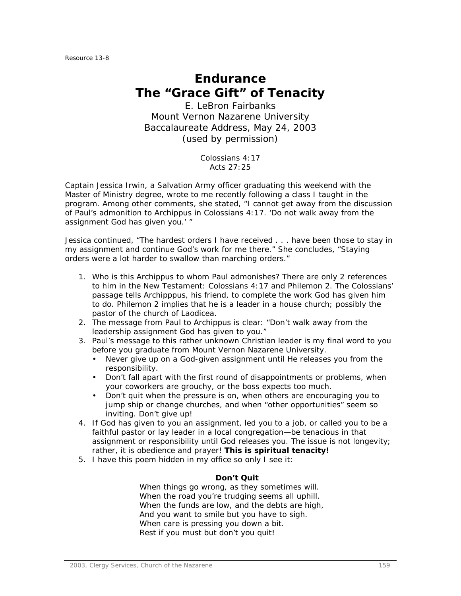Resource 13-8

### **Endurance The "Grace Gift" of Tenacity**

E. LeBron Fairbanks Mount Vernon Nazarene University Baccalaureate Address, May 24, 2003 (used by permission)

> Colossians 4:17 Acts 27:25

Captain Jessica Irwin, a Salvation Army officer graduating this weekend with the Master of Ministry degree, wrote to me recently following a class I taught in the program. Among other comments, she stated, "I cannot get away from the discussion of Paul's admonition to Archippus in Colossians 4:17. 'Do not walk away from the assignment God has given you.' "

Jessica continued, "The hardest orders I have received . . . have been those to stay in my assignment and continue God's work for me there." She concludes, "Staying orders were a lot harder to swallow than marching orders."

- 1. Who is this Archippus to whom Paul admonishes? There are only 2 references to him in the New Testament: Colossians 4:17 and Philemon 2. The Colossians' passage tells Archipppus, his friend, to complete the work God has given him to do. Philemon 2 implies that he is a leader in a house church; possibly the pastor of the church of Laodicea.
- 2. The message from Paul to Archippus is clear: "Don't walk away from the leadership assignment God has given to you."
- 3. Paul's message to this rather unknown Christian leader is my final word to you before you graduate from Mount Vernon Nazarene University.
	- Never give up on a God-given assignment until He releases you from the responsibility.
	- Don't fall apart with the first round of disappointments or problems, when your coworkers are grouchy, or the boss expects too much.
	- Don't quit when the pressure is on, when others are encouraging you to jump ship or change churches, and when "other opportunities" seem so inviting. Don't give up!
- 4. If God has given to you an assignment, led you to a job, or called you to be a faithful pastor or lay leader in a local congregation—be tenacious in that assignment or responsibility until God releases you. The issue is not longevity; rather, it is obedience and prayer! **This is spiritual tenacity!**
- 5. I have this poem hidden in my office so only I see it:

#### **Don't Quit**

*When things go wrong, as they sometimes will. When the road you're trudging seems all uphill. When the funds are low, and the debts are high, And you want to smile but you have to sigh. When care is pressing you down a bit. Rest if you must but don't you quit!*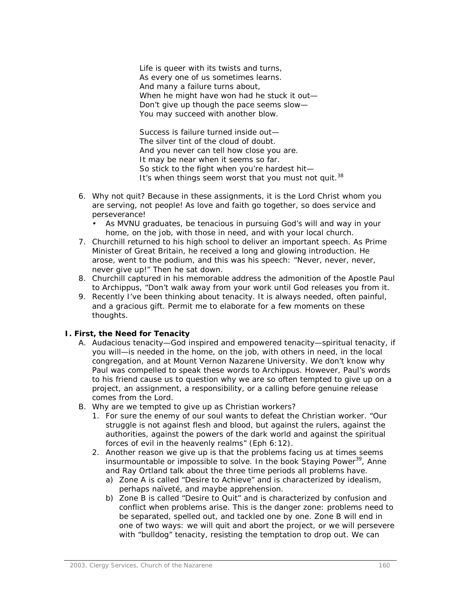*Life is queer with its twists and turns, As every one of us sometimes learns. And many a failure turns about, When he might have won had he stuck it out— Don't give up though the pace seems slow— You may succeed with another blow.*

*Success is failure turned inside out— The silver tint of the cloud of doubt. And you never can tell how close you are. It may be near when it seems so far. So stick to the fight when you're hardest hit— It's when things seem worst that you must not quit.<sup>38</sup>*

- 6. Why not quit? Because in these assignments, it is the Lord Christ whom you are serving, not people! As love and faith go together, so does service and perseverance!
	- As MVNU graduates, be tenacious in pursuing God's will and way in your home, on the job, with those in need, and with your local church.
- 7. Churchill returned to his high school to deliver an important speech. As Prime Minister of Great Britain, he received a long and glowing introduction. He arose, went to the podium, and this was his speech: "Never, never, never, never give up!" Then he sat down.
- 8. Churchill captured in his memorable address the admonition of the Apostle Paul to Archippus, "Don't walk away from your work until God releases you from it.
- 9. Recently I've been thinking about tenacity. It is always needed, often painful, and a gracious gift. Permit me to elaborate for a few moments on these thoughts.

### **I. First, the Need for Tenacity**

- A. Audacious tenacity—God inspired and empowered tenacity—spiritual tenacity, if you will—is needed in the home, on the job, with others in need, in the local congregation, and at Mount Vernon Nazarene University. We don't know why Paul was compelled to speak these words to Archippus. However, Paul's words to his friend cause us to question why we are so often tempted to give up on a project, an assignment, a responsibility, or a calling before genuine release comes from the Lord.
- B. Why are we tempted to give up as Christian workers?
	- 1. For sure the enemy of our soul wants to defeat the Christian worker. "Our struggle is not against flesh and blood, but against the rulers, against the authorities, against the powers of the dark world and against the spiritual forces of evil in the heavenly realms" (Eph 6:12).
	- 2. Another reason we give up is that the problems facing us at times seems insurmountable or impossible to solve. In the book *Staying Power*<sup>39</sup>, Anne and Ray Ortland talk about the three time periods all problems have.
		- a) Zone A is called "Desire to Achieve" and is characterized by idealism, perhaps naïveté, and maybe apprehension.
		- b) Zone B is called "Desire to Quit" and is characterized by confusion and conflict when problems arise. This is the danger zone: problems need to be separated, spelled out, and tackled one by one. Zone B will end in one of two ways: we will quit and abort the project, or we will persevere with "bulldog" tenacity, resisting the temptation to drop out. We can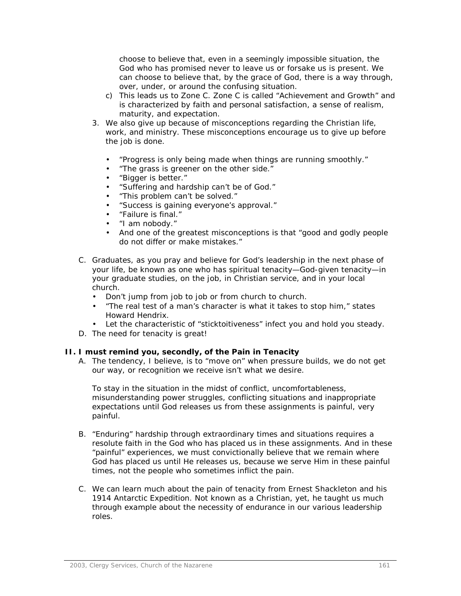choose to believe that, even in a seemingly impossible situation, the God who has promised never to leave us or forsake us is present. We can choose to believe that, by the grace of God, there is a way through, over, under, or around the confusing situation.

- c) This leads us to Zone C. Zone C is called "Achievement and Growth" and is characterized by faith and personal satisfaction, a sense of realism, maturity, and expectation.
- 3. We also give up because of misconceptions regarding the Christian life, work, and ministry. These misconceptions encourage us to give up before the job is done.
	- "Progress is only being made when things are running smoothly."
	- "The grass is greener on the other side."
	- "Bigger is better."
	- "Suffering and hardship can't be of God."
	- "This problem can't be solved."
	- "Success is gaining everyone's approval."
	- "Failure is final."
	- "I am nobody."
	- And one of the greatest misconceptions is that "good and godly people do not differ or make mistakes."
- C. Graduates, as you pray and believe for God's leadership in the next phase of your life, be known as one who has spiritual tenacity—God-given tenacity—in your graduate studies, on the job, in Christian service, and in your local church.
	- Don't jump from job to job or from church to church.
	- "The real test of a man's character is what it takes to stop him," states Howard Hendrix.
	- Let the characteristic of "sticktoitiveness" infect you and hold you steady.
- D. The need for tenacity is great!

### **II. I must remind you, secondly, of the Pain in Tenacity**

A. The tendency, I believe, is to "move on" when pressure builds, we do not get our way, or recognition we receive isn't what we desire.

To stay in the situation in the midst of conflict, uncomfortableness, misunderstanding power struggles, conflicting situations and inappropriate expectations until God releases us from these assignments is painful, very painful.

- B. "Enduring" hardship through extraordinary times and situations requires a resolute faith in the God who has placed us in these assignments. And in these "painful" experiences, we must convictionally believe that we remain where God has placed us until He releases us, because we serve Him in these painful times, not the people who sometimes inflict the pain.
- C. We can learn much about the pain of tenacity from Ernest Shackleton and his 1914 Antarctic Expedition. Not known as a Christian, yet, he taught us much through example about the necessity of endurance in our various leadership roles.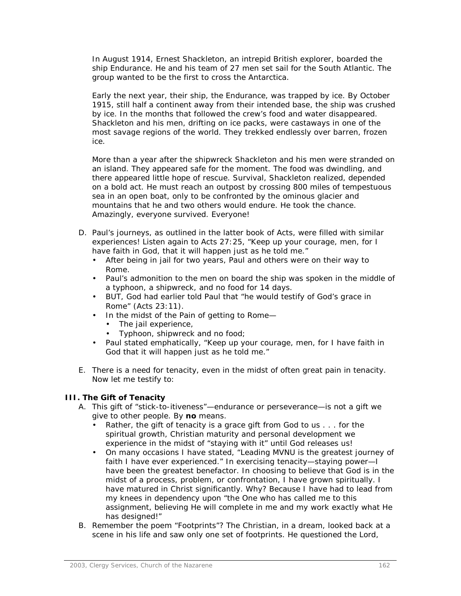In August 1914, Ernest Shackleton, an intrepid British explorer, boarded the ship *Endurance.* He and his team of 27 men set sail for the South Atlantic. The group wanted to be the first to cross the Antarctica.

Early the next year, their ship, the *Enduranc*e*,* was trapped by ice. By October 1915, still half a continent away from their intended base, the ship was crushed by ice. In the months that followed the crew's food and water disappeared. Shackleton and his men, drifting on ice packs, were castaways in one of the most savage regions of the world. They trekked endlessly over barren, frozen ice.

More than a year after the shipwreck Shackleton and his men were stranded on an island. They appeared safe for the moment. The food was dwindling, and there appeared little hope of rescue. Survival, Shackleton realized, depended on a bold act. He must reach an outpost by crossing 800 miles of tempestuous sea in an open boat, only to be confronted by the ominous glacier and mountains that he and two others would endure. He took the chance. Amazingly, everyone survived. Everyone!

- D. Paul's journeys, as outlined in the latter book of Acts, were filled with similar experiences! Listen again to Acts 27:25, "Keep up your courage, men, for I have faith in God, that it will happen just as he told me."
	- After being in jail for two years, Paul and others were on their way to Rome.
	- Paul's admonition to the men on board the ship was spoken in the middle of a typhoon, a shipwreck, and no food for 14 days.
	- BUT, God had earlier told Paul that "he would testify of God's grace in Rome" (Acts 23:11).
	- In the midst of the Pain of getting to Rome—
		- The jail experience,
		- Typhoon, shipwreck and no food;
	- Paul stated emphatically, "Keep up your courage, men, for I have faith in God that it will happen just as he told me."
- E. There is a need for tenacity, even in the midst of often great pain in tenacity. Now let me testify to:

### **III. The Gift of Tenacity**

- A. This gift of "stick-to-itiveness"—endurance or perseverance—is not a gift we give to other people. By **no** means.
	- Rather, the gift of tenacity is a grace gift from God to us . . . for the spiritual growth, Christian maturity and personal development we experience in the midst of "staying with it" until God releases us!
	- On many occasions I have stated, "Leading MVNU is the greatest journey of faith I have ever experienced." In exercising tenacity—staying power—I have been the greatest benefactor. In choosing to believe that God is in the midst of a process, problem, or confrontation, I have grown spiritually. I have matured in Christ significantly. Why? Because I have had to lead from my knees in dependency upon "the One who has called me to this assignment, believing He will complete in me and my work exactly what He has designed!"
- B. Remember the poem "Footprints"? The Christian, in a dream, looked back at a scene in his life and saw only one set of footprints. He questioned the Lord,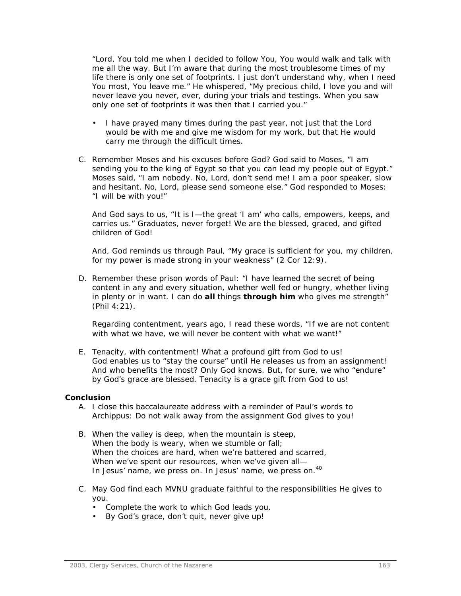"Lord, You told me when I decided to follow You, You would walk and talk with me all the way. But I'm aware that during the most troublesome times of my life there is only one set of footprints. I just don't understand why, when I need You most, You leave me." He whispered, "My precious child, I love you and will never leave you never, ever, during your trials and testings. When you saw only one set of footprints it was then that I carried you."

- I have prayed many times during the past year, not just that the Lord would be with me and give me wisdom for my work, but that He would carry me through the difficult times.
- C. Remember Moses and his excuses before God? God said to Moses, "I am sending you to the king of Egypt so that you can lead my people out of Egypt." Moses said, "I am nobody. No, Lord, don't send me! I am a poor speaker, slow and hesitant. No, Lord, please send someone else." God responded to Moses: "I will be with you!"

And God says to us, "It is I—the great 'I am' who calls, empowers, keeps, and carries us." Graduates, never forget! We are the blessed, graced, and gifted children of God!

And, God reminds us through Paul, "My grace is sufficient for you, my children, for my power is made strong in your weakness" (2 Cor 12:9).

D. Remember these prison words of Paul: "I have learned the secret of being content in any and every situation, whether well fed or hungry, whether living in plenty or in want. I can do *all* things **through him** who gives me strength" (Phil 4:21).

Regarding contentment, years ago, I read these words, "If we are not content with what we have, we will never be content with what we want!"

E. Tenacity, with contentment! What a profound gift from God to us! God enables us to "stay the course" until He releases us from an assignment! And who benefits the most? Only God knows. But, for sure, we who "endure" by God's grace are blessed. Tenacity is a grace gift from God to us!

### **Conclusion**

- A. I close this baccalaureate address with a reminder of Paul's words to Archippus: Do not walk away from the assignment God gives to you!
- B. *When the valley is deep, when the mountain is steep, When the body is weary, when we stumble or fall; When the choices are hard, when we're battered and scarred, When we've spent our resources, when we've given all— In Jesus' name, we press on. In Jesus' name, we press on.40*
- C. May God find each MVNU graduate faithful to the responsibilities He gives to you.
	- Complete the work to which God leads you.
	- By God's grace, don't quit, never give up!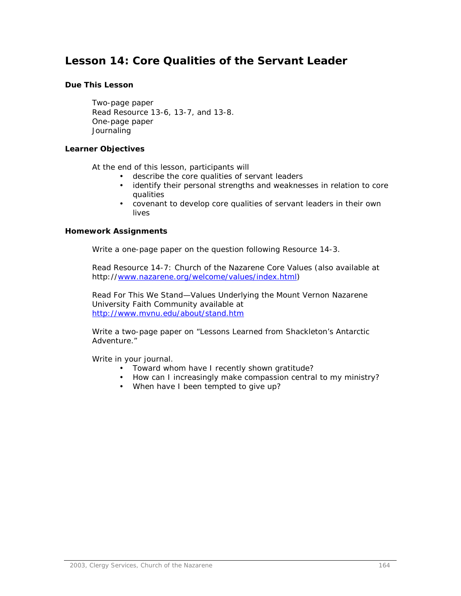### **Lesson 14: Core Qualities of the Servant Leader**

### **Due This Lesson**

Two-page paper Read Resource 13-6, 13-7, and 13-8. One-page paper Journaling

### **Learner Objectives**

At the end of this lesson, participants will

- describe the core qualities of servant leaders
- identify their personal strengths and weaknesses in relation to core qualities
- covenant to develop core qualities of servant leaders in their own lives

#### **Homework Assignments**

Write a one-page paper on the question following Resource 14-3.

Read Resource 14-7: *Church of the Nazarene Core Values* (also available at http://www.nazarene.org/welcome/values/index.html)

Read *For This We Stand—Values Underlying the Mount Vernon Nazarene University Faith Community* available at http://www.mvnu.edu/about/stand.htm

Write a two-page paper on "Lessons Learned from Shackleton's Antarctic Adventure."

Write in your journal.

- Toward whom have I recently shown gratitude?
- How can I increasingly make compassion central to my ministry?
- When have I been tempted to give up?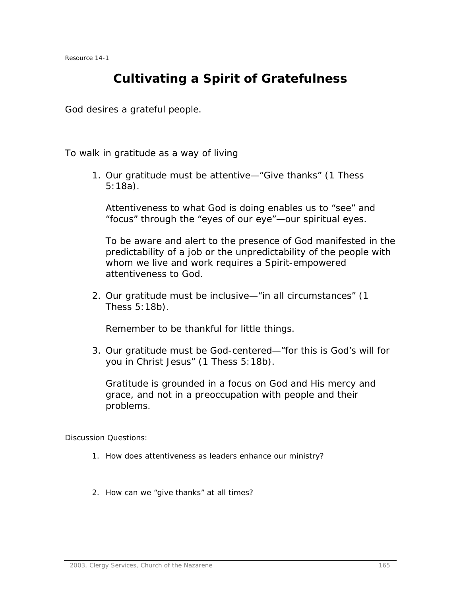## **Cultivating a Spirit of Gratefulness**

God desires a grateful people.

To walk in gratitude as a way of living

1. Our gratitude must be attentive—"Give thanks" (1 Thess 5:18a).

Attentiveness to what God is doing enables us to "see" and "focus" through the "eyes of our eye"—our spiritual eyes.

To be aware and alert to the presence of God manifested in the predictability of a job or the unpredictability of the people with whom we live and work requires a Spirit-empowered attentiveness to God.

2. Our gratitude must be inclusive—"in all circumstances" (1 Thess 5:18b).

Remember to be thankful for little things.

3. Our gratitude must be God-centered—"for this is God's will for you in Christ Jesus" (1 Thess 5:18b).

Gratitude is grounded in a focus on God and His mercy and grace, and not in a preoccupation with people and their problems.

Discussion Questions:

- 1. How does attentiveness as leaders enhance our ministry?
- 2. How can we "give thanks" at all times?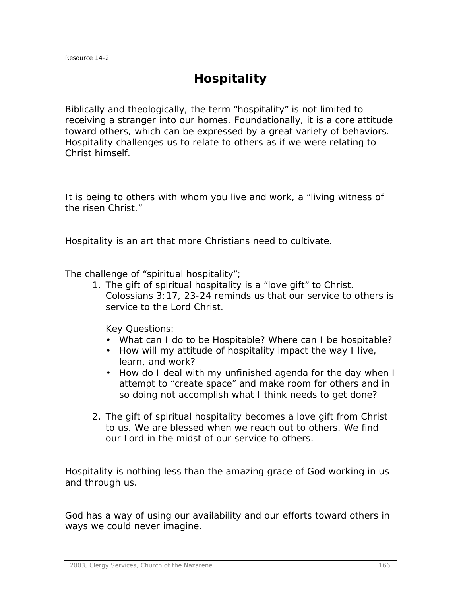# **Hospitality**

Biblically and theologically, the term "hospitality" is not limited to receiving a stranger into our homes. Foundationally, it is a core *attitude* toward others, which can be expressed by a great variety of behaviors. Hospitality challenges us to relate to others as if we were relating to Christ himself.

It is being to others with whom you live and work, a "living witness of the risen Christ."

Hospitality is an art that more Christians need to cultivate.

The challenge of "spiritual hospitality";

1. The gift of spiritual hospitality is a "love gift" *to* Christ. Colossians 3:17, 23-24 reminds us that our service to others is service to the Lord Christ.

Key Questions:

- What can I do to be Hospitable? Where can I be hospitable?
- How will my attitude of hospitality impact the way I live, learn, and work?
- How do I deal with my unfinished agenda for the day when I attempt to "create space" and make room for others and in so doing not accomplish what I think needs to get done?
- 2. The gift of spiritual hospitality becomes a love gift *from* Christ to us. We are blessed when we reach out to others. We find our Lord in the midst of our service to others.

Hospitality is nothing less than the amazing grace of God working *in* us and *through* us.

God has a way of using our availability and our efforts toward others in ways we could never imagine.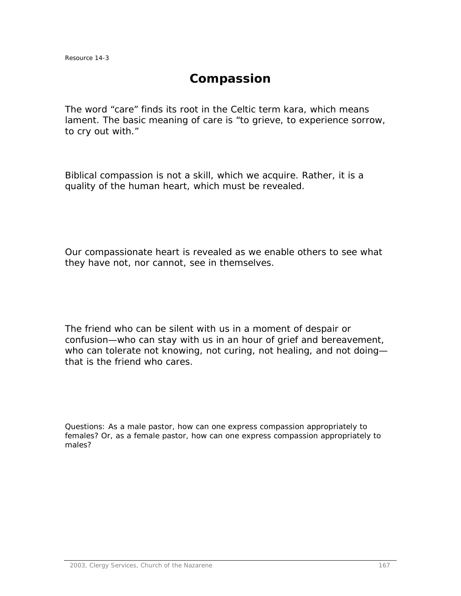### **Compassion**

The word "care" finds its root in the Celtic term *kara,* which means lament. The basic meaning of care is "to grieve, to experience sorrow, to cry out with."

Biblical compassion is not a skill, which we acquire. Rather, it is a quality of the human heart, which must be revealed.

Our compassionate heart is revealed as we enable others to see what they have not, nor cannot, see in themselves.

The friend who can be silent with us in a moment of despair or confusion—who can stay with us in an hour of grief and bereavement, who can tolerate not knowing, not curing, not healing, and not doing that is the friend who cares.

Questions: As a male pastor, how can one express compassion appropriately to females? Or, as a female pastor, how can one express compassion appropriately to males?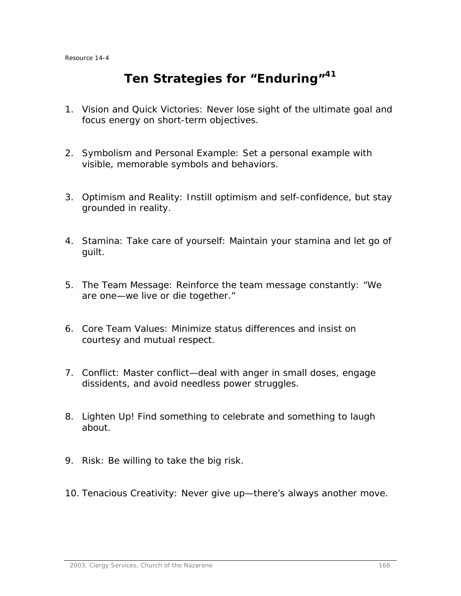# **Ten Strategies for "Enduring"41**

- 1. Vision and Quick Victories: Never lose sight of the ultimate goal and focus energy on short-term objectives.
- 2. Symbolism and Personal Example: Set a personal example with visible, memorable symbols and behaviors.
- 3. Optimism and Reality: Instill optimism and self-confidence, but stay grounded in reality.
- 4. Stamina: Take care of yourself: Maintain your stamina and let go of guilt.
- 5. The Team Message: Reinforce the team message constantly: "We are one—we live or die together."
- 6. Core Team Values: Minimize status differences and insist on courtesy and mutual respect.
- 7. Conflict: Master conflict—deal with anger in small doses, engage dissidents, and avoid needless power struggles.
- 8. Lighten Up! Find something to celebrate and something to laugh about.
- 9. Risk: Be willing to take the big risk.
- 10. Tenacious Creativity: Never give up—there's always another move.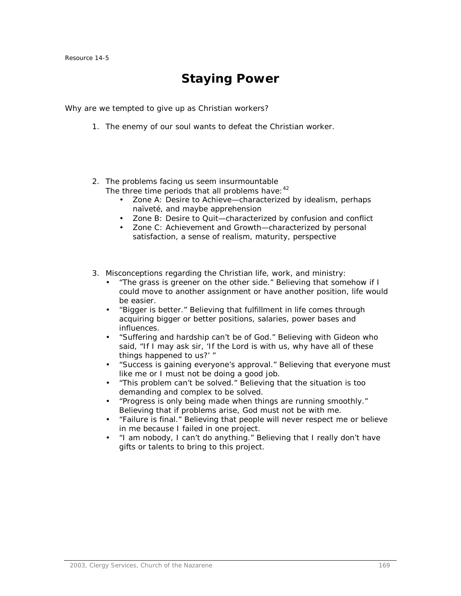## **Staying Power**

Why are we tempted to give up as Christian workers?

- 1. The enemy of our soul wants to defeat the Christian worker.
- 2. The problems facing us seem insurmountable The three time periods that all problems have:  $42$ 
	- Zone A: Desire to Achieve—characterized by idealism, perhaps naïveté, and maybe apprehension
	- Zone B: Desire to Quit—characterized by confusion and conflict
	- Zone C: Achievement and Growth—characterized by personal satisfaction, a sense of realism, maturity, perspective
- 3. Misconceptions regarding the Christian life, work, and ministry:
	- "The grass is greener on the other side." Believing that somehow if I could move to another assignment or have another position, life would be easier.
	- "Bigger is better." Believing that fulfillment in life comes through acquiring bigger or better positions, salaries, power bases and influences.
	- "Suffering and hardship can't be of God." Believing with Gideon who said, "If I may ask sir, 'If the Lord is with us, why have all of these things happened to us?' "
	- "Success is gaining everyone's approval." Believing that everyone must like me or I must not be doing a good job.
	- "This problem can't be solved." Believing that the situation is too demanding and complex to be solved.
	- "Progress is only being made when things are running smoothly." Believing that if problems arise, God must not be with me.
	- "Failure is final." Believing that people will never respect me or believe in me because I failed in one project.
	- "I am nobody, I can't do anything." Believing that I really don't have gifts or talents to bring to this project.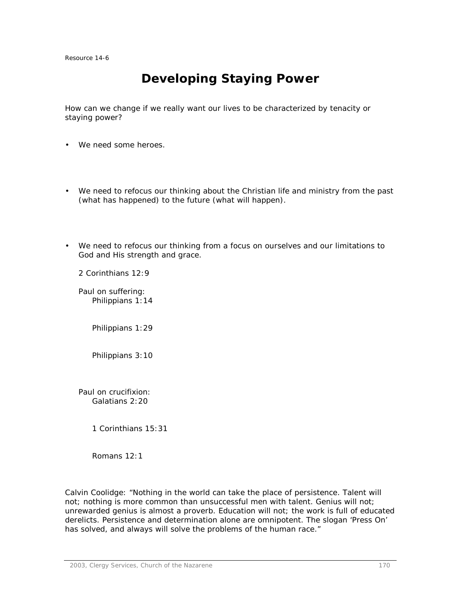Resource 14-6

## **Developing Staying Power**

How can we change if we really want our lives to be characterized by tenacity or staying power?

- We need some heroes.
- We need to refocus our thinking about the Christian life and ministry from the past (what has happened) to the future (what will happen).
- We need to refocus our thinking from a focus on ourselves and our limitations to God and His strength and grace.

2 Corinthians 12:9

Paul on suffering: Philippians 1:14

Philippians 1:29

Philippians 3:10

Paul on crucifixion: Galatians 2:20

1 Corinthians 15:31

Romans 12:1

Calvin Coolidge: "Nothing in the world can take the place of persistence. Talent will not; nothing is more common than unsuccessful men with talent. Genius will not; unrewarded genius is almost a proverb. Education will not; the work is full of educated derelicts. Persistence and determination alone are omnipotent. The slogan 'Press On' has solved, and always will solve the problems of the human race."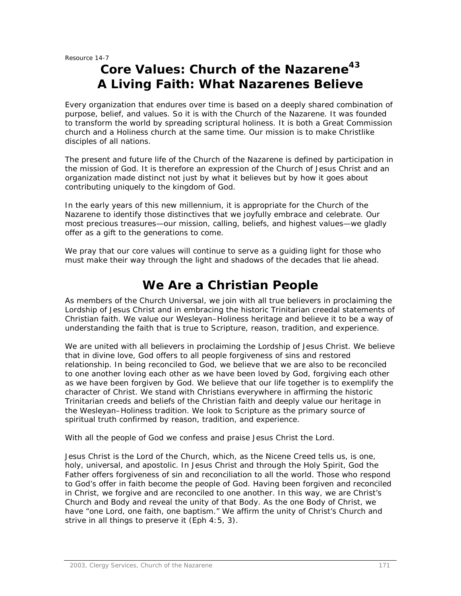#### Resource 14-7

## **Core Values: Church of the Nazarene<sup>43</sup> A Living Faith: What Nazarenes Believe**

Every organization that endures over time is based on a deeply shared combination of purpose, belief, and values. So it is with the Church of the Nazarene. It was founded to transform the world by spreading scriptural holiness. It is both a Great Commission church and a Holiness church at the same time. Our mission is to make Christlike disciples of all nations.

The present and future life of the Church of the Nazarene is defined by participation in the mission of God. It is therefore an expression of the Church of Jesus Christ and an organization made distinct not just by what it believes but by how it goes about contributing uniquely to the kingdom of God.

In the early years of this new millennium, it is appropriate for the Church of the Nazarene to identify those distinctives that we joyfully embrace and celebrate. Our most precious treasures—our mission, calling, beliefs, and highest values—we gladly offer as a gift to the generations to come.

We pray that our core values will continue to serve as a guiding light for those who must make their way through the light and shadows of the decades that lie ahead.

### **We Are a Christian People**

As members of the Church Universal, we join with all true believers in proclaiming the Lordship of Jesus Christ and in embracing the historic Trinitarian creedal statements of Christian faith. We value our Wesleyan–Holiness heritage and believe it to be a way of understanding the faith that is true to Scripture, reason, tradition, and experience.

We are united with all believers in proclaiming the Lordship of Jesus Christ. We believe that in divine love, God offers to all people forgiveness of sins and restored relationship. In being reconciled to God, we believe that we are also to be reconciled to one another loving each other as we have been loved by God, forgiving each other as we have been forgiven by God. We believe that our life together is to exemplify the character of Christ. We stand with Christians everywhere in affirming the historic Trinitarian creeds and beliefs of the Christian faith and deeply value our heritage in the Wesleyan–Holiness tradition. We look to Scripture as the primary source of spiritual truth confirmed by reason, tradition, and experience.

With all the people of God we confess and praise Jesus Christ the Lord.

Jesus Christ is the Lord of the Church, which, as the Nicene Creed tells us, is one, holy, universal, and apostolic. In Jesus Christ and through the Holy Spirit, God the Father offers forgiveness of sin and reconciliation to all the world. Those who respond to God's offer in faith become the people of God. Having been forgiven and reconciled in Christ, we forgive and are reconciled to one another. In this way, we are Christ's Church and Body and reveal the unity of that Body. As the one Body of Christ, we have "one Lord, one faith, one baptism." We affirm the unity of Christ's Church and strive in all things to preserve it (Eph 4:5, 3).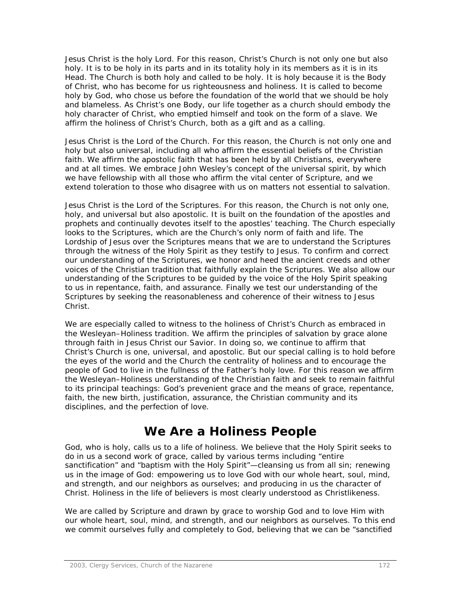Jesus Christ is the holy Lord. For this reason, Christ's Church is not only one but also holy. It is to be holy in its parts and in its totality holy in its members as it is in its Head. The Church is both holy and called to be holy. It is holy because it is the Body of Christ, who has become for us righteousness and holiness. It is called to become holy by God, who chose us before the foundation of the world that we should be holy and blameless. As Christ's one Body, our life together as a church should embody the holy character of Christ, who emptied himself and took on the form of a slave. We affirm the holiness of Christ's Church, both as a gift and as a calling.

Jesus Christ is the Lord of the Church. For this reason, the Church is not only one and holy but also universal, including all who affirm the essential beliefs of the Christian faith. We affirm the apostolic faith that has been held by all Christians, everywhere and at all times. We embrace John Wesley's concept of the universal spirit, by which we have fellowship with all those who affirm the vital center of Scripture, and we extend toleration to those who disagree with us on matters not essential to salvation.

Jesus Christ is the Lord of the Scriptures. For this reason, the Church is not only one, holy, and universal but also apostolic. It is built on the foundation of the apostles and prophets and continually devotes itself to the apostles' teaching. The Church especially looks to the Scriptures, which are the Church's only norm of faith and life. The Lordship of Jesus over the Scriptures means that we are to understand the Scriptures through the witness of the Holy Spirit as they testify to Jesus. To confirm and correct our understanding of the Scriptures, we honor and heed the ancient creeds and other voices of the Christian tradition that faithfully explain the Scriptures. We also allow our understanding of the Scriptures to be guided by the voice of the Holy Spirit speaking to us in repentance, faith, and assurance. Finally we test our understanding of the Scriptures by seeking the reasonableness and coherence of their witness to Jesus Christ.

We are especially called to witness to the holiness of Christ's Church as embraced in the Wesleyan–Holiness tradition. We affirm the principles of salvation by grace alone through faith in Jesus Christ our Savior. In doing so, we continue to affirm that Christ's Church is one, universal, and apostolic. But our special calling is to hold before the eyes of the world and the Church the centrality of holiness and to encourage the people of God to live in the fullness of the Father's holy love. For this reason we affirm the Wesleyan–Holiness understanding of the Christian faith and seek to remain faithful to its principal teachings: God's prevenient grace and the means of grace, repentance, faith, the new birth, justification, assurance, the Christian community and its disciplines, and the perfection of love.

### **We Are a Holiness People**

God, who is holy, calls us to a life of holiness. We believe that the Holy Spirit seeks to do in us a second work of grace, called by various terms including "entire sanctification" and "baptism with the Holy Spirit"—cleansing us from all sin; renewing us in the image of God: empowering us to love God with our whole heart, soul, mind, and strength, and our neighbors as ourselves; and producing in us the character of Christ. Holiness in the life of believers is most clearly understood as Christlikeness.

We are called by Scripture and drawn by grace to worship God and to love Him with our whole heart, soul, mind, and strength, and our neighbors as ourselves. To this end we commit ourselves fully and completely to God, believing that we can be "sanctified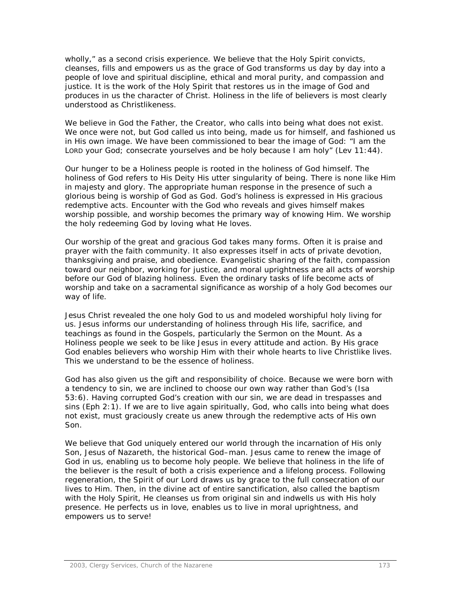wholly," as a second crisis experience. We believe that the Holy Spirit convicts, cleanses, fills and empowers us as the grace of God transforms us day by day into a people of love and spiritual discipline, ethical and moral purity, and compassion and justice. It is the work of the Holy Spirit that restores us in the image of God and produces in us the character of Christ. Holiness in the life of believers is most clearly understood as Christlikeness.

We believe in God the Father, the Creator, who calls into being what does not exist. We once were not, but God called us into being, made us for himself, and fashioned us in His own image. We have been commissioned to bear the image of God: "I am the LORD your God; consecrate yourselves and be holy because I am holy" (Lev 11:44).

Our hunger to be a Holiness people is rooted in the holiness of God himself. The holiness of God refers to His Deity His utter singularity of being. There is none like Him in majesty and glory. The appropriate human response in the presence of such a glorious being is worship of God as God. God's holiness is expressed in His gracious redemptive acts. Encounter with the God who reveals and gives himself makes worship possible, and worship becomes the primary way of knowing Him. We worship the holy redeeming God by loving what He loves.

Our worship of the great and gracious God takes many forms. Often it is praise and prayer with the faith community. It also expresses itself in acts of private devotion, thanksgiving and praise, and obedience. Evangelistic sharing of the faith, compassion toward our neighbor, working for justice, and moral uprightness are all acts of worship before our God of blazing holiness. Even the ordinary tasks of life become acts of worship and take on a sacramental significance as worship of a holy God becomes our way of life.

Jesus Christ revealed the one holy God to us and modeled worshipful holy living for us. Jesus informs our understanding of holiness through His life, sacrifice, and teachings as found in the Gospels, particularly the Sermon on the Mount. As a Holiness people we seek to be like Jesus in every attitude and action. By His grace God enables believers who worship Him with their whole hearts to live Christlike lives. This we understand to be the essence of holiness.

God has also given us the gift and responsibility of choice. Because we were born with a tendency to sin, we are inclined to choose our own way rather than God's (Isa 53:6). Having corrupted God's creation with our sin, we are dead in trespasses and sins (Eph 2:1). If we are to live again spiritually, God, who calls into being what does not exist, must graciously create us anew through the redemptive acts of His own Son.

We believe that God uniquely entered our world through the incarnation of His only Son, Jesus of Nazareth, the historical God–man. Jesus came to renew the image of God in us, enabling us to become holy people. We believe that holiness in the life of the believer is the result of both a crisis experience and a lifelong process. Following regeneration, the Spirit of our Lord draws us by grace to the full consecration of our lives to Him. Then, in the divine act of entire sanctification, also called the baptism with the Holy Spirit, He cleanses us from original sin and indwells us with His holy presence. He perfects us in love, enables us to live in moral uprightness, and empowers us to serve!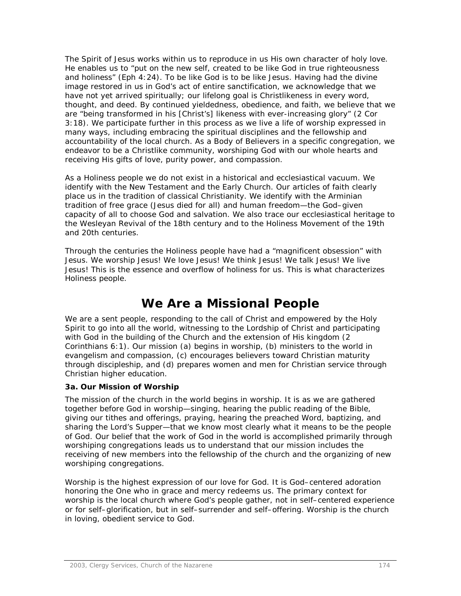The Spirit of Jesus works within us to reproduce in us His own character of holy love. He enables us to "put on the new self, created to be like God in true righteousness and holiness" (Eph 4:24). To be like God is to be like Jesus. Having had the divine image restored in us in God's act of entire sanctification, we acknowledge that we have not yet arrived spiritually; our lifelong goal is Christlikeness in every word, thought, and deed. By continued yieldedness, obedience, and faith, we believe that we are "being transformed in his [Christ's] likeness with ever-increasing glory" (2 Cor 3:18). We participate further in this process as we live a life of worship expressed in many ways, including embracing the spiritual disciplines and the fellowship and accountability of the local church. As a Body of Believers in a specific congregation, we endeavor to be a Christlike community, worshiping God with our whole hearts and receiving His gifts of love, purity power, and compassion.

As a Holiness people we do not exist in a historical and ecclesiastical vacuum. We identify with the New Testament and the Early Church. Our articles of faith clearly place us in the tradition of classical Christianity. We identify with the Arminian tradition of free grace (Jesus died for all) and human freedom—the God–given capacity of all to choose God and salvation. We also trace our ecclesiastical heritage to the Wesleyan Revival of the 18th century and to the Holiness Movement of the 19th and 20th centuries.

Through the centuries the Holiness people have had a "magnificent obsession" with Jesus. We worship Jesus! We love Jesus! We think Jesus! We talk Jesus! We live Jesus! This is the essence and overflow of holiness for us. This is what characterizes Holiness people.

### **We Are a Missional People**

We are a sent people, responding to the call of Christ and empowered by the Holy Spirit to go into all the world, witnessing to the Lordship of Christ and participating with God in the building of the Church and the extension of His kingdom (2 Corinthians 6:1). Our mission (a) begins in worship, (b) ministers to the world in evangelism and compassion, (c) encourages believers toward Christian maturity through discipleship, and (d) prepares women and men for Christian service through Christian higher education.

### **3a. Our Mission of Worship**

The mission of the church in the world begins in worship. It is as we are gathered together before God in worship—singing, hearing the public reading of the Bible, giving our tithes and offerings, praying, hearing the preached Word, baptizing, and sharing the Lord's Supper—that we know most clearly what it means to be the people of God. Our belief that the work of God in the world is accomplished primarily through worshiping congregations leads us to understand that our mission includes the receiving of new members into the fellowship of the church and the organizing of new worshiping congregations.

Worship is the highest expression of our love for God. It is God–centered adoration honoring the One who in grace and mercy redeems us. The primary context for worship is the local church where God's people gather, not in self–centered experience or for self–glorification, but in self–surrender and self–offering. Worship is the church in loving, obedient service to God.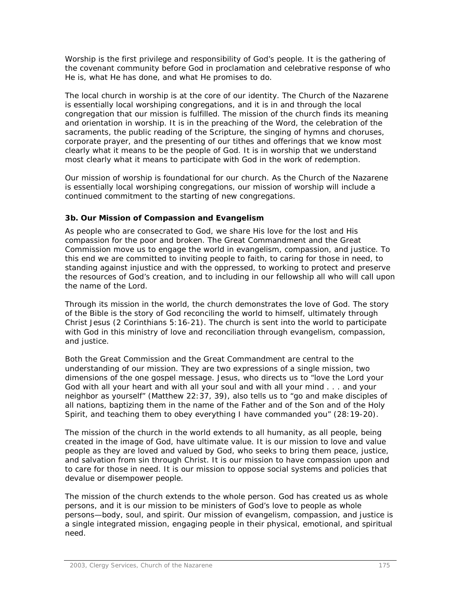Worship is the first privilege and responsibility of God's people. It is the gathering of the covenant community before God in proclamation and celebrative response of who He is, what He has done, and what He promises to do.

The local church in worship is at the core of our identity. The Church of the Nazarene is essentially local worshiping congregations, and it is in and through the local congregation that our mission is fulfilled. The mission of the church finds its meaning and orientation in worship. It is in the preaching of the Word, the celebration of the sacraments, the public reading of the Scripture, the singing of hymns and choruses, corporate prayer, and the presenting of our tithes and offerings that we know most clearly what it means to be the people of God. It is in worship that we understand most clearly what it means to participate with God in the work of redemption.

Our mission of worship is foundational for our church. As the Church of the Nazarene is essentially local worshiping congregations, our mission of worship will include a continued commitment to the starting of new congregations.

### **3b. Our Mission of Compassion and Evangelism**

As people who are consecrated to God, we share His love for the lost and His compassion for the poor and broken. The Great Commandment and the Great Commission move us to engage the world in evangelism, compassion, and justice. To this end we are committed to inviting people to faith, to caring for those in need, to standing against injustice and with the oppressed, to working to protect and preserve the resources of God's creation, and to including in our fellowship all who will call upon the name of the Lord.

Through its mission in the world, the church demonstrates the love of God. The story of the Bible is the story of God reconciling the world to himself, ultimately through Christ Jesus (2 Corinthians 5:16-21). The church is sent into the world to participate with God in this ministry of love and reconciliation through evangelism, compassion, and justice.

Both the Great Commission and the Great Commandment are central to the understanding of our mission. They are two expressions of a single mission, two dimensions of the one gospel message. Jesus, who directs us to "love the Lord your God with all your heart and with all your soul and with all your mind . . . and your neighbor as yourself" (Matthew 22:37, 39), also tells us to "go and make disciples of all nations, baptizing them in the name of the Father and of the Son and of the Holy Spirit, and teaching them to obey everything I have commanded you" (28:19-20).

The mission of the church in the world extends to all humanity, as all people, being created in the image of God, have ultimate value. It is our mission to love and value people as they are loved and valued by God, who seeks to bring them peace, justice, and salvation from sin through Christ. It is our mission to have compassion upon and to care for those in need. It is our mission to oppose social systems and policies that devalue or disempower people.

The mission of the church extends to the whole person. God has created us as whole persons, and it is our mission to be ministers of God's love to people as whole persons—body, soul, and spirit. Our mission of evangelism, compassion, and justice is a single integrated mission, engaging people in their physical, emotional, and spiritual need.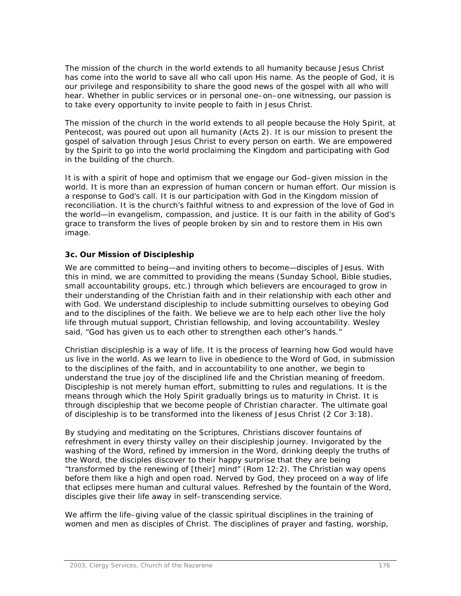The mission of the church in the world extends to all humanity because Jesus Christ has come into the world to save all who call upon His name. As the people of God, it is our privilege and responsibility to share the good news of the gospel with all who will hear. Whether in public services or in personal one–on–one witnessing, our passion is to take every opportunity to invite people to faith in Jesus Christ.

The mission of the church in the world extends to all people because the Holy Spirit, at Pentecost, was poured out upon all humanity (Acts 2). It is our mission to present the gospel of salvation through Jesus Christ to every person on earth. We are empowered by the Spirit to go into the world proclaiming the Kingdom and participating with God in the building of the church.

It is with a spirit of hope and optimism that we engage our God–given mission in the world. It is more than an expression of human concern or human effort. Our mission is a response to God's call. It is our participation with God in the Kingdom mission of reconciliation. It is the church's faithful witness to and expression of the love of God in the world—in evangelism, compassion, and justice. It is our faith in the ability of God's grace to transform the lives of people broken by sin and to restore them in His own image.

### **3c. Our Mission of Discipleship**

We are committed to being—and inviting others to become—disciples of Jesus. With this in mind, we are committed to providing the means (Sunday School, Bible studies, small accountability groups, etc.) through which believers are encouraged to grow in their understanding of the Christian faith and in their relationship with each other and with God. We understand discipleship to include submitting ourselves to obeying God and to the disciplines of the faith. We believe we are to help each other live the holy life through mutual support, Christian fellowship, and loving accountability. Wesley said, "God has given us to each other to strengthen each other's hands."

Christian discipleship is a way of life. It is the process of learning how God would have us live in the world. As we learn to live in obedience to the Word of God, in submission to the disciplines of the faith, and in accountability to one another, we begin to understand the true joy of the disciplined life and the Christian meaning of freedom. Discipleship is not merely human effort, submitting to rules and regulations. It is the means through which the Holy Spirit gradually brings us to maturity in Christ. It is through discipleship that we become people of Christian character. The ultimate goal of discipleship is to be transformed into the likeness of Jesus Christ (2 Cor 3:18).

By studying and meditating on the Scriptures, Christians discover fountains of refreshment in every thirsty valley on their discipleship journey. Invigorated by the washing of the Word, refined by immersion in the Word, drinking deeply the truths of the Word, the disciples discover to their happy surprise that they are being "transformed by the renewing of [their] mind" (Rom 12:2). The Christian way opens before them like a high and open road. Nerved by God, they proceed on a way of life that eclipses mere human and cultural values. Refreshed by the fountain of the Word, disciples give their life away in self–transcending service.

We affirm the life–giving value of the classic spiritual disciplines in the training of women and men as disciples of Christ. The disciplines of prayer and fasting, worship,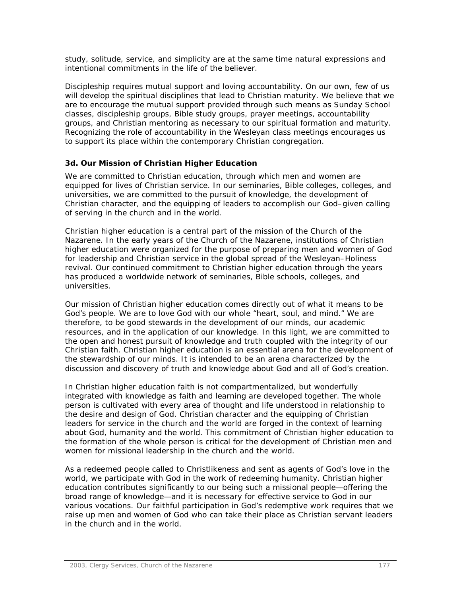study, solitude, service, and simplicity are at the same time natural expressions and intentional commitments in the life of the believer.

Discipleship requires mutual support and loving accountability. On our own, few of us will develop the spiritual disciplines that lead to Christian maturity. We believe that we are to encourage the mutual support provided through such means as Sunday School classes, discipleship groups, Bible study groups, prayer meetings, accountability groups, and Christian mentoring as necessary to our spiritual formation and maturity. Recognizing the role of accountability in the Wesleyan class meetings encourages us to support its place within the contemporary Christian congregation.

### **3d. Our Mission of Christian Higher Education**

We are committed to Christian education, through which men and women are equipped for lives of Christian service. In our seminaries, Bible colleges, colleges, and universities, we are committed to the pursuit of knowledge, the development of Christian character, and the equipping of leaders to accomplish our God–given calling of serving in the church and in the world.

Christian higher education is a central part of the mission of the Church of the Nazarene. In the early years of the Church of the Nazarene, institutions of Christian higher education were organized for the purpose of preparing men and women of God for leadership and Christian service in the global spread of the Wesleyan–Holiness revival. Our continued commitment to Christian higher education through the years has produced a worldwide network of seminaries, Bible schools, colleges, and universities.

Our mission of Christian higher education comes directly out of what it means to be God's people. We are to love God with our whole "heart, soul, and mind." We are therefore, to be good stewards in the development of our minds, our academic resources, and in the application of our knowledge. In this light, we are committed to the open and honest pursuit of knowledge and truth coupled with the integrity of our Christian faith. Christian higher education is an essential arena for the development of the stewardship of our minds. It is intended to be an arena characterized by the discussion and discovery of truth and knowledge about God and all of God's creation.

In Christian higher education faith is not compartmentalized, but wonderfully integrated with knowledge as faith and learning are developed together. The whole person is cultivated with every area of thought and life understood in relationship to the desire and design of God. Christian character and the equipping of Christian leaders for service in the church and the world are forged in the context of learning about God, humanity and the world. This commitment of Christian higher education to the formation of the whole person is critical for the development of Christian men and women for missional leadership in the church and the world.

As a redeemed people called to Christlikeness and sent as agents of God's love in the world, we participate with God in the work of redeeming humanity. Christian higher education contributes significantly to our being such a missional people—offering the broad range of knowledge—and it is necessary for effective service to God in our various vocations. Our faithful participation in God's redemptive work requires that we raise up men and women of God who can take their place as Christian servant leaders in the church and in the world.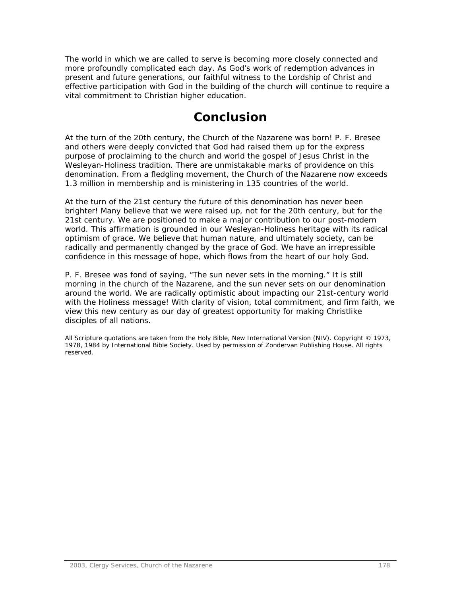The world in which we are called to serve is becoming more closely connected and more profoundly complicated each day. As God's work of redemption advances in present and future generations, our faithful witness to the Lordship of Christ and effective participation with God in the building of the church will continue to require a vital commitment to Christian higher education.

### **Conclusion**

At the turn of the 20th century, the Church of the Nazarene was born! P. F. Bresee and others were deeply convicted that God had raised them up for the express purpose of proclaiming to the church and world the gospel of Jesus Christ in the Wesleyan-Holiness tradition. There are unmistakable marks of providence on this denomination. From a fledgling movement, the Church of the Nazarene now exceeds 1.3 million in membership and is ministering in 135 countries of the world.

At the turn of the 21st century the future of this denomination has never been brighter! Many believe that we were raised up, not for the 20th century, but for the 21st century. We are positioned to make a major contribution to our post-modern world. This affirmation is grounded in our Wesleyan-Holiness heritage with its radical optimism of grace. We believe that human nature, and ultimately society, can be radically and permanently changed by the grace of God. We have an irrepressible confidence in this message of hope, which flows from the heart of our holy God.

P. F. Bresee was fond of saying, "The sun never sets in the morning." It is still morning in the church of the Nazarene, and the sun never sets on our denomination around the world. We are radically optimistic about impacting our 21st-century world with the Holiness message! With clarity of vision, total commitment, and firm faith, we view this new century as our day of greatest opportunity for making Christlike disciples of all nations.

All Scripture quotations are taken from the Holy Bible, *New International Version (NIV).* Copyright © 1973, 1978, 1984 by International Bible Society. Used by permission of Zondervan Publishing House. All rights reserved.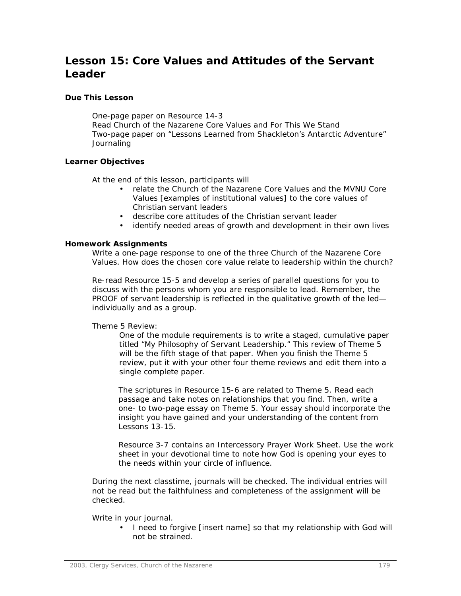### **Lesson 15: Core Values and Attitudes of the Servant Leader**

### **Due This Lesson**

One-page paper on Resource 14-3 Read *Church of the Nazarene Core Values* and *For This We Stand* Two-page paper on "Lessons Learned from Shackleton's Antarctic Adventure" Journaling

### **Learner Objectives**

At the end of this lesson, participants will

- relate the Church of the Nazarene Core Values and the MVNU Core Values [examples of institutional values] to the core values of Christian servant leaders
- describe core attitudes of the Christian servant leader
- identify needed areas of growth and development in their own lives

### **Homework Assignments**

Write a one-page response to one of the three Church of the Nazarene Core Values. How does the chosen core value relate to leadership within the church?

Re-read Resource 15-5 and develop a series of parallel questions for you to discuss with the persons whom you are responsible to lead. Remember, the PROOF of servant leadership is reflected in the qualitative growth of the led individually and as a group.

#### Theme 5 Review:

One of the module requirements is to write a staged, cumulative paper titled "My Philosophy of Servant Leadership." This review of Theme 5 will be the fifth stage of that paper. When you finish the Theme 5 review, put it with your other four theme reviews and edit them into a single complete paper.

The scriptures in Resource 15-6 are related to Theme 5. Read each passage and take notes on relationships that you find. Then, write a one- to two-page essay on Theme 5. Your essay should incorporate the insight you have gained and your understanding of the content from Lessons 13-15.

Resource 3-7 contains an Intercessory Prayer Work Sheet. Use the work sheet in your devotional time to note how God is opening your eyes to the needs within your circle of influence.

During the next classtime, journals will be checked. The individual entries will not be read but the faithfulness and completeness of the assignment will be checked.

Write in your journal.

• I need to forgive [insert name] so that my relationship with God will not be strained.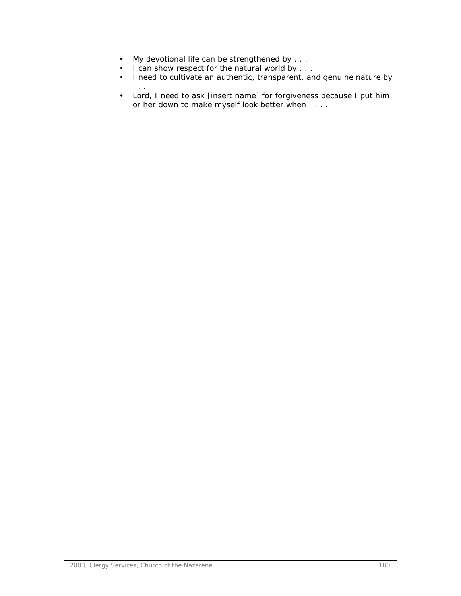- My devotional life can be strengthened by . . .
- I can show respect for the natural world by . . .
- I need to cultivate an authentic, transparent, and genuine nature by . . .
- Lord, I need to ask [insert name] for forgiveness because I put him or her down to make myself look better when I . . .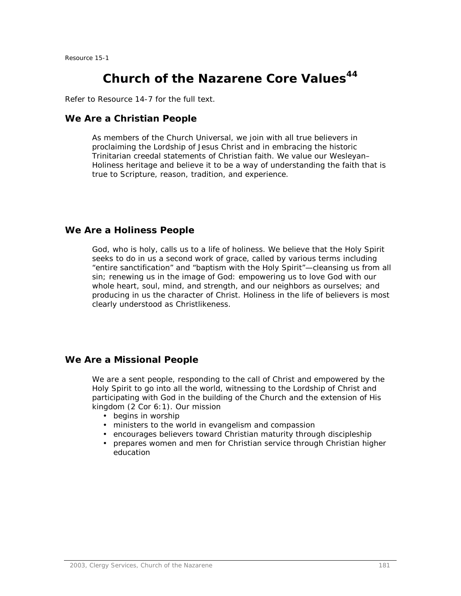# **Church of the Nazarene Core Values<sup>44</sup>**

Refer to Resource 14-7 for the full text.

### **We Are a Christian People**

As members of the Church Universal, we join with all true believers in proclaiming the Lordship of Jesus Christ and in embracing the historic Trinitarian creedal statements of Christian faith. We value our Wesleyan– Holiness heritage and believe it to be a way of understanding the faith that is true to Scripture, reason, tradition, and experience.

### **We Are a Holiness People**

God, who is holy, calls us to a life of holiness. We believe that the Holy Spirit seeks to do in us a second work of grace, called by various terms including "entire sanctification" and "baptism with the Holy Spirit"—cleansing us from all sin; renewing us in the image of God: empowering us to love God with our whole heart, soul, mind, and strength, and our neighbors as ourselves; and producing in us the character of Christ. Holiness in the life of believers is most clearly understood as Christlikeness.

### **We Are a Missional People**

We are a sent people, responding to the call of Christ and empowered by the Holy Spirit to go into all the world, witnessing to the Lordship of Christ and participating with God in the building of the Church and the extension of His kingdom (2 Cor 6:1). Our mission

- begins in worship
- ministers to the world in evangelism and compassion
- encourages believers toward Christian maturity through discipleship
- prepares women and men for Christian service through Christian higher education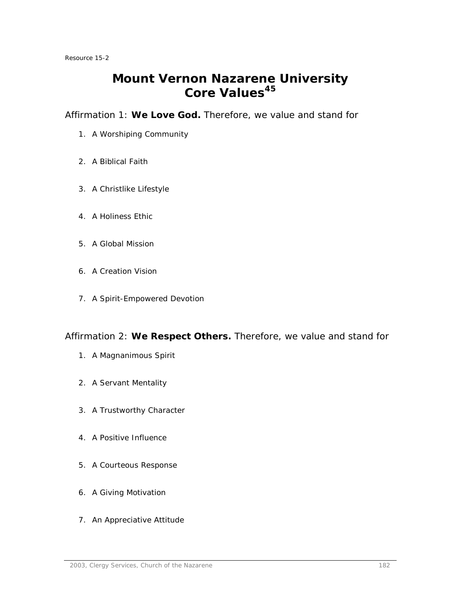### **Mount Vernon Nazarene University Core Values<sup>45</sup>**

Affirmation 1: **We Love God.** Therefore, we value and stand for

- 1. A Worshiping Community
- 2. A Biblical Faith
- 3. A Christlike Lifestyle
- 4. A Holiness Ethic
- 5. A Global Mission
- 6. A Creation Vision
- 7. A Spirit-Empowered Devotion

### Affirmation 2: **We Respect Others.** Therefore, we value and stand for

- 1. A Magnanimous Spirit
- 2. A Servant Mentality
- 3. A Trustworthy Character
- 4. A Positive Influence
- 5. A Courteous Response
- 6. A Giving Motivation
- 7. An Appreciative Attitude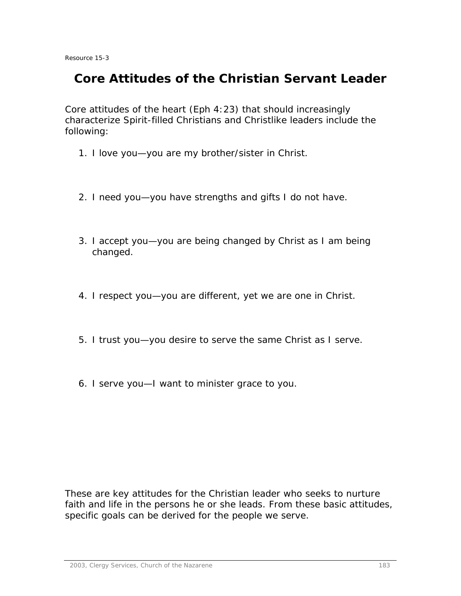## **Core Attitudes of the Christian Servant Leader**

Core attitudes of the heart (Eph 4:23) that should increasingly characterize Spirit-filled Christians and Christlike leaders include the following:

- 1. I love you—*you are my brother/sister in Christ.*
- 2. I need you—*you have strengths and gifts I do not have.*
- 3. I accept you—*you are being changed by Christ as I am being changed.*
- 4. I respect you—*you are different, yet we are one in Christ.*
- 5. I trust you—*you desire to serve the same Christ as I serve.*
- 6. I serve you—*I want to minister grace to you.*

These are key attitudes for the Christian leader who seeks to nurture faith and life in the persons he or she leads. From these basic attitudes, specific goals can be derived for the people we serve.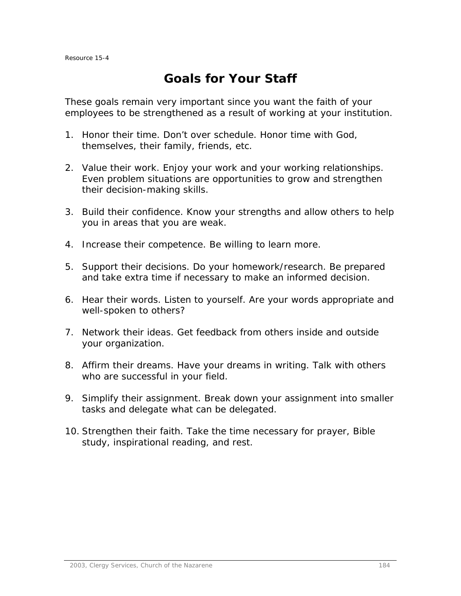## **Goals for Your Staff**

These goals remain very important since you want the faith of your employees to be strengthened as a result of working at your institution.

- 1. Honor their time. Don't over schedule. Honor time with God, themselves, their family, friends, etc.
- 2. Value their work. Enjoy your work and your working relationships. Even problem situations are opportunities to grow and strengthen their decision-making skills.
- 3. Build their confidence. Know your strengths and allow others to help you in areas that you are weak.
- 4. Increase their competence. Be willing to learn more.
- 5. Support their decisions. Do your homework/research. Be prepared and take extra time if necessary to make an informed decision.
- 6. Hear their words. Listen to yourself. Are your words appropriate and well-spoken to others?
- 7. Network their ideas. Get feedback from others inside and outside your organization.
- 8. Affirm their dreams. Have your dreams in writing. Talk with others who are successful in your field.
- 9. Simplify their assignment. Break down your assignment into smaller tasks and delegate what can be delegated.
- 10. Strengthen their faith. Take the time necessary for prayer, Bible study, inspirational reading, and rest.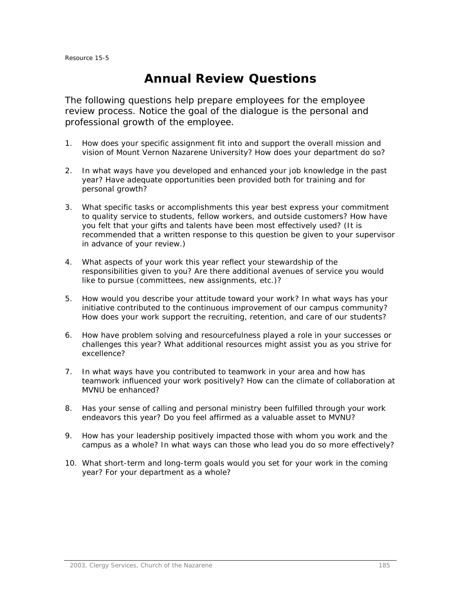### **Annual Review Questions**

The following questions help prepare employees for the employee review process. Notice the goal of the dialogue is the personal and professional growth of the employee.

- 1. How does your specific assignment fit into and support the overall mission and vision of Mount Vernon Nazarene University? How does your department do so?
- 2. In what ways have you developed and enhanced your job knowledge in the past year? Have adequate opportunities been provided both for training and for personal growth?
- 3. What specific tasks or accomplishments this year best express your commitment to quality service to students, fellow workers, and outside customers? How have you felt that your gifts and talents have been most effectively used*? (It is recommended that a written response to this question be given to your supervisor in advance of your review.)*
- 4. What aspects of your work this year reflect your stewardship of the responsibilities given to you? Are there additional avenues of service you would like to pursue (committees, new assignments, etc.)?
- 5. How would you describe your attitude toward your work? In what ways has your initiative contributed to the continuous improvement of our campus community? How does your work support the recruiting, retention, and care of our students?
- 6. How have problem solving and resourcefulness played a role in your successes or challenges this year? What additional resources might assist you as you strive for excellence?
- 7. In what ways have you contributed to teamwork in your area and how has teamwork influenced your work positively? How can the climate of collaboration at MVNU be enhanced?
- 8. Has your sense of calling and personal ministry been fulfilled through your work endeavors this year? Do you feel affirmed as a valuable asset to MVNU?
- 9. How has your leadership positively impacted those with whom you work and the campus as a whole? In what ways can those who lead you do so more effectively?
- 10. What short-term and long-term goals would you set for your work in the coming year? For your department as a whole?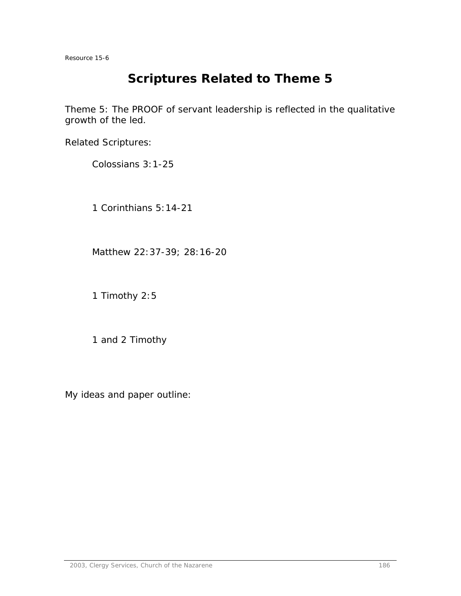## **Scriptures Related to Theme 5**

Theme 5: The PROOF of servant leadership is reflected in the qualitative growth of the led.

Related Scriptures:

Colossians 3:1-25

1 Corinthians 5:14-21

Matthew 22:37-39; 28:16-20

1 Timothy 2:5

1 and 2 Timothy

My ideas and paper outline: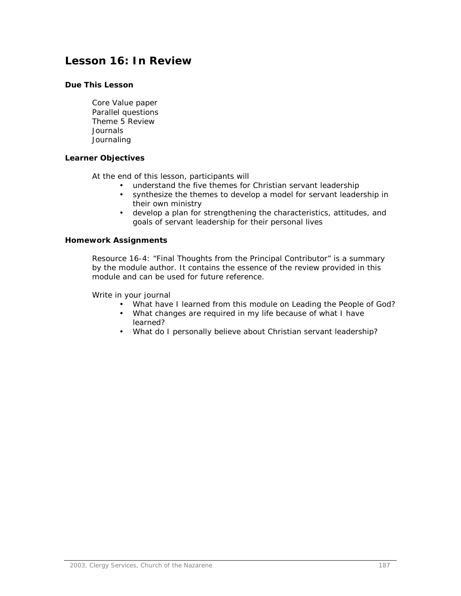### **Lesson 16: In Review**

#### **Due This Lesson**

Core Value paper Parallel questions Theme 5 Review Journals Journaling

#### **Learner Objectives**

At the end of this lesson, participants will

- understand the five themes for Christian servant leadership
- synthesize the themes to develop a model for servant leadership in their own ministry
- develop a plan for strengthening the characteristics, attitudes, and goals of servant leadership for their personal lives

#### **Homework Assignments**

Resource 16-4: "Final Thoughts from the Principal Contributor" is a summary by the module author. It contains the essence of the review provided in this module and can be used for future reference.

Write in your journal

- What have I learned from this module on Leading the People of God?
- What changes are required in my life because of what I have learned?
- What do I personally believe about Christian servant leadership?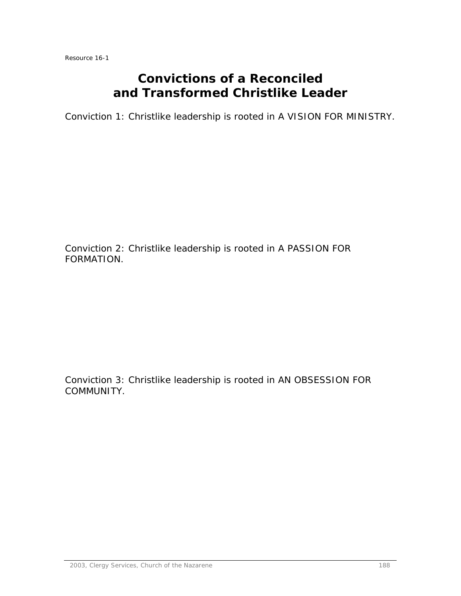Resource 16-1

### **Convictions of a Reconciled and Transformed Christlike Leader**

Conviction 1: Christlike leadership is rooted in A VISION FOR MINISTRY.

Conviction 2: Christlike leadership is rooted in A PASSION FOR FORMATION.

Conviction 3: Christlike leadership is rooted in AN OBSESSION FOR COMMUNITY.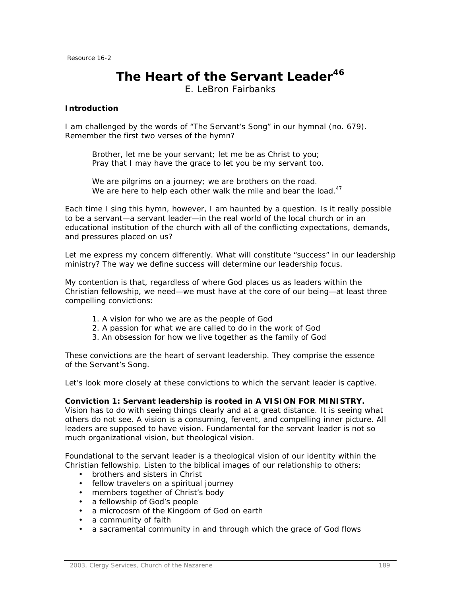# **The Heart of the Servant Leader<sup>46</sup>**

E. LeBron Fairbanks

#### **Introduction**

I am challenged by the words of "The Servant's Song" in our hymnal (no. 679). Remember the first two verses of the hymn?

*Brother, let me be your servant; let me be as Christ to you; Pray that I may have the grace to let you be my servant too.*

*We are pilgrims on a journey; we are brothers on the road.* We are here to help each other walk the mile and bear the load.<sup>47</sup>

Each time I sing this hymn, however, I am haunted by a question. Is it really possible to be a servant—a servant leader—in the real world of the local church or in an educational institution of the church with all of the conflicting expectations, demands, and pressures placed on us?

Let me express my concern differently. What will constitute "success" in our leadership ministry? The way we define success will determine our leadership focus.

My contention is that, regardless of where God places us as leaders within the Christian fellowship, we need—we must have at the core of our being—at least three compelling convictions:

- 1. A vision for who we are as the people of God
- 2. A passion for what we are called to do in the work of God
- 3. An obsession for how we live together as the family of God

These convictions are the heart of servant leadership. They comprise the essence of the Servant's Song.

Let's look more closely at these convictions to which the servant leader is captive.

#### **Conviction 1: Servant leadership is rooted in A VISION FOR MINISTRY.**

Vision has to do with seeing things clearly and at a great distance. It is seeing what others do not see. A vision is a consuming, fervent, and compelling inner picture. All leaders are supposed to have *vision*. Fundamental for the servant leader is not so much organizational *vision,* but theological *vision.*

Foundational to the servant leader is a theological vision of our identity within the Christian fellowship. Listen to the biblical images of our relationship to others:

- brothers and sisters in Christ
- fellow travelers on a spiritual journey
- members together of Christ's body
- a fellowship of God's people
- a microcosm of the Kingdom of God on earth
- a community of faith
- a sacramental community in and through which the grace of God flows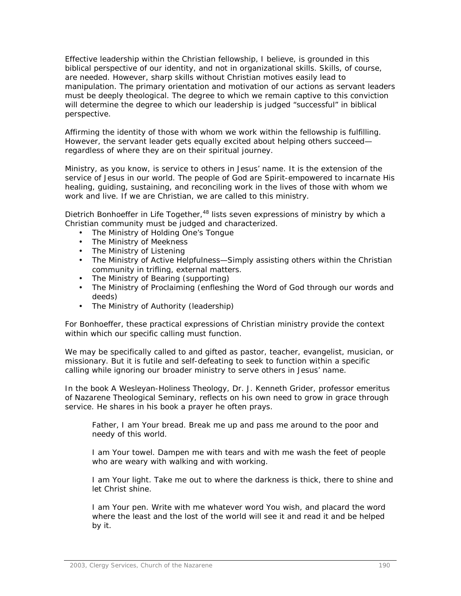Effective leadership within the Christian fellowship, I believe, is grounded in this biblical perspective of our identity, and not in organizational skills. Skills, of course, are needed. However, sharp skills without Christian motives easily lead to manipulation. The primary orientation and motivation of our actions as servant leaders must be deeply theological. The degree to which we remain captive to this conviction will determine the degree to which our leadership is judged "successful" in biblical perspective.

Affirming the identity of those with whom we work within the fellowship is fulfilling. However, the servant leader gets equally excited about helping others succeed regardless of where they are on their spiritual journey.

Ministry, as you know, is service to others in Jesus' name. It is the extension of the service of Jesus in our world. The people of God are Spirit-empowered to incarnate His healing, guiding, sustaining, and reconciling work in the lives of those with whom we work and live. If we are Christian, we are called to this ministry.

Dietrich Bonhoeffer in *Life Togethe*r*,* 48 lists seven expressions of ministry by which a Christian community must be judged and characterized.

- The Ministry of Holding One's Tongue
- The Ministry of Meekness
- The Ministry of Listening
- The Ministry of Active Helpfulness—Simply assisting others within the Christian community in trifling, external matters.
- The Ministry of Bearing (supporting)
- The Ministry of Proclaiming (enfleshing the Word of God through our words and deeds)
- The Ministry of Authority (leadership)

For Bonhoeffer, these practical expressions of Christian ministry provide the *context* within which our specific calling must function.

We may be specifically called to and gifted as pastor, teacher, evangelist, musician, or missionary. But it is futile and self-defeating to seek to function within a specific calling *while ignoring our broader ministry to serve others in Jesus' name.*

In the book *A Wesleyan-Holiness Theolog*y, Dr. J. Kenneth Grider, professor emeritus of Nazarene Theological Seminary, reflects on his own need to grow in grace through service. He shares in his book a prayer he often prays.

*Father, I am Your bread. Break me up and pass me around to the poor and needy of this world.*

*I am Your towel. Dampen me with tears and with me wash the feet of people who are weary with walking and with working.*

*I am Your light. Take me out to where the darkness is thick, there to shine and let Christ shine.*

*I am Your pen. Write with me whatever word You wish, and placard the word where the least and the lost of the world will see it and read it and be helped by it.*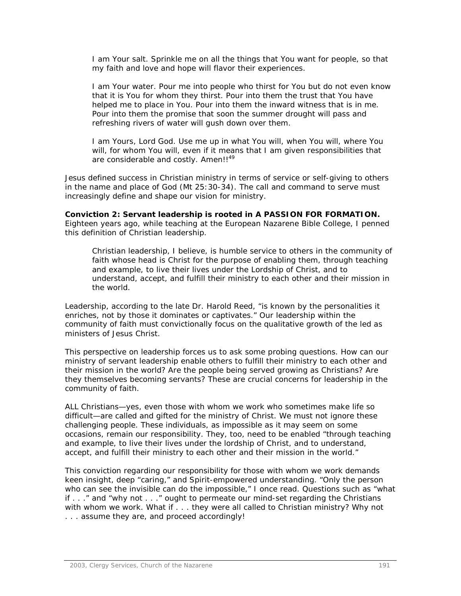*I am Your salt. Sprinkle me on all the things that You want for people, so that my faith and love and hope will flavor their experiences.*

*I am Your water. Pour me into people who thirst for You but do not even know that it is You for whom they thirst. Pour into them the trust that You have helped me to place in You. Pour into them the inward witness that is in me. Pour into them the promise that soon the summer drought will pass and refreshing rivers of water will gush down over them.*

*I am Yours, Lord God. Use me up in what You will, when You will, where You will, for whom You will, even if it means that I am given responsibilities that* are considerable and costly. Amen!!<sup>49</sup>

Jesus defined success in Christian ministry in terms of service or self-giving to others in the name and place of God (Mt 25:30-34). The call and command to serve must increasingly define and shape our vision for ministry.

**Conviction 2: Servant leadership is rooted in A PASSION FOR FORMATION.** Eighteen years ago, while teaching at the European Nazarene Bible College, I penned this definition of Christian leadership.

Christian leadership, I believe, is humble service to others in the community of faith whose head is Christ for the purpose of enabling them, through teaching and example, to live their lives under the Lordship of Christ, and to understand, accept, and fulfill their ministry to each other and their mission in the world.

Leadership, according to the late Dr. Harold Reed, "is known by the personalities it enriches, not by those it dominates or captivates." Our leadership within the community of faith must convictionally focus on the qualitative growth of the led as ministers of Jesus Christ.

This perspective on leadership forces us to ask some probing questions. How can our ministry of servant leadership enable *others* to fulfill *their* ministry to each other and *their* mission in the world? Are the people being served growing as Christians? Are they themselves becoming servants? These are crucial concerns for leadership in the community of faith.

ALL Christians—yes, even those with whom we work who sometimes make life so difficult—are *called* and gifted for the ministry of Christ. We must not ignore these challenging people. These individuals, as impossible as it may seem on some occasions, remain our responsibility. They, too, need to be enabled "through teaching and example, to live their lives under the lordship of Christ, and to understand, accept, and fulfill their ministry to each other and their mission in the world."

This conviction regarding our responsibility for those with whom we work demands keen insight, deep "caring," and Spirit-empowered understanding. "Only the person who can see the invisible can do the impossible," I once read. Questions such as "what if . . ." and "why not . . ." ought to permeate our mind-set regarding the Christians with whom we work. What if . . . they were all called to Christian ministry? Why not . . . assume they are, and proceed accordingly!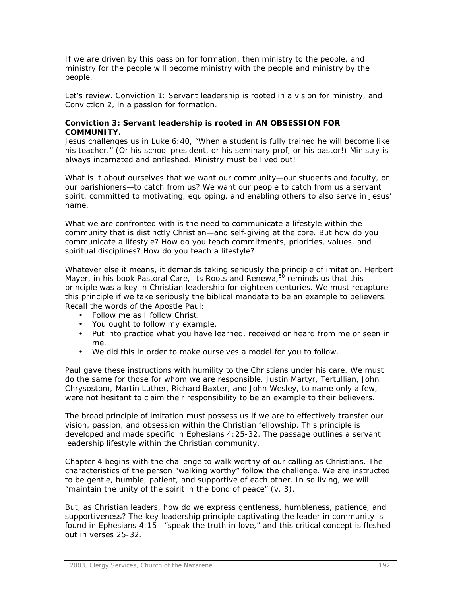If we are driven by this passion for formation, then ministry *to* the people, and ministry *for* the people will become ministry *with* the people and ministry *by* the people.

Let's review. Conviction 1: Servant leadership is rooted in a vision for ministry, and Conviction 2, in a passion for formation.

#### **Conviction 3: Servant leadership is rooted in AN OBSESSION FOR COMMUNITY.**

Jesus challenges us in Luke 6:40, "When a student is fully trained he will become like his teacher." (Or his school president, or his seminary prof, or his pastor!) Ministry is always incarnated and enfleshed. Ministry must be lived out!

What is it about ourselves that we want our community—our students and faculty, or our parishioners—to catch from us? We want our people to catch from us a servant spirit, committed to *motivatin*g*, equipping,* and *enabling others to also serve in Jesus' name.*

What we are confronted with is the need to communicate a lifestyle within the community that is distinctly Christian—and self-giving at the core. But how do you communicate a lifestyle? How do you teach commitments, priorities, values, and spiritual disciplines? How do you teach a lifestyle?

Whatever else it means, it demands taking seriously the principle of imitation. Herbert Mayer, in his book *Pastoral Care, Its Roots and Renewa*,<sup>50</sup> reminds us that this principle was a key in Christian leadership for eighteen centuries. We must recapture this principle if we take seriously the biblical mandate to be an example to believers. Recall the words of the Apostle Paul:

- *Follow me as I follow Christ.*
- *You ought to follow my example.*
- *Put into practice what you have learned, received or heard from me or seen in me.*
- *We did this in order to make ourselves a model for you to follow.*

Paul gave these instructions with humility to the Christians under his care. We must do the same for those for whom we are responsible. Justin Martyr, Tertullian, John Chrysostom, Martin Luther, Richard Baxter, and John Wesley, to name only a few, were not hesitant to claim their responsibility to be an example to their believers.

The broad principle of imitation must possess us if we are to effectively transfer our vision, passion, and obsession within the Christian fellowship. This principle is developed and made specific in Ephesians 4:25-32. The passage outlines a servant leadership lifestyle within the Christian community.

Chapter 4 begins with the challenge to walk worthy of our calling as Christians. The characteristics of the person "walking worthy" follow the challenge. We are instructed to be gentle, humble, patient, and supportive of each other. In so living, we will "maintain the unity of the spirit in the bond of peace" (v. 3).

But, as Christian *leaders,* how do we express gentleness, humbleness, patience, and supportiveness? The key leadership principle captivating the leader in community is found in Ephesians 4:15—"speak the truth in love," and this critical concept is fleshed out in verses 25-32.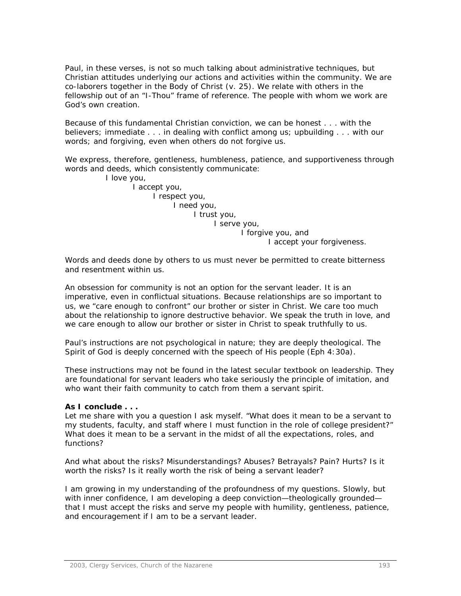Paul, in these verses, is not so much talking about administrative techniques, but Christian attitudes underlying our actions and activities within the community. We are co-laborers together in the Body of Christ (v. 25). We relate with others in the fellowship out of an "I-Thou" frame of reference. The people with whom we work are God's own creation.

Because of this fundamental Christian conviction, we can *be honest* . . . with the believers; *immediate* . . . in dealing with conflict among us; *upbuilding* . . . with our words; and *forgiving,* even when others do not forgive us.

We express, therefore, gentleness, humbleness, patience, and supportiveness through words and deeds, which consistently communicate:

*I love you, I accept you, I respect you, I need you, I trust you, I serve you, I forgive you, and I accept your forgiveness.*

Words and deeds done by others to us must never be permitted to create bitterness and resentment within us.

An obsession for community is not an option for the servant leader. It is an imperative, even in conflictual situations. Because relationships are so important to us, we "care enough to confront" our brother or sister in Christ. We care too much about the relationship to ignore destructive behavior. We speak the truth in love, and we care enough to allow our brother or sister in Christ to speak truthfully to us.

Paul's instructions are not psychological in nature; they are deeply theological. The Spirit of God is deeply concerned with the speech of His people (Eph 4:30a).

These instructions may not be found in the latest secular textbook on leadership. They are foundational for servant leaders who take seriously the principle of imitation, and who want their faith community to catch from them a servant spirit.

#### **As I conclude . . .**

Let me share with you a question I ask myself. "What does it mean to be a servant to my students, faculty, and staff where I must function in the role of college president?" What does it mean to be a servant in the midst of *all* the expectations, roles, and functions?

And what about the risks? Misunderstandings? Abuses? Betrayals? Pain? Hurts? Is it worth the risks? Is it really worth the risk of being a servant leader?

I am growing in my understanding of the profoundness of my questions. Slowly, but with inner confidence, I am developing a deep conviction—theologically grounded that I must accept the risks and serve my people with humility, gentleness, patience, and encouragement if I am to be a servant leader.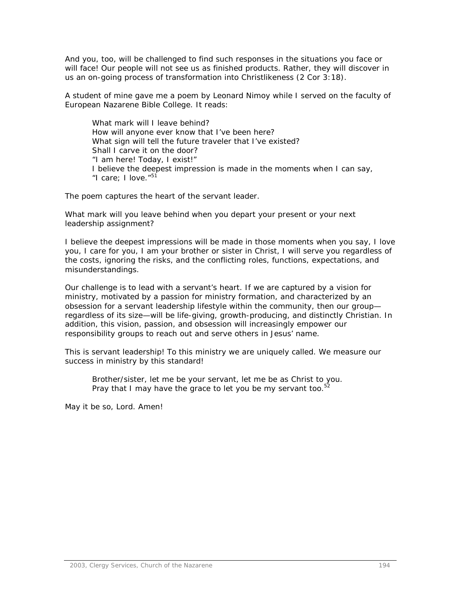And you, too, will be challenged to find such responses in the situations you face or will face! Our people will not see us as finished products. Rather, they will discover in us an on-going process of transformation into Christlikeness (2 Cor 3:18).

A student of mine gave me a poem by Leonard Nimoy while I served on the faculty of European Nazarene Bible College. It reads:

*What mark will I leave behind? How will anyone ever know that I've been here? What sign will tell the future traveler that I've existed? Shall I carve it on the door? "I am here! Today, I exist!" I believe the deepest impression is made in the moments when I can say, "I care; I love."<sup>51</sup>*

The poem captures the heart of the servant leader.

What mark will you leave behind when you depart your present or your next leadership assignment?

I believe the deepest impressions will be made in those moments when you say, I love you, I care for you, I am your brother or sister in Christ, I will serve you regardless of the costs, ignoring the risks, and the conflicting roles, functions, expectations, and misunderstandings.

Our challenge is to lead with a servant's heart. If we are captured by a vision for ministry, motivated by a passion for ministry formation, and characterized by an obsession for a servant leadership lifestyle within the community, then our group regardless of its size—will be life-giving, growth-producing, and *distinctly Christian.* In addition, this vision, passion, and obsession will increasingly empower our responsibility groups to reach out and serve others in Jesus' name.

*This* is servant leadership! To *this* ministry we are uniquely called. We measure our success in ministry by *this* standard!

*Brother/sister, let me be your servant, let me be as Christ to you. Pray that I may have the grace to let you be my servant too.52*

May it be so, Lord. Amen!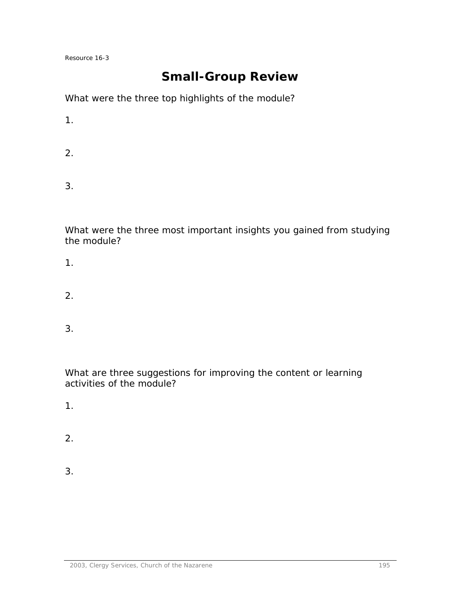Resource 16-3

# **Small-Group Review**

What were the three top highlights of the module?

1.

- 2.
- 3.

What were the three most important insights you gained from studying the module?

1.

- 2.
- 3.

What are three suggestions for improving the content or learning activities of the module?

1.

2.

3.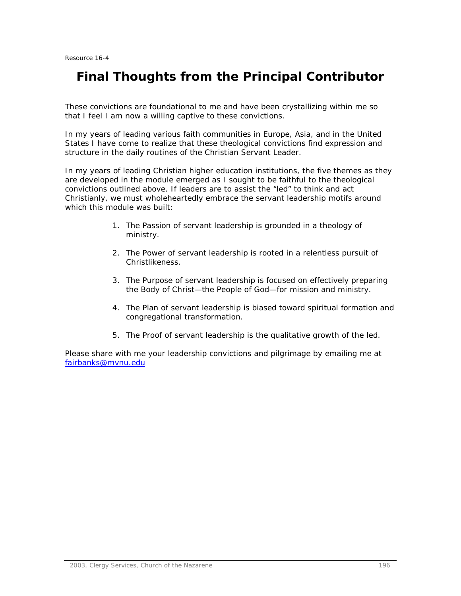# **Final Thoughts from the Principal Contributor**

These convictions are foundational to me and have been crystallizing within me so that I feel I am now a willing captive to these convictions.

In my years of leading various faith communities in Europe, Asia, and in the United States I have come to realize that these theological convictions find expression and structure in the daily routines of the Christian Servant Leader.

In my years of leading Christian higher education institutions, the five themes as they are developed in the module emerged as I sought to be faithful to the theological convictions outlined above. If leaders are to assist the "led" to think and act Christianly, we must wholeheartedly embrace the servant leadership motifs around which this module was built:

- 1. The *Passion* of servant leadership is grounded in a theology of ministry.
- 2. The *Power* of servant leadership is rooted in a relentless pursuit of Christlikeness.
- 3. The *Purpose* of servant leadership is focused on effectively preparing the Body of Christ—the People of God—for mission and ministry.
- 4. The *Plan* of servant leadership is biased toward spiritual formation and congregational transformation.
- 5. The *Proof* of servant leadership is the qualitative growth of the led.

Please share with me your leadership convictions and pilgrimage by emailing me at fairbanks@mvnu.edu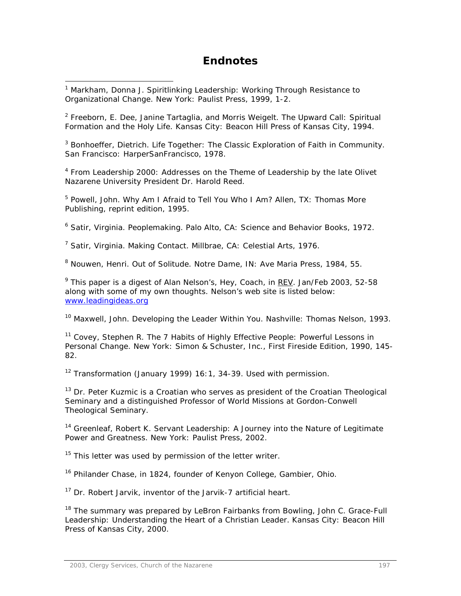### **Endnotes**

1 Markham, Donna J. *Spiritlinking Leadership: Working Through Resistance to Organizational Change*. New York: Paulist Press, 1999, 1-2.

-

2 Freeborn, E. Dee, Janine Tartaglia, and Morris Weigelt*. The Upward Call: Spiritual Formation and the Holy Life*. Kansas City: Beacon Hill Press of Kansas City, 1994.

3 Bonhoeffer, Dietrich. *Life Together: The Classic Exploration of Faith in Community.* San Francisco: HarperSanFrancisco, 1978.

4 From *Leadership 2000: Addresses on the Theme of Leadership* by the late Olivet Nazarene University President Dr. Harold Reed.

5 Powell, John. *Why Am I Afraid to Tell You Who I Am?* Allen, TX: Thomas More Publishing, reprint edition, 1995.

6 Satir, Virginia. *Peoplemaking.* Palo Alto, CA: Science and Behavior Books, 1972.

7 Satir, Virginia. *Making Contact.* Millbrae, CA: Celestial Arts, 1976.

8 Nouwen, Henri. *Out of Solitude*. Notre Dame, IN: Ave Maria Press, 1984, 55.

<sup>9</sup> This paper is a digest of Alan Nelson's, *Hey, Coach,* in <u>REV</u>. Jan/Feb 2003, 52-58 along with some of my own thoughts. Nelson's web site is listed below: www.leadingideas.org

10 Maxwell, John. *Developing the Leader Within You.* Nashville: Thomas Nelson, 1993.

11 Covey, Stephen R. *The 7 Habits of Highly Effective People: Powerful Lessons in Personal Change.* New York: Simon & Schuster, Inc., First Fireside Edition, 1990, 145- 82.

<sup>12</sup> *Transformation* (January 1999) 16:1, 34-39. Used with permission.

<sup>13</sup> Dr. Peter Kuzmic is a Croatian who serves as president of the Croatian Theological Seminary and a distinguished Professor of World Missions at Gordon-Conwell Theological Seminary.

14 Greenleaf, Robert K. *Servant Leadership: A Journey into the Nature of Legitimate Power and Greatness.* New York: Paulist Press, 2002.

 $15$  This letter was used by permission of the letter writer.

<sup>16</sup> Philander Chase, in 1824, founder of Kenyon College, Gambier, Ohio.

<sup>17</sup> Dr. Robert Jarvik, inventor of the Jarvik-7 artificial heart.

18 The summary was prepared by LeBron Fairbanks from Bowling, John C. *Grace-Full Leadership: Understanding the Heart of a Christian Leader.* Kansas City: Beacon Hill Press of Kansas City, 2000.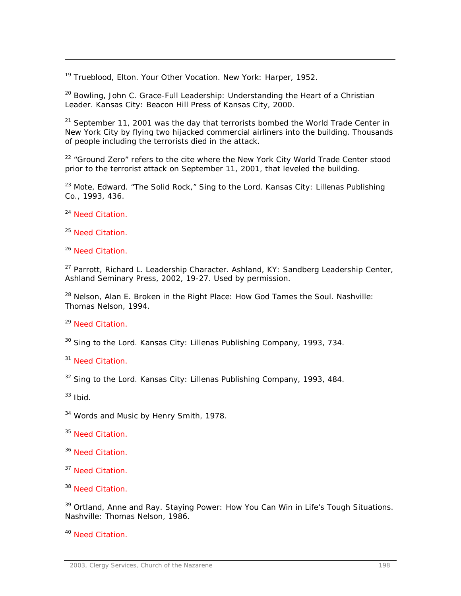19 Trueblood, Elton. *Your Other Vocation.* New York: Harper, 1952.

20 Bowling, John C. *Grace-Full Leadership: Understanding the Heart of a Christian Leader.* Kansas City: Beacon Hill Press of Kansas City, 2000.

 $21$  September 11, 2001 was the day that terrorists bombed the World Trade Center in New York City by flying two hijacked commercial airliners into the building. Thousands of people including the terrorists died in the attack.

<sup>22</sup> "Ground Zero" refers to the cite where the New York City World Trade Center stood prior to the terrorist attack on September 11, 2001, that leveled the building.

23 Mote, Edward. "The Solid Rock," *Sing to the Lord.* Kansas City: Lillenas Publishing Co., 1993, 436.

<sup>24</sup> Need Citation.

 $\overline{a}$ 

<sup>25</sup> Need Citation.

<sup>26</sup> Need Citation.

27 Parrott, Richard L. *Leadership Character.* Ashland, KY: Sandberg Leadership Center, Ashland Seminary Press, 2002, 19-27. Used by permission.

28 Nelson, Alan E. *Broken in the Right Place: How God Tames the Soul.* Nashville: Thomas Nelson, 1994.

<sup>29</sup> Need Citation.

<sup>30</sup> *Sing to the Lord.* Kansas City: Lillenas Publishing Company, 1993, 734.

<sup>31</sup> Need Citation.

<sup>32</sup> Sing to the Lord. Kansas City: Lillenas Publishing Company, 1993, 484.

 $33$  Ibid.

<sup>34</sup> Words and Music by Henry Smith, 1978.

<sup>35</sup> Need Citation.

<sup>36</sup> Need Citation.

<sup>37</sup> Need Citation.

<sup>38</sup> Need Citation.

39 Ortland, Anne and Ray. *Staying Power: How You Can Win in Life's Tough Situations.* Nashville: Thomas Nelson, 1986*.*

<sup>40</sup> Need Citation.